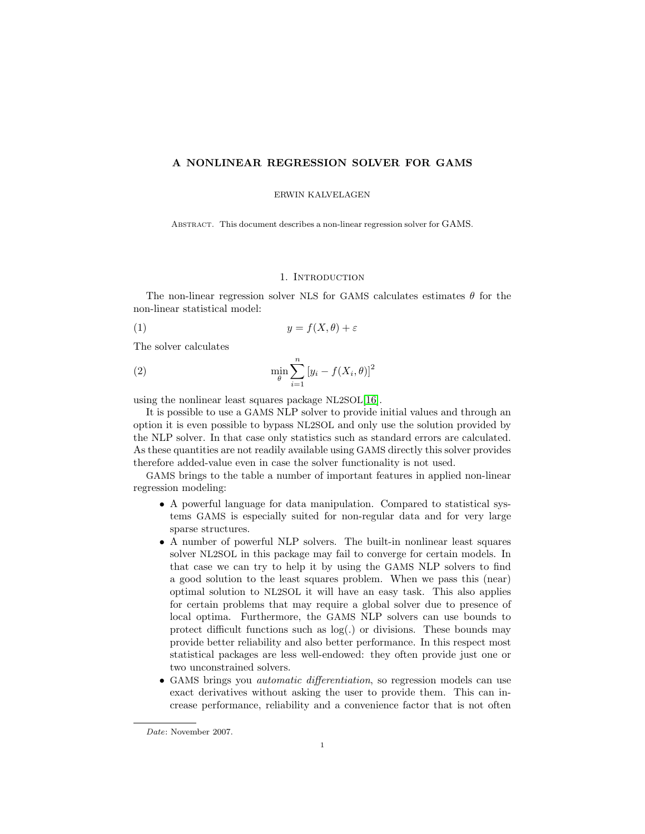## A NONLINEAR REGRESSION SOLVER FOR GAMS

ERWIN KALVELAGEN

Abstract. This document describes a non-linear regression solver for GAMS.

#### 1. INTRODUCTION

The non-linear regression solver NLS for GAMS calculates estimates  $\theta$  for the non-linear statistical model:

$$
(1) \t\t y = f(X, \theta) + \varepsilon
$$

The solver calculates

(2) 
$$
\min_{\theta} \sum_{i=1}^{n} [y_i - f(X_i, \theta)]^2
$$

using the nonlinear least squares package NL2SOL[\[16\]](#page-145-0).

It is possible to use a GAMS NLP solver to provide initial values and through an option it is even possible to bypass NL2SOL and only use the solution provided by the NLP solver. In that case only statistics such as standard errors are calculated. As these quantities are not readily available using GAMS directly this solver provides therefore added-value even in case the solver functionality is not used.

GAMS brings to the table a number of important features in applied non-linear regression modeling:

- A powerful language for data manipulation. Compared to statistical systems GAMS is especially suited for non-regular data and for very large sparse structures.
- A number of powerful NLP solvers. The built-in nonlinear least squares solver NL2SOL in this package may fail to converge for certain models. In that case we can try to help it by using the GAMS NLP solvers to find a good solution to the least squares problem. When we pass this (near) optimal solution to NL2SOL it will have an easy task. This also applies for certain problems that may require a global solver due to presence of local optima. Furthermore, the GAMS NLP solvers can use bounds to protect difficult functions such as log(.) or divisions. These bounds may provide better reliability and also better performance. In this respect most statistical packages are less well-endowed: they often provide just one or two unconstrained solvers.
- GAMS brings you *automatic differentiation*, so regression models can use exact derivatives without asking the user to provide them. This can increase performance, reliability and a convenience factor that is not often

Date: November 2007.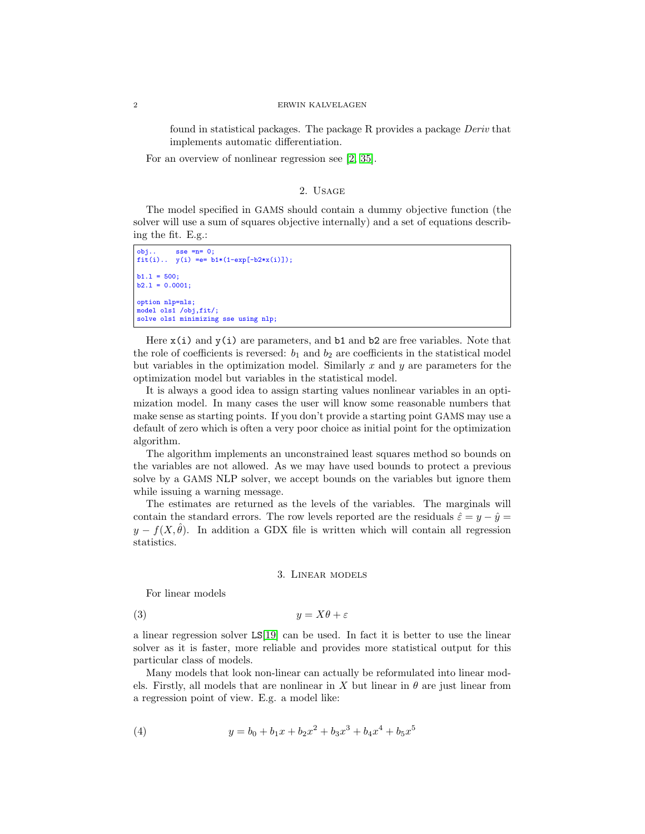#### 2 ERWIN KALVELAGEN

found in statistical packages. The package R provides a package Deriv that implements automatic differentiation.

For an overview of nonlinear regression see [\[2,](#page-145-1) [35\]](#page-146-0).

# 2. Usage

The model specified in GAMS should contain a dummy objective function (the solver will use a sum of squares objective internally) and a set of equations describing the fit. E.g.:

```
obj.. sse =n= 0;
fit(i).. y(i) =e= b1*(1-exp[-b2*x(i)]);
h1.1 = 500b2.1 = 0.0001;option nlp=nls;
model ols1 /obj,fit/;
solve ols1 minimizing sse using nlp;
```
Here  $x(i)$  and  $y(i)$  are parameters, and b1 and b2 are free variables. Note that the role of coefficients is reversed:  $b_1$  and  $b_2$  are coefficients in the statistical model but variables in the optimization model. Similarly  $x$  and  $y$  are parameters for the optimization model but variables in the statistical model.

It is always a good idea to assign starting values nonlinear variables in an optimization model. In many cases the user will know some reasonable numbers that make sense as starting points. If you don't provide a starting point GAMS may use a default of zero which is often a very poor choice as initial point for the optimization algorithm.

The algorithm implements an unconstrained least squares method so bounds on the variables are not allowed. As we may have used bounds to protect a previous solve by a GAMS NLP solver, we accept bounds on the variables but ignore them while issuing a warning message.

The estimates are returned as the levels of the variables. The marginals will contain the standard errors. The row levels reported are the residuals  $\hat{\varepsilon} = y - \hat{y} =$  $y - f(X, \theta)$ . In addition a GDX file is written which will contain all regression statistics.

#### 3. Linear models

For linear models

(3)  $y = X\theta + \varepsilon$ 

a linear regression solver LS[\[19\]](#page-145-2) can be used. In fact it is better to use the linear solver as it is faster, more reliable and provides more statistical output for this particular class of models.

Many models that look non-linear can actually be reformulated into linear models. Firstly, all models that are nonlinear in X but linear in  $\theta$  are just linear from a regression point of view. E.g. a model like:

(4) 
$$
y = b_0 + b_1 x + b_2 x^2 + b_3 x^3 + b_4 x^4 + b_5 x^5
$$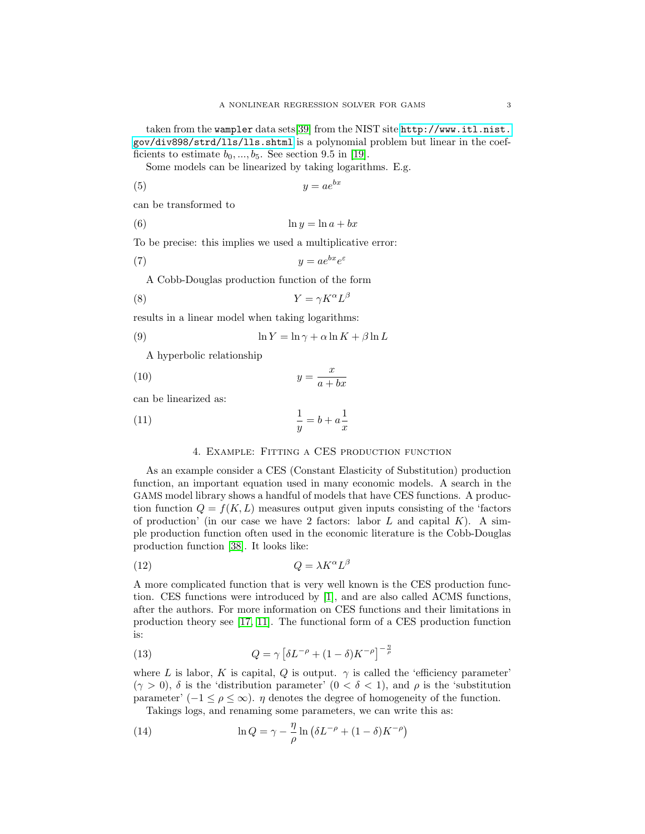taken from the wampler data sets[\[39\]](#page-146-1) from the NIST site [http://www.itl.nist.](http://www.itl.nist.gov/div898/strd/lls/lls.shtml) [gov/div898/strd/lls/lls.shtml](http://www.itl.nist.gov/div898/strd/lls/lls.shtml) is a polynomial problem but linear in the coefficients to estimate  $b_0, ..., b_5$ . See section 9.5 in [\[19\]](#page-145-2).

Some models can be linearized by taking logarithms. E.g.

$$
(5) \t\t y = ae^{bx}
$$

can be transformed to

(6) ln y = ln a + bx

To be precise: this implies we used a multiplicative error:

$$
(7) \t\t y = ae^{bx}e^{\varepsilon}
$$

A Cobb-Douglas production function of the form

$$
(8) \t\t Y = \gamma K^{\alpha} L^{\beta}
$$

results in a linear model when taking logarithms:

(9) 
$$
\ln Y = \ln \gamma + \alpha \ln K + \beta \ln L
$$

A hyperbolic relationship

$$
(10)\t\t y = \frac{x}{a+bx}
$$

can be linearized as:

$$
\frac{1}{y} = b + a\frac{1}{x}
$$

# 4. Example: Fitting a CES production function

As an example consider a CES (Constant Elasticity of Substitution) production function, an important equation used in many economic models. A search in the GAMS model library shows a handful of models that have CES functions. A production function  $Q = f(K, L)$  measures output given inputs consisting of the 'factors' of production' (in our case we have 2 factors: labor  $L$  and capital  $K$ ). A simple production function often used in the economic literature is the Cobb-Douglas production function [\[38\]](#page-146-2). It looks like:

$$
(12)\t\t Q = \lambda K^{\alpha} L^{\beta}
$$

A more complicated function that is very well known is the CES production function. CES functions were introduced by [\[1\]](#page-145-3), and are also called ACMS functions, after the authors. For more information on CES functions and their limitations in production theory see [\[17,](#page-145-4) [11\]](#page-145-5). The functional form of a CES production function is:

(13) 
$$
Q = \gamma \left[ \delta L^{-\rho} + (1 - \delta) K^{-\rho} \right]^{-\frac{n}{\rho}}
$$

where L is labor, K is capital, Q is output.  $\gamma$  is called the 'efficiency parameter'  $(\gamma > 0)$ ,  $\delta$  is the 'distribution parameter'  $(0 < \delta < 1)$ , and  $\rho$  is the 'substitution' parameter' (−1  $\leq \rho \leq \infty$ ).  $\eta$  denotes the degree of homogeneity of the function.

Takings logs, and renaming some parameters, we can write this as:

(14) 
$$
\ln Q = \gamma - \frac{\eta}{\rho} \ln \left( \delta L^{-\rho} + (1 - \delta) K^{-\rho} \right)
$$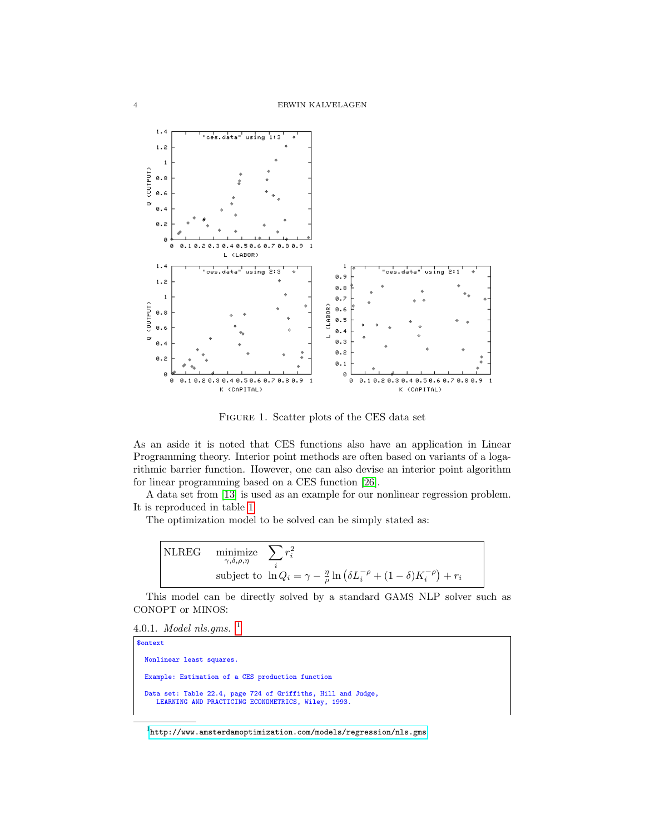

FIGURE 1. Scatter plots of the CES data set

As an aside it is noted that CES functions also have an application in Linear Programming theory. Interior point methods are often based on variants of a logarithmic barrier function. However, one can also devise an interior point algorithm for linear programming based on a CES function [\[26\]](#page-146-3).

A data set from [\[13\]](#page-145-6) is used as an example for our nonlinear regression problem. It is reproduced in table [1](#page-4-0)

The optimization model to be solved can be simply stated as:

NLREG  
\n
$$
\begin{array}{ll}\n\text{minimize} & \sum_{i} r_i^2 \\
\text{subject to} & \ln Q_i = \gamma - \frac{\eta}{\rho} \ln \left( \delta L_i^{-\rho} + (1 - \delta) K_i^{-\rho} \right) + r_i\n\end{array}
$$

This model can be directly solved by a standard GAMS NLP solver such as CONOPT or MINOS:

4.0.[1](#page-3-0). *Model nls.gms.*  $^1$ 

```
$ontext
 Nonlinear least squares.
 Example: Estimation of a CES production function
 Data set: Table 22.4, page 724 of Griffiths, Hill and Judge,
    LEARNING AND PRACTICING ECONOMETRICS, Wiley, 1993.
```
<span id="page-3-0"></span> $1$ <http://www.amsterdamoptimization.com/models/regression/nls.gms>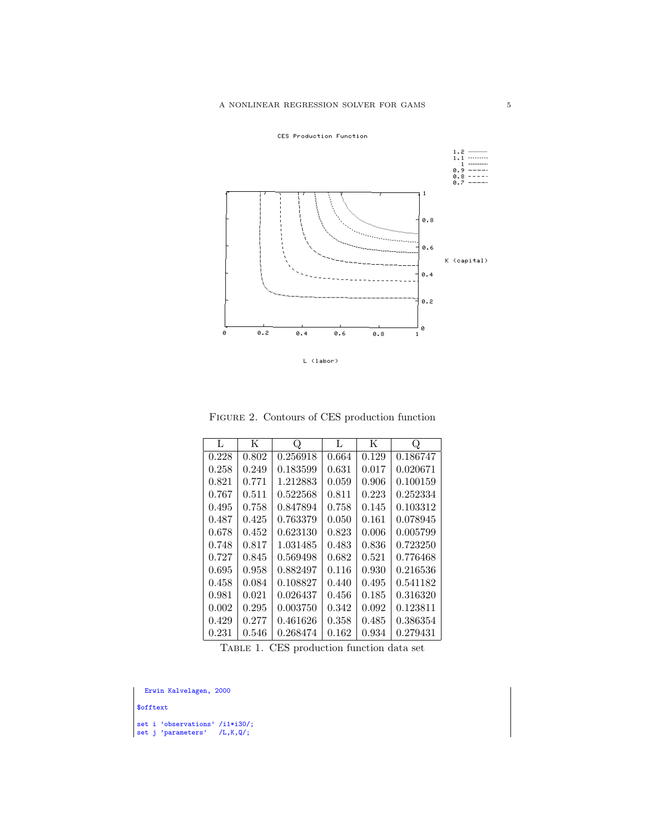



 $L$  (labor)

Figure 2. Contours of CES production function

| L     | K     | Q        | L     | K     | Q        |
|-------|-------|----------|-------|-------|----------|
| 0.228 | 0.802 | 0.256918 | 0.664 | 0.129 | 0.186747 |
| 0.258 | 0.249 | 0.183599 | 0.631 | 0.017 | 0.020671 |
| 0.821 | 0.771 | 1.212883 | 0.059 | 0.906 | 0.100159 |
| 0.767 | 0.511 | 0.522568 | 0.811 | 0.223 | 0.252334 |
| 0.495 | 0.758 | 0.847894 | 0.758 | 0.145 | 0.103312 |
| 0.487 | 0.425 | 0.763379 | 0.050 | 0.161 | 0.078945 |
| 0.678 | 0.452 | 0.623130 | 0.823 | 0.006 | 0.005799 |
| 0.748 | 0.817 | 1.031485 | 0.483 | 0.836 | 0.723250 |
| 0.727 | 0.845 | 0.569498 | 0.682 | 0.521 | 0.776468 |
| 0.695 | 0.958 | 0.882497 | 0.116 | 0.930 | 0.216536 |
| 0.458 | 0.084 | 0.108827 | 0.440 | 0.495 | 0.541182 |
| 0.981 | 0.021 | 0.026437 | 0.456 | 0.185 | 0.316320 |
| 0.002 | 0.295 | 0.003750 | 0.342 | 0.092 | 0.123811 |
| 0.429 | 0.277 | 0.461626 | 0.358 | 0.485 | 0.386354 |
| 0.231 | 0.546 | 0.268474 | 0.162 | 0.934 | 0.279431 |

<span id="page-4-0"></span>Table 1. CES production function data set

Erwin Kalvelagen, 2000

\$offtext

set i 'observations' /i1\*i30/; set j 'parameters' /L,K,Q/;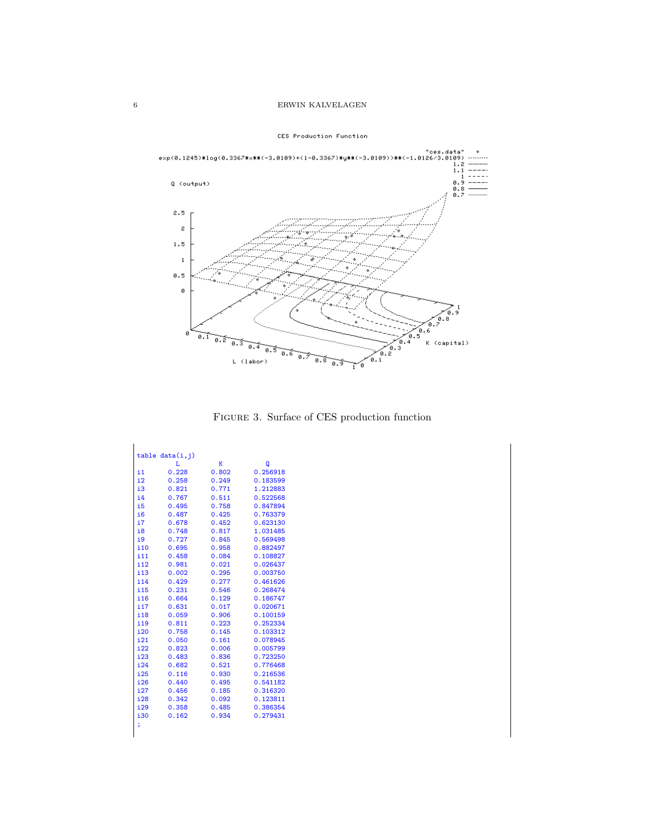

CES Production Function

Figure 3. Surface of CES production function

|              | table data(i, j) |       |          |
|--------------|------------------|-------|----------|
|              | L                | K     | Q        |
| i1           | 0.228            | 0.802 | 0.256918 |
| $\mathbf{i}$ | 0.258            | 0.249 | 0.183599 |
| i3           | 0.821            | 0.771 | 1.212883 |
| i4           | 0.767            | 0.511 | 0.522568 |
| i5           | 0.495            | 0.758 | 0.847894 |
| i6           | 0.487            | 0.425 | 0.763379 |
| i7           | 0.678            | 0.452 | 0.623130 |
| i8           | 0.748            | 0.817 | 1.031485 |
| i9           | 0.727            | 0.845 | 0.569498 |
| i10          | 0.695            | 0.958 | 0.882497 |
| i11          | 0.458            | 0.084 | 0.108827 |
| i12          | 0.981            | 0.021 | 0.026437 |
| i13          | 0.002            | 0.295 | 0.003750 |
| i14          | 0.429            | 0.277 | 0.461626 |
| i15          | 0.231            | 0.546 | 0.268474 |
| i16          | 0.664            | 0.129 | 0.186747 |
| i17          | 0.631            | 0.017 | 0.020671 |
| i18          | 0.059            | 0.906 | 0.100159 |
| i19          | 0.811            | 0.223 | 0.252334 |
| i20          | 0.758            | 0.145 | 0.103312 |
| i21          | 0.050            | 0.161 | 0.078945 |
| i22          | 0.823            | 0.006 | 0.005799 |
| i23          | 0.483            | 0.836 | 0.723250 |
| i24          | 0.682            | 0.521 | 0.776468 |
| i25          | 0.116            | 0.930 | 0.216536 |
| i26          | 0.440            | 0.495 | 0.541182 |
| i27          | 0.456            | 0.185 | 0.316320 |
| i28          | 0.342            | 0.092 | 0.123811 |
| i29          | 0.358            | 0.485 | 0.386354 |
| i30          | 0.162            | 0.934 | 0.279431 |
|              |                  |       |          |
|              |                  |       |          |

 $\mathbf{r}$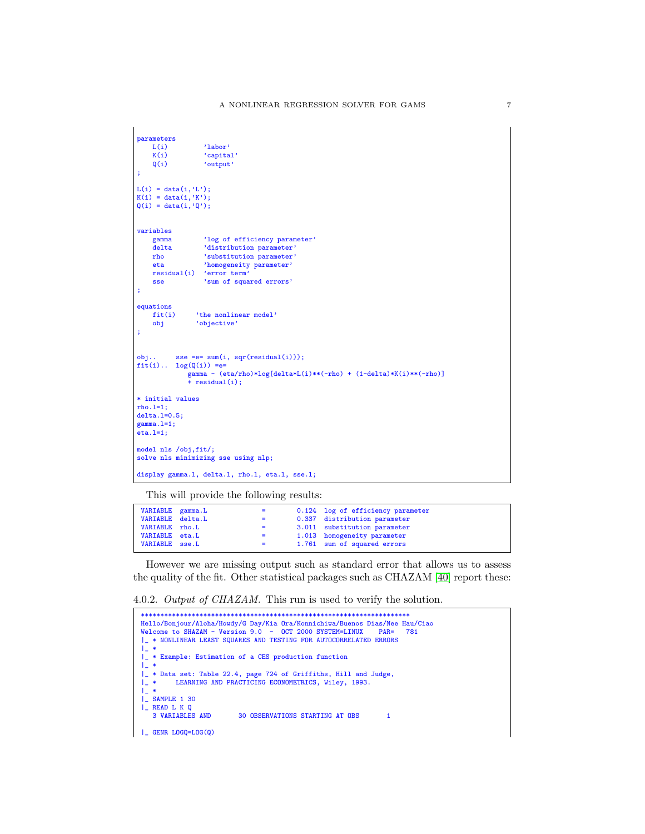```
parameters<br>L(i)
    L(i) 'labor'<br>K(i) 'capita
    K(i) 'capital'<br>Q(i) 'output'
                    'output'
;
L(i) = data(i,'L');K(i) = data(i,'K');Q(i) = data(i, 'Q');variables
    gamma log of efficiency parameter'<br>delta 'distribution parameter'
    delta 'distribution parameter'<br>
rho 'substitution parameter'
                    'substitution parameter'
    eta 'homogeneity parameter'
    residual(i) 'error term'<br>sse 'sum of squa
                    'sum of squared errors'
;
equations<br>fit(i)
    fit(i) 'the nonlinear model'<br>obj 'objective'
                  'objective'
;
obj... sse =e= sum(i, sqr(residual(i)));
fit(i).. log(Q(i)) =e=
gamma - (eta/rho)*log[delta*L(i)**(-rho) + (1-delta)*K(i)**(-rho)]
+ residual(i);
* initial values
rho.l=1;
delta.l=0.5;
gamma.l=1;
eta.l=1;
model nls /obj,fit/;
solve nls minimizing sse using nlp;
display gamma.l, delta.l, rho.l, eta.l, sse.l;
```
This will provide the following results:

| VARIABLE gamma.L<br>VARIABLE delta.L | $\equiv$ $\equiv$<br>$\equiv$ $\equiv$ | 0.124 log of efficiency parameter<br>0.337 distribution parameter |
|--------------------------------------|----------------------------------------|-------------------------------------------------------------------|
| VARIABLE rho.L                       | $=$ $-$                                | 3.011 substitution parameter                                      |
| VARIABLE eta.L<br>VARIABLE sse.L     | $\equiv$ 100 $\pm$<br>$=$ $-$          | 1.013 homogeneity parameter<br>1.761 sum of squared errors        |

However we are missing output such as standard error that allows us to assess the quality of the fit. Other statistical packages such as CHAZAM [\[40\]](#page-146-4) report these:

4.0.2. Output of CHAZAM. This run is used to verify the solution.

```
*********************************************************************
Hello/Bonjour/Aloha/Howdy/G Day/Kia Ora/Konnichiwa/Buenos Dias/Nee Hau/Ciao
Welcome to SHAZAM - Version 9.0 - OCT 2000 SYSTEM=LINUX PAR= 781
|_ * NONLINEAR LEAST SQUARES AND TESTING FOR AUTOCORRELATED ERRORS
| *
|_ * Example: Estimation of a CES production function
|_ *
|_ * Data set: Table 22.4, page 724 of Griffiths, Hill and Judge,
        LEARNING AND PRACTICING ECONOMETRICS, Wiley, 1993.
|_{\perp} *<br>|_{\perp} *|_ SAMPLE 1 30
| READ L K Q<br>3 VARIABLES AND
                       30 OBSERVATIONS STARTING AT OBS 1
|_ GENR LOGQ=LOG(Q)
```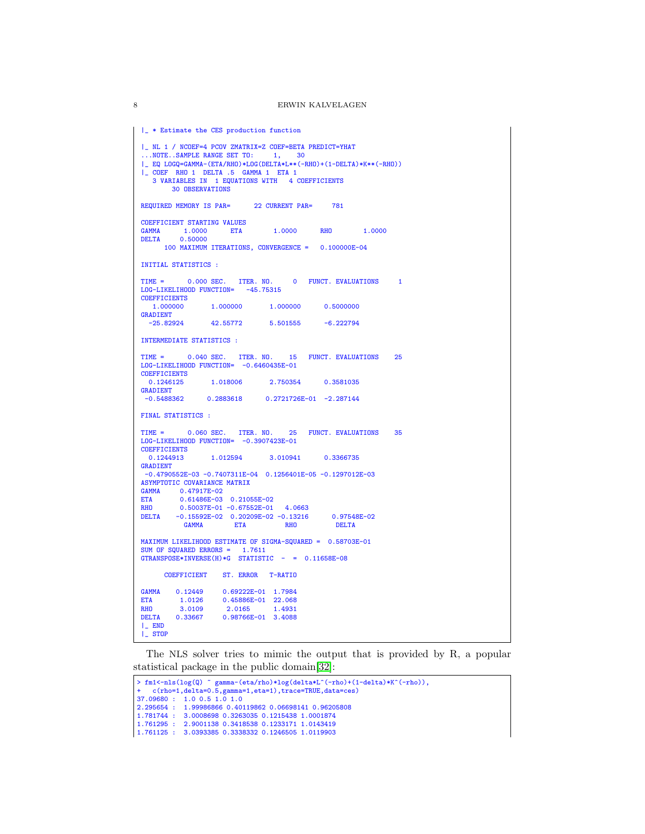```
|_ * Estimate the CES production function
|_ NL 1 / NCOEF=4 PCOV ZMATRIX=Z COEF=BETA PREDICT=YHAT
...NOTE..SAMPLE RANGE SET TO: 1, 30
|_ EQ LOGQ=GAMMA-(ETA/RHO)*LOG(DELTA*L**(-RHO)+(1-DELTA)*K**(-RHO))
|_ COEF RHO 1 DELTA .5 GAMMA 1 ETA 1
  3 VARIABLES IN 1 EQUATIONS WITH 4 COEFFICIENTS
        30 OBSERVATIONS
REQUIRED MEMORY IS PAR= 22 CURRENT PAR= 781
COEFFICIENT STARTING VALUES
GAMMA 1.0000 ETA 1.0000 RHO 1.0000 DELTA 0.50000
          0.50000
      100 MAXIMUM ITERATIONS, CONVERGENCE = 0.100000E-04
INITIAL STATISTICS :
TIME = 0.000 SEC. ITER. NO. 0 FUNCT. EVALUATIONS 1
LOG-LIKELIHOOD FUNCTION= -45.75315
COEFFICIENTS<br>1.000000
                   1.000000 1.000000 1.000000 0.5000000
GRADIENT<br>-25.82924
                 -25.82924 42.55772 5.501555 -6.222794
INTERMEDIATE STATISTICS :
TIME = 0.040 SEC. ITER. NO. 15 FUNCT. EVALUATIONS 25
LOG-LIKELIHOOD FUNCTION= -0.6460435E-01
COEFFICIENTS<br>0.1246125
                  0.1246125 1.018006 2.750354 0.3581035
GRADIENT<br>-0.54883620.2883618   0.2721726E-01 -2.287144
FINAL STATISTICS :
TIME = 0.060 SEC. ITER. NO. 25 FUNCT. EVALUATIONS 35
LOG-LIKELIHOOD FUNCTION= -0.3907423E-01
COEFFICIENTS<br>0 1244913
                   1.012594 3.010941 0.3366735
GRADIENT
 -0.4790552E-03 -0.7407311E-04 0.1256401E-05 -0.1297012E-03
ASYMPTOTIC COVARIANCE MATRIX
GAMMA 0.47917E-02
ETA 0.61486E-03 0.21055E-02<br>RHO 0.50037E-01 -0.67552E-01
        0.50037E-01 -0.67552E-01 4.0663
DELTA -0.15592E-02 0.20209E-02 -0.13216 0.97548E-02
            GAMMA ETA RHO DELTA
MAXIMUM LIKELIHOOD ESTIMATE OF SIGMA-SQUARED = 0.58703E-01
SUM OF SQUARED ERRORS = 1.7611
GTRANSPOSE*INVERSE(H)*G STATISTIC - = 0.11658E-08
      COEFFICIENT ST. ERROR T-RATIO
GAMMA  0.12449  0.69222E-01  1.7984<br>ETA  1.0126  0.45886E-01  22.068
ETA 1.0126 0.45886E-01 22.068<br>RH0 3.0109 2.0165 1.4931
RHO 3.0109 2.0165 1.4931
DELTA 0.33667 0.98766E-01 3.4088
|_ END
|_ STOP
```
The NLS solver tries to mimic the output that is provided by R, a popular statistical package in the public domain[\[32\]](#page-146-5):

```
> fm1<-nls(log(Q) ~ gamma-(eta/rho)*log(delta*L^(-rho)+(1-delta)*K^(-rho)),
+ c(rho=1,delta=0.5,gamma=1,eta=1),trace=TRUE,data=ces)
37.09680 : 1.0 0.5 1.0 1.0
 2.295654 : 1.99986866 0.40119862 0.06698141 0.96205808
1.781744 : 3.0008698 0.3263035 0.1215438 1.0001874
 1.761295 : 2.9001138 0.3418538 0.1233171 1.0143419
1.761125 : 3.0393385 0.3338332 0.1246505 1.0119903
```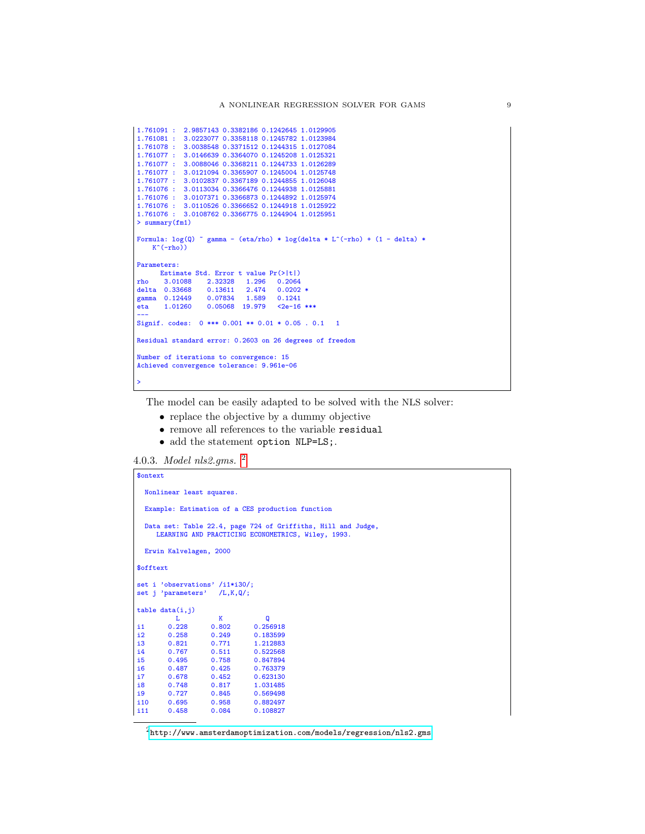```
1.761091 : 2.9857143 0.3382186 0.1242645 1.0129905
 1.761081 : 3.0223077 0.3358118 0.1245782 1.0123984
1.761078 : 3.0038548 0.3371512 0.1244315 1.0127084
1.761077 : 3.0146639 0.3364070 0.1245208 1.0125321
1.761077 : 3.0088046 0.3368211 0.1244733 1.0126289
1.761077 : 3.0121094 0.3365907 0.1245004 1.0125748
1.761077 : 3.0102837 0.3367189 0.1244855 1.0126048
1.761076 : 3.0113034 0.3366476 0.1244938 1.0125881
1.761076 : 3.0107371 0.3366873 0.1244892 1.0125974
 1.761076 : 3.0110526 0.3366652 0.1244918 1.0125922
1.761076 : 3.0108762 0.3366775 0.1244904 1.0125951
> summary(fm1)
Formula: \log(Q) \in gamma - (eta/rho) * \log(\text{delta} * \text{L}^(-\text{rho}) + (1 - \text{delta}) *K^{\sim}(-rho))
Parameters:
      Estimate Std. Error t value Pr(>|t|)
rho 3.01088 2.32328 1.296 0.2064
 delta 0.33668 0.13611 2.474 0.0202 *
gamma 0.12449 0.07834 1.589 0.1241
eta 1.01260 0.05068 19.979 <2e-16 ***
 ---
Signif. codes: 0 *** 0.001 ** 0.01 * 0.05 . 0.1 1
Residual standard error: 0.2603 on 26 degrees of freedom
Number of iterations to convergence: 15
Achieved convergence tolerance: 9.961e-06
 >
```
The model can be easily adapted to be solved with the NLS solver:

- replace the objective by a dummy objective
- remove all references to the variable residual
- add the statement option NLP=LS;.

4.0.3. Model nls2.gms. [2](#page-8-0)

```
$ontext
  Nonlinear least squares.
  Example: Estimation of a CES production function
   Data set: Table 22.4, page 724 of Griffiths, Hill and Judge,
LEARNING AND PRACTICING ECONOMETRICS, Wiley, 1993.
  Erwin Kalvelagen, 2000
$offtext
set i 'observations' /i1*i30/;
set j 'parameters' /L,K,Q/;
table data(i,j)
             L K Q
\begin{array}{cccc} 11 & 0.228 & 0.802 & 0.256918 \\ 12 & 0.258 & 0.249 & 0.183599 \end{array}0.258 0.249 0.183599<br>0.821 0.771 1.212883
i3 0.821 0.771 1.212883<br>i4 0.767 0.511 0.522568
        0.767 0.511 0.522568<br>0.495 0.758 0.847894
i5 0.495 0.758 0.847894<br>i6 0.487 0.425 0.763379<br>i7 0.678 0.452 0.623130
i6 0.487 0.425 0.763379
i7 0.678 0.452 0.623130
i8 0.748 0.817 1.031485
                       0.845 0.569498<br>0.958 0.882497
i10 0.695 0.958 0.882497<br>i11 0.458 0.084 0.108827
                                    0.108827
```
<span id="page-8-0"></span> $^2$ <http://www.amsterdamoptimization.com/models/regression/nls2.gms>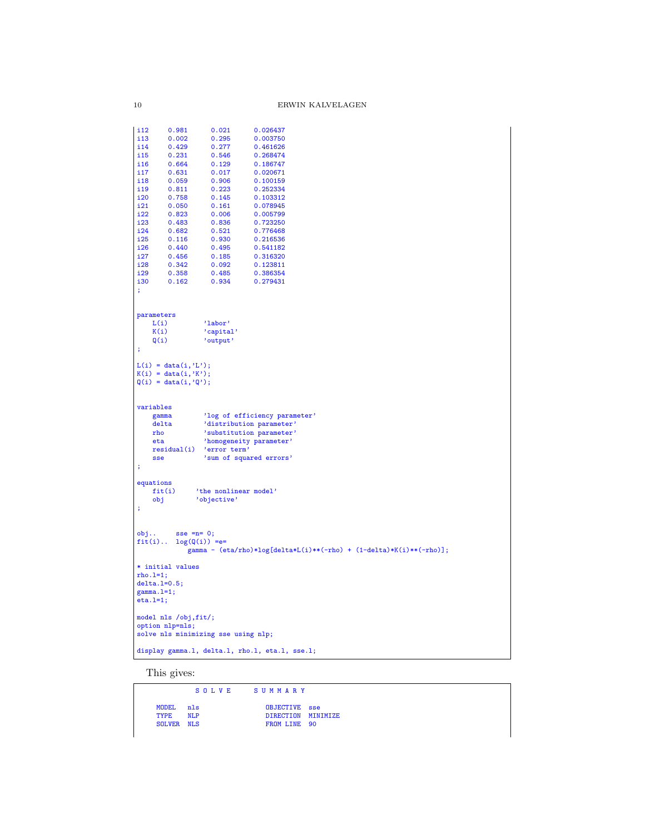| i12<br>i13                                                                                              | 0.981          | 0.021                                | 0.026437                                                                                                                                    |
|---------------------------------------------------------------------------------------------------------|----------------|--------------------------------------|---------------------------------------------------------------------------------------------------------------------------------------------|
|                                                                                                         | 0.002          | 0.295                                | 0.003750                                                                                                                                    |
| i14                                                                                                     | 0.429          | 0.277                                | 0.461626                                                                                                                                    |
| i 15                                                                                                    | 0.231          | 0.546                                | 0.268474                                                                                                                                    |
| i16                                                                                                     | 0.664          | 0.129                                | 0.186747                                                                                                                                    |
| i 17                                                                                                    | 0.631          | 0.017                                | 0.020671                                                                                                                                    |
| i18                                                                                                     | 0.059          | 0.906                                | 0.100159                                                                                                                                    |
| i19                                                                                                     | 0.811          | 0.223                                | 0.252334                                                                                                                                    |
| i20                                                                                                     | 0.758          | 0.145                                | 0.103312                                                                                                                                    |
| i21                                                                                                     | 0.050          | 0.161                                | 0.078945                                                                                                                                    |
| i22                                                                                                     | 0.823          | 0.006                                | 0.005799                                                                                                                                    |
| i23                                                                                                     | 0.483          | 0.836                                | 0.723250                                                                                                                                    |
| i24                                                                                                     | 0.682          | 0.521                                | 0.776468                                                                                                                                    |
| i25                                                                                                     | 0.116          | 0.930                                | 0.216536                                                                                                                                    |
| i26                                                                                                     | 0.440          | 0.495                                | 0.541182                                                                                                                                    |
| i27                                                                                                     | 0.456          | 0.185                                | 0.316320                                                                                                                                    |
| i28                                                                                                     | 0.342          | 0.092                                | 0.123811                                                                                                                                    |
| i29                                                                                                     | 0.358          | 0.485                                | 0.386354                                                                                                                                    |
| i30                                                                                                     | 0.162          | 0.934                                | 0.279431                                                                                                                                    |
| ÷                                                                                                       |                |                                      |                                                                                                                                             |
| parameters                                                                                              |                |                                      |                                                                                                                                             |
| L(i)<br>K(i)                                                                                            |                | 'labor'                              |                                                                                                                                             |
| Q(i)                                                                                                    |                | 'capital'<br>'output'                |                                                                                                                                             |
| $\ddot{\phantom{1}}$                                                                                    |                |                                      |                                                                                                                                             |
|                                                                                                         |                |                                      |                                                                                                                                             |
| gamma<br>delta<br>rho<br>eta<br><b>sse</b>                                                              | residual(i)    | 'error term'                         | 'log of efficiency parameter'<br>'distribution parameter'<br>'substitution parameter'<br>'homogeneity parameter'<br>'sum of squared errors' |
| variables<br>÷<br>equations                                                                             |                |                                      |                                                                                                                                             |
| fit(i)<br>obj                                                                                           |                | 'the nonlinear model'<br>'objective' |                                                                                                                                             |
| ÷<br>obj.<br>$fit(i)$                                                                                   | $sse = n = 0;$ | $log(Q(i)) ==$                       | gamma - (eta/rho)*log[delta*L(i)**(-rho) + (1-delta)*K(i)**(-rho)];                                                                         |
|                                                                                                         |                |                                      |                                                                                                                                             |
|                                                                                                         |                |                                      |                                                                                                                                             |
|                                                                                                         |                |                                      |                                                                                                                                             |
|                                                                                                         |                |                                      |                                                                                                                                             |
|                                                                                                         |                |                                      |                                                                                                                                             |
| * initial values<br>$rho.l=1;$<br>$delta.I=0.5;$<br>$gamma.1=1;$<br>$eta.1=1;$<br>model nls /obj, fit/; |                |                                      |                                                                                                                                             |
| option nlp=nls;                                                                                         |                |                                      |                                                                                                                                             |
|                                                                                                         |                | solve nls minimizing sse using nlp;  |                                                                                                                                             |

This gives:

|             |                  | SOLVE SUMMARY |               |                    |
|-------------|------------------|---------------|---------------|--------------------|
| <b>TYPE</b> | MODEL nls<br>NLP |               | OBJECTIVE sse | DIRECTION MINIMIZE |
|             | SOLVER NLS       |               | FROM LINE 90  |                    |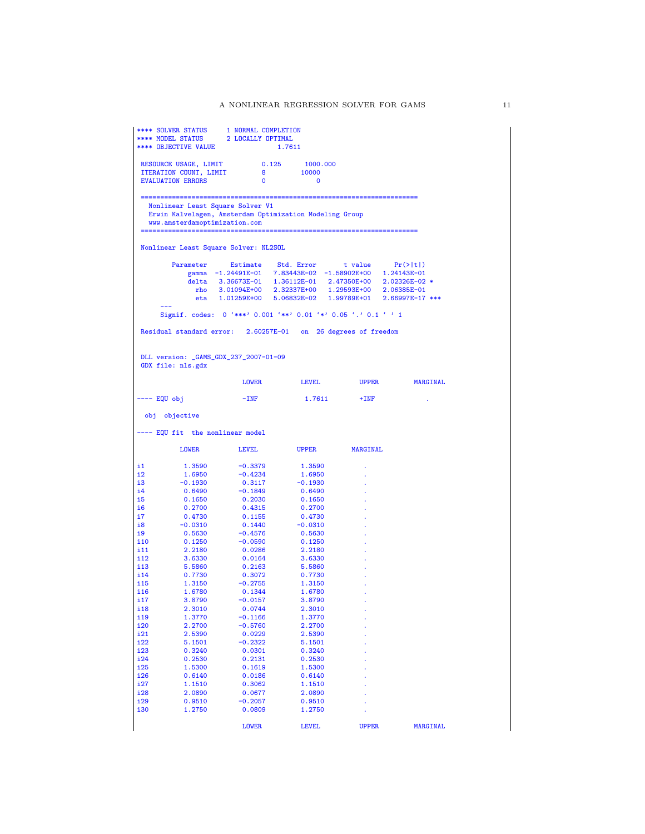| ITERATION COUNT, LIMIT<br>$8 - 8$<br>10000<br><b>EVALUATION ERRORS</b><br>$\Omega$<br>$\overline{\phantom{0}}$<br>Nonlinear Least Square Solver V1<br>Erwin Kalvelagen, Amsterdam Optimization Modeling Group<br>www.amsterdamoptimization.com<br>Nonlinear Least Square Solver: NL2SOL<br>Parameter Estimate Std. Error t value Pr(> t )<br>gamma $-1.24491E-01$ 7.83443E-02 $-1.58902E+00$ 1.24143E-01<br>delta 3.36673E-01 1.36112E-01 2.47350E+00 2.02326E-02 *<br>rho 3.01094E+00 2.32337E+00 1.29593E+00 2.06385E-01<br>eta 1.01259E+00 5.06832E-02 1.99789E+01 2.66997E-17 ***<br>Signif. codes: 0 '***' 0.001 '**' 0.01 '*' 0.05 '.' 0.1 ' ' 1<br>Residual standard error: 2.60257E-01 on 26 degrees of freedom<br>DLL version: _GAMS_GDX_237_2007-01-09<br>GDX file: nls.gdx<br>LOWER LEVEL UPPER MARGINAL<br>---- EQU obj<br>$-$ INF<br>1.7611<br>$+INF$<br>obj objective<br>---- EQU fit the nonlinear model<br><b>LEVEL</b><br>UPPER MARGINAL<br>LOWER<br>1.3590<br>$-0.3379$<br>1.3590<br>$\Delta$<br>1.6950<br>$-0.4234$<br>1.6950<br>-0.1930<br>0.3117<br>-0.1930<br>i4<br>$-0.1849$<br>0.6490<br>0.6490<br>i5<br>0.1650<br>0.2030<br>0.1650<br>i6<br>0.4315<br>0.2700<br>0.2700<br>0.1155<br>0.4730<br>0.4730<br>$-0.0310$<br>0.1440<br>$-0.0310$<br>0.5630<br>-0.4576<br>0.5630<br>0.1250<br>$-0.0590$<br>0.1250<br>2.2180<br>0.0286<br>2.2180<br>i 12<br>3.6330<br>$\mathbf{0.0164}$<br>3.6330<br>5.5860<br>0.2163<br>i 13<br>5.5860<br>0.7730<br>i 14<br>0.3072<br>0.7730<br>1.3150<br>$-0.2755$<br>1.3150<br>0.1344<br>1.6780<br>1.6780<br>3.8790<br>$-0.0157$<br>3.8790<br>2.3010<br>0.0744<br>2.3010<br>1.3770<br>$-0.1166$<br>1.3770<br>2.2700<br>$-0.5760$<br>2.2700<br>2.5390<br>0.0229<br>2.5390<br>$-0.2322$<br>5.1501<br>5.1501<br>0.3240<br>0.0301<br>0.3240<br>0.2530<br>0.2131<br>0.2530<br>1.5300<br>0.1619<br>1.5300<br>0.6140<br>0.0186<br>0.6140<br>1.1510<br>0.3062<br>1.1510<br>2.0890<br>0.0677<br>2.0890<br>0.9510<br>$-0.2057$<br>0.9510<br>1.2750<br>0.0809<br>1.2750<br><b>LOWER</b><br><b>LEVEL</b><br><b>UPPER</b><br>MARGINAL |                                                                                         |  | RESOURCE USAGE, LIMIT 0.125 1000.000 |  |
|----------------------------------------------------------------------------------------------------------------------------------------------------------------------------------------------------------------------------------------------------------------------------------------------------------------------------------------------------------------------------------------------------------------------------------------------------------------------------------------------------------------------------------------------------------------------------------------------------------------------------------------------------------------------------------------------------------------------------------------------------------------------------------------------------------------------------------------------------------------------------------------------------------------------------------------------------------------------------------------------------------------------------------------------------------------------------------------------------------------------------------------------------------------------------------------------------------------------------------------------------------------------------------------------------------------------------------------------------------------------------------------------------------------------------------------------------------------------------------------------------------------------------------------------------------------------------------------------------------------------------------------------------------------------------------------------------------------------------------------------------------------------------------------------------------------------------------------------------------------------------------------------------------------------------------------------------------------------------------------------------------------------------------------------------------------------------|-----------------------------------------------------------------------------------------|--|--------------------------------------|--|
|                                                                                                                                                                                                                                                                                                                                                                                                                                                                                                                                                                                                                                                                                                                                                                                                                                                                                                                                                                                                                                                                                                                                                                                                                                                                                                                                                                                                                                                                                                                                                                                                                                                                                                                                                                                                                                                                                                                                                                                                                                                                            |                                                                                         |  |                                      |  |
|                                                                                                                                                                                                                                                                                                                                                                                                                                                                                                                                                                                                                                                                                                                                                                                                                                                                                                                                                                                                                                                                                                                                                                                                                                                                                                                                                                                                                                                                                                                                                                                                                                                                                                                                                                                                                                                                                                                                                                                                                                                                            |                                                                                         |  |                                      |  |
|                                                                                                                                                                                                                                                                                                                                                                                                                                                                                                                                                                                                                                                                                                                                                                                                                                                                                                                                                                                                                                                                                                                                                                                                                                                                                                                                                                                                                                                                                                                                                                                                                                                                                                                                                                                                                                                                                                                                                                                                                                                                            |                                                                                         |  |                                      |  |
|                                                                                                                                                                                                                                                                                                                                                                                                                                                                                                                                                                                                                                                                                                                                                                                                                                                                                                                                                                                                                                                                                                                                                                                                                                                                                                                                                                                                                                                                                                                                                                                                                                                                                                                                                                                                                                                                                                                                                                                                                                                                            |                                                                                         |  |                                      |  |
|                                                                                                                                                                                                                                                                                                                                                                                                                                                                                                                                                                                                                                                                                                                                                                                                                                                                                                                                                                                                                                                                                                                                                                                                                                                                                                                                                                                                                                                                                                                                                                                                                                                                                                                                                                                                                                                                                                                                                                                                                                                                            |                                                                                         |  |                                      |  |
|                                                                                                                                                                                                                                                                                                                                                                                                                                                                                                                                                                                                                                                                                                                                                                                                                                                                                                                                                                                                                                                                                                                                                                                                                                                                                                                                                                                                                                                                                                                                                                                                                                                                                                                                                                                                                                                                                                                                                                                                                                                                            |                                                                                         |  |                                      |  |
|                                                                                                                                                                                                                                                                                                                                                                                                                                                                                                                                                                                                                                                                                                                                                                                                                                                                                                                                                                                                                                                                                                                                                                                                                                                                                                                                                                                                                                                                                                                                                                                                                                                                                                                                                                                                                                                                                                                                                                                                                                                                            |                                                                                         |  |                                      |  |
|                                                                                                                                                                                                                                                                                                                                                                                                                                                                                                                                                                                                                                                                                                                                                                                                                                                                                                                                                                                                                                                                                                                                                                                                                                                                                                                                                                                                                                                                                                                                                                                                                                                                                                                                                                                                                                                                                                                                                                                                                                                                            |                                                                                         |  |                                      |  |
|                                                                                                                                                                                                                                                                                                                                                                                                                                                                                                                                                                                                                                                                                                                                                                                                                                                                                                                                                                                                                                                                                                                                                                                                                                                                                                                                                                                                                                                                                                                                                                                                                                                                                                                                                                                                                                                                                                                                                                                                                                                                            |                                                                                         |  |                                      |  |
|                                                                                                                                                                                                                                                                                                                                                                                                                                                                                                                                                                                                                                                                                                                                                                                                                                                                                                                                                                                                                                                                                                                                                                                                                                                                                                                                                                                                                                                                                                                                                                                                                                                                                                                                                                                                                                                                                                                                                                                                                                                                            |                                                                                         |  |                                      |  |
|                                                                                                                                                                                                                                                                                                                                                                                                                                                                                                                                                                                                                                                                                                                                                                                                                                                                                                                                                                                                                                                                                                                                                                                                                                                                                                                                                                                                                                                                                                                                                                                                                                                                                                                                                                                                                                                                                                                                                                                                                                                                            |                                                                                         |  |                                      |  |
|                                                                                                                                                                                                                                                                                                                                                                                                                                                                                                                                                                                                                                                                                                                                                                                                                                                                                                                                                                                                                                                                                                                                                                                                                                                                                                                                                                                                                                                                                                                                                                                                                                                                                                                                                                                                                                                                                                                                                                                                                                                                            |                                                                                         |  |                                      |  |
|                                                                                                                                                                                                                                                                                                                                                                                                                                                                                                                                                                                                                                                                                                                                                                                                                                                                                                                                                                                                                                                                                                                                                                                                                                                                                                                                                                                                                                                                                                                                                                                                                                                                                                                                                                                                                                                                                                                                                                                                                                                                            |                                                                                         |  |                                      |  |
|                                                                                                                                                                                                                                                                                                                                                                                                                                                                                                                                                                                                                                                                                                                                                                                                                                                                                                                                                                                                                                                                                                                                                                                                                                                                                                                                                                                                                                                                                                                                                                                                                                                                                                                                                                                                                                                                                                                                                                                                                                                                            |                                                                                         |  |                                      |  |
|                                                                                                                                                                                                                                                                                                                                                                                                                                                                                                                                                                                                                                                                                                                                                                                                                                                                                                                                                                                                                                                                                                                                                                                                                                                                                                                                                                                                                                                                                                                                                                                                                                                                                                                                                                                                                                                                                                                                                                                                                                                                            |                                                                                         |  |                                      |  |
|                                                                                                                                                                                                                                                                                                                                                                                                                                                                                                                                                                                                                                                                                                                                                                                                                                                                                                                                                                                                                                                                                                                                                                                                                                                                                                                                                                                                                                                                                                                                                                                                                                                                                                                                                                                                                                                                                                                                                                                                                                                                            |                                                                                         |  |                                      |  |
|                                                                                                                                                                                                                                                                                                                                                                                                                                                                                                                                                                                                                                                                                                                                                                                                                                                                                                                                                                                                                                                                                                                                                                                                                                                                                                                                                                                                                                                                                                                                                                                                                                                                                                                                                                                                                                                                                                                                                                                                                                                                            |                                                                                         |  |                                      |  |
|                                                                                                                                                                                                                                                                                                                                                                                                                                                                                                                                                                                                                                                                                                                                                                                                                                                                                                                                                                                                                                                                                                                                                                                                                                                                                                                                                                                                                                                                                                                                                                                                                                                                                                                                                                                                                                                                                                                                                                                                                                                                            |                                                                                         |  |                                      |  |
|                                                                                                                                                                                                                                                                                                                                                                                                                                                                                                                                                                                                                                                                                                                                                                                                                                                                                                                                                                                                                                                                                                                                                                                                                                                                                                                                                                                                                                                                                                                                                                                                                                                                                                                                                                                                                                                                                                                                                                                                                                                                            |                                                                                         |  |                                      |  |
|                                                                                                                                                                                                                                                                                                                                                                                                                                                                                                                                                                                                                                                                                                                                                                                                                                                                                                                                                                                                                                                                                                                                                                                                                                                                                                                                                                                                                                                                                                                                                                                                                                                                                                                                                                                                                                                                                                                                                                                                                                                                            |                                                                                         |  |                                      |  |
|                                                                                                                                                                                                                                                                                                                                                                                                                                                                                                                                                                                                                                                                                                                                                                                                                                                                                                                                                                                                                                                                                                                                                                                                                                                                                                                                                                                                                                                                                                                                                                                                                                                                                                                                                                                                                                                                                                                                                                                                                                                                            |                                                                                         |  |                                      |  |
|                                                                                                                                                                                                                                                                                                                                                                                                                                                                                                                                                                                                                                                                                                                                                                                                                                                                                                                                                                                                                                                                                                                                                                                                                                                                                                                                                                                                                                                                                                                                                                                                                                                                                                                                                                                                                                                                                                                                                                                                                                                                            | i1                                                                                      |  |                                      |  |
|                                                                                                                                                                                                                                                                                                                                                                                                                                                                                                                                                                                                                                                                                                                                                                                                                                                                                                                                                                                                                                                                                                                                                                                                                                                                                                                                                                                                                                                                                                                                                                                                                                                                                                                                                                                                                                                                                                                                                                                                                                                                            | i2                                                                                      |  |                                      |  |
|                                                                                                                                                                                                                                                                                                                                                                                                                                                                                                                                                                                                                                                                                                                                                                                                                                                                                                                                                                                                                                                                                                                                                                                                                                                                                                                                                                                                                                                                                                                                                                                                                                                                                                                                                                                                                                                                                                                                                                                                                                                                            | i3                                                                                      |  |                                      |  |
|                                                                                                                                                                                                                                                                                                                                                                                                                                                                                                                                                                                                                                                                                                                                                                                                                                                                                                                                                                                                                                                                                                                                                                                                                                                                                                                                                                                                                                                                                                                                                                                                                                                                                                                                                                                                                                                                                                                                                                                                                                                                            |                                                                                         |  |                                      |  |
|                                                                                                                                                                                                                                                                                                                                                                                                                                                                                                                                                                                                                                                                                                                                                                                                                                                                                                                                                                                                                                                                                                                                                                                                                                                                                                                                                                                                                                                                                                                                                                                                                                                                                                                                                                                                                                                                                                                                                                                                                                                                            |                                                                                         |  |                                      |  |
|                                                                                                                                                                                                                                                                                                                                                                                                                                                                                                                                                                                                                                                                                                                                                                                                                                                                                                                                                                                                                                                                                                                                                                                                                                                                                                                                                                                                                                                                                                                                                                                                                                                                                                                                                                                                                                                                                                                                                                                                                                                                            | i7.                                                                                     |  |                                      |  |
|                                                                                                                                                                                                                                                                                                                                                                                                                                                                                                                                                                                                                                                                                                                                                                                                                                                                                                                                                                                                                                                                                                                                                                                                                                                                                                                                                                                                                                                                                                                                                                                                                                                                                                                                                                                                                                                                                                                                                                                                                                                                            | i8                                                                                      |  |                                      |  |
|                                                                                                                                                                                                                                                                                                                                                                                                                                                                                                                                                                                                                                                                                                                                                                                                                                                                                                                                                                                                                                                                                                                                                                                                                                                                                                                                                                                                                                                                                                                                                                                                                                                                                                                                                                                                                                                                                                                                                                                                                                                                            | i9                                                                                      |  |                                      |  |
|                                                                                                                                                                                                                                                                                                                                                                                                                                                                                                                                                                                                                                                                                                                                                                                                                                                                                                                                                                                                                                                                                                                                                                                                                                                                                                                                                                                                                                                                                                                                                                                                                                                                                                                                                                                                                                                                                                                                                                                                                                                                            | i 10                                                                                    |  |                                      |  |
|                                                                                                                                                                                                                                                                                                                                                                                                                                                                                                                                                                                                                                                                                                                                                                                                                                                                                                                                                                                                                                                                                                                                                                                                                                                                                                                                                                                                                                                                                                                                                                                                                                                                                                                                                                                                                                                                                                                                                                                                                                                                            | i 11                                                                                    |  |                                      |  |
|                                                                                                                                                                                                                                                                                                                                                                                                                                                                                                                                                                                                                                                                                                                                                                                                                                                                                                                                                                                                                                                                                                                                                                                                                                                                                                                                                                                                                                                                                                                                                                                                                                                                                                                                                                                                                                                                                                                                                                                                                                                                            |                                                                                         |  |                                      |  |
|                                                                                                                                                                                                                                                                                                                                                                                                                                                                                                                                                                                                                                                                                                                                                                                                                                                                                                                                                                                                                                                                                                                                                                                                                                                                                                                                                                                                                                                                                                                                                                                                                                                                                                                                                                                                                                                                                                                                                                                                                                                                            |                                                                                         |  |                                      |  |
|                                                                                                                                                                                                                                                                                                                                                                                                                                                                                                                                                                                                                                                                                                                                                                                                                                                                                                                                                                                                                                                                                                                                                                                                                                                                                                                                                                                                                                                                                                                                                                                                                                                                                                                                                                                                                                                                                                                                                                                                                                                                            | i15                                                                                     |  |                                      |  |
|                                                                                                                                                                                                                                                                                                                                                                                                                                                                                                                                                                                                                                                                                                                                                                                                                                                                                                                                                                                                                                                                                                                                                                                                                                                                                                                                                                                                                                                                                                                                                                                                                                                                                                                                                                                                                                                                                                                                                                                                                                                                            | i16                                                                                     |  |                                      |  |
|                                                                                                                                                                                                                                                                                                                                                                                                                                                                                                                                                                                                                                                                                                                                                                                                                                                                                                                                                                                                                                                                                                                                                                                                                                                                                                                                                                                                                                                                                                                                                                                                                                                                                                                                                                                                                                                                                                                                                                                                                                                                            | i17                                                                                     |  |                                      |  |
|                                                                                                                                                                                                                                                                                                                                                                                                                                                                                                                                                                                                                                                                                                                                                                                                                                                                                                                                                                                                                                                                                                                                                                                                                                                                                                                                                                                                                                                                                                                                                                                                                                                                                                                                                                                                                                                                                                                                                                                                                                                                            |                                                                                         |  |                                      |  |
|                                                                                                                                                                                                                                                                                                                                                                                                                                                                                                                                                                                                                                                                                                                                                                                                                                                                                                                                                                                                                                                                                                                                                                                                                                                                                                                                                                                                                                                                                                                                                                                                                                                                                                                                                                                                                                                                                                                                                                                                                                                                            |                                                                                         |  |                                      |  |
|                                                                                                                                                                                                                                                                                                                                                                                                                                                                                                                                                                                                                                                                                                                                                                                                                                                                                                                                                                                                                                                                                                                                                                                                                                                                                                                                                                                                                                                                                                                                                                                                                                                                                                                                                                                                                                                                                                                                                                                                                                                                            |                                                                                         |  |                                      |  |
|                                                                                                                                                                                                                                                                                                                                                                                                                                                                                                                                                                                                                                                                                                                                                                                                                                                                                                                                                                                                                                                                                                                                                                                                                                                                                                                                                                                                                                                                                                                                                                                                                                                                                                                                                                                                                                                                                                                                                                                                                                                                            |                                                                                         |  |                                      |  |
|                                                                                                                                                                                                                                                                                                                                                                                                                                                                                                                                                                                                                                                                                                                                                                                                                                                                                                                                                                                                                                                                                                                                                                                                                                                                                                                                                                                                                                                                                                                                                                                                                                                                                                                                                                                                                                                                                                                                                                                                                                                                            |                                                                                         |  |                                      |  |
|                                                                                                                                                                                                                                                                                                                                                                                                                                                                                                                                                                                                                                                                                                                                                                                                                                                                                                                                                                                                                                                                                                                                                                                                                                                                                                                                                                                                                                                                                                                                                                                                                                                                                                                                                                                                                                                                                                                                                                                                                                                                            |                                                                                         |  |                                      |  |
|                                                                                                                                                                                                                                                                                                                                                                                                                                                                                                                                                                                                                                                                                                                                                                                                                                                                                                                                                                                                                                                                                                                                                                                                                                                                                                                                                                                                                                                                                                                                                                                                                                                                                                                                                                                                                                                                                                                                                                                                                                                                            |                                                                                         |  |                                      |  |
|                                                                                                                                                                                                                                                                                                                                                                                                                                                                                                                                                                                                                                                                                                                                                                                                                                                                                                                                                                                                                                                                                                                                                                                                                                                                                                                                                                                                                                                                                                                                                                                                                                                                                                                                                                                                                                                                                                                                                                                                                                                                            |                                                                                         |  |                                      |  |
|                                                                                                                                                                                                                                                                                                                                                                                                                                                                                                                                                                                                                                                                                                                                                                                                                                                                                                                                                                                                                                                                                                                                                                                                                                                                                                                                                                                                                                                                                                                                                                                                                                                                                                                                                                                                                                                                                                                                                                                                                                                                            |                                                                                         |  |                                      |  |
|                                                                                                                                                                                                                                                                                                                                                                                                                                                                                                                                                                                                                                                                                                                                                                                                                                                                                                                                                                                                                                                                                                                                                                                                                                                                                                                                                                                                                                                                                                                                                                                                                                                                                                                                                                                                                                                                                                                                                                                                                                                                            |                                                                                         |  |                                      |  |
|                                                                                                                                                                                                                                                                                                                                                                                                                                                                                                                                                                                                                                                                                                                                                                                                                                                                                                                                                                                                                                                                                                                                                                                                                                                                                                                                                                                                                                                                                                                                                                                                                                                                                                                                                                                                                                                                                                                                                                                                                                                                            |                                                                                         |  |                                      |  |
|                                                                                                                                                                                                                                                                                                                                                                                                                                                                                                                                                                                                                                                                                                                                                                                                                                                                                                                                                                                                                                                                                                                                                                                                                                                                                                                                                                                                                                                                                                                                                                                                                                                                                                                                                                                                                                                                                                                                                                                                                                                                            |                                                                                         |  |                                      |  |
|                                                                                                                                                                                                                                                                                                                                                                                                                                                                                                                                                                                                                                                                                                                                                                                                                                                                                                                                                                                                                                                                                                                                                                                                                                                                                                                                                                                                                                                                                                                                                                                                                                                                                                                                                                                                                                                                                                                                                                                                                                                                            | i18<br>i19<br>i20<br>i21<br>i22<br>i23<br>i24<br>i25<br>i26<br>i27<br>i28<br>i29<br>i30 |  |                                      |  |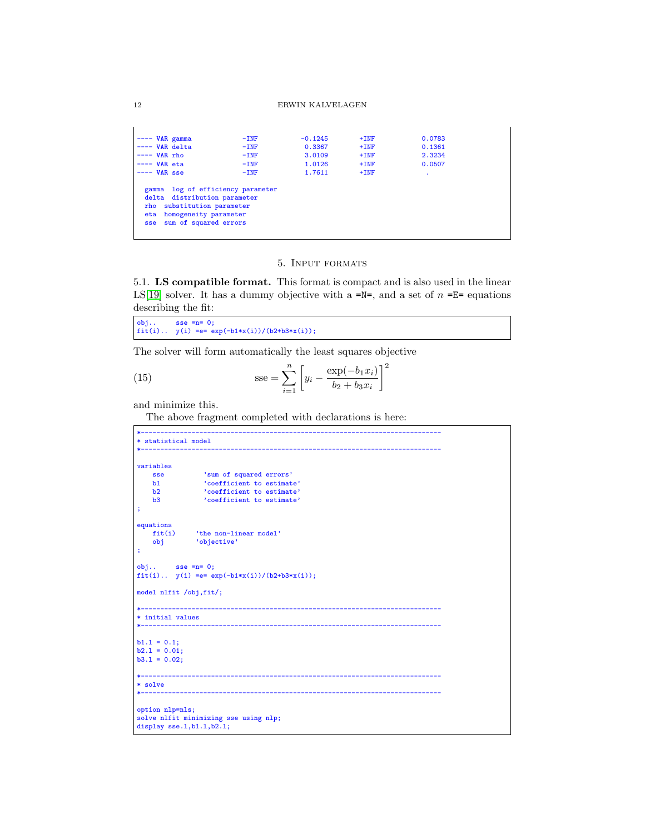#### 12 ERWIN KALVELAGEN

| $---$ VAR gamma                                                                                                                                                 | $-TNF$ | $-0.1245$ | $+INF$ | 0.0783 |  |
|-----------------------------------------------------------------------------------------------------------------------------------------------------------------|--------|-----------|--------|--------|--|
| $---$ VAR delta                                                                                                                                                 | $-INF$ | 0.3367    | $+INF$ | 0.1361 |  |
| $---$ VAR rho                                                                                                                                                   | $-INF$ | 3.0109    | $+INF$ | 2.3234 |  |
| $---$ VAR eta                                                                                                                                                   | $-INF$ | 1.0126    | $+INF$ | 0.0507 |  |
| $---$ VAR sse                                                                                                                                                   | $-INF$ | 1.7611    | $+INF$ | ٠      |  |
| gamma log of efficiency parameter<br>delta distribution parameter<br>rho substitution parameter<br>homogeneity parameter<br>eta<br>sum of squared errors<br>sse |        |           |        |        |  |

### 5. Input formats

5.1. LS compatible format. This format is compact and is also used in the linear LS[\[19\]](#page-145-2) solver. It has a dummy objective with a =N=, and a set of  $n =E=$  equations describing the fit:

obj.. sse =n= 0; fit(i).. y(i) =e= exp(-b1\*x(i))/(b2+b3\*x(i));

The solver will form automatically the least squares objective

(15) 
$$
\csc = \sum_{i=1}^{n} \left[ y_i - \frac{\exp(-b_1 x_i)}{b_2 + b_3 x_i} \right]^2
$$

and minimize this.

The above fragment completed with declarations is here:

```
*-----------------------------------------------------------------------------
* statistical model
*-----------------------------------------------------------------------------
variables
    sse 'sum of squared errors'
    b1 'coefficient to estimate'
    b2 <br>b3 <br>coefficient to estimate'<br>coefficient to estimate'
                  'coefficient to estimate'
;
equations<br>fit(i)
    fit(i) 'the non-linear model'<br>obj 'objective'
               'objective'
;
obj.. sse =n= 0;fit(i).. y(i) == exp(-b1*x(i))/(b2+b3*x(i));model nlfit /obj,fit/;
*-----------------------------------------------------------------------------
* initial values
*-----------------------------------------------------------------------------
b1.1 = 0.1;<br>b2.1 = 0.01;b3.1 = 0.02;
*-----------------------------------------------------------------------------
* solve
*-----------------------------------------------------------------------------
option nlp=nls;
solve nlfit minimizing sse using nlp;
display sse.1,b1.1,b2.1;
```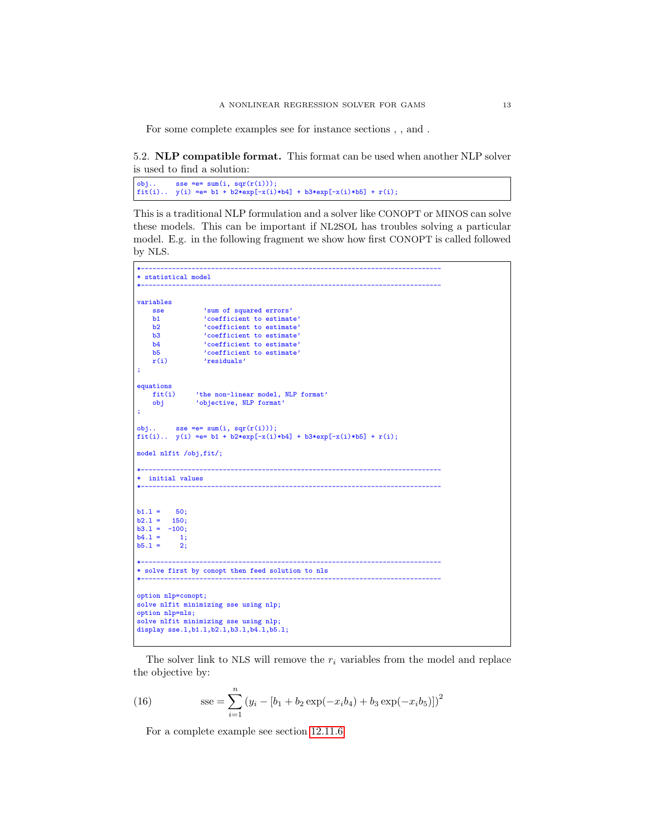For some complete examples see for instance sections , , and .

5.2. NLP compatible format. This format can be used when another NLP solver is used to find a solution:

obj.. sse =e= sum(i, sqr(r(i))); fit(i).. y(i) =e= b1 + b2\*exp[-x(i)\*b4] + b3\*exp[-x(i)\*b5] + r(i);

This is a traditional NLP formulation and a solver like CONOPT or MINOS can solve these models. This can be important if NL2SOL has troubles solving a particular model. E.g. in the following fragment we show how first CONOPT is called followed by NLS.

```
*-----------------------------------------------------------------------------
* statistical model
*-----------------------------------------------------------------------------
variables
     sse \frac{1}{2} 'sum of squared errors'<br>b1 \frac{1}{2} coefficient to estimat
    b1 \qquad \qquad 'coefficient to estimate'<br>
b2 \qquad \qquad 'coefficient to estimate'b2 \qquad \qquad 'coefficient to estimate' \n<br>b3 \qquad \qquad 'coefficient to estimate' \nb3 coefficient to estimate'<br>b4 coefficient to estimate'
     b4 \cdot coefficient to estimate'<br>h5 \cdot coefficient to estimate'
     b5 <br>
'coefficient to estimate'<br>
r(i) <br>
'residuals'
                     'residuals'
;
equations<br>fit(i)
     fit(i) 'the non-linear model, NLP format'<br>obj 'objective, NLP format'
                  'objective, NLP format'
;
obj.. sse = e = sum(i, sqr(r(i)));
fit(i).. y(i) == b1 + b2*exp[-x(i)*b4] + b3*exp[-x(i)*b5] + r(i);model nlfit /obj,fit/;
*-----------------------------------------------------------------------------
 * initial values
*-----------------------------------------------------------------------------
b1.1 = 50;<br>b2.1 = 150;b2.1 =b3.1 = -100;<br>b4.1 = 1:
b4.1 = 1;<br>b5.1 = 2;
b5.1 =*-----------------------------------------------------------------------------
* solve first by conopt then feed solution to nls
*-----------------------------------------------------------------------------
option nlp=conopt;
solve nlfit minimizing sse using nlp;
option nlp=nls;
solve nlfit minimizing sse using nlp;
display sse.l,b1.l,b2.l,b3.l,b4.l,b5.l;
```
The solver link to NLS will remove the  $r_i$  variables from the model and replace the objective by:

(16) 
$$
\csc = \sum_{i=1}^{n} (y_i - [b_1 + b_2 \exp(-x_i b_4) + b_3 \exp(-x_i b_5)])^2
$$

For a complete example see section [12.11.6.](#page-103-0)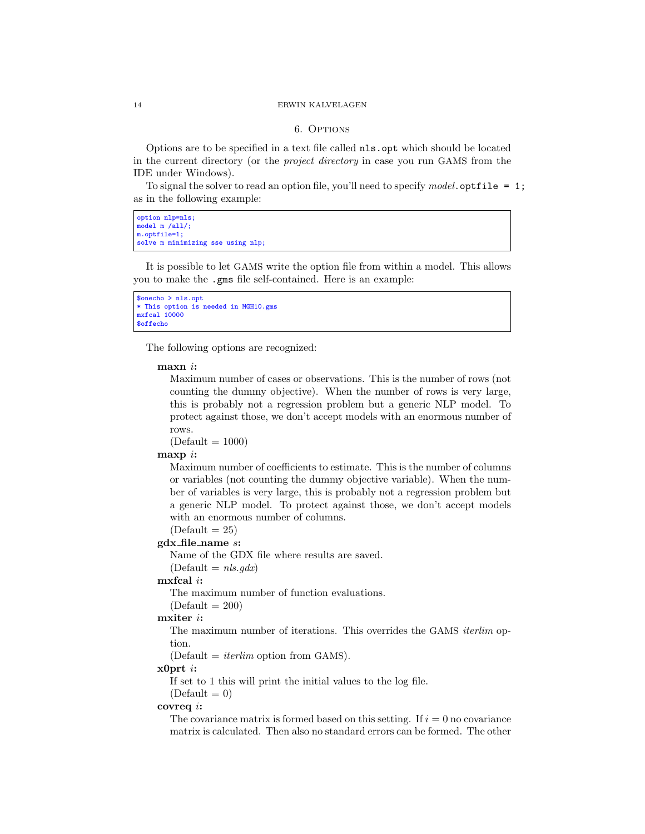#### <span id="page-13-0"></span>14 ERWIN KALVELAGEN

#### 6. OPTIONS

Options are to be specified in a text file called nls.opt which should be located in the current directory (or the project directory in case you run GAMS from the IDE under Windows).

To signal the solver to read an option file, you'll need to specify model. optfile = 1; as in the following example:

```
option nlp=nls;
model \text{ m /}all/;
m.optfile=1;
solve m minimizing sse using nlp;
```
It is possible to let GAMS write the option file from within a model. This allows you to make the .gms file self-contained. Here is an example:

```
$onecho > nls.opt
* This option is needed in MGH10.gms
mxfcal 10000
$offecho
```
The following options are recognized:

#### maxn i:

Maximum number of cases or observations. This is the number of rows (not counting the dummy objective). When the number of rows is very large, this is probably not a regression problem but a generic NLP model. To protect against those, we don't accept models with an enormous number of rows.

 $(Default = 1000)$ 

## $maxp$  i:

Maximum number of coefficients to estimate. This is the number of columns or variables (not counting the dummy objective variable). When the number of variables is very large, this is probably not a regression problem but a generic NLP model. To protect against those, we don't accept models with an enormous number of columns.

## $(Default = 25)$ gdx file name s:

Name of the GDX file where results are saved.

#### $(Default = nls. qdx)$

## mxfcal i:

The maximum number of function evaluations.

## $(Default = 200)$

## mxiter i:

The maximum number of iterations. This overrides the GAMS iterlim option.

 $(Default = *iterlim* option from GAMS).$ 

## $x0$ prt *i*:

If set to 1 this will print the initial values to the log file.

#### $(Default = 0)$

## covreq i:

The covariance matrix is formed based on this setting. If  $i = 0$  no covariance matrix is calculated. Then also no standard errors can be formed. The other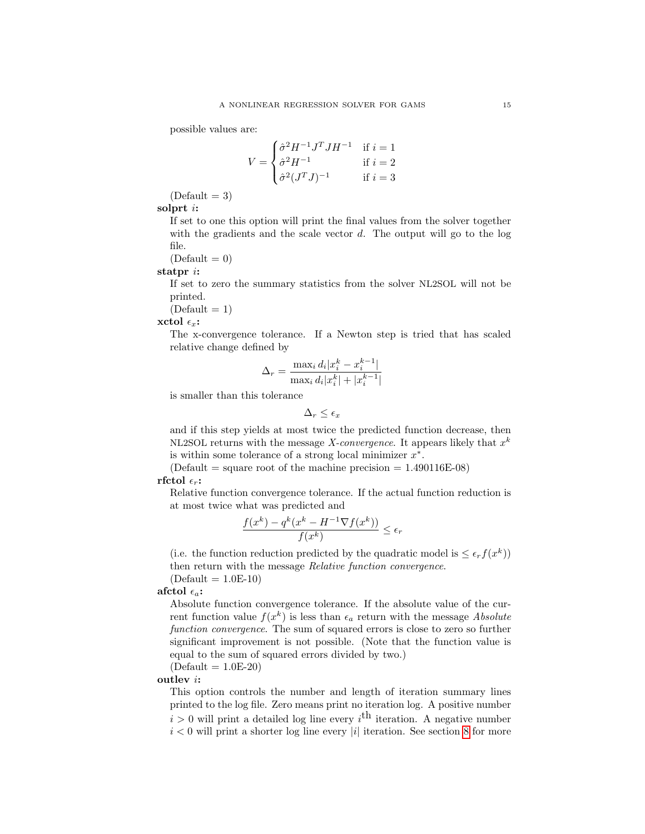possible values are:

$$
V = \begin{cases} \hat{\sigma}^2 H^{-1} J^T J H^{-1} & \text{if } i = 1\\ \hat{\sigma}^2 H^{-1} & \text{if } i = 2\\ \hat{\sigma}^2 (J^T J)^{-1} & \text{if } i = 3 \end{cases}
$$

 $(Default = 3)$ 

solprt i:

If set to one this option will print the final values from the solver together with the gradients and the scale vector  $d$ . The output will go to the log file.

 $(Default = 0)$ 

statpr i:

If set to zero the summary statistics from the solver NL2SOL will not be printed.

 $(Default = 1)$ 

#### xctol  $\epsilon_x$ :

The x-convergence tolerance. If a Newton step is tried that has scaled relative change defined by

$$
\Delta_r = \frac{\max_i d_i |x_i^k - x_i^{k-1}|}{\max_i d_i |x_i^k| + |x_i^{k-1}|}
$$

is smaller than this tolerance

$$
\Delta_r \leq \epsilon_x
$$

and if this step yields at most twice the predicted function decrease, then NL2SOL returns with the message *X-convergence*. It appears likely that  $x^k$ is within some tolerance of a strong local minimizer  $x^*$ .

(Default = square root of the machine precision =  $1.490116E-08$ ) rfctol  $\epsilon_r$ :

Relative function convergence tolerance. If the actual function reduction is at most twice what was predicted and

$$
\frac{f(x^k) - q^k(x^k - H^{-1} \nabla f(x^k))}{f(x^k)} \le \epsilon_r
$$

(i.e. the function reduction predicted by the quadratic model is  $\leq \epsilon_r f(x^k)$ ) then return with the message Relative function convergence.

 $(Default = 1.0E-10)$ 

afctol  $\epsilon_a$ :

Absolute function convergence tolerance. If the absolute value of the current function value  $f(x^k)$  is less than  $\epsilon_a$  return with the message *Absolute* function convergence. The sum of squared errors is close to zero so further significant improvement is not possible. (Note that the function value is equal to the sum of squared errors divided by two.)

 $(Default = 1.0E-20)$ 

outlev i:

This option controls the number and length of iteration summary lines printed to the log file. Zero means print no iteration log. A positive number  $i > 0$  will print a detailed log line every  $i<sup>th</sup>$  iteration. A negative number  $i < 0$  will print a shorter log line every |i| iteration. See section [8](#page-17-0) for more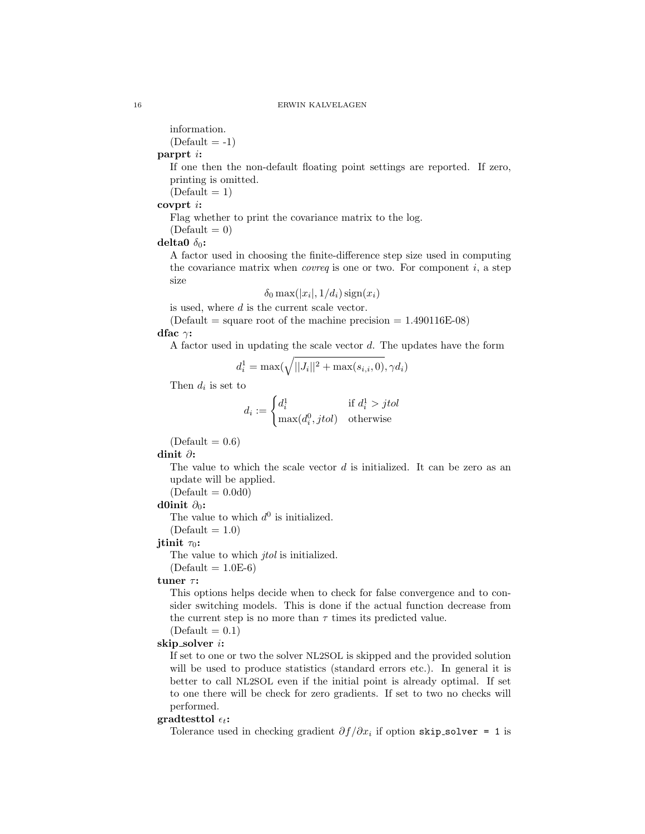information.

 $(Default = -1)$ 

# parprt i:

If one then the non-default floating point settings are reported. If zero, printing is omitted.

 $(Default = 1)$ 

covprt i:

Flag whether to print the covariance matrix to the log.

 $(Default = 0)$ 

delta0  $\delta_0$ :

A factor used in choosing the finite-difference step size used in computing the covariance matrix when *covreq* is one or two. For component  $i$ , a step size

$$
\delta_0 \max(|x_i|, 1/d_i) \operatorname{sign}(x_i)
$$

is used, where d is the current scale vector.

 $(Default = square root of the machine precision = 1.490116E-08)$ dfac  $\gamma$ :

A factor used in updating the scale vector  $d$ . The updates have the form

$$
d_i^1 = \max(\sqrt{||J_i||^2 + \max(s_{i,i}, 0)}, \gamma d_i)
$$

Then  $d_i$  is set to

$$
d_i := \begin{cases} d_i^1 & \text{if } d_i^1 > jtol \\ \max(d_i^0, jtol) & \text{otherwise} \end{cases}
$$

 $(Default = 0.6)$ 

dinit ∂:

The value to which the scale vector  $d$  is initialized. It can be zero as an update will be applied.

 $(Default = 0.0d0)$ 

## d0init  $\partial_0$ :

The value to which  $d^0$  is initialized.

 $(Default = 1.0)$ 

## jtinit  $\tau_0$ :

The value to which *jtol* is initialized.

 $(Default = 1.0E-6)$ 

## tuner  $\tau$ :

This options helps decide when to check for false convergence and to consider switching models. This is done if the actual function decrease from the current step is no more than  $\tau$  times its predicted value.

 $(Default = 0.1)$ 

## skip solver i:

If set to one or two the solver NL2SOL is skipped and the provided solution will be used to produce statistics (standard errors etc.). In general it is better to call NL2SOL even if the initial point is already optimal. If set to one there will be check for zero gradients. If set to two no checks will performed.

## gradtesttol  $\epsilon_t$ :

Tolerance used in checking gradient  $\partial f/\partial x_i$  if option skip\_solver = 1 is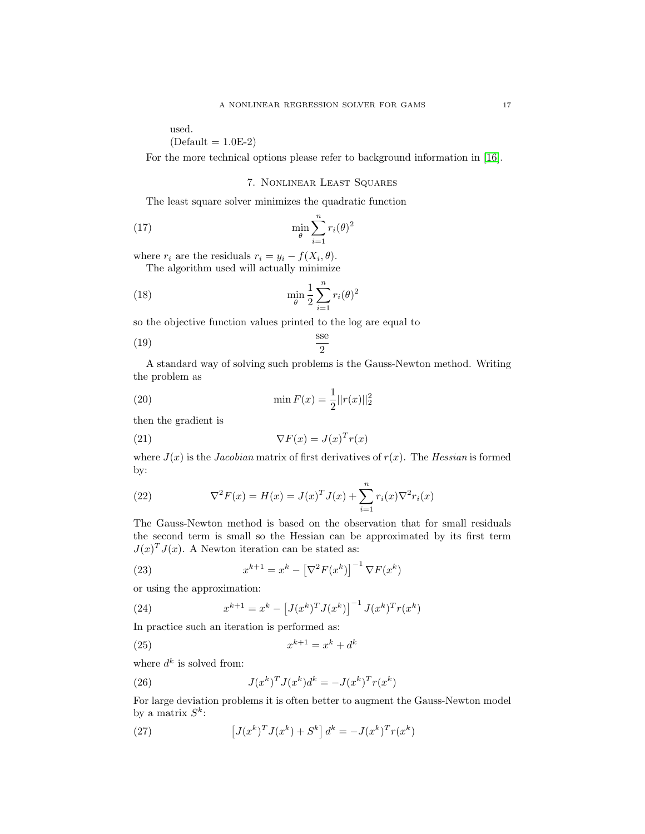used.

 $(Default = 1.0E-2)$ 

For the more technical options please refer to background information in [\[16\]](#page-145-0).

## 7. Nonlinear Least Squares

The least square solver minimizes the quadratic function

(17) 
$$
\min_{\theta} \sum_{i=1}^{n} r_i(\theta)^2
$$

where  $r_i$  are the residuals  $r_i = y_i - f(X_i, \theta)$ .

The algorithm used will actually minimize

(18) 
$$
\min_{\theta} \frac{1}{2} \sum_{i=1}^{n} r_i(\theta)^2
$$

so the objective function values printed to the log are equal to

$$
\frac{\text{sse}}{2}
$$

A standard way of solving such problems is the Gauss-Newton method. Writing the problem as

(20) 
$$
\min F(x) = \frac{1}{2} ||r(x)||_2^2
$$

then the gradient is

<span id="page-16-0"></span>(21) 
$$
\nabla F(x) = J(x)^T r(x)
$$

where  $J(x)$  is the *Jacobian* matrix of first derivatives of  $r(x)$ . The *Hessian* is formed by:

(22) 
$$
\nabla^2 F(x) = H(x) = J(x)^T J(x) + \sum_{i=1}^n r_i(x) \nabla^2 r_i(x)
$$

The Gauss-Newton method is based on the observation that for small residuals the second term is small so the Hessian can be approximated by its first term  $J(x)^T J(x)$ . A Newton iteration can be stated as:

(23) 
$$
x^{k+1} = x^k - \left[\nabla^2 F(x^k)\right]^{-1} \nabla F(x^k)
$$

or using the approximation:

(24) 
$$
x^{k+1} = x^k - \left[J(x^k)^T J(x^k)\right]^{-1} J(x^k)^T r(x^k)
$$

In practice such an iteration is performed as:

$$
(25) \qquad \qquad x^{k+1} = x^k + d^k
$$

where  $d^k$  is solved from:

(26) 
$$
J(x^k)^T J(x^k) d^k = -J(x^k)^T r(x^k)
$$

For large deviation problems it is often better to augment the Gauss-Newton model by a matrix  $S^k$ :

(27) 
$$
\left[J(x^k)^T J(x^k) + S^k\right] d^k = -J(x^k)^T r(x^k)
$$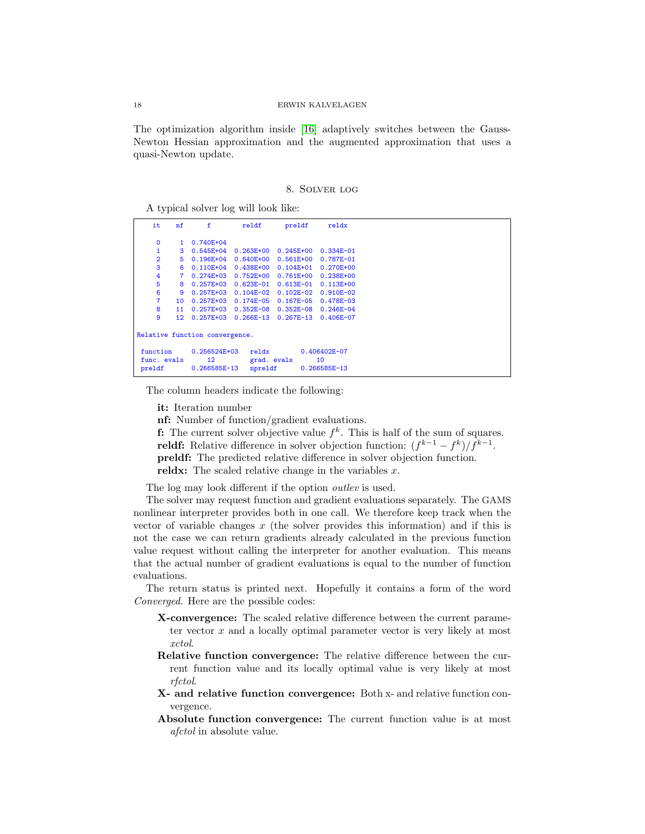The optimization algorithm inside [\[16\]](#page-145-0) adaptively switches between the Gauss-Newton Hessian approximation and the augmented approximation that uses a quasi-Newton update.

8. Solver log

<span id="page-17-0"></span>A typical solver log will look like:

| it                                                                                                         | nf                             | f              | reldf         | preldf        | reldx                              |  |  |  |  |  |
|------------------------------------------------------------------------------------------------------------|--------------------------------|----------------|---------------|---------------|------------------------------------|--|--|--|--|--|
| $\Omega$                                                                                                   | 1                              | $0.740E + 04$  |               |               |                                    |  |  |  |  |  |
| 1                                                                                                          | 3                              | $0.545E + 04$  | $0.263E + 00$ | $0.245E + 00$ | $0.334E - 01$                      |  |  |  |  |  |
| $\overline{2}$                                                                                             | 5                              | $0.196E + 04$  | $0.640E + 00$ | $0.561E + 00$ | 0.787E-01                          |  |  |  |  |  |
| 3                                                                                                          | 6                              | $0.110E + 04$  | $0.438E + 00$ | $0.104E + 01$ | $0.270E + 00$                      |  |  |  |  |  |
| 4                                                                                                          | 7                              | $0.274E + 03$  | $0.752E + 00$ | $0.761E + 00$ | $0.238E + 00$                      |  |  |  |  |  |
| 5                                                                                                          | 8                              | $0.257E + 03$  | $0.623E - 01$ | $0.613E - 01$ | $0.113E + 00$                      |  |  |  |  |  |
| 6                                                                                                          | 9                              | $0.257E + 0.3$ | $0.104E - 02$ | $0.102E - 02$ | $0.910E - 02$                      |  |  |  |  |  |
| $\overline{7}$                                                                                             | 10 <sup>°</sup>                | $0.257E + 0.3$ | $0.174E - 05$ | $0.167E - 05$ | 0.478E-03                          |  |  |  |  |  |
| 8                                                                                                          | 11                             | $0.257E + 0.3$ | $0.352E - 08$ | $0.352E - 08$ | $0.246E - 04$                      |  |  |  |  |  |
| 9                                                                                                          | 12 <sup>2</sup>                | $0.257E + 0.3$ | $0.266E - 13$ | $0.267E - 13$ | 0.406E-07                          |  |  |  |  |  |
|                                                                                                            | Relative function convergence. |                |               |               |                                    |  |  |  |  |  |
| 0.256524E+03<br>function<br>reldx<br>12<br>grad. evals<br>func. evals<br>0.266585E-13<br>preldf<br>npreldf |                                |                |               |               | 0.406402E-07<br>10<br>0.266585E-13 |  |  |  |  |  |

The column headers indicate the following:

it: Iteration number

nf: Number of function/gradient evaluations.

**f:** The current solver objective value  $f^k$ . This is half of the sum of squares. reldf: Relative difference in solver objection function:  $(f^{k-1} - f^k)/f^{k-1}$ . preldf: The predicted relative difference in solver objection function.

reldx: The scaled relative change in the variables  $x$ .

The log may look different if the option *outlev* is used.

The solver may request function and gradient evaluations separately. The GAMS nonlinear interpreter provides both in one call. We therefore keep track when the vector of variable changes  $x$  (the solver provides this information) and if this is not the case we can return gradients already calculated in the previous function value request without calling the interpreter for another evaluation. This means that the actual number of gradient evaluations is equal to the number of function evaluations.

The return status is printed next. Hopefully it contains a form of the word Converged. Here are the possible codes:

- X-convergence: The scaled relative difference between the current parameter vector  $x$  and a locally optimal parameter vector is very likely at most xctol.
- Relative function convergence: The relative difference between the current function value and its locally optimal value is very likely at most rfctol.
- X- and relative function convergence: Both x- and relative function convergence.
- Absolute function convergence: The current function value is at most afctol in absolute value.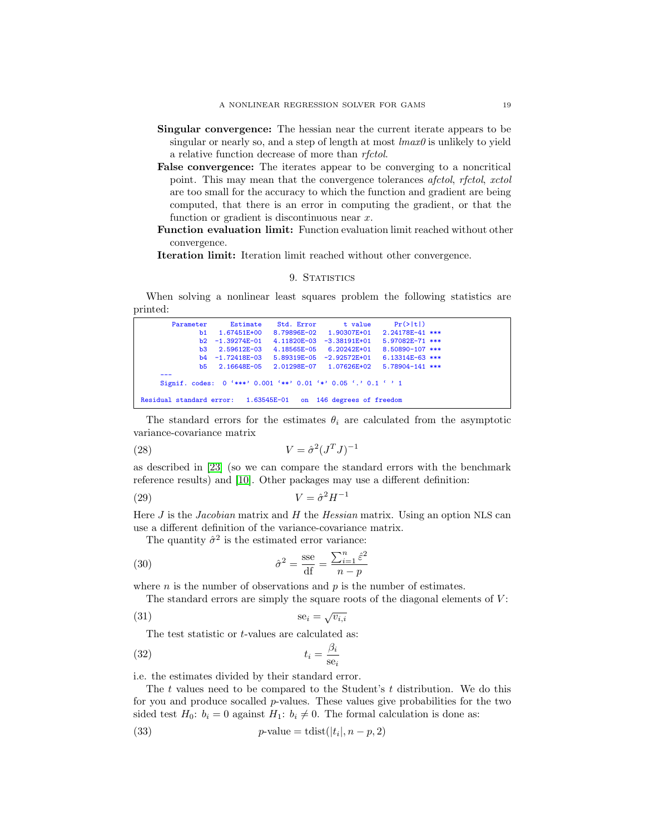- Singular convergence: The hessian near the current iterate appears to be singular or nearly so, and a step of length at most  $\text{Im} \alpha x \theta$  is unlikely to yield a relative function decrease of more than rfctol.
- False convergence: The iterates appear to be converging to a noncritical point. This may mean that the convergence tolerances afctol, rfctol, xctol are too small for the accuracy to which the function and gradient are being computed, that there is an error in computing the gradient, or that the function or gradient is discontinuous near  $x$ .
- Function evaluation limit: Function evaluation limit reached without other convergence.

Iteration limit: Iteration limit reached without other convergence.

## 9. STATISTICS

When solving a nonlinear least squares problem the following statistics are printed:

| Parameter                                                      | Estimate                                                                | Std. Error t value              | $Pr(>\vert t \vert)$                                   |
|----------------------------------------------------------------|-------------------------------------------------------------------------|---------------------------------|--------------------------------------------------------|
|                                                                | b1 1.67451E+00                                                          |                                 | 8.79896E-02 1.90307E+01 2.24178E-41 ***                |
|                                                                | $b2 -1.39274E-01$                                                       | $4.11820E - 03 - 3.38191E + 01$ | $5.97082E-71$ ***                                      |
|                                                                | b3 2.59612E-03                                                          | 4.18565E-05 6.20242E+01         | $8.50890 - 107$ ***                                    |
|                                                                | $b4 - 1.72418E - 03$                                                    | $5.89319E-05 -2.92572E+01$      | $6.13314E-63$ ***                                      |
|                                                                |                                                                         |                                 | b5 2.16648E-05 2.01298E-07 1.07626E+02 5.78904-141 *** |
|                                                                | Signif. codes: $0$ '***' $0.001$ '**' $0.01$ '*' $0.05$ '.' $0.1$ ' ' 1 |                                 |                                                        |
| Residual standard error: 1.63545E-01 on 146 degrees of freedom |                                                                         |                                 |                                                        |

The standard errors for the estimates  $\theta_i$  are calculated from the asymptotic variance-covariance matrix

$$
(28)\t\t\t V = \hat{\sigma}^2 (J^T J)^{-1}
$$

as described in [\[23\]](#page-146-6) (so we can compare the standard errors with the benchmark reference results) and [\[10\]](#page-145-7). Other packages may use a different definition:

$$
(29) \t\t\t V = \hat{\sigma}^2 H^{-1}
$$

Here  $J$  is the *Jacobian* matrix and  $H$  the *Hessian* matrix. Using an option NLS can use a different definition of the variance-covariance matrix.

<span id="page-18-2"></span>The quantity  $\hat{\sigma}^2$  is the estimated error variance:

(30) 
$$
\hat{\sigma}^2 = \frac{\text{sse}}{\text{df}} = \frac{\sum_{i=1}^n \hat{\varepsilon}^2}{n-p}
$$

where  $n$  is the number of observations and  $p$  is the number of estimates.

The standard errors are simply the square roots of the diagonal elements of  $V$ :

$$
\text{(31)}\qquad \qquad \text{se}_i = \sqrt{v_{i,i}}
$$

<span id="page-18-3"></span><span id="page-18-1"></span>The test statistic or *t*-values are calculated as:

$$
t_i = \frac{\beta_i}{\text{se}_i}
$$

i.e. the estimates divided by their standard error.

The t values need to be compared to the Student's  $t$  distribution. We do this for you and produce socalled  $p$ -values. These values give probabilities for the two sided test  $H_0$ :  $b_i = 0$  against  $H_1$ :  $b_i \neq 0$ . The formal calculation is done as:

<span id="page-18-0"></span>(33) 
$$
p\text{-value} = \text{tdist}(|t_i|, n - p, 2)
$$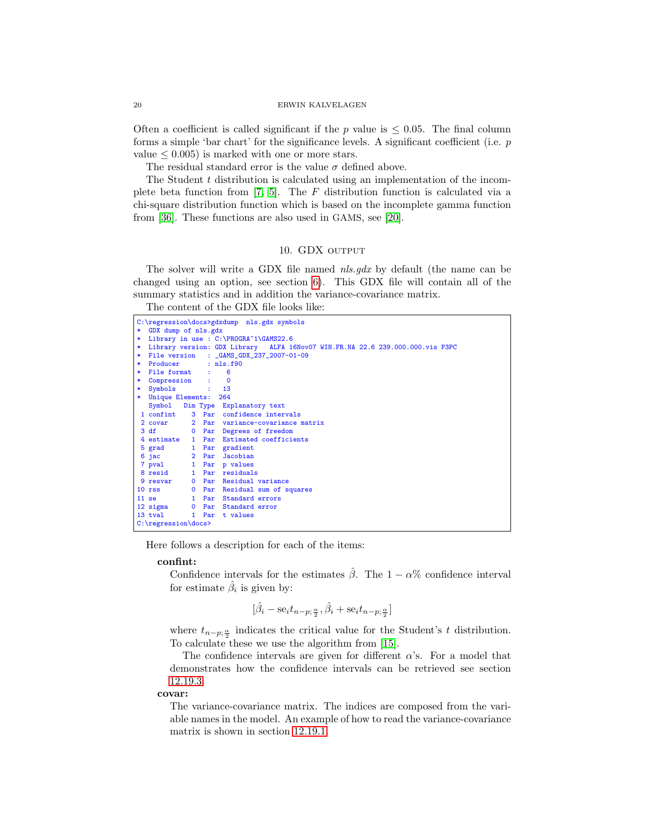Often a coefficient is called significant if the p value is  $\leq 0.05$ . The final column forms a simple 'bar chart' for the significance levels. A significant coefficient (i.e. p value  $\leq 0.005$ ) is marked with one or more stars.

The residual standard error is the value  $\sigma$  defined above.

The Student  $t$  distribution is calculated using an implementation of the incomplete beta function from [\[7,](#page-145-8) [5\]](#page-145-9). The F distribution function is calculated via a chi-square distribution function which is based on the incomplete gamma function from [\[36\]](#page-146-7). These functions are also used in GAMS, see [\[20\]](#page-145-10).

### 10. GDX OUTPUT

The solver will write a GDX file named *nls.gdx* by default (the name can be changed using an option, see section [6\)](#page-13-0). This GDX file will contain all of the summary statistics and in addition the variance-covariance matrix.

The content of the GDX file looks like:

|        |                                                                               |  |                      | C:\regression\docs>gdxdump nls.gdx symbols |  |  |  |  |  |  |  |  |
|--------|-------------------------------------------------------------------------------|--|----------------------|--------------------------------------------|--|--|--|--|--|--|--|--|
| $\ast$ | GDX dump of nls.gdx                                                           |  |                      |                                            |  |  |  |  |  |  |  |  |
| *      | Library in use : C:\PROGRA~1\GAMS22.6                                         |  |                      |                                            |  |  |  |  |  |  |  |  |
| ∗      | Library version: GDX Library ALFA 16Nov07 WIN.FR.NA 22.6 239.000.000.vis P3PC |  |                      |                                            |  |  |  |  |  |  |  |  |
| $\ast$ | File version : _GAMS_GDX_237_2007-01-09                                       |  |                      |                                            |  |  |  |  |  |  |  |  |
| *      | Producer : nls.f90                                                            |  |                      |                                            |  |  |  |  |  |  |  |  |
| *.     | File format : 6                                                               |  |                      |                                            |  |  |  |  |  |  |  |  |
| $\ast$ | Compression : 0                                                               |  |                      |                                            |  |  |  |  |  |  |  |  |
| $\ast$ | Symbols                                                                       |  | $\cdots$ $\cdots$ 13 |                                            |  |  |  |  |  |  |  |  |
| $\ast$ | Unique Elements: 264                                                          |  |                      |                                            |  |  |  |  |  |  |  |  |
|        |                                                                               |  |                      | Symbol Dim Type Explanatory text           |  |  |  |  |  |  |  |  |
|        |                                                                               |  |                      | 1 confint 3 Par confidence intervals       |  |  |  |  |  |  |  |  |
|        |                                                                               |  |                      | 2 covar 2 Par variance-covariance matrix   |  |  |  |  |  |  |  |  |
|        | 3 df<br><b>12 O</b> Par                                                       |  |                      | Degrees of freedom                         |  |  |  |  |  |  |  |  |
|        | 4 estimate 1 Par                                                              |  |                      | Estimated coefficients                     |  |  |  |  |  |  |  |  |
|        | 5 grad                                                                        |  | 1 Par                | gradient                                   |  |  |  |  |  |  |  |  |
|        |                                                                               |  |                      | 6 jac 12 Par Jacobian                      |  |  |  |  |  |  |  |  |
|        |                                                                               |  |                      | 7 pval 1 Par p values                      |  |  |  |  |  |  |  |  |
|        |                                                                               |  |                      | 8 resid 1 Par residuals                    |  |  |  |  |  |  |  |  |
|        |                                                                               |  |                      | 9 resvar 0 Par Residual variance           |  |  |  |  |  |  |  |  |
|        | 10 rss 0 Par                                                                  |  |                      | Residual sum of squares                    |  |  |  |  |  |  |  |  |
|        |                                                                               |  |                      | 11 se 1 Par Standard errors                |  |  |  |  |  |  |  |  |
|        |                                                                               |  |                      | 12 sigma 0 Par Standard error              |  |  |  |  |  |  |  |  |
|        |                                                                               |  |                      | 13 tyal 1 Par t values                     |  |  |  |  |  |  |  |  |
|        | $C:\$ regression $\downarrow$ docs>                                           |  |                      |                                            |  |  |  |  |  |  |  |  |

Here follows a description for each of the items:

## confint:

Confidence intervals for the estimates  $\hat{\beta}$ . The 1 –  $\alpha$ % confidence interval for estimate  $\hat{\beta}_i$  is given by:

$$
[\hat{\beta}_i - \text{se}_i t_{n-p;\frac{\alpha}{2}}, \hat{\beta}_i + \text{se}_i t_{n-p;\frac{\alpha}{2}}]
$$

where  $t_{n-p;\frac{\alpha}{2}}$  indicates the critical value for the Student's t distribution. To calculate these we use the algorithm from [\[15\]](#page-145-11).

The confidence intervals are given for different  $\alpha$ 's. For a model that demonstrates how the confidence intervals can be retrieved see section [12.19.3.](#page-138-0)

covar:

The variance-covariance matrix. The indices are composed from the variable names in the model. An example of how to read the variance-covariance matrix is shown in section [12.19.1.](#page-135-0)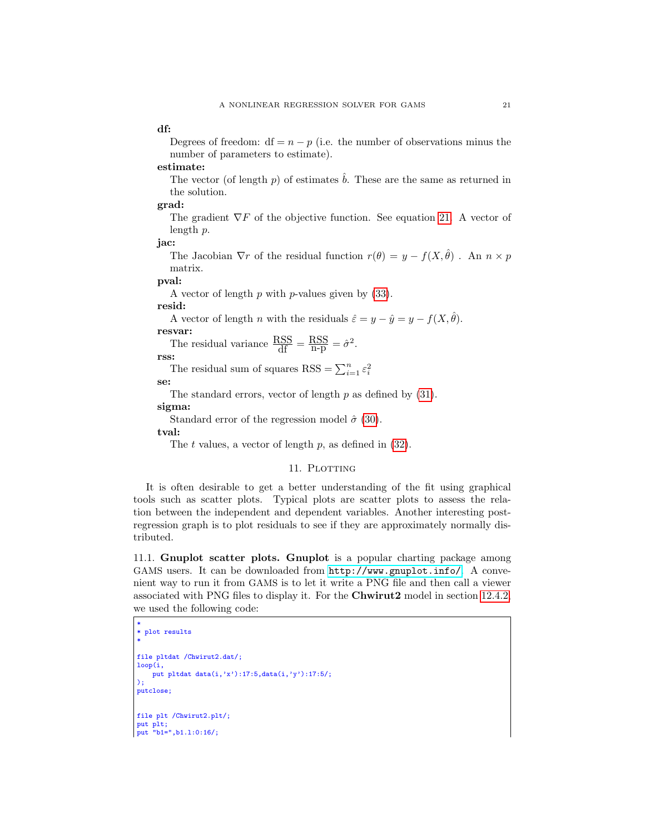df:

Degrees of freedom:  $df = n - p$  (i.e. the number of observations minus the number of parameters to estimate).

estimate:

The vector (of length p) of estimates  $\hat{b}$ . These are the same as returned in the solution.

grad:

The gradient  $\nabla F$  of the objective function. See equation [21.](#page-16-0) A vector of length p.

jac:

The Jacobian  $\nabla r$  of the residual function  $r(\theta) = y - f(X, \hat{\theta})$ . An  $n \times p$ matrix.

pval:

A vector of length  $p$  with  $p$ -values given by  $(33)$ .

resid:

A vector of length *n* with the residuals  $\hat{\varepsilon} = y - \hat{y} = y - f(X, \hat{\theta})$ .

resvar:

The residual variance  $\frac{\text{RSS}}{\text{df}} = \frac{\text{RSS}}{\text{n-p}} = \hat{\sigma}^2$ .

rss:

The residual sum of squares RSS =  $\sum_{i=1}^{n} \varepsilon_i^2$ 

se:

The standard errors, vector of length  $p$  as defined by  $(31)$ .

sigma:

Standard error of the regression model  $\hat{\sigma}$  [\(30\)](#page-18-2).

tval:

The t values, a vector of length  $p$ , as defined in  $(32)$ .

## 11. PLOTTING

It is often desirable to get a better understanding of the fit using graphical tools such as scatter plots. Typical plots are scatter plots to assess the relation between the independent and dependent variables. Another interesting postregression graph is to plot residuals to see if they are approximately normally distributed.

11.1. Gnuplot scatter plots. Gnuplot is a popular charting package among GAMS users. It can be downloaded from <http://www.gnuplot.info/>. A convenient way to run it from GAMS is to let it write a PNG file and then call a viewer associated with PNG files to display it. For the Chwirut2 model in section [12.4.2,](#page-46-0) we used the following code:

```
*
* plot results
*
file pltdat /Chwirut2.dat/;
loop(i,
  put pltdat data(i,'x'):17:5,data(i,'y'):17:5/;
);
putclose;
file plt /Chwirut2.plt/;
put plt;
put "b1=",b1.l:0:16/;
```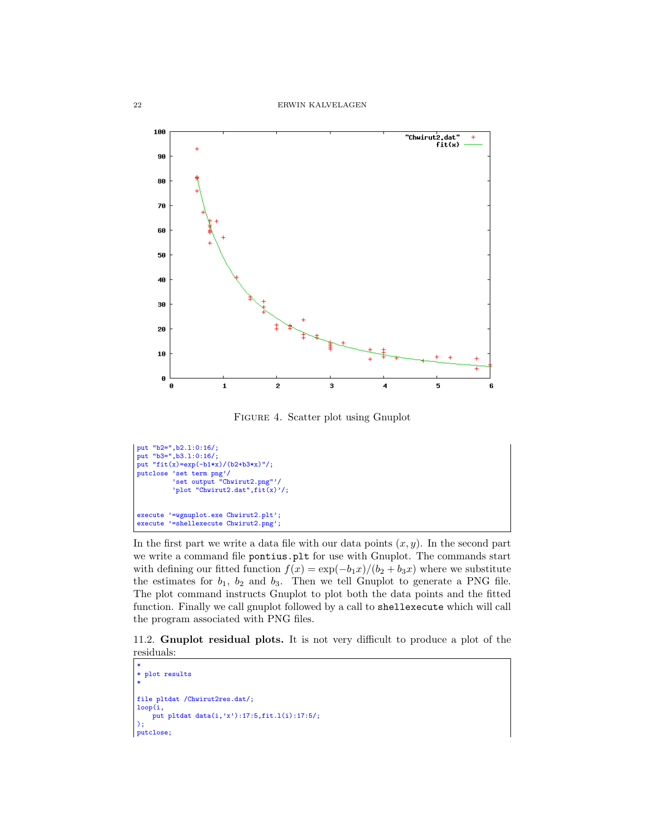

Figure 4. Scatter plot using Gnuplot

```
put "b2=",b2.l:0:16/;
put "b3=" 0.3.1:0:16;
put "fit(x)=exp(-b1*x)/(b2+b3*x)'';
putclose 'set term png'/
'set output "Chwirut2.png"'/
          'plot "Chwirut2.dat",fit(x)'/;
execute '=wgnuplot.exe Chwirut2.plt';
execute '=shellexecute Chwirut2.png';
```
In the first part we write a data file with our data points  $(x, y)$ . In the second part we write a command file pontius.plt for use with Gnuplot. The commands start with defining our fitted function  $f(x) = \exp(-b_1x)/(b_2 + b_3x)$  where we substitute the estimates for  $b_1$ ,  $b_2$  and  $b_3$ . Then we tell Gnuplot to generate a PNG file. The plot command instructs Gnuplot to plot both the data points and the fitted function. Finally we call gnuplot followed by a call to shellexecute which will call the program associated with PNG files.

11.2. Gnuplot residual plots. It is not very difficult to produce a plot of the residuals:

```
*
* plot results
*
file pltdat /Chwirut2res.dat/;
loop(i,
    put pltdat data(i,'x'):17:5,fit.l(i):17:5/;
);
putclose;
```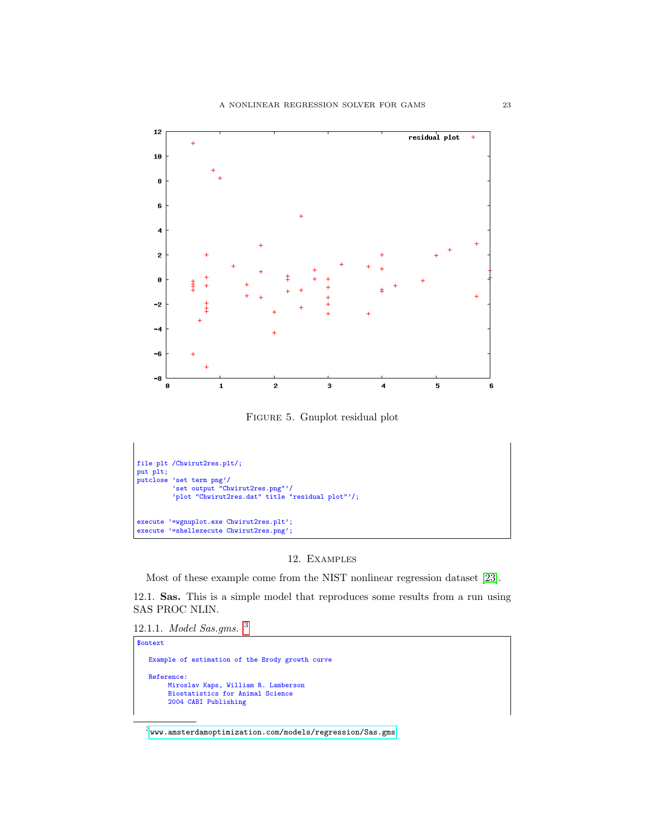

Figure 5. Gnuplot residual plot



## 12. Examples

Most of these example come from the NIST nonlinear regression dataset [\[23\]](#page-146-6).

12.1. Sas. This is a simple model that reproduces some results from a run using SAS PROC NLIN.

12.1.1. Model Sas.gms. [3](#page-22-0)

```
$ontext
    Example of estimation of the Brody growth curve
    Reference:
           Miroslav Kaps, William R. Lamberson
Biostatistics for Animal Science
          2004 CABI Publishing
```
<span id="page-22-0"></span> $^3$ <www.amsterdamoptimization.com/models/regression/Sas.gms>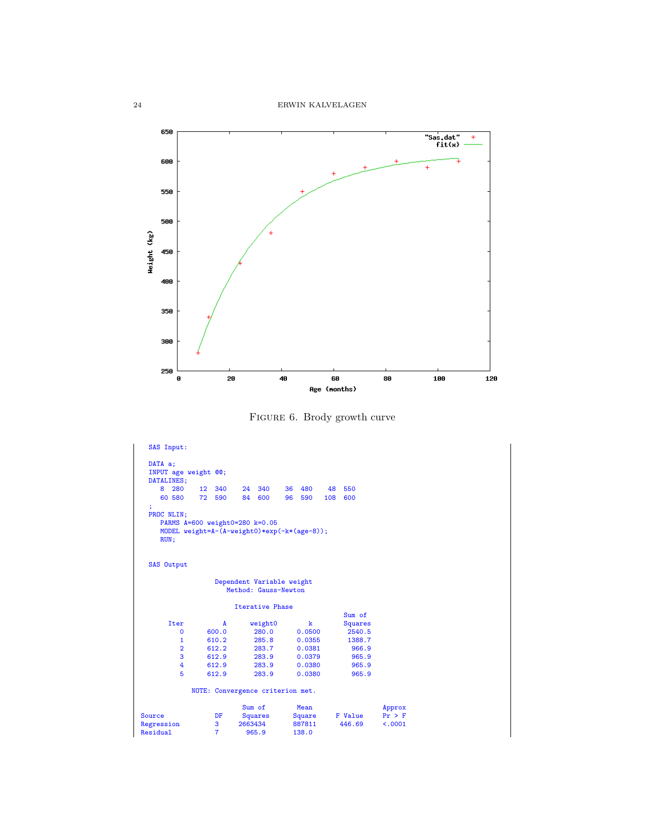24 ERWIN KALVELAGEN



Figure 6. Brody growth curve

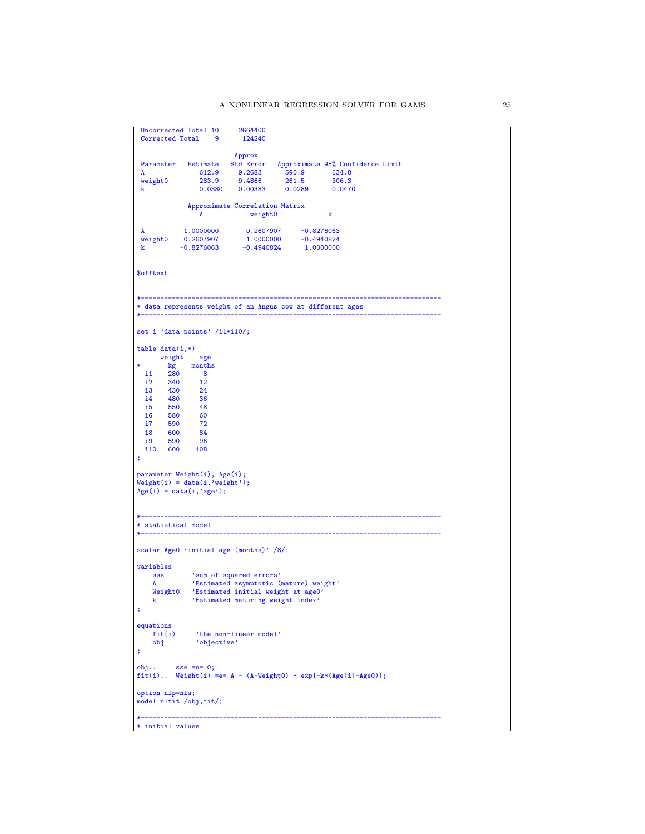```
Uncorrected Total 10 2664400<br>Corrected Total 9 124240
 Corrected Total 9Approx
 Parameter Estimate Std Error Approximate 95% Confidence Limit<br>
A 612.9 9.2683 590.9 634.8<br>
Weight0 283.9 0.4966 001.5
 A 612.9 9.2683 590.9 634.8
weight0 283.9 9.4866 261.5 306.3
k 0.0380 0.00383 0.0289 0.0470
               Approximate Correlation Matrix
                                  weight0 k
 A 1.0000000 0.2607907 -0.8276063
weight0 0.2607907 1.0000000 -0.4940824
k -0.8276063 -0.4940824 1.0000000
$offtext
*-----------------------------------------------------------------------------
* data represents weight of an Angus cow at different ages
*-----------------------------------------------------------------------------
set i 'data points' /i1*i10/;
table data(i,*)weight age
 kg months<br>i1 280 8
        kg montl<br>280 8<br>340 12
   i2 340 12
i3 430 24
 14 480 36<br>15 550 48<br>16 580 60
 \frac{15}{16} 550
 i6 580 60
 i7 590 72
  i8 600 84
   i9 590 96
i10 600 108
;
parameter Weight(i), Age(i);
Weight(i) = data(i,'weight');
Age(i) = data(i,'age');*-----------------------------------------------------------------------------
* statistical model
*-----------------------------------------------------------------------------
scalar Age0 'initial age (months)' /8/;
variables
                 'sum of squared errors'
     A 'Estimated asymptotic (mature) weight'
Weight0 'Estimated initial weight at age0'
k 'Estimated maturing weight index'
;
equations
     fit(i) 'the non-linear model'
obj 'objective'
;
obj.. sse =n= 0;fit(i).. Weight(i) =e= A - (A-Weight0) * exp[-k*(Age(i)-Age0)];option nlp=nls;
model nlfit /obj,fit/;
*-----------------------------------------------------------------------------
* initial values
```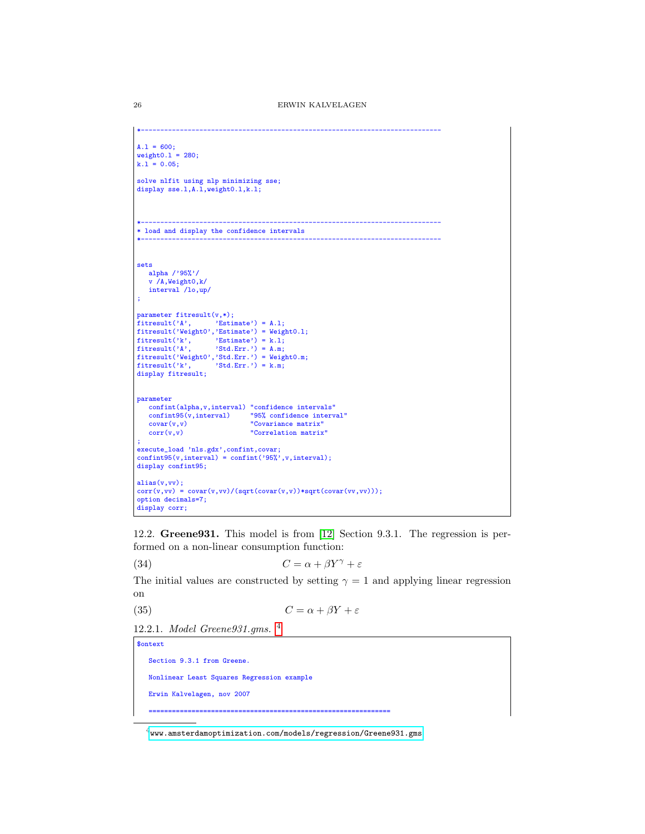```
*-----------------------------------------------------------------------------
A.1 = 600;
weight0.1 = 280;k.1 = 0.05;
solve nlfit using nlp minimizing sse;
display sse.l,A.l,weight0.l,k.l;
*-----------------------------------------------------------------------------
* load and display the confidence intervals
*-----------------------------------------------------------------------------
sets
  alpha /'95%'/
   v /A,Weight0,k/
   interval /lo,up/
;
parameter fitresult(v,*);
f{\text{itresult}}('A', \qquad 'Estimate') = A.1;fitresult('Weight0','Estimate') = Weight0.l;
fitresult('k', 'Estimate') = k.l;
fitresult('A', 'Std.Err.') = A.m;
fitresult('Weight0','Std.Err.') = Weight0.m;
fitresult('k', 'Std.Err.') = k.m;
display fitresult;
parameter
    confint(alpha,v,interval) "confidence intervals"
confint95(v,interval) "95% confidence interval"
covar(v,v) "Covariance matrix"
   corr(v,v) "Correlation matrix"
;
execute_load 'nls.gdx',confint,covar;
confint95(v,interval) = confint('95%',v,interval);
display confint95;
alias(v,vv);
corr(v, vv) = covar(v, vv)/(sqrt(covar(v, v))*sqrt(covar(v, vv)));
option decimals=7;
display corr;
```
12.2. Greene931. This model is from [\[12\]](#page-145-12) Section 9.3.1. The regression is performed on a non-linear consumption function:

(34)  $C = \alpha + \beta Y^{\gamma} + \varepsilon$ 

The initial values are constructed by setting  $\gamma = 1$  and applying linear regression on

(35)  $C = \alpha + \beta Y + \varepsilon$ 

12.2.1. Model Greene931.gms. [4](#page-25-0)

\$ontext

Section 9.3.1 from Greene. Nonlinear Least Squares Regression example Erwin Kalvelagen, nov 2007

==============================================================

<span id="page-25-0"></span> $4$ <www.amsterdamoptimization.com/models/regression/Greene931.gms>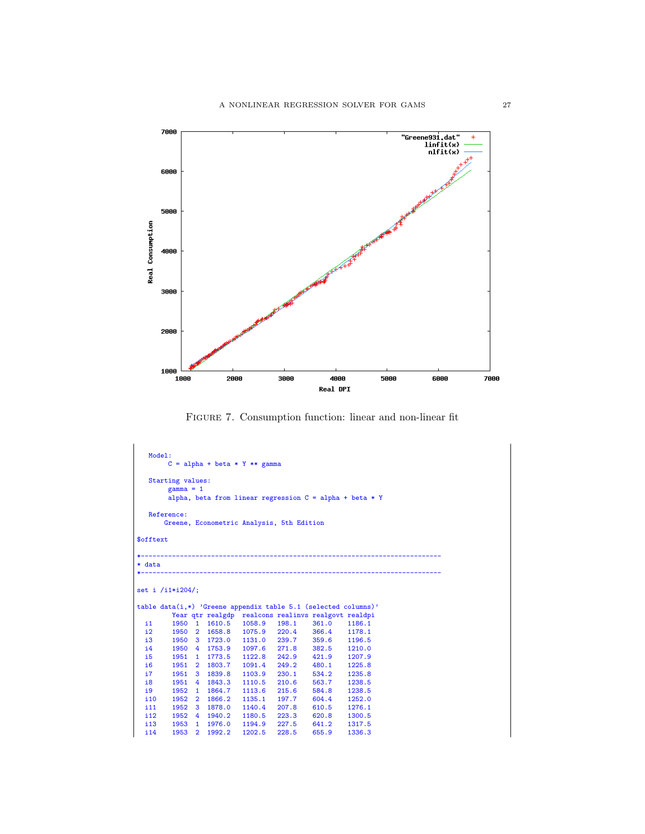

Figure 7. Consumption function: linear and non-linear fit

```
Model:
        C = alpha + beta * Y * * gammaStarting values:
        gamma = 1alpha, beta from linear regression C = alpha + beta * YReference:
      Greene, Econometric Analysis, 5th Edition
$offtext
*-----------------------------------------------------------------------------
* data
*-----------------------------------------------------------------------------
set i /i1*i204/;
table data(i,*) 'Greene appendix table 5.1 (selected columns)'
  Year qtr realgdp realcons realinvs realgovt realdpi
i1 1950 1 1610.5 1058.9 198.1 361.0 1186.1
 i2 1950 2 1658.8 1075.9 220.4 366.4 1178.1
 i3 1950 3 1723.0 1131.0 239.7 359.6 1196.5
  i4 1950 4 1753.9 1097.6 271.8 382.5 1210.0
 i5 1951 1 1773.5 1122.8 242.9 421.9 1207.9
  i6 1951 2 1803.7 1091.4 249.2 480.1 1225.8
 17 1951 3 1839.8 1103.9 230.1 534.2 1235.8<br>18 1951 4 1843.3 1110.5 210.6 563.7 1238.5<br>19 1952 1 1864.7 1113.6 215.6 584.8 1238.5
         i8 1951 4 1843.3 1110.5 210.6 563.7 1238.5
  i9 1952 1 1864.7 1113.6 215.6 584.8 1238.5
 \begin{array}{cccccccc} i10 & 1952 & 2 & 1866.2 & 1135.1 & 197.7 & 604.4 & 1252.0 \\ i11 & 1952 & 3 & 1878.0 & 1140.4 & 207.8 & 610.5 & 1276.1 \end{array}i11 1952 3 1878.0 1140.4 207.8 610.5 1276.1
  i12 1952 4 1940.2 1180.5 223.3 620.8 1300.5
 i13 1953 1 1976.0 1194.9 227.5 641.2 1317.5
  i14 1953 2 1992.2 1202.5 228.5 655.9 1336.3
```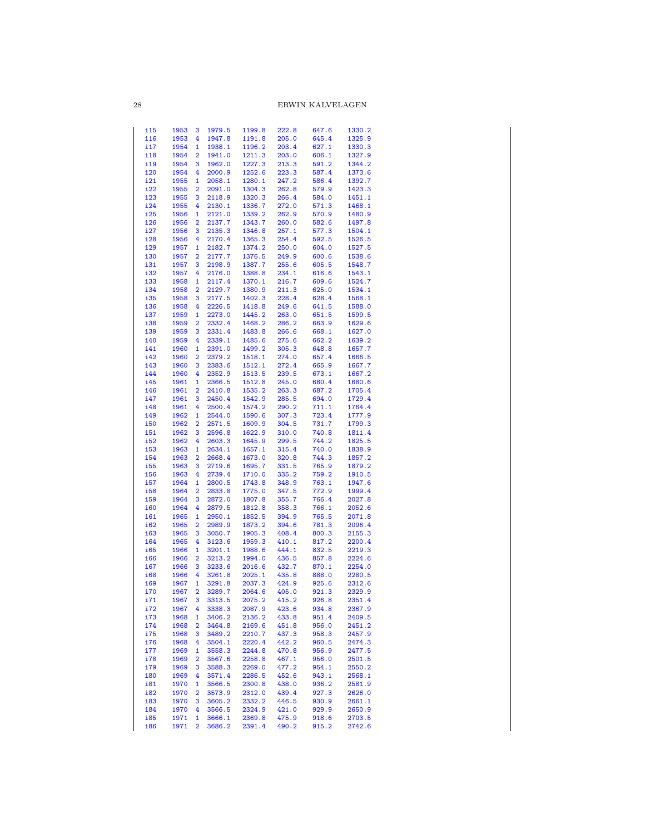# 28 ERWIN KALVELAGEN

| i15        | 1953 |                         | 1979.5 | 1199.8 | 222.8 | 647.6 | 1330.2 |
|------------|------|-------------------------|--------|--------|-------|-------|--------|
|            |      | з                       |        |        |       |       |        |
| i16        | 1953 | 4                       | 1947.8 | 1191.8 | 205.0 | 645.4 | 1325.9 |
| i17        | 1954 | $\mathbf{1}$            | 1938.1 | 1196.2 | 203.4 | 627.1 | 1330.3 |
| i18        | 1954 | 2                       | 1941.0 | 1211.3 | 203.0 | 606.1 | 1327.9 |
| i19        | 1954 | 3                       | 1962.0 | 1227.3 | 213.3 | 591.2 | 1344.2 |
| i20        | 1954 | 4                       | 2000.9 | 1252.6 | 223.3 | 587.4 | 1373.6 |
| i21        | 1955 |                         | 2058.1 | 1280.1 | 247.2 | 586.4 |        |
|            |      | 1                       |        |        |       |       | 1392.7 |
| i22        | 1955 | $\overline{\mathbf{2}}$ | 2091.0 | 1304.3 | 262.8 | 579.9 | 1423.3 |
| i23        | 1955 | 3                       | 2118.9 | 1320.3 | 266.4 | 584.0 | 1451.1 |
| i24        | 1955 | 4                       | 2130.1 | 1336.7 | 272.0 | 571.3 | 1468.1 |
| i25        | 1956 | 1                       | 2121.0 | 1339.2 | 262.9 | 570.9 | 1480.9 |
| i26        | 1956 | $\overline{2}$          | 2137.7 | 1343.7 | 260.0 | 582.6 | 1497.8 |
| i27        | 1956 | 3                       | 2135.3 | 1346.8 | 257.1 | 577.3 | 1504.1 |
| i28        | 1956 | 4                       | 2170.4 | 1365.3 | 254.4 | 592.5 | 1526.5 |
| i29        | 1957 | $\mathbf{1}$            | 2182.7 | 1374.2 |       | 604.0 |        |
|            |      |                         |        |        | 250.0 |       | 1527.5 |
| i30        | 1957 | $\overline{2}$          | 2177.7 | 1376.5 | 249.9 | 600.6 | 1538.6 |
| i31        | 1957 | 3                       | 2198.9 | 1387.7 | 255.6 | 605.5 | 1548.7 |
| i32        | 1957 | 4                       | 2176.0 | 1388.8 | 234.1 | 616.6 | 1543.1 |
| i33        | 1958 | $\mathbf{1}$            | 2117.4 | 1370.1 | 216.7 | 609.6 | 1524.7 |
| i34        | 1958 | 2                       | 2129.7 | 1380.9 | 211.3 | 625.0 | 1534.1 |
| i35        | 1958 | 3                       | 2177.5 | 1402.3 | 228.4 | 628.4 | 1568.1 |
| i36        | 1958 | 4                       | 2226.5 | 1418.8 | 249.6 | 641.5 | 1588.0 |
| i37        | 1959 | 1                       | 2273.0 | 1445.2 | 263.0 | 651.5 | 1599.5 |
|            |      |                         |        |        |       |       |        |
| i38        | 1959 | $\overline{2}$          | 2332.4 | 1468.2 | 286.2 | 663.9 | 1629.6 |
| i39        | 1959 | 3                       | 2331.4 | 1483.8 | 266.6 | 668.1 | 1627.0 |
| i40        | 1959 | 4                       | 2339.1 | 1485.6 | 275.6 | 662.2 | 1639.2 |
| i41        | 1960 | $\mathbf{1}$            | 2391.0 | 1499.2 | 305.3 | 648.8 | 1657.7 |
| i42        | 1960 | $\overline{\mathbf{2}}$ | 2379.2 | 1518.1 | 274.0 | 657.4 | 1666.5 |
| i43        | 1960 | 3                       | 2383.6 | 1512.1 | 272.4 | 665.9 | 1667.7 |
| i44        | 1960 | 4                       | 2352.9 | 1513.5 | 239.5 | 673.1 | 1667.2 |
| i45        | 1961 | $\mathbf{1}$            | 2366.5 | 1512.8 |       |       | 1680.6 |
|            |      |                         |        |        | 245.0 | 680.4 |        |
| i46        | 1961 | 2                       | 2410.8 | 1535.2 | 263.3 | 687.2 | 1705.4 |
| i47        | 1961 | 3                       | 2450.4 | 1542.9 | 285.5 | 694.0 | 1729.4 |
| i48        | 1961 | 4                       | 2500.4 | 1574.2 | 290.2 | 711.1 | 1764.4 |
| i49        | 1962 | $\mathbf{1}$            | 2544.0 | 1590.6 | 307.3 | 723.4 | 1777.9 |
| <b>i50</b> | 1962 | 2                       | 2571.5 | 1609.9 | 304.5 | 731.7 | 1799.3 |
| i51        | 1962 | 3                       | 2596.8 | 1622.9 | 310.0 | 740.8 | 1811.4 |
| i52        | 1962 | 4                       | 2603.3 | 1645.9 | 299.5 | 744.2 | 1825.5 |
| i53        | 1963 | $\mathbf{1}$            | 2634.1 | 1657.1 | 315.4 | 740.0 | 1838.9 |
|            |      |                         |        |        |       |       |        |
| i54        | 1963 | $\overline{2}$          | 2668.4 | 1673.0 | 320.8 | 744.3 | 1857.2 |
| i55        | 1963 | 3                       | 2719.6 | 1695.7 | 331.5 | 765.9 | 1879.2 |
| i56        | 1963 | 4                       | 2739.4 | 1710.0 | 335.2 | 759.2 | 1910.5 |
| i57        | 1964 | $\mathbf{1}$            | 2800.5 | 1743.8 | 348.9 | 763.1 | 1947.6 |
| i58        | 1964 | $\overline{2}$          | 2833.8 | 1775.0 | 347.5 | 772.9 | 1999.4 |
| i59        | 1964 | 3                       | 2872.0 | 1807.8 | 355.7 | 766.4 | 2027.8 |
| <b>i60</b> | 1964 | 4                       | 2879.5 | 1812.8 | 358.3 | 766.1 | 2052.6 |
| i61        | 1965 | $\mathbf{1}$            | 2950.1 | 1852.5 | 394.9 | 765.5 | 2071.8 |
|            |      |                         |        |        |       |       |        |
| i62        | 1965 | $\overline{2}$          | 2989.9 | 1873.2 | 394.6 | 781.3 | 2096.4 |
| i63        | 1965 | 3                       | 3050.7 | 1905.3 | 408.4 | 800.3 | 2155.3 |
| i64        | 1965 | 4                       | 3123.6 | 1959.3 | 410.1 | 817.2 | 2200.4 |
| i65        | 1966 | $\mathbf{1}$            | 3201.1 | 1988.6 | 444.1 | 832.5 | 2219.3 |
| i66        | 1966 | 2                       | 3213.2 | 1994.0 | 436.5 | 857.8 | 2224.6 |
| i67        | 1966 | з                       | 3233.6 | 2016.6 | 432.7 | 870.1 | 2254.0 |
| i68        | 1966 | 4                       | 3261.8 | 2025.1 | 435.8 | 888.0 | 2280.5 |
| i69        | 1967 | $\mathbf{1}$            | 3291.8 | 2037.3 | 424.9 | 925.6 | 2312.6 |
| i70        | 1967 | $\overline{2}$          | 3289.7 | 2064.6 | 405.0 | 921.3 | 2329.9 |
| i71        |      |                         |        |        |       | 926.8 |        |
|            | 1967 | 3                       | 3313.5 | 2075.2 | 415.2 |       | 2351.4 |
| i72        | 1967 | 4                       | 3338.3 | 2087.9 | 423.6 | 934.8 | 2367.9 |
| i73        | 1968 | 1                       | 3406.2 | 2136.2 | 433.8 | 951.4 | 2409.5 |
| i74        | 1968 | 2                       | 3464.8 | 2169.6 | 451.8 | 956.0 | 2451.2 |
| i75        | 1968 | 3                       | 3489.2 | 2210.7 | 437.3 | 958.3 | 2457.9 |
| i76        | 1968 | 4                       | 3504.1 | 2220.4 | 442.2 | 960.5 | 2474.3 |
| i77        | 1969 | 1                       | 3558.3 | 2244.8 | 470.8 | 956.9 | 2477.5 |
| i78        | 1969 | $\overline{2}$          | 3567.6 | 2258.8 | 467.1 | 956.0 | 2501.5 |
|            |      |                         |        | 2269.0 | 477.2 | 954.1 |        |
| i79        | 1969 | 3                       | 3588.3 |        |       |       | 2550.2 |
| i80        | 1969 | 4                       | 3571.4 | 2286.5 | 452.6 | 943.1 | 2568.1 |
| i81        | 1970 | 1                       | 3566.5 | 2300.8 | 438.0 | 936.2 | 2581.9 |
| i82        | 1970 | 2                       | 3573.9 | 2312.0 | 439.4 | 927.3 | 2626.0 |
| i83        | 1970 | 3                       | 3605.2 | 2332.2 | 446.5 | 930.9 | 2661.1 |
| i84        | 1970 | 4                       | 3566.5 | 2324.9 | 421.0 | 929.9 | 2650.9 |
| i85        | 1971 | 1                       | 3666.1 | 2369.8 | 475.9 | 918.6 | 2703.5 |
| i86        | 1971 | $\overline{\mathbf{2}}$ | 3686.2 | 2391.4 | 490.2 | 915.2 | 2742.6 |
|            |      |                         |        |        |       |       |        |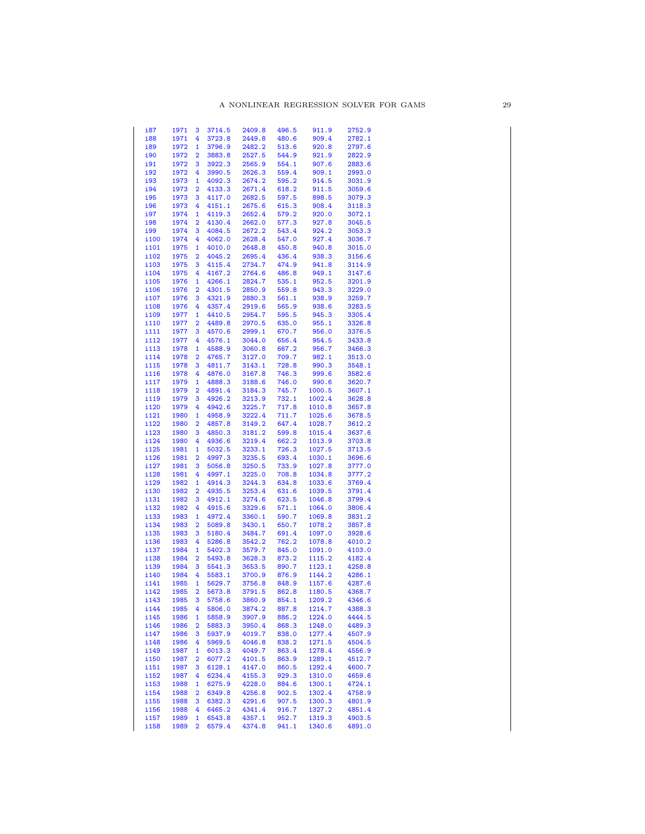| i87          | 1971         | 3                       | 3714.5           | 2409.8           | 496.5          | 911.9            | 2752.9           |
|--------------|--------------|-------------------------|------------------|------------------|----------------|------------------|------------------|
| i88          | 1971         | 4                       | 3723.8           | 2449.8           | 480.6          | 909.4            | 2782.1           |
| i89          | 1972         | 1                       | 3796.9           | 2482.2           | 513.6          | 920.8            | 2797.6           |
| i90          | 1972         | $\overline{2}$          | 3883.8           | 2527.5           | 544.9          | 921.9            | 2822.9           |
| i91          | 1972         | 3                       | 3922.3           | 2565.9           | 554.1          | 907.6            | 2883.6           |
| i92          | 1972         | 4                       | 3990.5           | 2626.3           | 559.4          | 909.1            | 2993.0           |
| i93          | 1973         | $\mathbf{1}$            | 4092.3           | 2674.2           | 595.2          | 914.5            | 3031.9           |
| i94          | 1973         | $\overline{2}$          | 4133.3           | 2671.4           | 618.2          | 911.5            | 3059.6           |
| i95          | 1973         | 3                       | 4117.0           | 2682.5           | 597.5          | 898.5            | 3079.3           |
| i96          | 1973         | 4                       | 4151.1           | 2675.6           | 615.3          | 908.4            | 3118.3           |
| i97          | 1974         | $\mathbf{1}$            | 4119.3           | 2652.4           | 579.2          | 920.0            | 3072.1           |
| i98          | 1974         | $\overline{\mathbf{2}}$ | 4130.4           | 2662.0           | 577.3          | 927.8            | 3045.5           |
| <u>i99</u>   | 1974         | з                       | 4084.5           | 2672.2           | 543.4          | 924.2            | 3053.3           |
| i100         | 1974         | 4                       | 4062.0           | 2628.4           | 547.0          | 927.4            | 3036.7           |
| i101         | 1975         | $\mathbf{1}$            | 4010.0           | 2648.8           | 450.8          | 940.8            | 3015.0           |
| i102         | 1975         | 2                       | 4045.2           | 2695.4           | 436.4          | 938.3            | 3156.6           |
| i103         | 1975         | з                       | 4115.4           | 2734.7           | 474.9          | 941.8            | 3114.9           |
| i104         | 1975         | 4                       | 4167.2           | 2764.6           | 486.8          | 949.1            | 3147.6           |
| i105         | 1976         | 1                       | 4266.1           | 2824.7           | 535.1          | 952.5            | 3201.9           |
| i106         | 1976         | 2                       | 4301.5           | 2850.9           | 559.8          | 943.3            | 3229.0           |
| i107         | 1976         | 3                       | 4321.9           | 2880.3           | 561.1          | 938.9            | 3259.7           |
| i108         | 1976         | 4                       | 4357.4           | 2919.6           | 565.9          | 938.6            | 3283.5           |
| i109         | 1977         | 1                       | 4410.5           | 2954.7           | 595.5          | 945.3            | 3305.4           |
| i110         | 1977         | 2                       | 4489.8           | 2970.5           | 635.0          | 955.1            | 3326.8           |
| i111         | 1977         | 3                       | 4570.6           | 2999.1           | 670.7          | 956.0            | 3376.5           |
| i112         | 1977         | 4                       | 4576.1           | 3044.0           | 656.4          | 954.5            | 3433.8           |
| i113         | 1978         | $\mathbf{1}$            | 4588.9           | 3060.8           | 667.2          | 956.7            | 3466.3           |
| i114         | 1978         | 2                       | 4765.7           | 3127.0           | 709.7          | 982.1            | 3513.0           |
| i115         | 1978         | з                       | 4811.7           | 3143.1           | 728.8          | 990.3            | 3548.1           |
| i116         | 1978         | 4                       | 4876.0           | 3167.8           | 746.3          | 999.6            | 3582.6           |
| i117         | 1979         | $\mathbf{1}$            | 4888.3           | 3188.6           | 746.0          | 990.6            | 3620.7           |
| i118         | 1979         | 2                       | 4891.4           | 3184.3           | 745.7          | 1000.5           | 3607.1           |
| i119         | 1979         | 3                       | 4926.2           | 3213.9           | 732.1          | 1002.4           | 3628.8           |
| i120         | 1979         | 4                       | 4942.6           | 3225.7           | 717.8          | 1010.8           | 3657.8           |
| i121         | 1980         | 1                       | 4958.9           | 3222.4           | 711.7          | 1025.6           | 3678.5           |
| i122         | 1980         | $\overline{\mathbf{2}}$ | 4857.8           | 3149.2           | 647.4          | 1028.7           | 3612.2           |
| i123         | 1980         | 3                       | 4850.3           | 3181.2           | 599.8          | 1015.4           | 3637.6           |
| i124         | 1980         | 4                       | 4936.6           | 3219.4           | 662.2          | 1013.9           | 3703.8           |
| i125         | 1981         | 1                       | 5032.5           | 3233.1           | 726.3          | 1027.5           | 3713.5           |
| i126         | 1981         | $\overline{2}$          | 4997.3           | 3235.5           | 693.4          | 1030.1           | 3696.6           |
| i127         | 1981         | 3                       | 5056.8<br>4997.1 | 3250.5           | 733.9<br>708.8 | 1027.8           | 3777.0           |
| i128         | 1981         | 4                       |                  | 3225.0           |                | 1034.8           | 3777.2<br>3769.4 |
| i129         | 1982         | 1                       | 4914.3           | 3244.3           | 634.8          | 1033.6           |                  |
| i130         | 1982         | $\overline{\mathbf{2}}$ | 4935.5<br>4912.1 | 3253.4           | 631.6          | 1039.5           | 3791.4<br>3799.4 |
| i131         | 1982<br>1982 | 3<br>4                  | 4915.6           | 3274.6<br>3329.6 | 623.5<br>571.1 | 1046.8<br>1064.0 | 3806.4           |
| i132<br>i133 | 1983         | 1                       | 4972.4           | 3360.1           | 590.7          | 1069.8           | 3831.2           |
| i134         | 1983         | 2                       | 5089.8           | 3430.1           | 650.7          | 1078.2           | 3857.8           |
| i135         | 1983         | 3                       | 5180.4           | 3484.7           | 691.4          | 1097.0           | 3928.6           |
| i136         | 1983         | 4                       | 5286.8           | 3542.2           | 762.2          | 1078.8           | 4010.2           |
| i137         | 1984         | 1                       | 5402.3           | 3579.7           | 845.0          | 1091.0           | 4103.0           |
| i138         | 1984         | $\overline{2}$          | 5493.8           | 3628.3           | 873.2          | 1115.2           | 4182.4           |
| i139         | 1984         | 3                       | 5541.3           | 3653.5           | 890.7          | 1123.1           | 4258.8           |
| i140         | 1984         | 4                       | 5583.1           | 3700.9           | 876.9          | 1144.2           | 4286.1           |
| i141         | 1985         | $\mathbf{1}$            | 5629.7           | 3756.8           | 848.9          | 1157.6           | 4287.6           |
| i142         | 1985         | 2                       | 5673.8           | 3791.5           | 862.8          | 1180.5           | 4368.7           |
| i 143        | 1985         | з                       | 5758.6           | 3860.9           | 854.1          | 1209.2           | 4346.6           |
| i144         | 1985         | 4                       | 5806.0           | 3874.2           | 887.8          | 1214.7           | 4388.3           |
| i145         | 1986         | $\mathbf{1}$            | 5858.9           | 3907.9           | 886.2          | 1224.0           | 4444.5           |
| i146         | 1986         | 2                       | 5883.3           | 3950.4           | 868.3          | 1248.0           | 4489.3           |
| i147         | 1986         | 3                       | 5937.9           | 4019.7           | 838.0          | 1277.4           | 4507.9           |
| i148         | 1986         | 4                       | 5969.5           | 4046.8           | 838.2          | 1271.5           | 4504.5           |
| i149         | 1987         | 1                       | 6013.3           | 4049.7           | 863.4          | 1278.4           | 4556.9           |
| i150         | 1987         | 2                       | 6077.2           | 4101.5           | 863.9          | 1289.1           | 4512.7           |
| i151         | 1987         | 3                       | 6128.1           | 4147.0           | 860.5          | 1292.4           | 4600.7           |
| i152         | 1987         | 4                       | 6234.4           | 4155.3           | 929.3          | 1310.0           | 4659.6           |
| i153         | 1988         | 1                       | 6275.9           | 4228.0           | 884.6          | 1300.1           | 4724.1           |
| i154         | 1988         | $\overline{\mathbf{2}}$ | 6349.8           | 4256.8           | 902.5          | 1302.4           | 4758.9           |
| i155         | 1988         | 3                       | 6382.3           | 4291.6           | 907.5          | 1300.3           | 4801.9           |
| i156         | 1988         | 4                       | 6465.2           | 4341.4           | 916.7          | 1327.2           | 4851.4           |
| i157         | 1989         | 1                       | 6543.8           | 4357.1           | 952.7          | 1319.3           | 4903.5           |
| i158         | 1989         | $\overline{2}$          | 6579.4           | 4374.8           | 941.1          | 1340.6           | 4891.0           |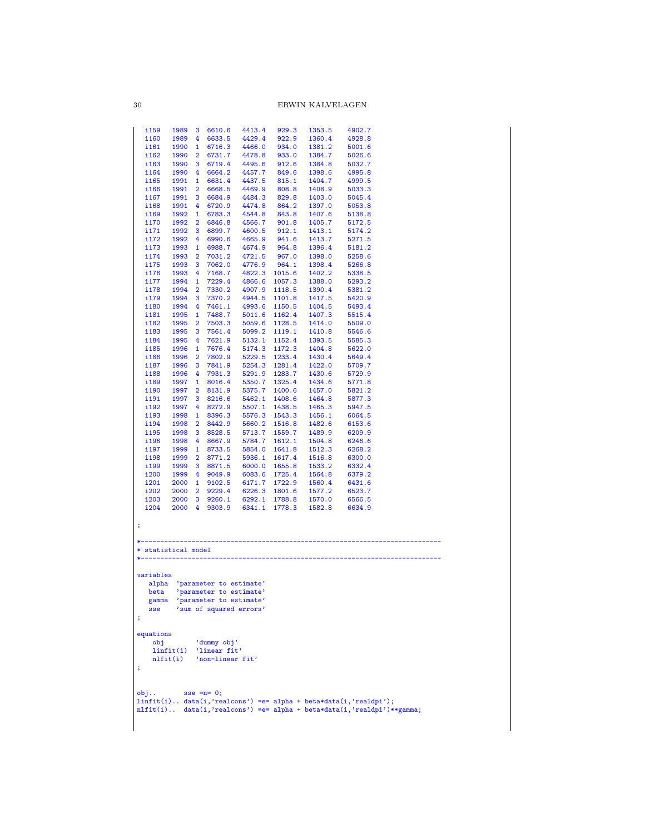30 ERWIN KALVELAGEN

| 4413.4<br>929.3<br>i159<br>1989<br>3<br>6610.6<br>1353.5<br>4902.7<br>i160<br>1989<br>4<br>6633.5<br>4429.4<br>922.9<br>1360.4<br>4928.8<br>1990<br>4466.0<br>934.0<br>1381.2<br>5001.6<br>i161<br>$\mathbf{1}$<br>6716.3<br>i162<br>1990<br>$\overline{2}$<br>6731.7<br>4478.8<br>933.0<br>1384.7<br>5026.6<br>4495.6<br>i163<br>1990<br>3<br>6719.4<br>912.6<br>1384.8<br>5032.7<br>4995.8<br>i164<br>1990<br>4<br>6664.2<br>4457.7<br>849.6 1398.6<br>6631.4<br>4437.5<br>815.1 1404.7<br>4999.5<br>i165<br>1991<br>$\mathbf{1}$<br>4469.9<br>808.8<br>5033.3<br>i166<br>1991<br>$\overline{2}$<br>6668.5<br>1408.9 |        |  |          |      |      |
|------------------------------------------------------------------------------------------------------------------------------------------------------------------------------------------------------------------------------------------------------------------------------------------------------------------------------------------------------------------------------------------------------------------------------------------------------------------------------------------------------------------------------------------------------------------------------------------------------------------------|--------|--|----------|------|------|
|                                                                                                                                                                                                                                                                                                                                                                                                                                                                                                                                                                                                                        |        |  |          |      |      |
|                                                                                                                                                                                                                                                                                                                                                                                                                                                                                                                                                                                                                        |        |  |          |      |      |
|                                                                                                                                                                                                                                                                                                                                                                                                                                                                                                                                                                                                                        |        |  |          |      |      |
|                                                                                                                                                                                                                                                                                                                                                                                                                                                                                                                                                                                                                        |        |  |          |      |      |
|                                                                                                                                                                                                                                                                                                                                                                                                                                                                                                                                                                                                                        |        |  |          |      |      |
|                                                                                                                                                                                                                                                                                                                                                                                                                                                                                                                                                                                                                        |        |  |          |      |      |
|                                                                                                                                                                                                                                                                                                                                                                                                                                                                                                                                                                                                                        |        |  |          |      |      |
| 4484.3<br>829.8 1403.0<br>5045.4<br>i167<br>1991<br>3<br>6684.9                                                                                                                                                                                                                                                                                                                                                                                                                                                                                                                                                        |        |  |          |      |      |
| 4<br>864.2 1397.0<br>i168<br>1991<br>6720.9<br>4474.8<br>5053.8                                                                                                                                                                                                                                                                                                                                                                                                                                                                                                                                                        |        |  |          |      |      |
| 6783.3<br>4544.8<br>843.8<br>5138.8<br>i169<br>1992<br>$\mathbf{1}$<br>1407.6                                                                                                                                                                                                                                                                                                                                                                                                                                                                                                                                          |        |  |          |      |      |
| 901.8 1405.7<br>i170<br>1992<br>$\overline{2}$<br>6846.8<br>4566.7<br>5172.5                                                                                                                                                                                                                                                                                                                                                                                                                                                                                                                                           |        |  |          |      |      |
| 4600.5<br>912.1<br>1413.1<br>5174.2<br>i 171<br>1992<br>3<br>6899.7                                                                                                                                                                                                                                                                                                                                                                                                                                                                                                                                                    |        |  |          |      |      |
| 941.6 1413.7<br>4665.9<br>i172<br>1992<br>4<br>6990.6<br>5271.5                                                                                                                                                                                                                                                                                                                                                                                                                                                                                                                                                        |        |  |          |      |      |
| 6988.7<br>964.8 1396.4<br>5181.2<br>i173<br>1993<br>$\mathbf{1}$<br>4674.9                                                                                                                                                                                                                                                                                                                                                                                                                                                                                                                                             |        |  |          |      |      |
| i174<br>7031.2<br>967.0 1398.0<br>5258.6<br>1993<br>$\overline{2}$<br>4721.5<br>964.1                                                                                                                                                                                                                                                                                                                                                                                                                                                                                                                                  |        |  |          |      |      |
| 7062.0<br>4776.9<br>1398.4<br>i175<br>1993<br>3<br>5266.8<br>i176<br>1993<br>4<br>7168.7<br>4822.3<br>1015.6 1402.2<br>5338.5                                                                                                                                                                                                                                                                                                                                                                                                                                                                                          |        |  |          |      |      |
| 1994<br>7229.4<br>4866.6<br>1057.3 1388.0<br>5293.2<br>i177<br>$\mathbf{1}$                                                                                                                                                                                                                                                                                                                                                                                                                                                                                                                                            |        |  |          |      |      |
| 7330.2<br>4907.9<br>1118.5 1390.4<br>5381.2<br>i178<br>1994<br>$\overline{2}$                                                                                                                                                                                                                                                                                                                                                                                                                                                                                                                                          |        |  |          |      |      |
| i179<br>1994<br>3<br>7370.2 4944.5<br>1101.8 1417.5<br>5420.9                                                                                                                                                                                                                                                                                                                                                                                                                                                                                                                                                          |        |  |          |      |      |
| 5493.4<br>i180<br>1994<br>4<br>7461.1<br>4993.6<br>1150.5<br>1404.5                                                                                                                                                                                                                                                                                                                                                                                                                                                                                                                                                    |        |  |          |      |      |
| 5011.6 1162.4 1407.3<br>7488.7<br>5515.4<br>i181<br>1995<br>$\mathbf{1}$                                                                                                                                                                                                                                                                                                                                                                                                                                                                                                                                               |        |  |          |      |      |
| i182<br>1995<br>$\overline{2}$<br>7503.3<br>5059.6<br>1128.5 1414.0<br>5509.0                                                                                                                                                                                                                                                                                                                                                                                                                                                                                                                                          |        |  |          |      |      |
| i183<br>1995<br>3<br>7561.4<br>5099.2<br>1119.1<br>1410.8<br>5546.6                                                                                                                                                                                                                                                                                                                                                                                                                                                                                                                                                    |        |  |          |      |      |
| 4<br>7621.9 5132.1<br>1152.4 1393.5<br>5585.3<br>i184<br>1995                                                                                                                                                                                                                                                                                                                                                                                                                                                                                                                                                          |        |  |          |      |      |
| i185<br>1996<br>$\mathbf{1}$<br>7676.4 5174.3<br>1172.3 1404.8<br>5622.0                                                                                                                                                                                                                                                                                                                                                                                                                                                                                                                                               |        |  |          |      |      |
| 1996<br>7802.9<br>5229.5<br>1233.4 1430.4<br>5649.4<br>i186<br>$\overline{2}$<br>3<br>7841.9 5254.3<br>1281.4<br>1422.0<br>i187<br>1996<br>5709.7                                                                                                                                                                                                                                                                                                                                                                                                                                                                      |        |  |          |      |      |
| i188<br>1996<br>4<br>7931.3<br>5291.9<br>1283.7<br>1430.6<br>5729.9                                                                                                                                                                                                                                                                                                                                                                                                                                                                                                                                                    |        |  |          |      |      |
| 1997<br>8016.4<br>5350.7<br>1325.4<br>1434.6<br>i189<br>$\mathbf{1}$<br>5771.8                                                                                                                                                                                                                                                                                                                                                                                                                                                                                                                                         |        |  |          |      |      |
| 2 8131.9 5375.7<br>1400.6 1457.0<br>5821.2<br>i190<br>1997                                                                                                                                                                                                                                                                                                                                                                                                                                                                                                                                                             |        |  |          |      |      |
| i191<br>1997<br>3 8216.6<br>5462.1<br>1408.6 1464.8<br>5877.3                                                                                                                                                                                                                                                                                                                                                                                                                                                                                                                                                          |        |  |          |      |      |
| i192<br>1997<br>4 8272.9<br>5507.1<br>1438.5<br>1465.3<br>5947.5                                                                                                                                                                                                                                                                                                                                                                                                                                                                                                                                                       |        |  |          |      |      |
| 5576.3 1543.3 1456.1                                                                                                                                                                                                                                                                                                                                                                                                                                                                                                                                                                                                   | 6064.5 |  | 1 8396.3 | 1998 | i193 |
|                                                                                                                                                                                                                                                                                                                                                                                                                                                                                                                                                                                                                        |        |  |          |      |      |
| i194<br>1998<br>2 8442.9<br>5660.2<br>1516.8 1482.6<br>6153.6                                                                                                                                                                                                                                                                                                                                                                                                                                                                                                                                                          |        |  |          |      |      |
| i195<br>1998<br>8528.5<br>5713.7<br>1559.7<br>1489.9<br>6209.9<br>3                                                                                                                                                                                                                                                                                                                                                                                                                                                                                                                                                    |        |  |          |      |      |
| i196<br>1998<br>4 8667.9 5784.7<br>1612.1<br>1504.8<br>6246.6                                                                                                                                                                                                                                                                                                                                                                                                                                                                                                                                                          |        |  |          |      |      |
| 8733.5<br>i197<br>1999<br>$\mathbf{1}$<br>5854.0<br>1641.8 1512.3<br>6268.2                                                                                                                                                                                                                                                                                                                                                                                                                                                                                                                                            |        |  |          |      |      |
| i198<br>1999<br>8771.2<br>5936.1<br>1617.4<br>1516.8<br>6300.0<br>$\mathbf{2}$                                                                                                                                                                                                                                                                                                                                                                                                                                                                                                                                         |        |  |          |      |      |
| 3 8871.5 6000.0 1655.8 1533.2<br>6332.4<br>i199<br>1999<br>1999<br>4 9049.9<br>i200<br>6083.6<br>1725.4 1564.8<br>6379.2                                                                                                                                                                                                                                                                                                                                                                                                                                                                                               |        |  |          |      |      |
| 9102.5<br>6171.7<br>1722.9<br>6431.6<br>i201<br>2000<br>$\mathbf{1}$<br>1560.4                                                                                                                                                                                                                                                                                                                                                                                                                                                                                                                                         |        |  |          |      |      |
| 2 9229.4 6226.3 1801.6 1577.2<br>6523.7<br>i202<br>2000                                                                                                                                                                                                                                                                                                                                                                                                                                                                                                                                                                |        |  |          |      |      |
| i203<br>2000<br>3 9260.1<br>6292.1<br>1788.8<br>1570.0<br>6566.5                                                                                                                                                                                                                                                                                                                                                                                                                                                                                                                                                       |        |  |          |      |      |
| i204<br>2000<br>4 9303.9<br>6341.1<br>1778.3<br>1582.8<br>6634.9                                                                                                                                                                                                                                                                                                                                                                                                                                                                                                                                                       |        |  |          |      |      |
|                                                                                                                                                                                                                                                                                                                                                                                                                                                                                                                                                                                                                        |        |  |          |      |      |
|                                                                                                                                                                                                                                                                                                                                                                                                                                                                                                                                                                                                                        |        |  |          |      |      |
|                                                                                                                                                                                                                                                                                                                                                                                                                                                                                                                                                                                                                        |        |  |          |      |      |
|                                                                                                                                                                                                                                                                                                                                                                                                                                                                                                                                                                                                                        |        |  |          |      |      |
|                                                                                                                                                                                                                                                                                                                                                                                                                                                                                                                                                                                                                        |        |  |          |      |      |
|                                                                                                                                                                                                                                                                                                                                                                                                                                                                                                                                                                                                                        |        |  |          |      |      |
|                                                                                                                                                                                                                                                                                                                                                                                                                                                                                                                                                                                                                        |        |  |          |      |      |
| alpha 'parameter to estimate'                                                                                                                                                                                                                                                                                                                                                                                                                                                                                                                                                                                          |        |  |          |      |      |
| 'parameter to estimate'<br>beta                                                                                                                                                                                                                                                                                                                                                                                                                                                                                                                                                                                        |        |  |          |      |      |
| gamma 'parameter to estimate'                                                                                                                                                                                                                                                                                                                                                                                                                                                                                                                                                                                          |        |  |          |      |      |
| 'sum of squared errors'<br>sse                                                                                                                                                                                                                                                                                                                                                                                                                                                                                                                                                                                         |        |  |          |      |      |
|                                                                                                                                                                                                                                                                                                                                                                                                                                                                                                                                                                                                                        |        |  |          |      |      |
|                                                                                                                                                                                                                                                                                                                                                                                                                                                                                                                                                                                                                        |        |  |          |      |      |
| 'dummy obj'<br>obj                                                                                                                                                                                                                                                                                                                                                                                                                                                                                                                                                                                                     |        |  |          |      |      |
| limit(i)<br>'linear fit'                                                                                                                                                                                                                                                                                                                                                                                                                                                                                                                                                                                               |        |  |          |      |      |
| $nIfit(i)$ 'non-linear fit'                                                                                                                                                                                                                                                                                                                                                                                                                                                                                                                                                                                            |        |  |          |      |      |
|                                                                                                                                                                                                                                                                                                                                                                                                                                                                                                                                                                                                                        |        |  |          |      |      |
|                                                                                                                                                                                                                                                                                                                                                                                                                                                                                                                                                                                                                        |        |  |          |      |      |
|                                                                                                                                                                                                                                                                                                                                                                                                                                                                                                                                                                                                                        |        |  |          |      |      |
| $sse = n = 0;$                                                                                                                                                                                                                                                                                                                                                                                                                                                                                                                                                                                                         |        |  |          |      |      |
|                                                                                                                                                                                                                                                                                                                                                                                                                                                                                                                                                                                                                        |        |  |          |      |      |
| ţ.<br>* statistical model<br>variables<br>÷<br>equations<br>÷<br>obj.<br>$limit(i)$ data $(i, 'realcons')$ =e= alpha + beta*data $(i, 'realdpi')$ ;<br>nlfit(i) data(i,'realcons') = e = alpha + beta*data(i,'realdpi')**gamma;                                                                                                                                                                                                                                                                                                                                                                                        |        |  |          |      |      |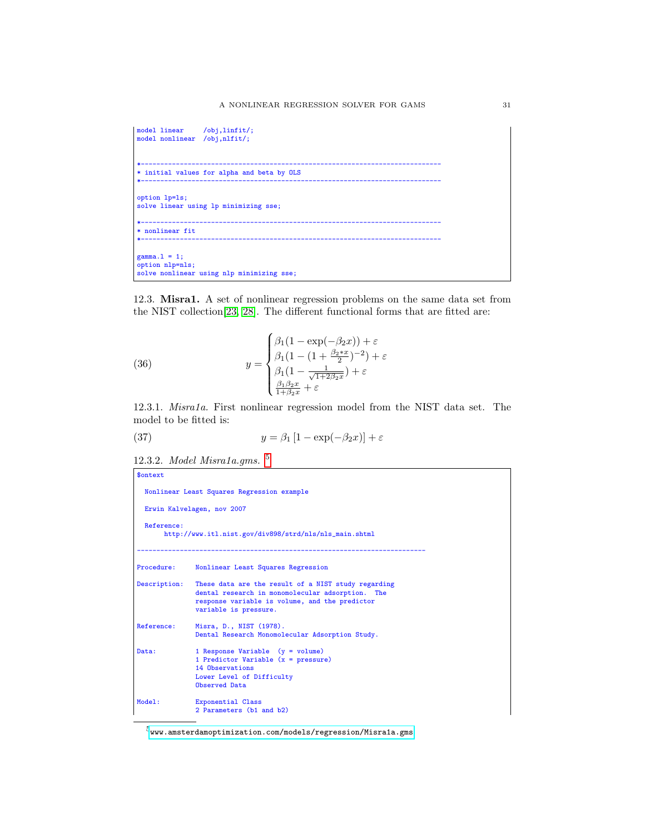```
model linear /obj,linfit/;
model nonlinear /obj,nlfit/;
*-----------------------------------------------------------------------------
* initial values for alpha and beta by OLS
*-----------------------------------------------------------------------------
option lp=ls;
solve linear using lp minimizing sse;
*-----------------------------------------------------------------------------
* nonlinear fit
*-----------------------------------------------------------------------------
gamma.1 = 1;option nlp=nls;
solve nonlinear using nlp minimizing sse;
```
12.3. Misra1. A set of nonlinear regression problems on the same data set from the NIST collection[\[23,](#page-146-6) [28\]](#page-146-8). The different functional forms that are fitted are:

(36) 
$$
y = \begin{cases} \beta_1(1 - \exp(-\beta_2 x)) + \varepsilon \\ \beta_1(1 - (1 + \frac{\beta_2 * x}{2})^{-2}) + \varepsilon \\ \beta_1(1 - \frac{1}{\sqrt{1 + 2\beta_2 x}}) + \varepsilon \\ \frac{\beta_1 \beta_2 x}{1 + \beta_2 x} + \varepsilon \end{cases}
$$

12.3.1. Misra1a. First nonlinear regression model from the NIST data set. The model to be fitted is:

(37) 
$$
y = \beta_1 \left[ 1 - \exp(-\beta_2 x) \right] + \varepsilon
$$

12.3.2. Model Misra1a.gms. [5](#page-30-0)

```
$ontext
 Nonlinear Least Squares Regression example
 Erwin Kalvelagen, nov 2007
 Reference:
       http://www.itl.nist.gov/div898/strd/nls/nls_main.shtml
                                                 --------------------------------------------------------------------------
Procedure: Nonlinear Least Squares Regression
Description: These data are the result of a NIST study regarding
               dental research in monomolecular adsorption. The
               response variable is volume, and the predictor
               variable is pressure.
Reference: Misra, D., NIST (1978).
                Dental Research Monomolecular Adsorption Study.
Data: 1 Response Variable (y = volume)
1 Predictor Variable (x = pressure)
                14 Observations
                Lower Level of Difficulty
                Observed Data
Model: Exponential Class
                2 Parameters (b1 and b2)
```
<span id="page-30-0"></span> $^5$ <www.amsterdamoptimization.com/models/regression/Misra1a.gms>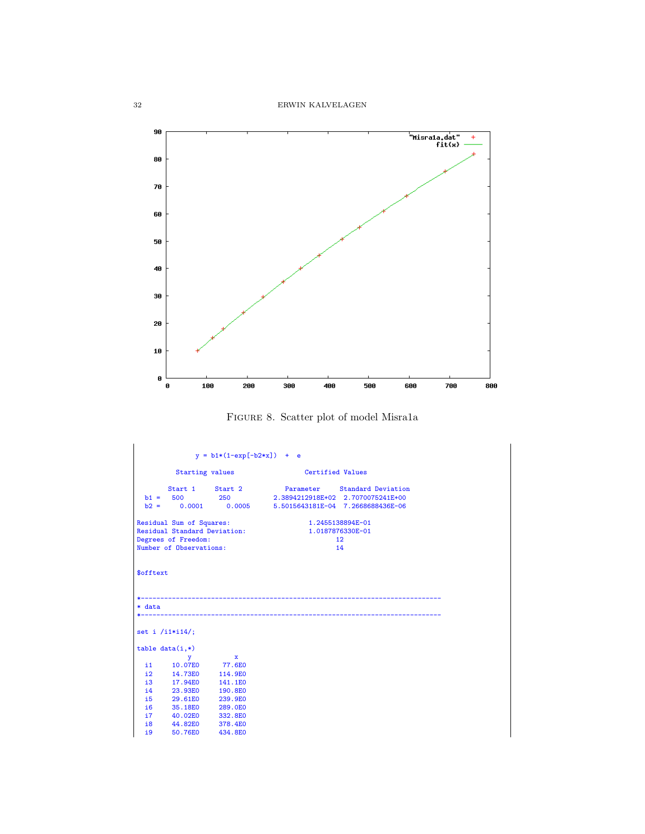

Figure 8. Scatter plot of model Misra1a

```
y = b1*(1-exp[-b2*x]) + eStarting values Certified Values
   Start 1 Start 2 Parameter Standard Deviation
b1 = 500 250 2.3894212918E+02 2.7070075241E+00
b2 = 0.0001 0.0005 5.5015643181E-04 7.2668688436E-06
Residual Sum of Squares: 1.2455138894E-01
Residual Standard Deviation: 1.0187876330E-01
Degrees of Freedom: 12<br>
Number of Observations: 14
Number of Observations:
$offtext
*-----------------------------------------------------------------------------
* data
*-----------------------------------------------------------------------------
set i /i1*i14/;
table data(i,*)
   y x
i1 10.07E0 77.6E0
  12 14.73E0 114.9E0<br>
13 17.94E0 141.1E0<br>
14 23.93E0 190.8E0
   i3 17.94E0 141.1E0
i4 23.93E0 190.8E0
  15 29.61E0 239.9E0<br>16 35.18E0 289.0E0<br>17 40.02E0 332.8E0
   i6 35.18E0 289.0E0
i7 40.02E0 332.8E0
   i8 44.82E0 378.4E0
i9 50.76E0 434.8E0
```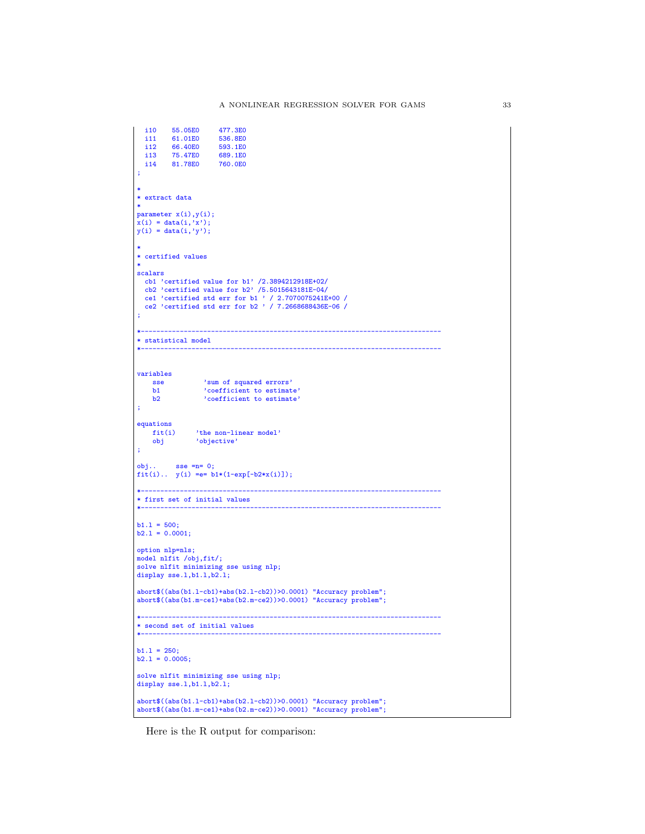```
i10 55.05E0 477.3E0<br>i11 61.01E0 536.8E0
   i11 61.01E0 536.8E0
i12 66.40E0 593.1E0
   i13 75.47E0 689.1E0
i14 81.78E0 760.0E0
;
*
* extract data
*
parameter x(i),y(i);
x(i) = data(i, 'x');y(i) = data(i, 'y');*
* certified values
*
scalars
 cb1 'certified value for b1' /2.3894212918E+02/
 cb2 'certified value for b2' /5.5015643181E-04/
   ce1 'certified std err for b1 ' / 2.7070075241E+00 /
ce2 'certified std err for b2 ' / 7.2668688436E-06 /
;
*-----------------------------------------------------------------------------
* statistical model
*-----------------------------------------------------------------------------
variables
     sse 'sum of squared errors'
b1 'coefficient to estimate'
b2 'coefficient to estimate'
;
equations<br>fit(i)
     fit(i) 'the non-linear model'
obj 'objective'
;
obj... sse =n= 0;fit(i).. y(i) = e = b1*(1-exp[-b2*x(i)]);*-----------------------------------------------------------------------------
* first set of initial values
*-----------------------------------------------------------------------------
b1.1 = 500;b2.1 = 0.0001;option nlp=nls;
model nlfit /obj,fit/;
solve nlfit minimizing sse using nlp;
display sse.1,b1.1,b2.1;
abort$((abs(b1.l-cb1)+abs(b2.l-cb2))>0.0001) "Accuracy problem";
abort$((abs(b1.m-ce1)+abs(b2.m-ce2))>0.0001) "Accuracy problem";
*-----------------------------------------------------------------------------
* second set of initial values
*-----------------------------------------------------------------------------
b1.1 = 250;b2.1 = 0.0005;solve nlfit minimizing sse using nlp;
display sse.l,b1.l,b2.l;
abort$((abs(b1.l-cb1)+abs(b2.l-cb2))>0.0001) "Accuracy problem";
abort$((abs(b1.m-ce1)+abs(b2.m-ce2))>0.0001) "Accuracy problem";
```
Here is the R output for comparison: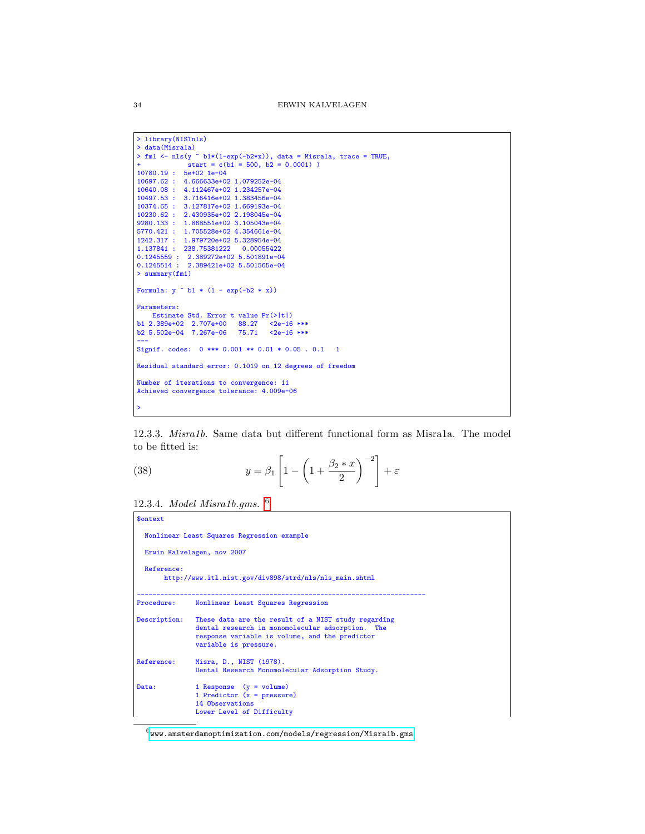```
> library(NISTnls)
> data(Misra1a)
> fm1 <- nls(y ~ b1*(1-exp(-b2*x)), data = Misra1a, trace = TRUE,
+ start = c(b1 = 500, b2 = 0.0001) )
10780.19 : 5e+02 1e-04
10697.62 : 4.666633e+02 1.079252e-04
10640.08 : 4.112467e+02 1.234257e-04
10497.53 : 3.716416e+02 1.383456e-04
10374.65 : 3.127817e+02 1.669193e-04
\begin{array}{cccc} 10230.62: & 2.430935\text{e}+02 & 2.198045\text{e}-04 \\ 9280.133: & 1.868551\text{e}+02 & 3.105043\text{e}-04 \\ 5770.421: & 1.705528\text{e}+02 & 4.354661\text{e}-04 \\ 1242.317: & 1.979720\text{e}+02 & 5.328954\text{e}-04 \\ 1.137841: & 238.75381222 & 0.0> summary(fm1)
Formula: y \sim b1 * (1 - exp(-b2 * x))Parameters:
Estimate Std. Error t value Pr(>|t|)
b1 2.389e+02 2.707e+00 88.27 <2e-16 ***
b2 5.502e-04 7.267e-06 75.71 <2e-16 ***
---
Signif. codes: 0 *** 0.001 ** 0.01 * 0.05 . 0.1 1
Residual standard error: 0.1019 on 12 degrees of freedom
Number of iterations to convergence: 11
Achieved convergence tolerance: 4.009e-06
>
```
12.3.3. Misra1b. Same data but different functional form as Misra1a. The model to be fitted is:

(38) 
$$
y = \beta_1 \left[ 1 - \left( 1 + \frac{\beta_2 * x}{2} \right)^{-2} \right] + \varepsilon
$$

12.3.4. Model Misra1b.gms. [6](#page-33-0)

| <b>Sontext</b>                                                           |                                                                                                                                                                                    |  |  |  |  |  |  |                                                                      |
|--------------------------------------------------------------------------|------------------------------------------------------------------------------------------------------------------------------------------------------------------------------------|--|--|--|--|--|--|----------------------------------------------------------------------|
| Nonlinear Least Squares Regression example<br>Erwin Kalvelagen, nov 2007 |                                                                                                                                                                                    |  |  |  |  |  |  |                                                                      |
|                                                                          |                                                                                                                                                                                    |  |  |  |  |  |  | Reference:<br>http://www.itl.nist.gov/div898/strd/nls/nls_main.shtml |
| Procedure:                                                               | Nonlinear Least Squares Regression                                                                                                                                                 |  |  |  |  |  |  |                                                                      |
| Description:                                                             | These data are the result of a NIST study regarding<br>dental research in monomolecular adsorption. The<br>response variable is volume, and the predictor<br>variable is pressure. |  |  |  |  |  |  |                                                                      |
| Reference:                                                               | Misra, D., NIST (1978).<br>Dental Research Monomolecular Adsorption Study.                                                                                                         |  |  |  |  |  |  |                                                                      |
| Data:                                                                    | 1 Response $(y = volume)$<br>1 Predictor $(x = pressure)$<br>14 Observations<br>Lower Level of Difficulty                                                                          |  |  |  |  |  |  |                                                                      |

<span id="page-33-0"></span> $^6$ <www.amsterdamoptimization.com/models/regression/Misra1b.gms>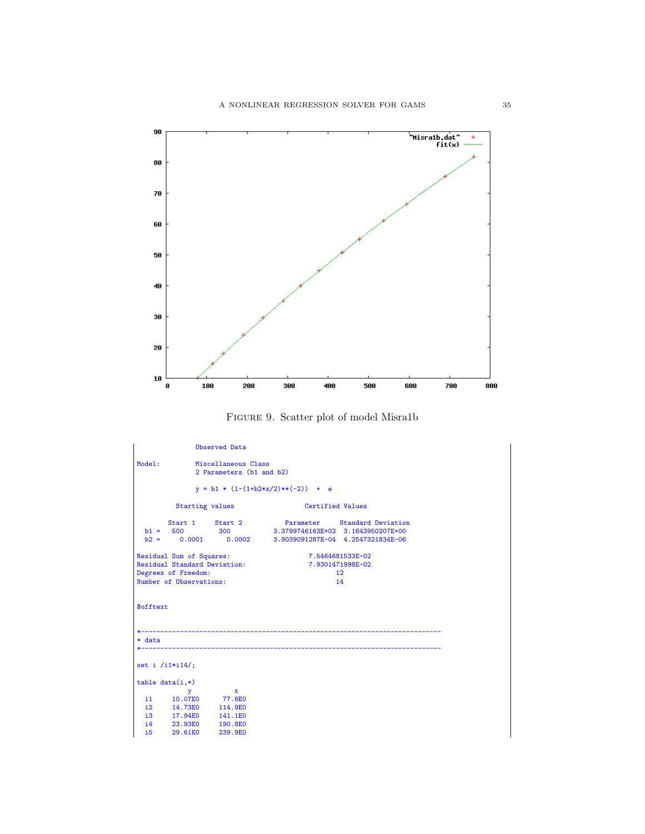

Figure 9. Scatter plot of model Misra1b

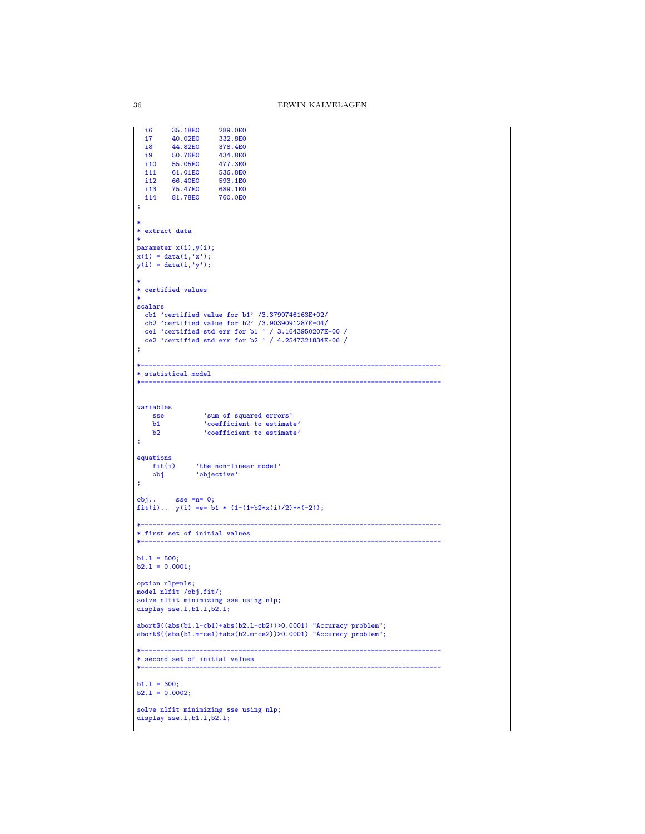```
i6 35.18E0 289.0E0
  i7 40.02E0<br>i8 44.82E0
  i8 44.82E0 378.4E0<br>i9 50.76E0 434.8E0
  i9 50.76E0<br>i10 55.05E0
  i10 55.05E0 477.3E0<br>i11 61.01E0 536.8E0
  i11 61.01E0<br>i12 66.40E0
  i12 66.40E0 593.1E0<br>i13 75.47E0 689.1E0
   i13 75.47E0 689.1E0
i14 81.78E0 760.0E0
;
*
* extract data
*
parameter x(i),y(i);
x(i) = data(i,'x');
y(i) = data(i, 'y');*
* certified values
*
scalars
   cb1 'certified value for b1' /3.3799746163E+02/
cb2 'certified value for b2' /3.9039091287E-04/
   ce1 'certified std err for b1 ' / 3.1643950207E+00 /
ce2 'certified std err for b2 ' / 4.2547321834E-06 /
;
                         *-----------------------------------------------------------------------------
* statistical model
                                                     *-----------------------------------------------------------------------------
variables
      sse 'sum of squared errors'
b1 'coefficient to estimate'
b2 'coefficient to estimate'
;
equationsfit(i)fit(i) 'the non-linear model'<br>obj 'objective'
                'objective'
;
obj.. sse =n= 0;
fit(i).. y(i) =e= b1 * (1-(1+b2*x(i)/2)**(-2));
                                 *-----------------------------------------------------------------------------
* first set of initial values
*-----------------------------------------------------------------------------
b1.1 = 500;b2.1 = 0.0001;option nlp=nls;
model nlfit /obj,fit/;
solve nlfit minimizing sse using nlp;
display sse.1,b1.1,b2.1;
abort$((abs(b1.l-cb1)+abs(b2.l-cb2))>0.0001) "Accuracy problem";
abort$((abs(b1.m-ce1)+abs(b2.m-ce2))>0.0001) "Accuracy problem";
*-----------------------------------------------------------------------------
* second set of initial values
*-----------------------------------------------------------------------------
b1.1 = 300;b2.1 = 0.0002;solve nlfit minimizing sse using nlp;
display sse.1,b1.1,b2.1;
```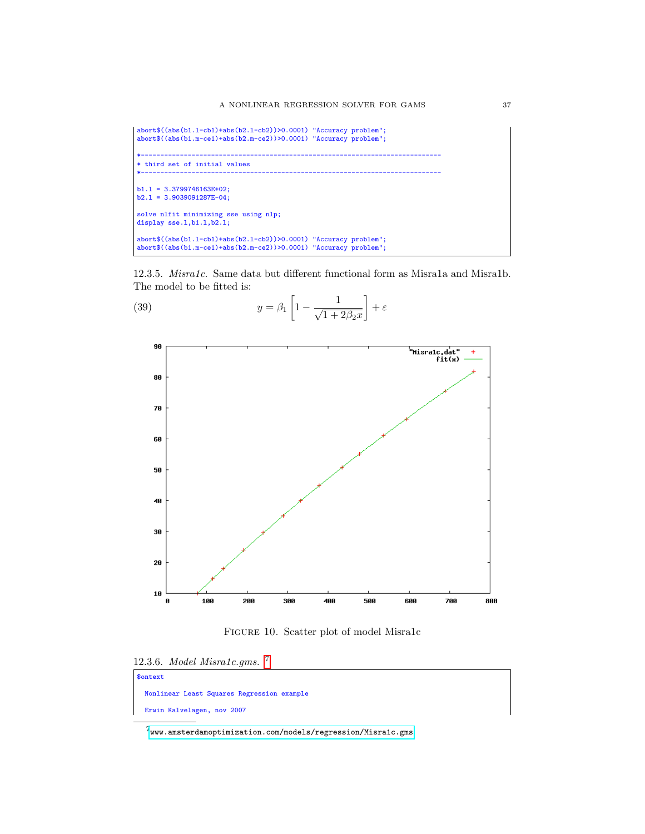```
abort$((abs(b1.l-cb1)+abs(b2.l-cb2))>0.0001) "Accuracy problem";
abort$((abs(b1.m-ce1)+abs(b2.m-ce2))>0.0001) "Accuracy problem";
*-----------------------------------------------------------------------------
* third set of initial values
*-----------------------------------------------------------------------------
b1.1 = 3.3799746163E+02;b2.1 = 3.9039091287E-04;solve nlfit minimizing sse using nlp;
display sse.1,b1.1,b2.1;
abort$((abs(b1.l-cb1)+abs(b2.l-cb2))>0.0001) "Accuracy problem";
abort$((abs(b1.m-ce1)+abs(b2.m-ce2))>0.0001) "Accuracy problem";
```
12.3.5. Misra1c. Same data but different functional form as Misra1a and Misra1b. The model to be fitted is:

(39) 
$$
y = \beta_1 \left[ 1 - \frac{1}{\sqrt{1 + 2\beta_2 x}} \right] + \varepsilon
$$



Figure 10. Scatter plot of model Misra1c

|  | 12.3.6. Model Misra1c.gms. |  |
|--|----------------------------|--|
|  |                            |  |

| <b>\$ontext</b>                            |
|--------------------------------------------|
| Nonlinear Least Squares Regression example |
| Erwin Kalvelagen, nov 2007                 |

<span id="page-36-0"></span> $7<sub>www</sub> .amsterdam optimization.com/models/regression/Misralc.gms$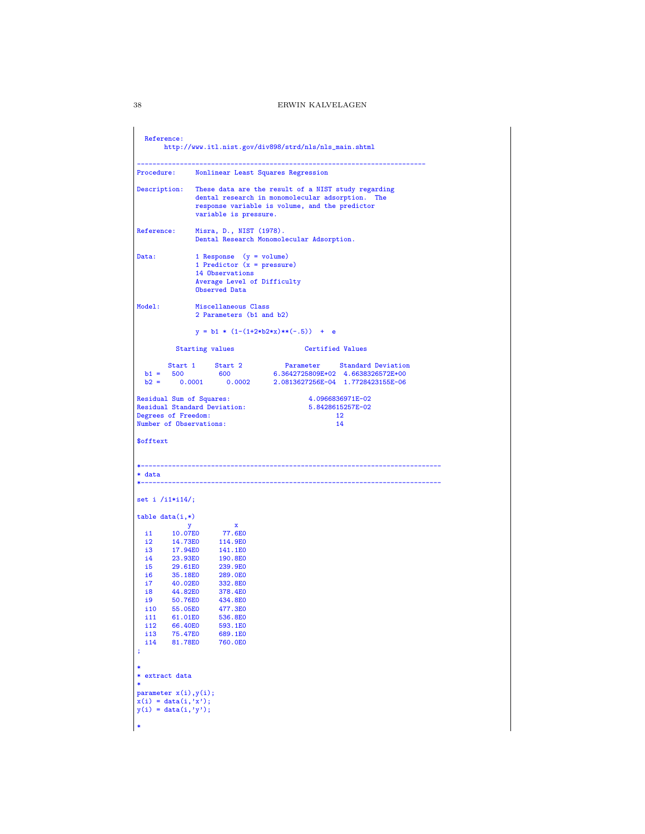```
Reference:
        http://www.itl.nist.gov/div898/strd/nls/nls_main.shtml
--------------------------------------------------------------------------
Procedure: Nonlinear Least Squares Regression
Description: These data are the result of a NIST study regarding
                 dental research in monomolecular adsorption. The
                  response variable is volume, and the predictor
                  variable is pressure.
Reference: Misra, D., NIST (1978).
                  Dental Research Monomolecular Adsorption.
Data: 1 Response (y = volume)
                  1 Predictor (x = pressure)14 Observations
                  Average Level of Difficulty
                  Observed Data
Model: Miscellaneous Class
                  2 Parameters (b1 and b2)
                  y = b1 * (1-(1+2*b2*x)*(-.5)) + eStarting values Certified Values
   Start 1 Start 2 Parameter Standard Deviation
b1 = 500 600 6.3642725809E+02 4.6638326572E+00
b2 = 0.0001 0.0002 2.0813627256E-04 1.7728423155E-06
Residual Sum of Squares: 4.0966836971E-02
Residual Standard Deviation: 5.8428615257E-02
Degrees of Freedom:<br>
Number of Observations:<br>
14
Number of Observations:
$offtext
                         *-----------------------------------------------------------------------------
* data
                          *-----------------------------------------------------------------------------
set i /i1*i14/;
table data(i,*)
                       \begin{array}{c} x \\ 77.6E0 \end{array}y<br>i1 10.07E0<br>i2 14.73E0
  i2 14.73E0 114.9E0<br>i3 17.94E0 141.1E0
  i2 14.73E0<br>i3 17.94E0<br>i4 23.93E0
  i4 23.93E0 190.8E0
  i5 29.61E0 239.9E0<br>i6 35.18E0 289.0E0
  i6 35.18E0 289.0E0
  i7 40.02E0<br>i8 44.82E0
  i8  44.82E0  378.4E0<br>i9  50.76E0  434.8E0
  i9 50.76E0<br>i10 55.05E0
   i10 55.05E0 477.3E0
i11 61.01E0 536.8E0
  i12 66.40E0 593.1E0<br>i13 75.47E0 689.1E0
   i13 75.47E0 689.1E0
i14 81.78E0 760.0E0
;
*
* extract data
*
parameter x(i),y(i);
x(i) = data(i,'x');
y(i) = data(i,'y');
*
```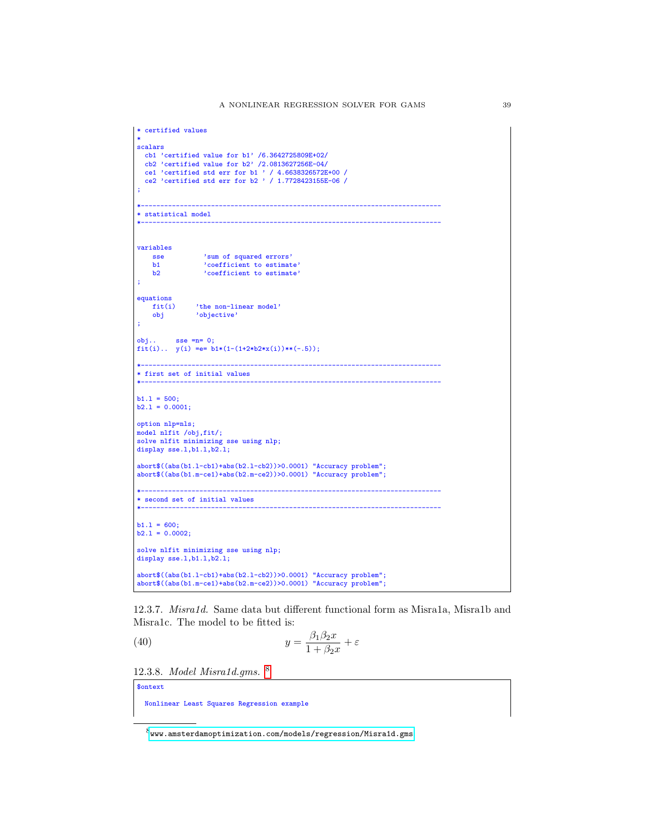| scalars<br>cb1 'certified value for $b1'$ /6.3642725809E+02/<br>cb2 'certified value for $b2'$ /2.0813627256E-04/<br>ce1 'certified std err for b1 ' / 4.6638326572E+00 /<br>ce2 'certified std err for b2 ' / 1.7728423155E-06 /<br>÷<br>* statistical model<br>variables<br>'sum of squared errors'<br>'coefficient to estimate'<br><b>sse</b><br>b1<br>b2<br>'coefficient to estimate'<br>÷<br>equations<br>'the non-linear model'<br>'objective'<br>fit(i)<br>obj<br>÷<br>$obj$ sse = $n=0;$<br>fit(i) $y(i) == b1*(1-(1+2*b2*x(i))**(-.5));$<br>* first set of initial values<br>$b1.1 = 500;$<br>$b2.1 = 0.0001;$<br>option nlp=nls;<br>model nlfit /obj,fit/;<br>solve nlfit minimizing sse using nlp;<br>display sse.1,b1.1,b2.1; |  |  |  |  |  |
|-------------------------------------------------------------------------------------------------------------------------------------------------------------------------------------------------------------------------------------------------------------------------------------------------------------------------------------------------------------------------------------------------------------------------------------------------------------------------------------------------------------------------------------------------------------------------------------------------------------------------------------------------------------------------------------------------------------------------------------------|--|--|--|--|--|
|                                                                                                                                                                                                                                                                                                                                                                                                                                                                                                                                                                                                                                                                                                                                           |  |  |  |  |  |
|                                                                                                                                                                                                                                                                                                                                                                                                                                                                                                                                                                                                                                                                                                                                           |  |  |  |  |  |
|                                                                                                                                                                                                                                                                                                                                                                                                                                                                                                                                                                                                                                                                                                                                           |  |  |  |  |  |
|                                                                                                                                                                                                                                                                                                                                                                                                                                                                                                                                                                                                                                                                                                                                           |  |  |  |  |  |
|                                                                                                                                                                                                                                                                                                                                                                                                                                                                                                                                                                                                                                                                                                                                           |  |  |  |  |  |
|                                                                                                                                                                                                                                                                                                                                                                                                                                                                                                                                                                                                                                                                                                                                           |  |  |  |  |  |
|                                                                                                                                                                                                                                                                                                                                                                                                                                                                                                                                                                                                                                                                                                                                           |  |  |  |  |  |
|                                                                                                                                                                                                                                                                                                                                                                                                                                                                                                                                                                                                                                                                                                                                           |  |  |  |  |  |
|                                                                                                                                                                                                                                                                                                                                                                                                                                                                                                                                                                                                                                                                                                                                           |  |  |  |  |  |
|                                                                                                                                                                                                                                                                                                                                                                                                                                                                                                                                                                                                                                                                                                                                           |  |  |  |  |  |
|                                                                                                                                                                                                                                                                                                                                                                                                                                                                                                                                                                                                                                                                                                                                           |  |  |  |  |  |
|                                                                                                                                                                                                                                                                                                                                                                                                                                                                                                                                                                                                                                                                                                                                           |  |  |  |  |  |
|                                                                                                                                                                                                                                                                                                                                                                                                                                                                                                                                                                                                                                                                                                                                           |  |  |  |  |  |
|                                                                                                                                                                                                                                                                                                                                                                                                                                                                                                                                                                                                                                                                                                                                           |  |  |  |  |  |
|                                                                                                                                                                                                                                                                                                                                                                                                                                                                                                                                                                                                                                                                                                                                           |  |  |  |  |  |
|                                                                                                                                                                                                                                                                                                                                                                                                                                                                                                                                                                                                                                                                                                                                           |  |  |  |  |  |
|                                                                                                                                                                                                                                                                                                                                                                                                                                                                                                                                                                                                                                                                                                                                           |  |  |  |  |  |
|                                                                                                                                                                                                                                                                                                                                                                                                                                                                                                                                                                                                                                                                                                                                           |  |  |  |  |  |
|                                                                                                                                                                                                                                                                                                                                                                                                                                                                                                                                                                                                                                                                                                                                           |  |  |  |  |  |
|                                                                                                                                                                                                                                                                                                                                                                                                                                                                                                                                                                                                                                                                                                                                           |  |  |  |  |  |
|                                                                                                                                                                                                                                                                                                                                                                                                                                                                                                                                                                                                                                                                                                                                           |  |  |  |  |  |
|                                                                                                                                                                                                                                                                                                                                                                                                                                                                                                                                                                                                                                                                                                                                           |  |  |  |  |  |
|                                                                                                                                                                                                                                                                                                                                                                                                                                                                                                                                                                                                                                                                                                                                           |  |  |  |  |  |
|                                                                                                                                                                                                                                                                                                                                                                                                                                                                                                                                                                                                                                                                                                                                           |  |  |  |  |  |
|                                                                                                                                                                                                                                                                                                                                                                                                                                                                                                                                                                                                                                                                                                                                           |  |  |  |  |  |
|                                                                                                                                                                                                                                                                                                                                                                                                                                                                                                                                                                                                                                                                                                                                           |  |  |  |  |  |
|                                                                                                                                                                                                                                                                                                                                                                                                                                                                                                                                                                                                                                                                                                                                           |  |  |  |  |  |
|                                                                                                                                                                                                                                                                                                                                                                                                                                                                                                                                                                                                                                                                                                                                           |  |  |  |  |  |
|                                                                                                                                                                                                                                                                                                                                                                                                                                                                                                                                                                                                                                                                                                                                           |  |  |  |  |  |
|                                                                                                                                                                                                                                                                                                                                                                                                                                                                                                                                                                                                                                                                                                                                           |  |  |  |  |  |
|                                                                                                                                                                                                                                                                                                                                                                                                                                                                                                                                                                                                                                                                                                                                           |  |  |  |  |  |
|                                                                                                                                                                                                                                                                                                                                                                                                                                                                                                                                                                                                                                                                                                                                           |  |  |  |  |  |
| $abort$((abs(b1.1-cb1)+abs(b2.1-cb2))>0.0001)$ "Accuracy problem";                                                                                                                                                                                                                                                                                                                                                                                                                                                                                                                                                                                                                                                                        |  |  |  |  |  |
| $abort$((abs(b1.m-ce1)+abs(b2.m-ce2))>0.0001)$ "Accuracy problem";                                                                                                                                                                                                                                                                                                                                                                                                                                                                                                                                                                                                                                                                        |  |  |  |  |  |
|                                                                                                                                                                                                                                                                                                                                                                                                                                                                                                                                                                                                                                                                                                                                           |  |  |  |  |  |
| * second set of initial values                                                                                                                                                                                                                                                                                                                                                                                                                                                                                                                                                                                                                                                                                                            |  |  |  |  |  |
|                                                                                                                                                                                                                                                                                                                                                                                                                                                                                                                                                                                                                                                                                                                                           |  |  |  |  |  |
| $b1.1 = 600;$                                                                                                                                                                                                                                                                                                                                                                                                                                                                                                                                                                                                                                                                                                                             |  |  |  |  |  |
| $b2.1 = 0.0002;$                                                                                                                                                                                                                                                                                                                                                                                                                                                                                                                                                                                                                                                                                                                          |  |  |  |  |  |
|                                                                                                                                                                                                                                                                                                                                                                                                                                                                                                                                                                                                                                                                                                                                           |  |  |  |  |  |
| solve nlfit minimizing sse using nlp;                                                                                                                                                                                                                                                                                                                                                                                                                                                                                                                                                                                                                                                                                                     |  |  |  |  |  |
| display sse.1,b1.1,b2.1;                                                                                                                                                                                                                                                                                                                                                                                                                                                                                                                                                                                                                                                                                                                  |  |  |  |  |  |
| $abort$((abs(b1.1-cb1)+abs(b2.1-cb2))>0.0001)$ "Accuracy problem";                                                                                                                                                                                                                                                                                                                                                                                                                                                                                                                                                                                                                                                                        |  |  |  |  |  |
| abort\$((abs(b1.m-ce1)+abs(b2.m-ce2))>0.0001) "Accuracy problem";                                                                                                                                                                                                                                                                                                                                                                                                                                                                                                                                                                                                                                                                         |  |  |  |  |  |

12.3.7. Misra1d. Same data but different functional form as Misra1a, Misra1b and Misra1c. The model to be fitted is:

(40) 
$$
y = \frac{\beta_1 \beta_2 x}{1 + \beta_2 x} + \varepsilon
$$

12.3.8. Model Misra1d.gms. [8](#page-38-0)

\$ontext

Nonlinear Least Squares Regression example

<span id="page-38-0"></span> $8_{\rm{WW}}$  .amsterdamoptimization.com/models/regression/Misra1d.gms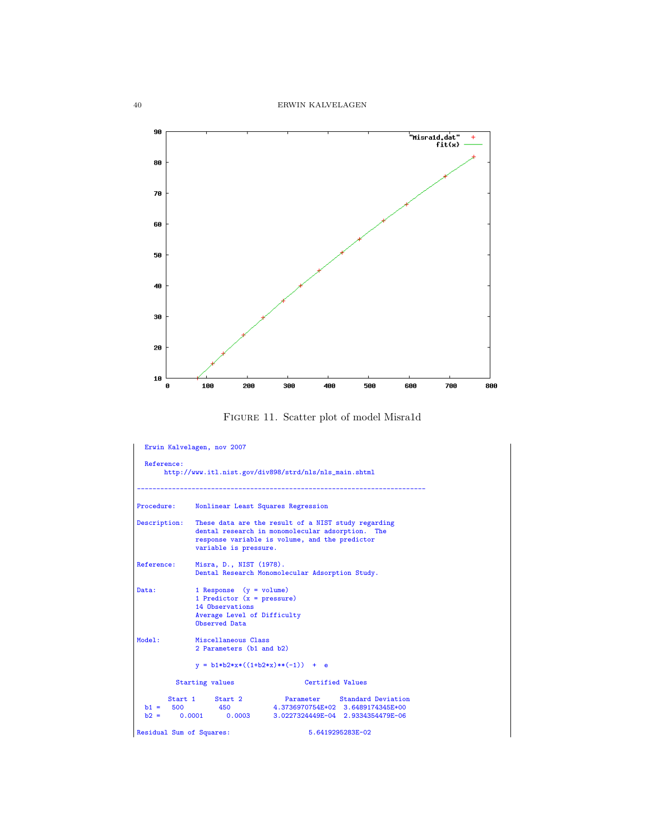

Figure 11. Scatter plot of model Misra1d

|                          | Erwin Kalvelagen, nov 2007                                                                                                   |                                                                                                                                                             |
|--------------------------|------------------------------------------------------------------------------------------------------------------------------|-------------------------------------------------------------------------------------------------------------------------------------------------------------|
| Reference:               |                                                                                                                              | http://www.itl.nist.gov/div898/strd/nls/nls_main.shtml                                                                                                      |
| Procedure:               |                                                                                                                              | Nonlinear Least Squares Regression                                                                                                                          |
| Description:             | variable is pressure.                                                                                                        | These data are the result of a NIST study regarding<br>dental research in monomolecular adsorption. The<br>response variable is volume, and the predictor   |
| Reference:               | Misra, D., NIST (1978).                                                                                                      | Dental Research Monomolecular Adsorption Study.                                                                                                             |
| Data:                    | 1 Response $(y = volume)$<br>1 Predictor $(x = pressure)$<br>14 Observations<br>Average Level of Difficulty<br>Observed Data |                                                                                                                                                             |
| Model:                   | Miscellaneous Class<br>2 Parameters (b1 and b2)                                                                              |                                                                                                                                                             |
|                          |                                                                                                                              | $y = b1*b2*x*((1+b2*x)**(-1)) + e$                                                                                                                          |
|                          | Starting values                                                                                                              | Certified Values                                                                                                                                            |
|                          | Start 1 Start 2<br>$b1 = 500$ 450                                                                                            | Parameter Standard Deviation<br>4.3736970754E+02 3.6489174345E+00<br>Parameter Standard Deviation<br>$b2 = 0.0001$ 0.0003 3.0227324449E-04 2.9334354479E-06 |
| Residual Sum of Squares: |                                                                                                                              | 5.6419295283E-02                                                                                                                                            |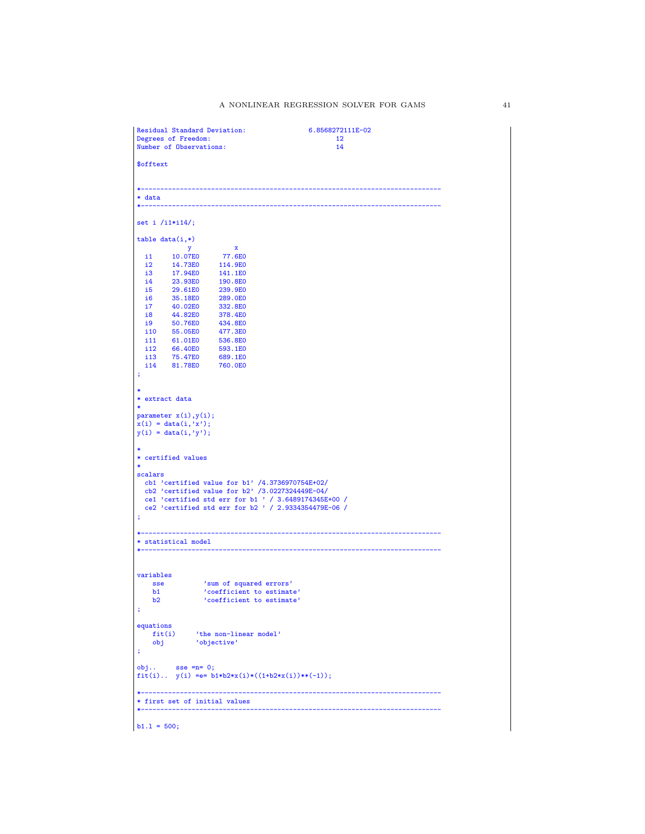```
Residual Standard Deviation: 6.8568272111E-02<br>
Degrees of Freedom: 12<br>
Number of Observations: 14
 Degrees of Freedom:
 Number of Observations:
 $offtext
                                                   *-----------------------------------------------------------------------------
 * data
 *-----------------------------------------------------------------------------
 set i /i1*i14/;
 table data(i,*)y x
i1 10.07E0 77.6E0
  i2 14.73E0 114.9E0<br>i3 17.94E0 141.1E0<br>i4 23.93E0 190.8E0
    i3 17.94E0 141.1E0
i4 23.93E0 190.8E0
   i5 29.61E0 239.9E0<br>i6 35.18E0 289.0E0
   i6 35.18E0 289.0E0<br>i7 40.02E0 332.8E0
   i7 40.02E0<br>i8 44.82E0
   i8 44.82E0 378.4E0<br>i9 50.76E0 434.8E0
            50.76E0 434.8E0<br>55.05E0 477.3E0
   i10 55.05E0<br>i11 61.01E0
   i11 61.01E0 536.8E0<br>i12 66.40E0 593.1E0
    i12 66.40E0 593.1E0
i13 75.47E0 689.1E0
i14 81.78E0 760.0E0
 ;
 *
* extract data
 *
parameter x(i),y(i);
 x(i) = data(i, 'x');y(i) = data(i, 'y');*
* certified values
 *
 scalars
    cb1 'certified value for b1' /4.3736970754E+02/
cb2 'certified value for b2' /3.0227324449E-04/
    ce1 'certified std err for b1 ' / 3.6489174345E+00 /
ce2 'certified std err for b2 ' / 2.9334354479E-06 /
 ;
 *-----------------------------------------------------------------------------
 * statistical model
 *-----------------------------------------------------------------------------
 variables
      sse 'sum of squared errors'
b1 'coefficient to estimate'
b2 'coefficient to estimate'
 ;
 equations
      fit(i) 'the non-linear model'
obj 'objective'
 ;
 obj.. sse =n= 0;
fit(i).. y(i) =e= b1*b2*x(i)*((1+b2*x(i))**(-1));
 *-----------------------------------------------------------------------------
 * first set of initial values
 *-----------------------------------------------------------------------------
b1.1 = 500;
```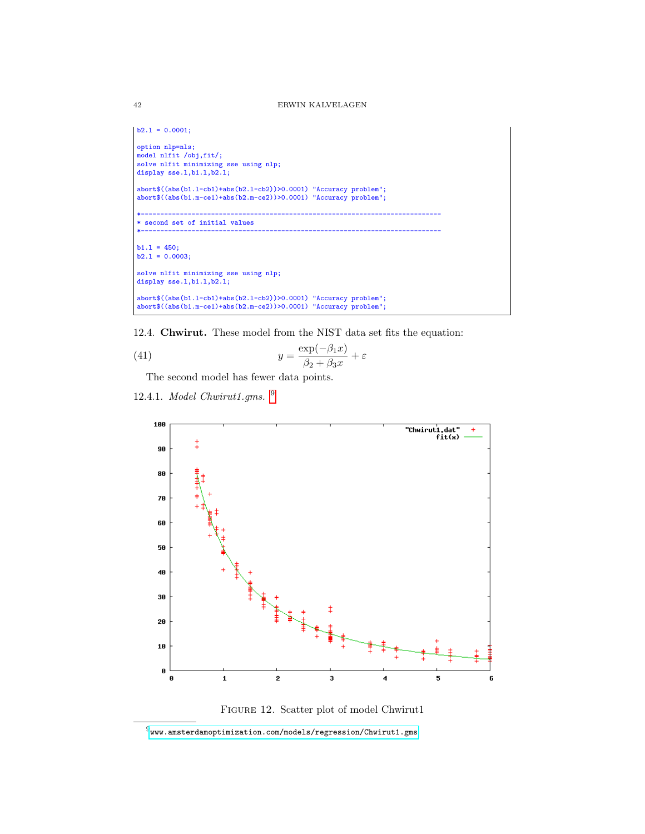```
b2.1 = 0.0001;option nlp=nls;
model nlfit /obj,fit/;
solve nlfit minimizing sse using nlp;
display sse.1,b1.1,b2.1;
 abort$((abs(b1.l-cb1)+abs(b2.l-cb2))>0.0001) "Accuracy problem";
abort$((abs(b1.m-ce1)+abs(b2.m-ce2))>0.0001) "Accuracy problem";
 *-----------------------------------------------------------------------------
 * second set of initial values
 *-----------------------------------------------------------------------------
 b1.1 = 450;<br>b2.1 = 0.0003;solve nlfit minimizing sse using nlp;
display sse.l,b1.l,b2.l;
 abort$((abs(b1.l-cb1)+abs(b2.l-cb2))>0.0001) "Accuracy problem";
abort$((abs(b1.m-ce1)+abs(b2.m-ce2))>0.0001) "Accuracy problem";
```
12.4. Chwirut. These model from the NIST data set fits the equation:

(41) 
$$
y = \frac{\exp(-\beta_1 x)}{\beta_2 + \beta_3 x} + \varepsilon
$$

The second model has fewer data points.

12.4.1. Model Chwirut1.gms. [9](#page-41-0)





<span id="page-41-0"></span> $^9$ <www.amsterdamoptimization.com/models/regression/Chwirut1.gms>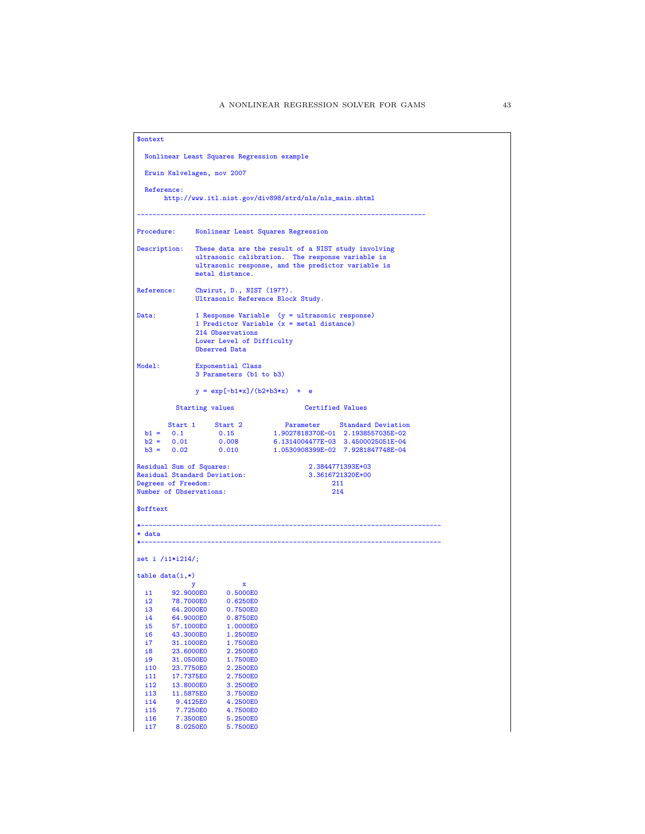```
$ontext
  Nonlinear Least Squares Regression example
  Erwin Kalvelagen, nov 2007
  Reference:
         http://www.itl.nist.gov/div898/strd/nls/nls_main.shtml
                                                                   --------------------------------------------------------------------------
Procedure: Nonlinear Least Squares Regression
Description: These data are the result of a NIST study involving
ultrasonic calibration. The response variable is
ultrasonic response, and the predictor variable is
                    metal distance.
Reference: Chwirut, D., NIST (197?).
Ultrasonic Reference Block Study.
Data: 1 Response Variable (y = ultrasonic response)
1 Predictor Variable (x = metal distance)
                    214 Observations
                    Lower Level of Difficulty
                    Observed Data
Model: Exponential Class
                    3 Parameters (b1 to b3)
                    y = exp[-b1*x]/(b2+b3*x) + eStarting values Certified Values
   91 = 0.1 5tart 2 Parameter Standard Deviation<br>
b1 = 0.1 0.15 = 1.9027818370E-01 2.1938557035E-02<br>
b2 = 0.02 = 0.010 = 1.0530908399E-02 7.9281847748E-04
Residual Sum of Squares: 2.3844771393E+03
Residual Standard Deviation: 3.3616721320E+00
Residual Standard Deviation: 21<br>
Residual Standard Deviation: 211<br>
Number of Observations: 214<br>
214
Number of Observations:
$offtext
                                    *-----------------------------------------------------------------------------
* data
*-----------------------------------------------------------------------------
set i /i1*i214/;
table data(i,*)y x
i1 92.9000E0 0.5000E0
  i2 78.7000E0 0.6250E0
  i3 64.2000E0 0.7500E0<br>i4 64.9000E0 0.8750E0
  i4 64.9000E0 0.8750E0<br>i5 57.1000E0 1.0000E0
   i5 57.1000E0 1.0000E0<br>i6 43.3000E0 1.2500E0
  i6 43.3000E0 1.2500E0<br>i7 31.1000E0 1.7500E0
   i7 31.1000E0 1.7500E0<br>i8 23.6000E0 2.2500E0
  i8 23.6000E0 2.2500E0<br>i9 31.0500E0 1.7500E0
  i9 31.0500E0 1.7500E0<br>i10 23.7750E0 2.2500E0
  i10 23.7750E0 2.2500E0<br>i11 17.7375E0 2.7500E0
   i11 17.7375E0 2.7500E0<br>i12 13.8000E0 3.2500E0
  i12 13.8000E0 3.2500E0<br>i13 11.5875E0 3.7500E0
   i13 11.5875E0 3.7500E0<br>i14 9.4125E0 4.2500E0
  i14 9.4125E0 4.2500E0<br>i15 7.7250E0 4.7500E0
  i15 7.7250E0 4.7500E0
  i16 7.3500E0 5.2500E0<br>i17 8.0250E0 5.7500E0
             8.0250E0
```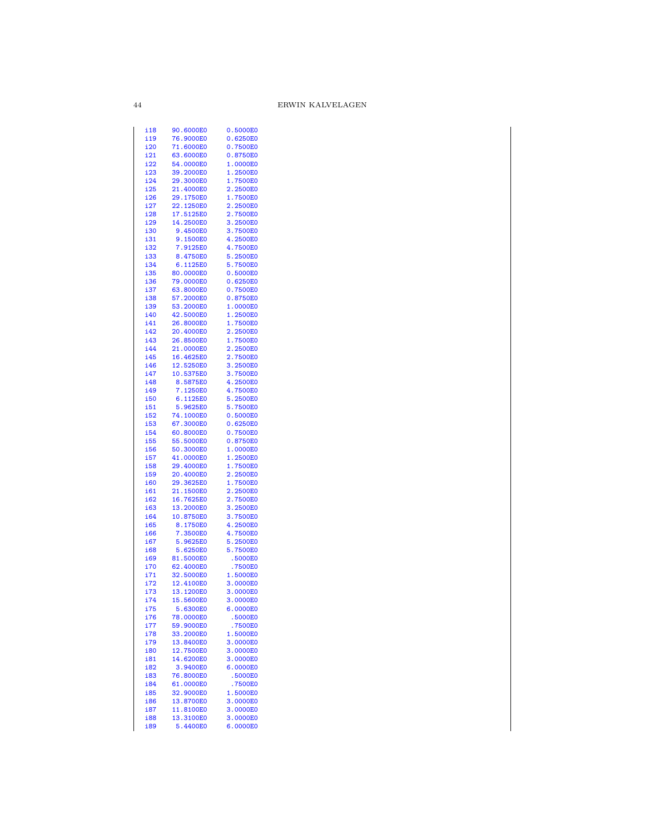| i 18              | 90.6000E0 | 0.5000E0 |
|-------------------|-----------|----------|
| i19               | 76.9000E0 | 0.6250E0 |
| i20               | 71.6000E0 | 0.7500E0 |
| i21               | 63.6000E0 | 0.8750E0 |
| i22               | 54.0000E0 | 1.0000E0 |
| i23               | 39.2000E0 | 1.2500E0 |
| i24               | 29.3000E0 | 1.7500E0 |
| i25               | 21.4000E0 | 2.2500E0 |
| i26               | 29.1750E0 | 1.7500E0 |
| i27               | 22.1250E0 | 2.2500E0 |
| i28               | 17.5125E0 | 2.7500E0 |
| i29               | 14.2500E0 | 3.2500E0 |
| i30               | 9.4500E0  | 3.7500E0 |
| i31               | 9.1500E0  | 4.2500E0 |
| i32               | 7.9125E0  | 4.7500E0 |
| i33               | 8.4750E0  | 5.2500E0 |
| i34               | 6.1125E0  | 5.7500E0 |
| i35               | 80.0000E0 | 0.5000E0 |
| i36               | 79.0000E0 | 0.6250E0 |
| i37               | 63.8000E0 | 0.7500E0 |
| i38               | 57.2000E0 | 0.8750E0 |
| i39               | 53.2000E0 | 1.0000E0 |
| i40               | 42.5000E0 | 1.2500E0 |
| i41               | 26.8000E0 | 1.7500E0 |
| i42               | 20.4000E0 | 2.2500E0 |
| i43               | 26.8500E0 | 1.7500E0 |
| i44               | 21.0000E0 | 2.2500E0 |
| i45               | 16.4625E0 | 2.7500E0 |
| i46               | 12.5250E0 | 3.2500E0 |
| i47               | 10.5375E0 | 3.7500E0 |
| i48               | 8.5875E0  | 4.2500E0 |
| i49               | 7.1250E0  | 4.7500E0 |
| i50               | 6.1125E0  | 5.2500E0 |
| <u>i51</u>        | 5.9625E0  | 5.7500E0 |
| i52               | 74.1000E0 | 0.5000E0 |
| i53               | 67.3000E0 | 0.6250E0 |
| i54               | 60.8000E0 | 0.7500E0 |
| i55               | 55.5000E0 | 0.8750E0 |
| i56               | 50.3000E0 | 1.0000E0 |
| i57               | 41.0000E0 | 1.2500E0 |
| i58               | 29.4000E0 | 1.7500E0 |
| i59               | 20.4000E0 | 2.2500E0 |
| i60               | 29.3625E0 | 1.7500E0 |
| i61               | 21.1500E0 | 2.2500E0 |
| i62               | 16.7625E0 | 2.7500E0 |
| i63               | 13.2000E0 | 3.2500E0 |
| i64               | 10.8750E0 | 3.7500E0 |
| i65               | 8.1750E0  | 4.2500E0 |
| i66               | 7.3500E0  | 4.7500E0 |
| i67               | 5.9625E0  | 5.2500E0 |
| i68               | 5.6250E0  | 5.7500E0 |
| i69               | 81.5000E0 | .5000E0  |
| i70               | 62.4000E0 | .7500E0  |
| i71               | 32.5000E0 | 1.5000E0 |
| i72               | 12.4100E0 | 3.0000E0 |
| i73               | 13.1200E0 | 3.0000E0 |
| i74               | 15.5600E0 | 3.0000E0 |
| i75               | 5.6300E0  | 6.0000E0 |
| i76               | 78.0000E0 | .5000E0  |
| i77               | 59.9000E0 | .7500E0  |
| i78               | 33.2000E0 | 1.5000E0 |
| <u>i79</u>        | 13.8400E0 | 3.0000E0 |
| <u>180</u>        | 12.7500E0 | 3.0000E0 |
| <u>i81</u>        | 14.6200E0 | 3.0000E0 |
| <u>182</u>        | 3.9400E0  | 6.0000E0 |
| i83               | 76.8000E0 | .5000E0  |
| i84               | 61.0000E0 | .7500E0  |
| i85               | 32.9000E0 | 1.5000E0 |
| i86               | 13.8700E0 | 3.0000E0 |
|                   | 11.8100E0 | 3.0000E0 |
| <u>i87</u>        | 13.3100E0 | 3.0000E0 |
| i88<br><u>189</u> | 5.4400E0  | 6.0000E0 |
|                   |           |          |

 $\bf{44}$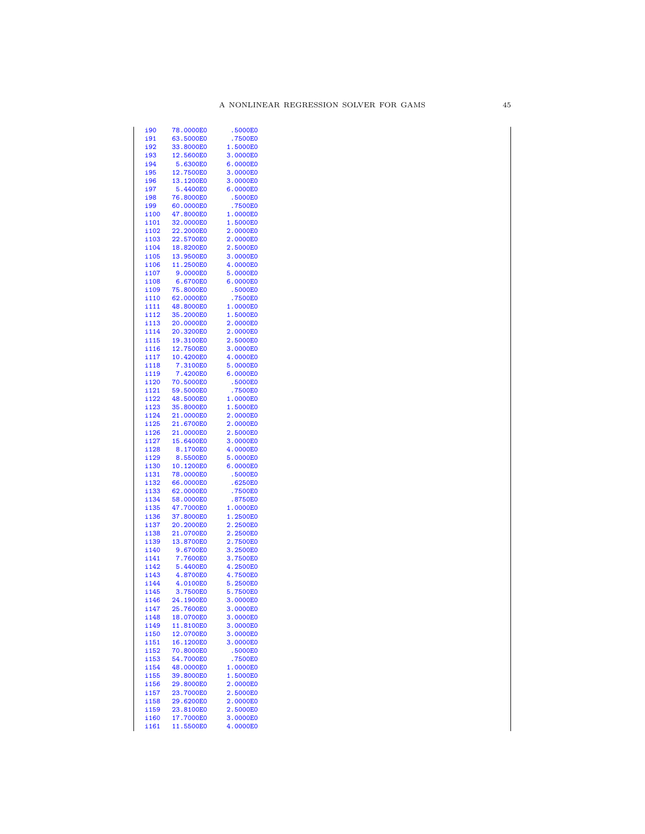| <u>i90</u>   | 78.0000E0 | .5000E0  |
|--------------|-----------|----------|
| i91          | 63.5000E0 | .7500E0  |
| i92          | 33.8000E0 | 1.5000E0 |
| i93          | 12.5600E0 | 3.0000E0 |
| i94          | 5.6300E0  | 6.0000E0 |
| i95          | 12.7500E0 | 3.0000E0 |
| i96          | 13.1200E0 | 3.0000E0 |
| i97          | 5.4400E0  | 6.0000E0 |
| i98          | 76.8000E0 | .5000E0  |
| i99          | 60.0000E0 | .7500E0  |
| i100         | 47.8000E0 | 1.0000E0 |
| i101         | 32.0000E0 | 1.5000E0 |
| i102         | 22.2000E0 | 2.0000E0 |
| i103         | 22.5700E0 | 2.0000E0 |
| i104         | 18.8200E0 | 2.5000E0 |
| i105         | 13.9500E0 | 3.0000E0 |
| i106         | 11.2500E0 | 4.0000E0 |
| i107         | 9.0000E0  | 5.0000E0 |
| i108         | 6.6700E0  | 6.0000E0 |
| i109         | 75.8000E0 | .5000E0  |
| i110         | 62.0000E0 | .7500E0  |
| i111         | 48.8000E0 | 1.0000E0 |
| i112         | 35.2000E0 | 1.5000E0 |
| i113         | 20.0000E0 | 2.0000E0 |
| i114         | 20.3200E0 | 2.0000E0 |
| i115         | 19.3100E0 | 2.5000E0 |
| i116         | 12.7500E0 | 3.0000E0 |
| i117         | 10.4200E0 | 4.0000E0 |
| i118         | 7.3100E0  | 5.0000E0 |
| i119         | 7.4200E0  | 6.0000E0 |
| i120         | 70.5000E0 | .5000E0  |
| i121         | 59.5000E0 | .7500E0  |
| i122         | 48.5000E0 | 1.0000E0 |
| i123         | 35.8000E0 | 1.5000E0 |
| i124         | 21.0000E0 | 2.0000E0 |
| i125         | 21.6700E0 | 2.0000E0 |
| i126         | 21.0000E0 | 2.5000E0 |
| i127         | 15.6400E0 | 3.0000E0 |
| i128         | 8.1700E0  | 4.0000E0 |
| i129         | 8.5500E0  | 5.0000E0 |
| i130         | 10.1200E0 | 6.0000E0 |
| i131         | 78.0000E0 | .5000E0  |
| i132         | 66.0000E0 | .6250E0  |
| i133         | 62.0000E0 | .7500E0  |
| i134         | 58.0000E0 | .8750E0  |
| i135         | 47.7000E0 | 1.0000E0 |
| i136         | 37.8000E0 | 1.2500E0 |
| i137         | 20.2000E0 | 2.2500E0 |
| i138         | 21.0700E0 | 2.2500E0 |
| i139         | 13.8700E0 | 2.7500E0 |
| i140         | 9.6700E0  | 3.2500E0 |
| i141         | 7.7600E0  | 3.7500E0 |
| i142         | 5.4400E0  | 4.2500E0 |
| i143         | 4.8700E0  | 4.7500E0 |
| i144         | 4.0100E0  | 5.2500E0 |
| i145         | 3.7500E0  | 5.7500E0 |
| i146         | 24.1900E0 | 3.0000E0 |
| i147         | 25.7600E0 | 3.0000E0 |
| i148         | 18.0700E0 | 3.0000E0 |
| i149         | 11.8100E0 | 3.0000E0 |
| i150         | 12.0700E0 | 3.0000E0 |
| i151         | 16.1200E0 | 3.0000E0 |
| i152         | 70.8000E0 | .5000E0  |
| i153         | 54.7000E0 | .7500E0  |
| i154         | 48.0000E0 | 1.0000E0 |
| i155         | 39.8000E0 | 1.5000E0 |
| i156         | 29.8000E0 | 2.0000E0 |
| i157         | 23.7000E0 | 2.5000E0 |
|              | 29.6200E0 | 2.0000E0 |
| i158         | 23.8100E0 | 2.5000E0 |
| i159<br>i160 | 17.7000E0 | 3.0000E0 |
| i161         | 11.5500E0 | 4.0000E0 |
|              |           |          |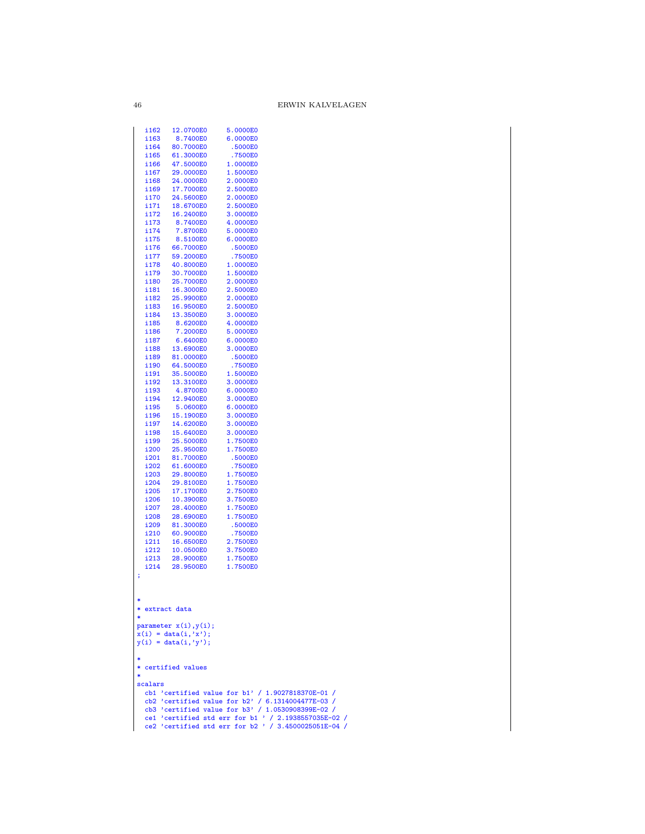| 12.0700E0 | 5.0000E0                                                                                                                                                                                                                                                                                                                                                                                                                                                     |                                                                                                                                                                                                                                                                                                                                                                                                                                                  |
|-----------|--------------------------------------------------------------------------------------------------------------------------------------------------------------------------------------------------------------------------------------------------------------------------------------------------------------------------------------------------------------------------------------------------------------------------------------------------------------|--------------------------------------------------------------------------------------------------------------------------------------------------------------------------------------------------------------------------------------------------------------------------------------------------------------------------------------------------------------------------------------------------------------------------------------------------|
| 8.7400E0  | 6.0000E0                                                                                                                                                                                                                                                                                                                                                                                                                                                     |                                                                                                                                                                                                                                                                                                                                                                                                                                                  |
|           |                                                                                                                                                                                                                                                                                                                                                                                                                                                              |                                                                                                                                                                                                                                                                                                                                                                                                                                                  |
|           |                                                                                                                                                                                                                                                                                                                                                                                                                                                              |                                                                                                                                                                                                                                                                                                                                                                                                                                                  |
|           |                                                                                                                                                                                                                                                                                                                                                                                                                                                              |                                                                                                                                                                                                                                                                                                                                                                                                                                                  |
|           |                                                                                                                                                                                                                                                                                                                                                                                                                                                              |                                                                                                                                                                                                                                                                                                                                                                                                                                                  |
|           |                                                                                                                                                                                                                                                                                                                                                                                                                                                              |                                                                                                                                                                                                                                                                                                                                                                                                                                                  |
|           |                                                                                                                                                                                                                                                                                                                                                                                                                                                              |                                                                                                                                                                                                                                                                                                                                                                                                                                                  |
|           |                                                                                                                                                                                                                                                                                                                                                                                                                                                              |                                                                                                                                                                                                                                                                                                                                                                                                                                                  |
|           |                                                                                                                                                                                                                                                                                                                                                                                                                                                              |                                                                                                                                                                                                                                                                                                                                                                                                                                                  |
|           |                                                                                                                                                                                                                                                                                                                                                                                                                                                              |                                                                                                                                                                                                                                                                                                                                                                                                                                                  |
|           |                                                                                                                                                                                                                                                                                                                                                                                                                                                              |                                                                                                                                                                                                                                                                                                                                                                                                                                                  |
|           |                                                                                                                                                                                                                                                                                                                                                                                                                                                              |                                                                                                                                                                                                                                                                                                                                                                                                                                                  |
| 66.7000E0 | .5000E0                                                                                                                                                                                                                                                                                                                                                                                                                                                      |                                                                                                                                                                                                                                                                                                                                                                                                                                                  |
| 59.2000E0 | .7500E0                                                                                                                                                                                                                                                                                                                                                                                                                                                      |                                                                                                                                                                                                                                                                                                                                                                                                                                                  |
| 40.8000E0 | 1.0000E0                                                                                                                                                                                                                                                                                                                                                                                                                                                     |                                                                                                                                                                                                                                                                                                                                                                                                                                                  |
| 30.7000E0 | 1.5000E0                                                                                                                                                                                                                                                                                                                                                                                                                                                     |                                                                                                                                                                                                                                                                                                                                                                                                                                                  |
| 25.7000E0 | 2.0000E0                                                                                                                                                                                                                                                                                                                                                                                                                                                     |                                                                                                                                                                                                                                                                                                                                                                                                                                                  |
|           |                                                                                                                                                                                                                                                                                                                                                                                                                                                              |                                                                                                                                                                                                                                                                                                                                                                                                                                                  |
|           |                                                                                                                                                                                                                                                                                                                                                                                                                                                              |                                                                                                                                                                                                                                                                                                                                                                                                                                                  |
|           |                                                                                                                                                                                                                                                                                                                                                                                                                                                              |                                                                                                                                                                                                                                                                                                                                                                                                                                                  |
|           |                                                                                                                                                                                                                                                                                                                                                                                                                                                              |                                                                                                                                                                                                                                                                                                                                                                                                                                                  |
|           |                                                                                                                                                                                                                                                                                                                                                                                                                                                              |                                                                                                                                                                                                                                                                                                                                                                                                                                                  |
|           |                                                                                                                                                                                                                                                                                                                                                                                                                                                              |                                                                                                                                                                                                                                                                                                                                                                                                                                                  |
|           |                                                                                                                                                                                                                                                                                                                                                                                                                                                              |                                                                                                                                                                                                                                                                                                                                                                                                                                                  |
|           |                                                                                                                                                                                                                                                                                                                                                                                                                                                              |                                                                                                                                                                                                                                                                                                                                                                                                                                                  |
| 64.5000E0 |                                                                                                                                                                                                                                                                                                                                                                                                                                                              |                                                                                                                                                                                                                                                                                                                                                                                                                                                  |
| 35.5000E0 | 1.5000E0                                                                                                                                                                                                                                                                                                                                                                                                                                                     |                                                                                                                                                                                                                                                                                                                                                                                                                                                  |
| 13.3100E0 | 3.0000E0                                                                                                                                                                                                                                                                                                                                                                                                                                                     |                                                                                                                                                                                                                                                                                                                                                                                                                                                  |
| 4.8700E0  | 6.0000E0                                                                                                                                                                                                                                                                                                                                                                                                                                                     |                                                                                                                                                                                                                                                                                                                                                                                                                                                  |
| 12.9400E0 | 3.0000E0                                                                                                                                                                                                                                                                                                                                                                                                                                                     |                                                                                                                                                                                                                                                                                                                                                                                                                                                  |
|           |                                                                                                                                                                                                                                                                                                                                                                                                                                                              |                                                                                                                                                                                                                                                                                                                                                                                                                                                  |
|           |                                                                                                                                                                                                                                                                                                                                                                                                                                                              |                                                                                                                                                                                                                                                                                                                                                                                                                                                  |
|           |                                                                                                                                                                                                                                                                                                                                                                                                                                                              |                                                                                                                                                                                                                                                                                                                                                                                                                                                  |
|           |                                                                                                                                                                                                                                                                                                                                                                                                                                                              |                                                                                                                                                                                                                                                                                                                                                                                                                                                  |
|           |                                                                                                                                                                                                                                                                                                                                                                                                                                                              |                                                                                                                                                                                                                                                                                                                                                                                                                                                  |
|           |                                                                                                                                                                                                                                                                                                                                                                                                                                                              |                                                                                                                                                                                                                                                                                                                                                                                                                                                  |
|           |                                                                                                                                                                                                                                                                                                                                                                                                                                                              |                                                                                                                                                                                                                                                                                                                                                                                                                                                  |
| 29.8000E0 | 1.7500E0                                                                                                                                                                                                                                                                                                                                                                                                                                                     |                                                                                                                                                                                                                                                                                                                                                                                                                                                  |
| 29.8100E0 | 1.7500E0                                                                                                                                                                                                                                                                                                                                                                                                                                                     |                                                                                                                                                                                                                                                                                                                                                                                                                                                  |
| 17.1700E0 | 2.7500E0                                                                                                                                                                                                                                                                                                                                                                                                                                                     |                                                                                                                                                                                                                                                                                                                                                                                                                                                  |
| 10.3900E0 | 3.7500E0                                                                                                                                                                                                                                                                                                                                                                                                                                                     |                                                                                                                                                                                                                                                                                                                                                                                                                                                  |
| 28.4000E0 |                                                                                                                                                                                                                                                                                                                                                                                                                                                              |                                                                                                                                                                                                                                                                                                                                                                                                                                                  |
|           |                                                                                                                                                                                                                                                                                                                                                                                                                                                              |                                                                                                                                                                                                                                                                                                                                                                                                                                                  |
|           |                                                                                                                                                                                                                                                                                                                                                                                                                                                              |                                                                                                                                                                                                                                                                                                                                                                                                                                                  |
|           |                                                                                                                                                                                                                                                                                                                                                                                                                                                              |                                                                                                                                                                                                                                                                                                                                                                                                                                                  |
|           |                                                                                                                                                                                                                                                                                                                                                                                                                                                              |                                                                                                                                                                                                                                                                                                                                                                                                                                                  |
|           |                                                                                                                                                                                                                                                                                                                                                                                                                                                              |                                                                                                                                                                                                                                                                                                                                                                                                                                                  |
| 28.9500E0 |                                                                                                                                                                                                                                                                                                                                                                                                                                                              |                                                                                                                                                                                                                                                                                                                                                                                                                                                  |
|           | 1.7500E0                                                                                                                                                                                                                                                                                                                                                                                                                                                     |                                                                                                                                                                                                                                                                                                                                                                                                                                                  |
|           | 80.7000E0<br>61.3000E0<br>47.5000E0<br>29.0000E0<br>24.0000E0<br>17.7000E0<br>24.5600E0<br>18.6700E0<br>16.2400E0<br>8.7400E0<br>7.8700E0<br>8.5100E0<br>16.3000E0<br>25.9900E0<br>16.9500E0<br>13.3500E0<br>8.6200E0<br>7.2000E0<br>6.6400E0<br>13.6900E0<br>81.0000E0<br>5.0600E0<br>15.1900E0<br>14.6200E0<br>15.6400E0<br>25.5000E0<br>25.9500E0<br>81.7000E0<br>61.6000E0<br>28.6900E0<br>81.3000E0<br>60.9000E0<br>16.6500E0<br>10.0500E0<br>28.9000E0 | .5000E0<br>.7500E0<br>1.0000E0<br>1.5000E0<br>2.0000E0<br>2.5000E0<br>2.0000E0<br>2.5000E0<br>3.0000E0<br>4.0000E0<br>5.0000E0<br>6.0000E0<br>2.5000E0<br>2.0000E0<br>2.5000E0<br>3.0000E0<br>4.0000E0<br>5.0000E0<br>6.0000E0<br>3.0000E0<br>.5000E0<br>.7500E0<br>6.0000E0<br>3.0000E0<br>3.0000E0<br>3.0000E0<br>1.7500E0<br>1.7500E0<br>.5000E0<br>.7500E0<br>1.7500E0<br>1.7500E0<br>.5000E0<br>.7500E0<br>2.7500E0<br>3.7500E0<br>1.7500E0 |

 $46\,$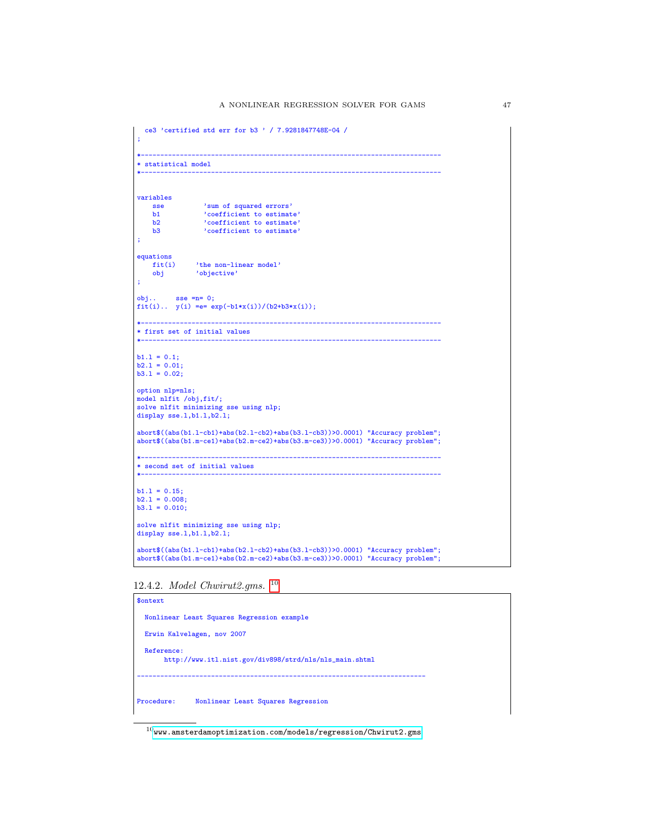```
ce3 'certified std err for b3 ' / 7.9281847748E-04 /
;
                              *-----------------------------------------------------------------------------
* statistical model
*-----------------------------------------------------------------------------
variables
     sse 'sum of squared errors'
b1 'coefficient to estimate'
b2 'coefficient to estimate'
    b3 'coefficient to estimate'
;
equationsfit(i)fit(i) 'the non-linear model'<br>obj 'objective'
                 'objective'
;
obj.. sse =n= 0;
fit(i).. y(i) = e = exp(-b1*x(i))/(b2+b3*x(i));*-----------------------------------------------------------------------------
* first set of initial values
*-----------------------------------------------------------------------------
b1.1 = 0.1;
b2.l = 0.01;
b3.l = 0.02;
option nlp=nls;
model nlfit /obj,fit/;
solve nlfit minimizing sse using nlp;
display sse.l,b1.l,b2.l;
abort$((abs(b1.l-cb1)+abs(b2.l-cb2)+abs(b3.l-cb3))>0.0001) "Accuracy problem";
abort$((abs(b1.m-ce1)+abs(b2.m-ce2)+abs(b3.m-ce3))>0.0001) "Accuracy problem";
*-----------------------------------------------------------------------------
* second set of initial values
*-----------------------------------------------------------------------------
b1.1 = 0.15;b2.l = 0.008;
b3.l = 0.010;
solve nlfit minimizing sse using nlp;
display sse.1,b1.1,b2.1;
abort$((abs(b1.l-cb1)+abs(b2.l-cb2)+abs(b3.l-cb3))>0.0001) "Accuracy problem";
abort$((abs(b1.m-ce1)+abs(b2.m-ce2)+abs(b3.m-ce3))>0.0001) "Accuracy problem";
```
12.4.2. Model Chwirut2.gms. [10](#page-46-0)

| \$ontext                                   |                                                        |  |  |  |
|--------------------------------------------|--------------------------------------------------------|--|--|--|
| Nonlinear Least Squares Regression example |                                                        |  |  |  |
|                                            | Erwin Kalvelagen, nov 2007                             |  |  |  |
| Reference:                                 | http://www.itl.nist.gov/div898/strd/nls/nls_main.shtml |  |  |  |
| Procedure:                                 | Nonlinear Least Squares Regression                     |  |  |  |

<span id="page-46-0"></span> $^{10}\hspace{-1mm}$ <www.amsterdamoptimization.com/models/regression/Chwirut2.gms>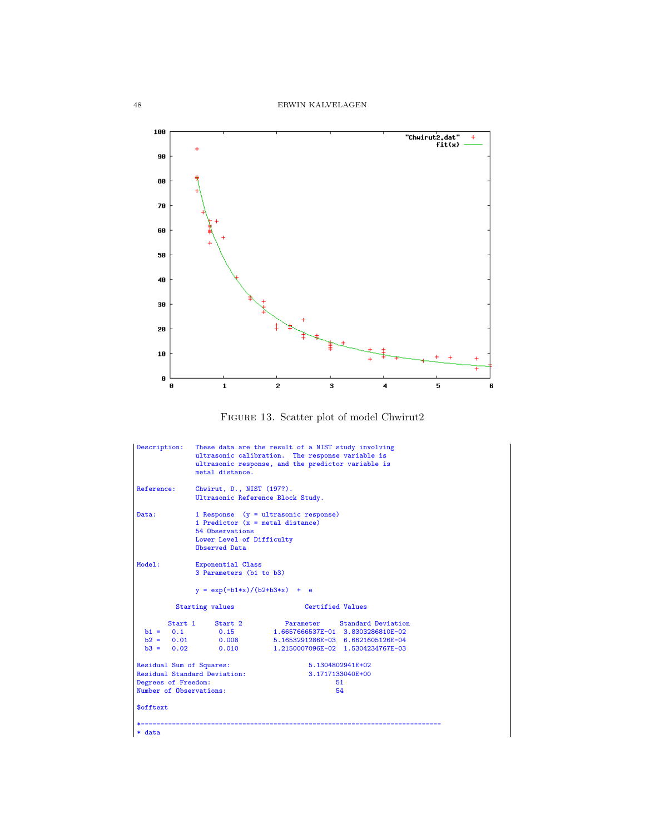



| Description:                                                                                                                                                   | These data are the result of a NIST study involving<br>ultrasonic calibration. The response variable is<br>ultrasonic response, and the predictor variable is<br>metal distance. |                                   |                                                                                                        |  |
|----------------------------------------------------------------------------------------------------------------------------------------------------------------|----------------------------------------------------------------------------------------------------------------------------------------------------------------------------------|-----------------------------------|--------------------------------------------------------------------------------------------------------|--|
| Reference:                                                                                                                                                     | Chwirut, D., NIST (197?).<br>Ultrasonic Reference Block Study.                                                                                                                   |                                   |                                                                                                        |  |
| Data:                                                                                                                                                          | 1 Response (y = ultrasonic response)<br>1 Predictor $(x = metal distance)$<br>54 Observations<br>Lower Level of Difficulty<br>Observed Data                                      |                                   |                                                                                                        |  |
| Model:                                                                                                                                                         | Exponential Class<br>3 Parameters (b1 to b3)                                                                                                                                     |                                   |                                                                                                        |  |
|                                                                                                                                                                | $y = exp(-b1*x)/(b2+b3*x) + e$                                                                                                                                                   |                                   |                                                                                                        |  |
|                                                                                                                                                                | <b>Starting values</b>                                                                                                                                                           | Certified Values                  |                                                                                                        |  |
| $b1 = 0.1$<br>$b3 = 0.02$                                                                                                                                      | Start 1 Start 2<br>0.15<br>$b2 = 0.01$ 0.008<br>0.010                                                                                                                            | 1.6657666537E-01 3.8303286810E-02 | Parameter Standard Deviation<br>5.1653291286E-03 6.6621605126E-04<br>1.2150007096E-02 1.5304234767E-03 |  |
| Residual Sum of Squares:<br>5.1304802941E+02<br>Residual Standard Deviation:<br>3.1717133040E+00<br>Degrees of Freedom:<br>51<br>Number of Observations:<br>54 |                                                                                                                                                                                  |                                   |                                                                                                        |  |
| \$offtext                                                                                                                                                      |                                                                                                                                                                                  |                                   |                                                                                                        |  |
| * data                                                                                                                                                         |                                                                                                                                                                                  |                                   |                                                                                                        |  |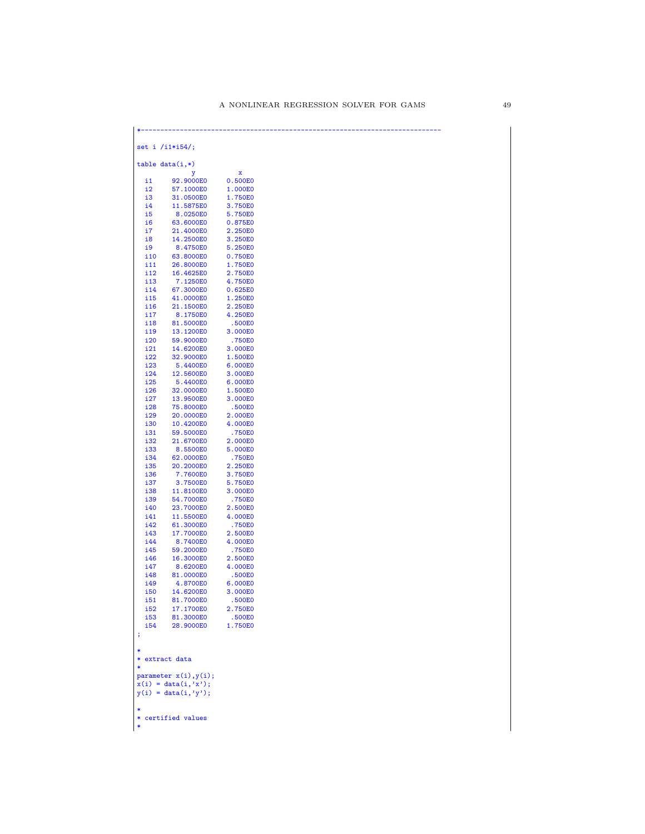| set i $/11*154$ ; |                                                    |                    |  |
|-------------------|----------------------------------------------------|--------------------|--|
|                   | $table data(i,*)$<br>y                             | x                  |  |
| i1                | 92.9000E0                                          | 0.500E0            |  |
| i2                | 57.1000E0                                          | 1.000E0            |  |
| i3                | 31.0500E0                                          | 1.750E0            |  |
| i4                | 11.5875E0                                          | 3.750E0            |  |
| i5                | 8.0250E0                                           | 5.750E0            |  |
| i6                | 63.6000E0                                          | 0.875E0            |  |
| i7<br>i8          | 21.4000E0<br>14.2500E0                             | 2.250E0<br>3.250E0 |  |
| i9                | 8.4750E0                                           | 5.250E0            |  |
| <b>i</b> 10       | 63.8000E0                                          | 0.750E0            |  |
| i11               | 26.8000E0                                          | 1.750E0            |  |
| i12               | 16.4625E0                                          | 2.750E0            |  |
| i13               | 7.1250E0                                           | 4.750E0            |  |
| i14               | 67.3000E0                                          | 0.625E0            |  |
| i15               | 41.0000E0                                          | 1.250E0            |  |
| i16               | 21.1500E0                                          | 2.250E0            |  |
| i17<br>i18        | 8.1750E0<br>81.5000E0                              | 4.250E0<br>.500E0  |  |
| i19               | 13.1200E0                                          | 3.000E0            |  |
| i20               | 59.9000E0                                          | .750E0             |  |
| i21               | 14.6200E0                                          | 3.000E0            |  |
| i22               | 32.9000E0                                          | 1.500E0            |  |
| i23               | 5.4400E0                                           | 6.000E0            |  |
| i24               | 12.5600E0                                          | 3.000E0            |  |
| i25               | 5.4400E0                                           | 6.000E0            |  |
| <b>i26</b><br>i27 | 32.0000E0<br>13.9500E0                             | 1.500E0<br>3.000E0 |  |
| i28               | 75.8000E0                                          | .500E0             |  |
| i29               | 20.0000E0                                          | 2.000E0            |  |
| i30               | 10.4200E0                                          | 4.000E0            |  |
| i31               | 59.5000E0                                          | .750E0             |  |
| i32               | 21.6700E0                                          | 2.000E0            |  |
| i33               | 8.5500E0                                           | 5.000E0            |  |
| i34               | 62.0000E0                                          | .750E0             |  |
| i35<br><b>i36</b> | 20.2000E0<br>7.7600E0                              | 2.250E0<br>3.750E0 |  |
| i37               | 3.7500E0                                           | 5.750E0            |  |
| i38               | 11.8100E0                                          | 3.000E0            |  |
| i39               | 54.7000E0                                          | .750E0             |  |
| i40               | 23.7000E0                                          | 2.500E0            |  |
| i41               | 11.5500E0                                          | 4.000E0            |  |
| i42               | 61.3000E0                                          | .750E0             |  |
| i43<br>i44        | 17.7000E0<br>8.7400E0                              | 2.500E0<br>4.000E0 |  |
| i45               | 59.2000E0                                          | .750E0             |  |
| i46               | 16.3000E0                                          | 2.500E0            |  |
| i47               | 8.6200E0                                           | 4.000E0            |  |
| i48               | 81.0000E0                                          | .500E0             |  |
| i49               | 4.8700E0                                           | 6.000E0            |  |
| i50               | 14.6200E0                                          | 3.000E0            |  |
| i51<br>i52        | 81.7000E0                                          | .500E0             |  |
| <b>i53</b>        | 17.1700E0<br>81.3000E0                             | 2.750E0<br>.500E0  |  |
| i54               | 28.9000E0                                          | 1.750E0            |  |
|                   |                                                    |                    |  |
|                   |                                                    |                    |  |
|                   |                                                    |                    |  |
|                   | * extract data                                     |                    |  |
|                   |                                                    |                    |  |
|                   | parameter $x(i), y(i)$ ;<br>$x(i) = data(i, 'x');$ |                    |  |
|                   | $y(i) = data(i, 'y');$                             |                    |  |
|                   |                                                    |                    |  |
|                   |                                                    |                    |  |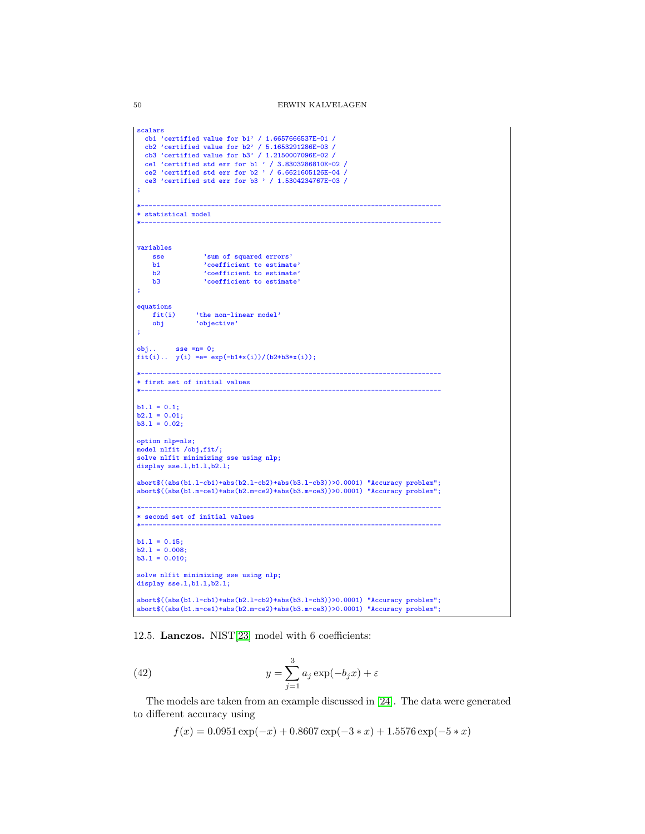```
scalars
   cb1 'certified value for b1' / 1.6657666537E-01 /
   cb2 'certified value for b2' / 5.1653291286E-03 /
   cb3 'certified value for b3' / 1.2150007096E-02 /<br>ce1 'certified std err for b1 ' / 3.8303286810E-04 /<br>ce2 'certified std err for b2 ' / 6.6621605126E-04 /<br>ce3 'certified std err for b3 ' / 1.5304234767E-03 /
 ;
 *-----------------------------------------------------------------------------
 * statistical model
 *-----------------------------------------------------------------------------
variables
     sse 'sum of squared errors'<br>b1 'coefficient to estimat
     b1 <br>
b2 <br>
coefficient to estimate'<br>
coefficient to estimate'
      b2 'coefficient to estimate'
b3 'coefficient to estimate'
 ;
 equations<br>fit(i)
     fit(i) 'the non-linear model'<br>obj 'objective'
                  obj 'objective'
 ;
 obj.. sse =n= 0;
 fit(i).. y(i) == exp(-b1*x(i))/(b2+b3*x(i));*-----------------------------------------------------------------------------
 * first set of initial values
 *-----------------------------------------------------------------------------
 b1.1 = 0.1;<br>b2.1 = 0.01;b3.1 = 0.02;option nlp=nls;
 model nlfit /obj,fit/;
 solve nlfit minimizing sse using nlp;
display sse.1,b1.1,b2.1;
 abort$((abs(b1.l-cb1)+abs(b2.l-cb2)+abs(b3.l-cb3))>0.0001) "Accuracy problem";
 abort$((abs(b1.m-ce1)+abs(b2.m-ce2)+abs(b3.m-ce3))>0.0001) "Accuracy problem";
             *-----------------------------------------------------------------------------
 * second set of initial values
 *-----------------------------------------------------------------------------
b1.1 = 0.15;b2.1 = 0.008;b3.1 = 0.010;
 solve nlfit minimizing sse using nlp;
 display sse.1,b1.1,b2.1;
 abort$((abs(b1.l-cb1)+abs(b2.l-cb2)+abs(b3.l-cb3))>0.0001) "Accuracy problem";
abort$((abs(b1.m-ce1)+abs(b2.m-ce2)+abs(b3.m-ce3))>0.0001) "Accuracy problem";
```
12.5. Lanczos. NIST[\[23\]](#page-146-0) model with 6 coefficients:

(42) 
$$
y = \sum_{j=1}^{3} a_j \exp(-b_j x) + \varepsilon
$$

The models are taken from an example discussed in [\[24\]](#page-146-1). The data were generated to different accuracy using

 $f(x) = 0.0951 \exp(-x) + 0.8607 \exp(-3*x) + 1.5576 \exp(-5*x)$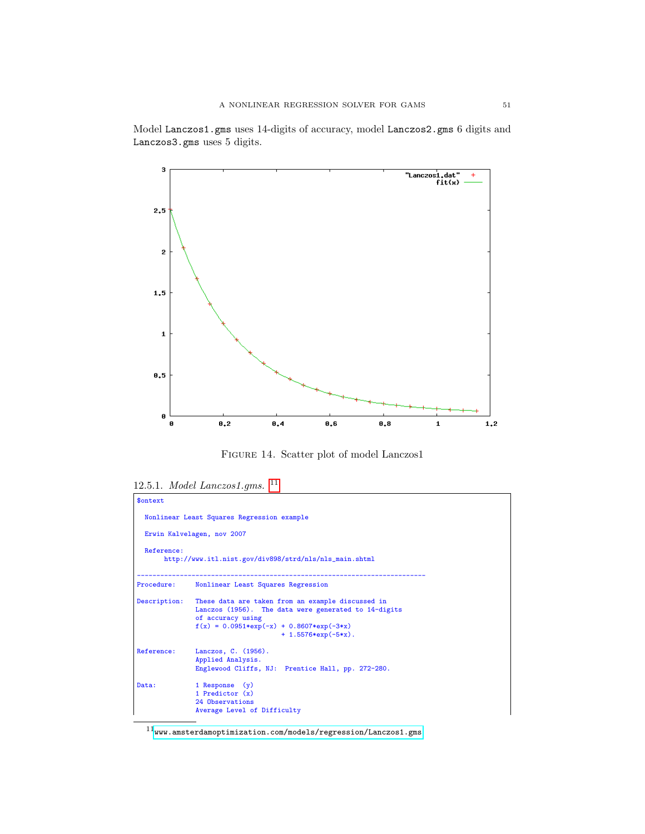Model Lanczos1.gms uses 14-digits of accuracy, model Lanczos2.gms 6 digits and Lanczos3.gms uses 5 digits.



Figure 14. Scatter plot of model Lanczos1

```
$ontext
  Nonlinear Least Squares Regression example
  Erwin Kalvelagen, nov 2007
  Reference:
       http://www.itl.nist.gov/div898/strd/nls/nls_main.shtml
--------------------------------------------------------------------------
Procedure: Nonlinear Least Squares Regression
Description: These data are taken from an example discussed in
                Lanczos (1956). The data were generated to 14-digits
                of accuracy using
                f(x) = 0.0951*exp(-x) + 0.8607*exp(-3*x)+ 1.5576*exp(-5*x).
Reference: Lanczos, C. (1956).
Applied Analysis.
Englewood Cliffs, NJ: Prentice Hall, pp. 272-280.
Data: 1 Response (y)<br>
1 Predictor (x)
                 24 Observations
Average Level of Difficulty
```
<sup>12.5.1.</sup> Model Lanczos1.gms. [11](#page-50-0)

<span id="page-50-0"></span> $^{11}$ <www.amsterdamoptimization.com/models/regression/Lanczos1.gms>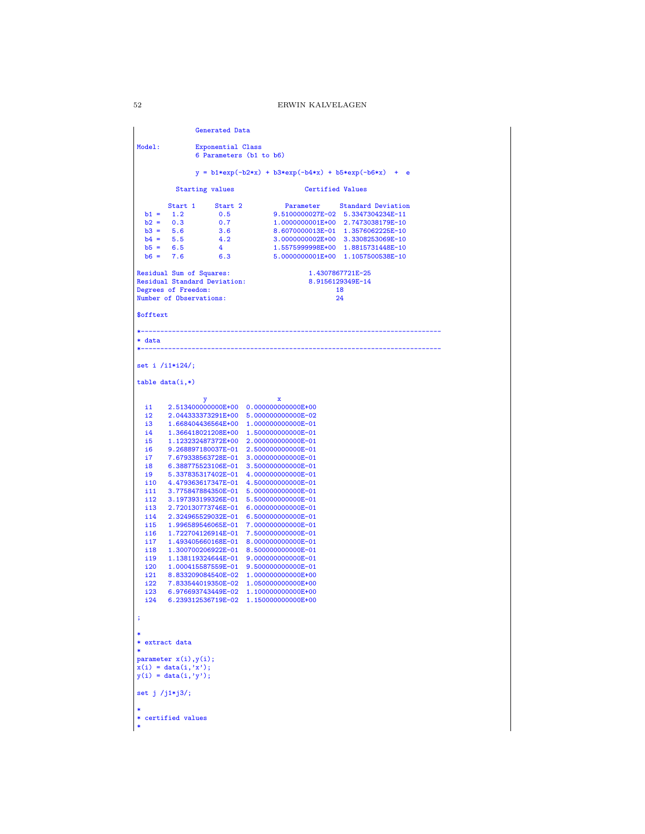Generated Data Model: Exponential Class 6 Parameters (b1 to b6)  $y = b1*exp(-b2*x) + b3*exp(-b4*x) + b5*exp(-b6*x) + e$ Starting values **Certified Values** Start 1 Start 2 Parameter Standard Deviation<br>
b1 = 1.2 0.5 9.5100000027E-02 5.3347304234E-11<br>
b2 = 0.3 0.7 1.000000001E+00 2.7473038179E-10<br>
b4 = 5.6 3.6 8.607000001E+01 1.3576662225E-10<br>
b4 = 5.5 4.2 3.0000000002E+00 3.33 Residual Sum of Squares: 1.4307867721E-25<br>Residual Standard Deviation: 3.9156129349E-14 Residual Standard Deviation: 8.91561293<br>Degrees of Freedom: 18 Degrees of Freedom: 18<br>
Number of Observations: 24 Number of Observations: \$offtext \*----------------------------------------------------------------------------- \* data \*---------------------------------------------------------------------------- set i /i1\*i24/; table data(i,\*) y x i1 2.513400000000E+00 0.000000000000E+00 i2 2.044333373291E+00 5.000000000000E-02 13 1.668404436564E+00 1.0000000000000E-01<br>14 1.366418021208E+00 1.5000000000000E-01 i4 1.366418021208E+00 1.500000000000E-01 i5 1.123232487372E+00 2.000000000000E-01 i6 9.268897180037E-01 2.500000000000E-01 i7 7.679338563728E-01 3.000000000000E-01 i8 6.388775523106E-01 3.500000000000E-01<br>i9 5.337835317402E-01 4.000000000000E-01 i9 5.337835317402E-01 4.000000000000E-01 i10 4.479363617347E-01 4.500000000000E-01  $\begin{array}{lllll} \texttt{ii1} & 3.775847884350\texttt{E}-01 & 5.000000000000\texttt{E}-01 \\ \texttt{ii2} & 3.197393199326\texttt{E}-01 & 5.500000000000\texttt{E}-01 \end{array}$ i12 3.197393199326E-01 5.500000000000E-01<br>i13 2.720130773746E-01 6.000000000000E-01 i13 2.720130773746E-01 6.000000000000E-01<br>i14 2.324965529032E-01 6.500000000000E-01 i14 2.324965529032E-01 6.500000000000E-01 i15 1.996589546065E-01 7.000000000000E-01  $\begin{array}{rrrrrr} \texttt{ii16} & \texttt{1.722704126914E-01} & \texttt{7.500000000000E-01} \\ \texttt{ii17} & \texttt{1.493405660168E-01} & \texttt{8.00000000000E-01} \end{array}$ i17 1.493405660168E-01 8.000000000000E-01<br>i18 1.300700206922F-01 8.500000000000E-01 i18 1.300700206922E-01 8.500000000000E-01<br>i19 1.138119324644E-01 9.000000000000E-01  $\begin{array}{rrrrrr} \texttt{i19} & 1.138119324644E-01 & 9.000000000000E-01 \\ \texttt{i20} & 1.000415587559E-01 & 9.500000000000E-01 \end{array}$ i20 1.000415587559E-01 9.500000000000E-01<br>i21 8.833209084540E-02 1.000000000000E+00 i21 8.833209084540E-02 1.000000000000E+00<br>i22 7.833544019350E-02 1.050000000000E+00 i22 7.833544019350E-02 1.050000000000E+00<br>i23 6.976693743449E-02 1.100000000000E+00 i23 6.976693743449E-02 1.100000000000E+00<br>i24 6.239312536719E-02 1.150000000000E+00 i24 6.239312536719E-02 1.150000000000E+00 ; \* \* extract data \* parameter x(i),y(i); x(i) = data(i,'x');  $y(i) = data(i, 'y');$ set j /j1\*j3/; \* \* certified values \*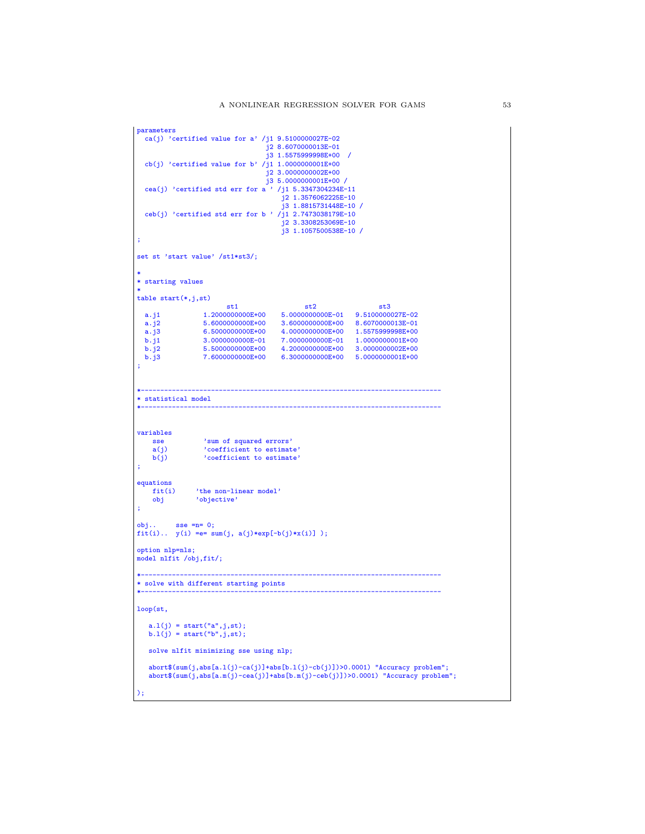```
parameters
  ca(j) 'certified value for a' /j1 9.5100000027E-02
                                        j2 8.6070000013E-01
                                        j3 1.5575999998E+00 /
  cb(j) 'certified value for b' /j1 1.0000000001E+00
                                        j2 3.0000000002E+00
                                        j3 5.0000000001E+00 /
  cea(j) 'certified std err for a ' /j1 5.3347304234E-11
                                            j2 1.3576062225E-10
                                             j3 1.8815731448E-10 /
 ceb(j) 'certified std err for b ' /j1 2.7473038179E-10
                                            j2 3.3308253069E-10
                                            j3 1.1057500538E-10 /
;
set st 'start value' /st1*st3/;
*
* starting values
*
table start(*,j,st)
   st1 st2 st3<br>
a.j1 1.200000000E+00 5.000000000E-01 9.510000027E-02<br>
a.j2 5.6000000000E+00 3.6000000000E+00 8.6070000013E-01<br>
a.j3 6.500000000E+00 4.000000000E+00 1.5575999998E+00
   b.j1 3.0000000000E-01 7.0000000000E-01 1.0000000001E+00
b.j2 5.5000000000E+00 4.2000000000E+00 3.0000000002E+00
b.j3 7.6000000000E+00 6.3000000000E+00 5.0000000001E+00
;
*-----------------------------------------------------------------------------
* statistical model
*-----------------------------------------------------------------------------
variables
    sse 'sum of squared errors'<br>a(j) 'coefficient to estimat
    a(j) 'coefficient to estimate'<br>b(j) b'coefficient to estimate'
                    'coefficient to estimate'
;
equations<br>fit(i)
    fit(i) <br> 'the non-linear model'<br> objective'
                 'objective'
;
obj.. sse =n= 0;
fit(i).. y(i) =e= sum(j, a(j)*exp[-b(j)*x(i)] );
option nlp=nls;
model nlfit /obj,fit/;
*-----------------------------------------------------------------------------
* solve with different starting points
*-----------------------------------------------------------------------------
loop(st,
   a.l(j) = start("a", j,st);b.1(j) = start("b", j, st);solve nlfit minimizing sse using nlp;
   abort$(sum(j,abs[a.l(j)-ca(j)]+abs[b.l(j)-cb(j)])>0.0001) "Accuracy problem";
   abort$(sum(j,abs[a.m(j)-cea(j)]+abs[b.m(j)-ceb(j)])>0.0001) "Accuracy problem";
);
```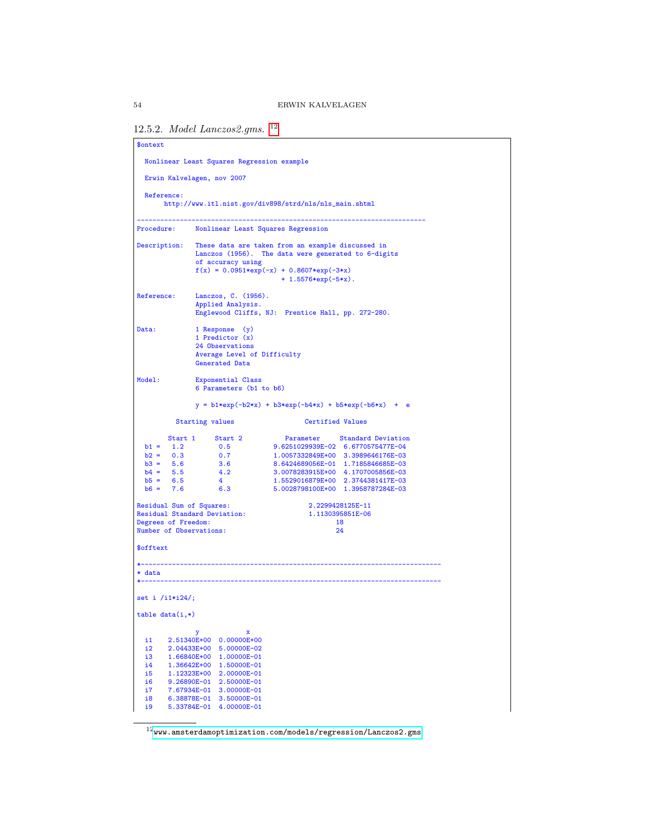```
12.5.2. Model Lanczos2.gms. 12
```

```
$ontext
  Nonlinear Least Squares Regression example
  Erwin Kalvelagen, nov 2007
  Reference:
        http://www.itl.nist.gov/div898/strd/nls/nls_main.shtml
--------------------------------------------------------------------------
Procedure: Nonlinear Least Squares Regression
Description: These data are taken from an example discussed in
Lanczos (1956). The data were generated to 6-digits
                    of accuracy using
                    f(x) = 0.0951*exp(-x) + 0.8607*exp(-3*x)+ 1.5576*exp(-5*x).
Reference: Lanczos, C. (1956).
Applied Analysis.
                    Englewood Cliffs, NJ: Prentice Hall, pp. 272-280.
Data: 1 Response (y)
                    1 Predictor (x)
                    24 Observations
                    Average Level of Difficulty
                    Generated Data
Model: Exponential Class
6 Parameters (b1 to b6)
                    y = b1*exp(-b2*x) + b3*exp(-b4*x) + b5*exp(-b6*x) + e
             Starting values Certified Values
   Start 1 Start 2 Parameter Standard Deviation<br>
b1 = 1.2 0.5 9.6251029939E-02 6.6770575477E-04<br>
b2 = 0.3 0.7 1.0057332849E+00 3.398966176E-03<br>
b4 = 5.6 3.6 8.6424689056E-01 1.718584663EE-03<br>
b4 = 5.5 4.2 3.0078283915E+00 4.1
Residual Sum of Squares: 2.2299428125E-11<br>
Residual Standard Deviation: 2.1130395851E-06
Residual Standard Deviation: 2.225542951<br>Residual Standard Deviation: 1.113039551<br>Degrees of Freedom:
Degrees of Freedom: 18<br>
Number of Observations: 24
Number of Observations:
$offtext
                                                      *-----------------------------------------------------------------------------
* data
*-----------------------------------------------------------------------------
set i /i1*i24/;
table data(i,*)y x
i1 2.51340E+00 0.00000E+00
  i2 2.04433E+00 5.00000E-02<br>i3 1.66840E+00 1.00000E-01
  i3 1.66840E+00 1.00000E-01<br>i4 1.36642E+00 1.50000E-01
  i4 1.36642E+00 1.50000E-01<br>i5 1.12323E+00 2.00000E-01
   i5 1.12323E+00 2.00000E-01
i6 9.26890E-01 2.50000E-01
  i7 7.67934E-01 3.00000E-01<br>i8 6.38878E-01 3.50000E-01
   i8 6.38878E-01 3.50000E-01
i9 5.33784E-01 4.00000E-01
```
<span id="page-53-0"></span> $^{12}$ <www.amsterdamoptimization.com/models/regression/Lanczos2.gms>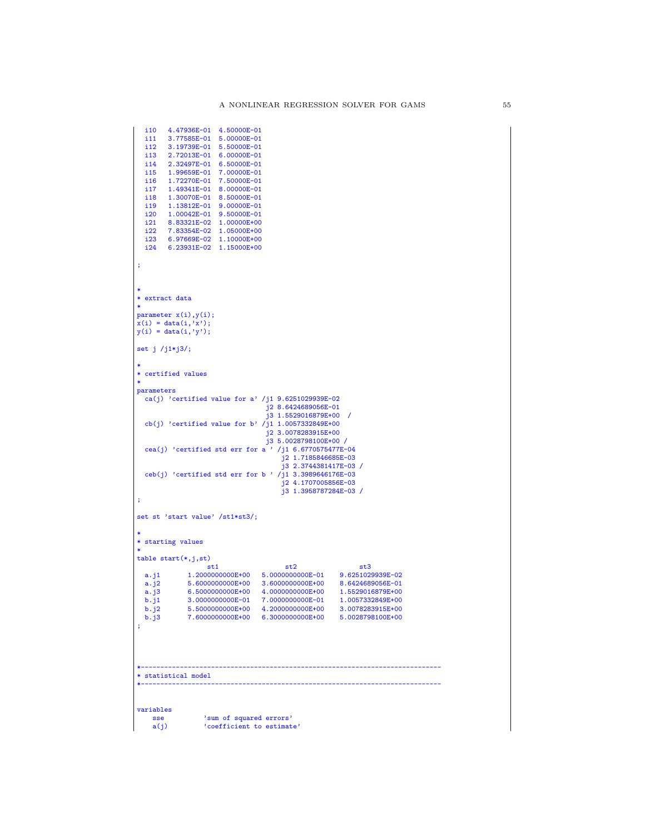```
\begin{array}{cccc} \texttt{ii10} & \texttt{4.47936E-01} & \texttt{4.50000E-01} \\ \texttt{ii1} & \texttt{3.77585E-01} & \texttt{5.00000E-01} \end{array}i11 3.77585E-01 5.00000E-01<br>i12 3.19739E-01 5.50000E-01
   i12 3.19739E-01 5.50000E-01<br>i13 2.72013E-01 6.00000E-01
  i13 2.72013E-01 6.00000E-01<br>i14 2.32497E-01 6.50000E-01
  i14 2.32497E-01 6.50000E-01<br>i15 1.99659E-01 7.00000E-01
  i15 1.99659E-01 7.00000E-01<br>i16 1.72270E-01 7.50000E-01
  i16 1.72270E-01 7.50000E-01<br>i17 1.49341E-01 8.00000E-01
           i17 1.49341E-01 8.00000E-01
  i18 1.30070E-01 8.50000E-01<br>i19 1.13812E-01 9.00000E-01
   i19 1.13812E-01 9.00000E-01<br>i20 1.00042E-01 9.50000E-01
  i20 1.00042E-01 9.50000E-01<br>i21 8.83321E-02 1.00000E+00
  i21 8.83321E-02 1.00000E+00<br>i22 7.83354E-02 1.05000E+00
   i22 7.83354E-02 1.05000E+00
i23 6.97669E-02 1.10000E+00
  i24 6.23931E-02 1.15000E+00
;
*
* extract data
*
parameter x(i),y(i);
x(i) = data(i,'x');
y(i) = data(i, 'y');set j /j1*j3/;
*
* certified values
*
parameters
  ca(j) 'certified value for a' /j1 9.6251029939E-02
                                                    j2 8.6424689056E-01
j3 1.5529016879E+00 /
  cb(j) 'certified value for b' /j1 1.0057332849E+00
                                                   j2 3.0078283915E+00
                                                   j3 5.0028798100E+00 /
  cea(j) 'certified std err for a ' /j1 6.6770575477E-04j2 1.7185846685E-03
                                                          j3 2.3744381417E-03 /
  ceb(j) 'certified std err for b ' /j1 3.3989646176E-03
                                                         j2 4.1707005856E-03
                                                         j3 1.3958787284E-03 /
;
set st 'start value' /st1*st3/;
*
* starting values
*
table start(*,j,st)
   \begin{tabular}{lllllllllll} & \text{st1} & \text{st2} & \text{st3} & \text{st3} \\ a_{-} & 11 & 1.2000000000E+00 & 5.0000000000E-01 & 9.6251029939E-02 \\ a_{-} & 5.60000000000E+00 & 3.6000000000E+00 & 8.6424689056E-01 \\ a_{-} & 3 & 6.50000000000E+00 & 4.0000000000E+00 & 1.5529016;
*-----------------------------------------------------------------------------
* statistical model
*-----------------------------------------------------------------------------
variables
     sse 'sum of squared errors'<br>a(j) 'coefficient to estimat
                      'coefficient to estimate'
```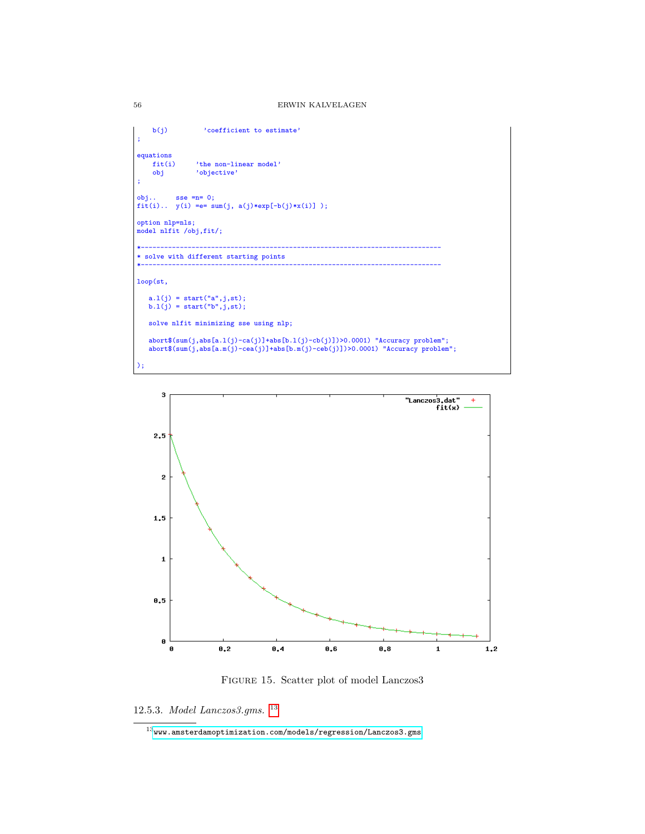```
b(j) 'coefficient to estimate'
;
equations<br>fit(i)
     fit(i) 'the non-linear model'<br>obj 'objective'
                    'objective'
;
obj.. sse =n= 0;fit(i).. y(i) == sum(j, a(j)*exp[-b(j)*x(i)] );
option nlp=nls;
model nlfit /obj,fit/;
*-----------------------------------------------------------------------------
* solve with different starting points
*-----------------------------------------------------------------------------
loop(st,
    a.l(j) = start("a",j,st);
b.l(j) = start("b",j,st);
   solve nlfit minimizing sse using nlp;
    abort$(sum(j,abs[a.l(j)-ca(j)]+abs[b.l(j)-cb(j)])>0.0001) "Accuracy problem";
abort$(sum(j,abs[a.m(j)-cea(j)]+abs[b.m(j)-ceb(j)])>0.0001) "Accuracy problem";
);
```


Figure 15. Scatter plot of model Lanczos3

12.5.3. Model Lanczos3.gms. [13](#page-55-0)

<span id="page-55-0"></span> $^{13}$ <www.amsterdamoptimization.com/models/regression/Lanczos3.gms>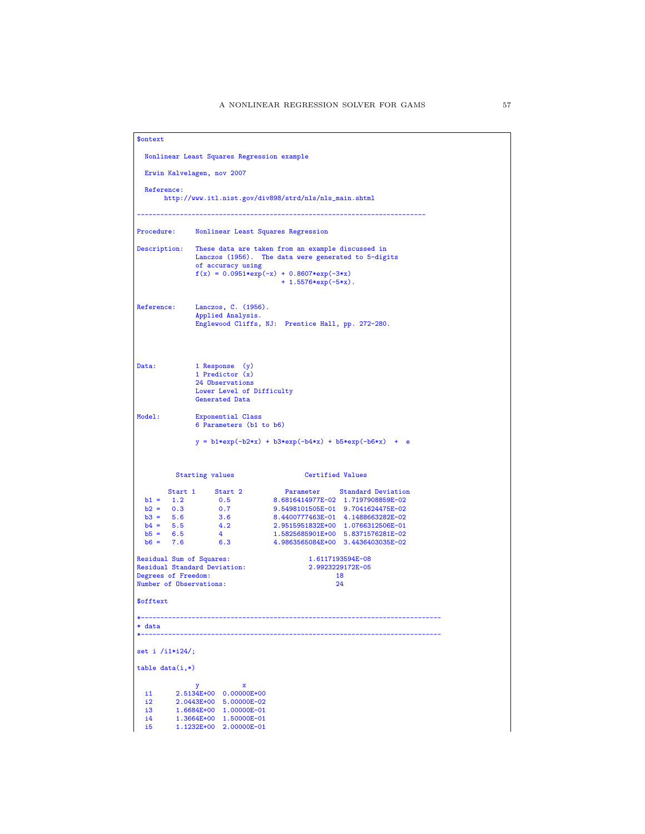|                                                                                                    | Nonlinear Least Squares Regression example           |                                          |                                                                      |                                                         |            |
|----------------------------------------------------------------------------------------------------|------------------------------------------------------|------------------------------------------|----------------------------------------------------------------------|---------------------------------------------------------|------------|
| Erwin Kalvelagen, nov 2007<br>Reference:<br>http://www.itl.nist.gov/div898/strd/nls/nls_main.shtml |                                                      |                                          |                                                                      |                                                         |            |
|                                                                                                    |                                                      |                                          |                                                                      |                                                         | Procedure: |
| Description:                                                                                       |                                                      |                                          | These data are taken from an example discussed in                    |                                                         |            |
|                                                                                                    |                                                      | of accuracy using                        | Lanczos (1956). The data were generated to 5-digits                  |                                                         |            |
|                                                                                                    |                                                      |                                          | $f(x) = 0.0951*exp(-x) + 0.8607*exp(-3*x)$<br>$+ 1.5576*exp(-5*x)$ . |                                                         |            |
| Reference:                                                                                         |                                                      | Lanczos, C. (1956).<br>Applied Analysis. | Englewood Cliffs, NJ: Prentice Hall, pp. 272-280.                    |                                                         |            |
|                                                                                                    |                                                      |                                          |                                                                      |                                                         |            |
| Data:                                                                                              | 1 Response (y)<br>1 Predictor (x)<br>24 Observations |                                          |                                                                      |                                                         |            |
|                                                                                                    | Generated Data                                       | Lower Level of Difficulty                |                                                                      |                                                         |            |
| Model:<br>Exponential Class<br>6 Parameters (b1 to b6)                                             |                                                      |                                          |                                                                      |                                                         |            |
|                                                                                                    |                                                      |                                          |                                                                      |                                                         |            |
|                                                                                                    |                                                      |                                          |                                                                      | $y = b1*exp(-b2*x) + b3*exp(-b4*x) + b5*exp(-b6*x) + e$ |            |
|                                                                                                    | Starting values                                      |                                          | <b>Certified Values</b>                                              |                                                         |            |
|                                                                                                    | Start 1 Start 2                                      |                                          |                                                                      | Parameter Standard Deviation                            |            |
| $b1 = 1.2$                                                                                         | 0.5                                                  |                                          | 8.6816414977E-02 1.7197908859E-02                                    |                                                         |            |
| $b2 = 0.3$<br>$b3 = 5.6$                                                                           | 0.7<br>3.6                                           |                                          | 9.5498101505E-01 9.7041624475E-02                                    | 8.4400777463E-01 4.1488663282E-02                       |            |
| $b4 = 5.5$                                                                                         | 4.2                                                  |                                          |                                                                      | 2.9515951832E+00 1.0766312506E-01                       |            |
| $b5 = 6.5$<br>$b6 = 7.6$                                                                           | $\overline{4}$                                       |                                          | 1.5825685901E+00 5.8371576281E-02                                    |                                                         |            |
|                                                                                                    | 6.3                                                  |                                          | 4.9863565084E+00 3.4436403035E-02                                    |                                                         |            |
|                                                                                                    | Residual Sum of Squares:                             |                                          |                                                                      | 1.6117193594E-08                                        |            |
|                                                                                                    | <b>Residual Standard Deviation:</b>                  |                                          |                                                                      | 2.9923229172E-05<br>18                                  |            |
|                                                                                                    | Number of Observations:                              |                                          |                                                                      | 24                                                      |            |
|                                                                                                    |                                                      |                                          |                                                                      |                                                         |            |
|                                                                                                    |                                                      |                                          |                                                                      |                                                         |            |
| * data                                                                                             |                                                      |                                          |                                                                      |                                                         |            |
|                                                                                                    |                                                      |                                          |                                                                      |                                                         |            |
| Degrees of Freedom:<br>\$offtext<br>set i $/i1*124$ ;<br>$table data(i,*)$                         |                                                      |                                          |                                                                      |                                                         |            |
| i1                                                                                                 | у<br>2.5134E+00 0.00000E+00                          | x                                        |                                                                      |                                                         |            |
| i2                                                                                                 | 2.0443E+00                                           | 5.00000E-02                              |                                                                      |                                                         |            |
| i3<br>i4                                                                                           | 1.6684E+00<br>1.3664E+00                             | 1.00000E-01<br>1.50000E-01               |                                                                      |                                                         |            |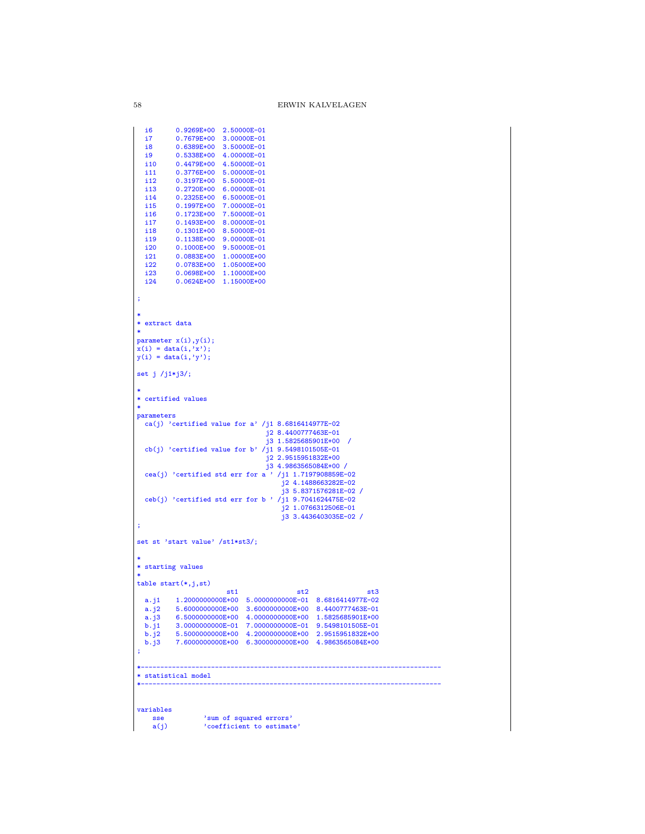```
i6 0.9269E+00 2.50000E-01<br>i7 0.7679E+00 3.00000E-01
  i7 0.7679E+00 3.00000E-01<br>i8 0.6389E+00 3.50000E-01
  i8 0.6389E+00 3.50000E-01<br>i9 0.5338E+00 4.00000E-01
  i9 0.5338E+00 4.00000E-01<br>i10 0.4479E+00 4.50000E-01
  i10 0.4479E+00 4.50000E-01<br>i11 0.3776E+00 5.00000E-01
  i11 0.3776E+00 5.00000E-01<br>i12 0.3197E+00 5.50000E-01
  i12  0.3197E+00  5.50000E-01<br>i13  0.2720E+00  6.00000E-01
  i13 0.2720E+00 6.00000E-01<br>i14 0.2325E+00 6.50000E-01
  i14 0.2325E+00 6.50000E-01<br>i15 0.1997E+00 7.00000E-01
  i15 0.1997E+00 7.00000E-01<br>i16 0.1723E+00 7.50000E-01
  i16 0.1723E+00 7.50000E-01<br>i17 0.1493E+00 8.00000E-01
  i17 0.1493E+00 8.00000E-01<br>i18 0.1301E+00 8.50000E-01
  i18 0.1301E+00 8.50000E-01<br>i19 0.1138E+00 9.00000E-01
  i19  0.1138E+00  9.00000E-01<br>i20  0.1000E+00  9.50000E-01
  i20 0.1000E+00 9.50000E-01<br>i21 0.0883E+00 1.00000E+00
  i21 0.0883E+00 1.00000E+00<br>i22 0.0783E+00 1.05000E+00
  i22 0.0783E+00 1.05000E+00<br>i23 0.0698E+00 1.10000E+00
  i23 0.0698E+00 1.10000E+00<br>i24 0.0624E+00 1.15000E+00
           0.0624E+00 1.15000E+00
;
*
* extract data
*
parameter x(i),y(i);
x(i) = data(i, 'x');y(i) = data(i, 'y');set j /j1*j3/;
*
* certified values
*
parameters
 ca(j) 'certified value for a' /j1 8.6816414977E-02j2 8.4400777463E-01
j3 1.5825685901E+00 /
 cb(j) 'certified value for b' /j1 9.5498101505E-01
                                             j2 2.9515951832E+00
                                              j3 4.9863565084E+00 /
 cea(j) 'certified std err for a ' /j1 1.7197908859E-02
                                                    j2 4.1488663282E-02
                                                    j3 5.8371576281E-02 /
  ceb(j) 'certified std err for b ' /j1 9.7041624475E-02
                                                  j2 1.0766312506E-01
                                                   j3 3.4436403035E-02 /
;
set st 'start value' /st1*st3/;
*
* starting values
*
table start(*,j,st)
                               st1 st2 st3
  a.j1 1.2000000000E+00 5.0000000000E-01 8.6816414977E-02
  a.j<sup>2</sup> 5.6000000000E+00 3.6000000000E+00 8.4400777463E-01<br>a.j3 6.5000000000E+00 4.0000000000E+00 1.5825685901E+00
  a.j3 6.5000000000E+00 4.0000000000E+00 1.5825685901E+00<br>b.j1 3.0000000000E-01 7.0000000000E-01 9.5498101505E-01
  b.j1 3.000000000E-01 7.000000000E-01 9.5498101505E-01<br>b.j2 5.500000000E+00 4.200000000E+00 2.9515951832E+00
   b.j2 5.5000000000E+00 4.2000000000E+00 2.9515951832E+00
b.j3 7.6000000000E+00 6.3000000000E+00 4.9863565084E+00
;
*-----------------------------------------------------------------------------
* statistical model
*-----------------------------------------------------------------------------
variables
    sse 'sum of squared errors'<br>a(j) 'coefficient to estimat
                    'coefficient to estimate'
```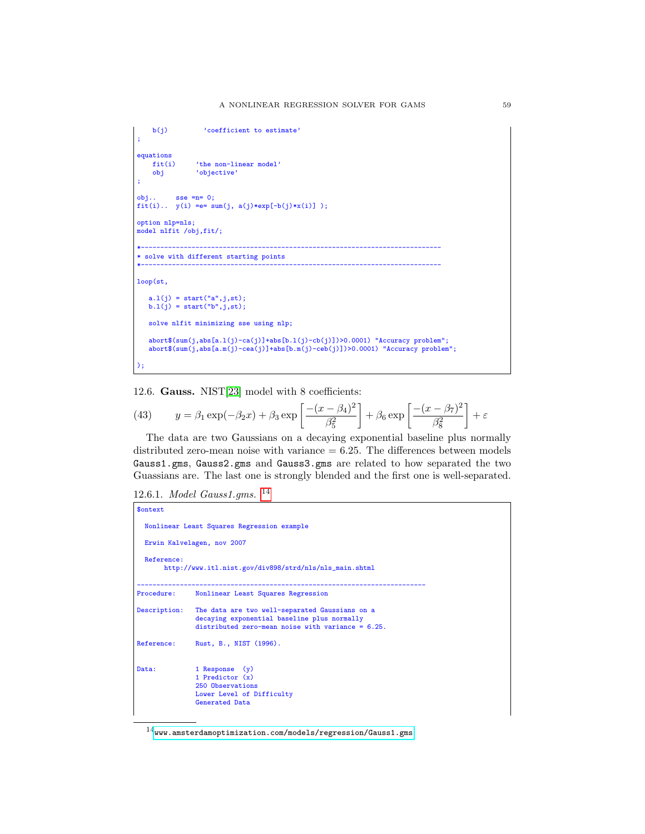```
b(j) 'coefficient to estimate'
;
equations<br>fit(i)
    fit(i) 'the non-linear model'<br>obj 'objective'
                  'objective'
;
obj.. sse =n= 0;fit(i).. y(i) == sum(j, a(j)*exp[-b(j)*x(i)] );
option nlp=nls;
model nlfit /obj,fit/;
*-----------------------------------------------------------------------------
* solve with different starting points
*-----------------------------------------------------------------------------
loop(st,
    a.l(j) = start("a",j,st);
b.l(j) = start("b",j,st);
   solve nlfit minimizing sse using nlp;
    abort$(sum(j,abs[a.l(j)-ca(j)]+abs[b.l(j)-cb(j)])>0.0001) "Accuracy problem";
abort$(sum(j,abs[a.m(j)-cea(j)]+abs[b.m(j)-ceb(j)])>0.0001) "Accuracy problem";
);
```
12.6. Gauss. NIST[\[23\]](#page-146-0) model with 8 coefficients:

(43) 
$$
y = \beta_1 \exp(-\beta_2 x) + \beta_3 \exp\left[\frac{-(x-\beta_4)^2}{\beta_5^2}\right] + \beta_6 \exp\left[\frac{-(x-\beta_7)^2}{\beta_8^2}\right] + \varepsilon
$$

The data are two Gaussians on a decaying exponential baseline plus normally distributed zero-mean noise with variance  $= 6.25$ . The differences between models Gauss1.gms, Gauss2.gms and Gauss3.gms are related to how separated the two Guassians are. The last one is strongly blended and the first one is well-separated.

```
12.6.1. Model Gauss1.gms. 14
```

```
$ontext
  Nonlinear Least Squares Regression example
  Erwin Kalvelagen, nov 2007
  Reference:
       http://www.itl.nist.gov/div898/strd/nls/nls_main.shtml
--------------------------------------------------------------------------
Procedure: Nonlinear Least Squares Regression
Description: The data are two well-separated Gaussians on a
                decaying exponential baseline plus normally
                distributed zero-mean noise with variance = 6.25.
Reference: Rust, B., NIST (1996).
Data: 1 Response (y)<br>
1 Predictor (x)
                250 Observations
                Lower Level of Difficulty
                Generated Data
```
<span id="page-58-0"></span> $^{14}$ <www.amsterdamoptimization.com/models/regression/Gauss1.gms>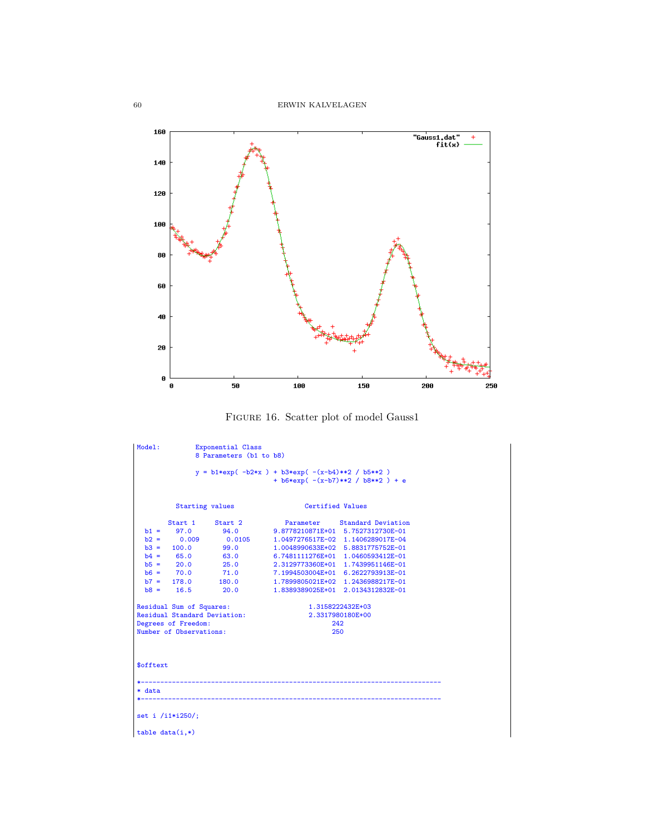

Figure 16. Scatter plot of model Gauss1

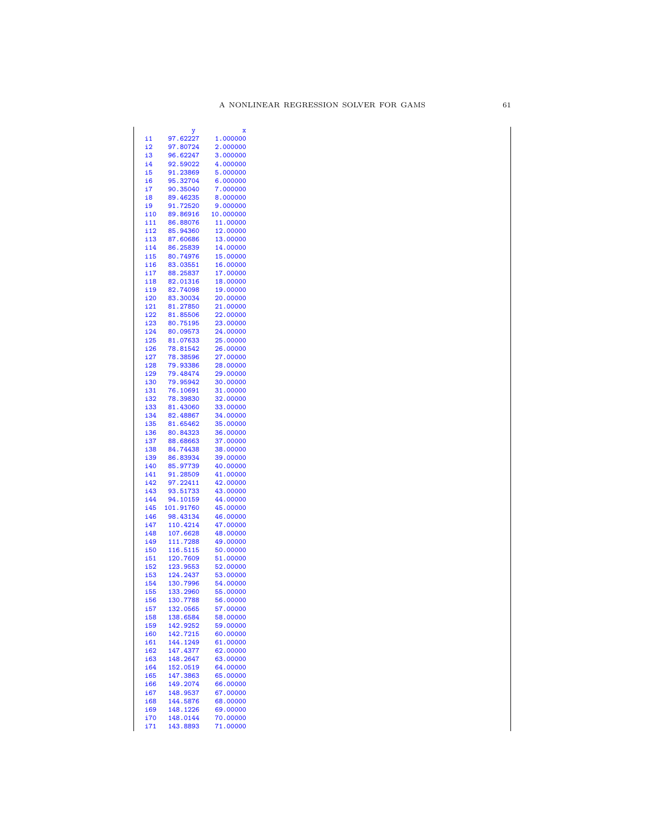|            |           | X         |
|------------|-----------|-----------|
| i1         | 97.62227  | 1.000000  |
| i2         | 97.80724  | 2.000000  |
| i3         | 96.62247  | 3.000000  |
|            |           |           |
| i4         | 92.59022  | 4.000000  |
| i5         | 91.23869  | 5.000000  |
| i6         | 95.32704  | 6.000000  |
| i7         | 90.35040  | 7.000000  |
| i8         | 89.46235  | 8.000000  |
|            |           |           |
| i9         | 91.72520  | 9.000000  |
| i10        | 89.86916  | 10.000000 |
| i11        | 86.88076  | 11.00000  |
| i12        | 85.94360  | 12.00000  |
| i13        | 87.60686  | 13.00000  |
|            |           |           |
| i14        | 86.25839  | 14.00000  |
| i15        | 80.74976  | 15.00000  |
| i16        | 83.03551  | 16.00000  |
| i17        | 88.25837  | 17.00000  |
| i18        | 82.01316  | 18.00000  |
|            |           |           |
| i19        | 82.74098  | 19.00000  |
| i20        | 83.30034  | 20.00000  |
| i21        | 81.27850  | 21.00000  |
| i22        | 81.85506  | 22.00000  |
| i23        | 80.75195  | 23.00000  |
| i24        |           |           |
|            | 80.09573  | 24.00000  |
| i25        | 81.07633  | 25.00000  |
| i26        | 78.81542  | 26.00000  |
| i27        | 78.38596  | 27.00000  |
| i28        | 79.93386  | 28.00000  |
| i29        | 79.48474  | 29.00000  |
|            |           |           |
| i30        | 79.95942  | 30.00000  |
| i31        | 76.10691  | 31.00000  |
| i32        | 78.39830  | 32.00000  |
| i33        | 81.43060  | 33.00000  |
| i34        | 82.48867  | 34.00000  |
|            |           |           |
| i35        | 81.65462  | 35.00000  |
| i36        | 80.84323  | 36.00000  |
| i37        | 88.68663  | 37.00000  |
| i38        | 84.74438  | 38.00000  |
| i39        | 86.83934  | 39.00000  |
| i40        | 85.97739  | 40.00000  |
|            |           |           |
| i41        | 91.28509  | 41.00000  |
| i42        | 97.22411  | 42.00000  |
| i43        | 93.51733  | 43.00000  |
| i44        | 94.10159  | 44.00000  |
| i45        | 101.91760 | 45.00000  |
| i46        | 98.43134  |           |
|            |           | 46.00000  |
| i47        | 110.4214  | 47.00000  |
| i48        | 107.6628  | 48.00000  |
| i49        | 111.7288  | 49.00000  |
| i50        | 116.5115  | 50.00000  |
| i51        | 120.7609  | 51.00000  |
| i52        | 123.9553  | 52.00000  |
|            |           |           |
| i53        | 124.2437  | 53.00000  |
| i54        | 130.7996  | 54.00000  |
| i55        | 133.2960  | 55.00000  |
| i56        | 130.7788  | 56.00000  |
| <u>i57</u> | 132.0565  | 57.00000  |
|            |           |           |
| i58        | 138.6584  | 58.00000  |
| i59        | 142.9252  | 59.00000  |
| <u>160</u> | 142.7215  | 60.00000  |
| i61        | 144.1249  | 61.00000  |
| i62        | 147.4377  | 62.00000  |
|            | 148.2647  | 63.00000  |
| i63        |           |           |
| i64        | 152.0519  | 64.00000  |
| i65        | 147.3863  | 65.00000  |
| i66        | 149.2074  | 66.00000  |
| i67        | 148.9537  | 67.00000  |
| <b>i68</b> | 144.5876  | 68.00000  |
|            |           |           |
| i69        | 148.1226  | 69.00000  |
| i70        | 148.0144  | 70.00000  |
| i71        | 143.8893  | 71.00000  |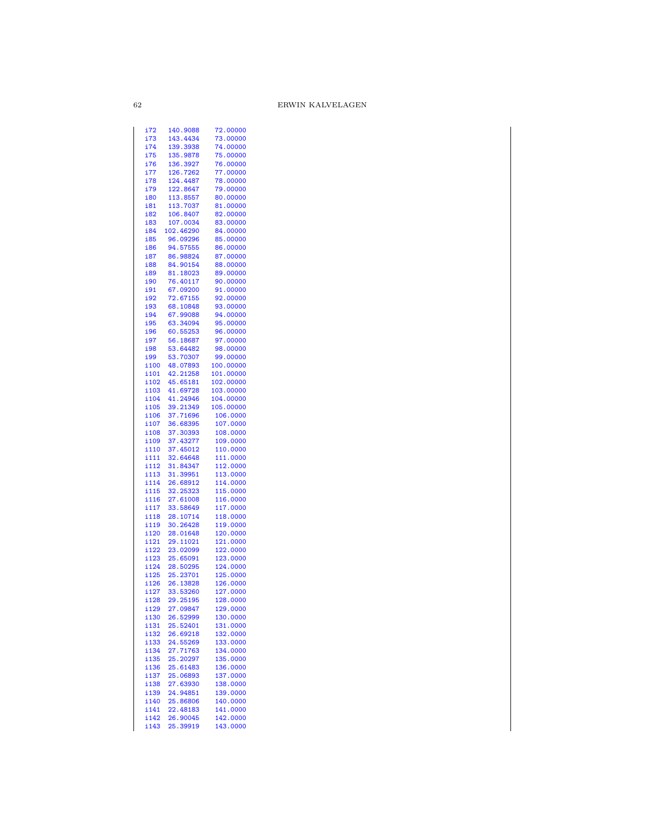| 172  | <u>140.9088</u> | 72.00000  |
|------|-----------------|-----------|
| i73  | 143.4434        | 73.00000  |
| i74  | 139.3938        | 74.00000  |
| i75  | 135.9878        | 75.00000  |
| i76  | 136.3927        | 76.00000  |
|      |                 |           |
| i77  | 126.7262        | 77.00000  |
| i78  | 124.4487        | 78.00000  |
| i79  | 122.8647        | 79.00000  |
| i80  | 113.8557        | 80.00000  |
| i81  | 113.7037        | 81.00000  |
|      |                 |           |
| i82  | 106.8407        | 82.00000  |
| i83  | 107.0034        | 83.00000  |
| i84  | 102.46290       | 84.00000  |
| i85  | 96.09296        | 85.00000  |
| i86  | 94.57555        | 86.00000  |
| i87  | 86.98824        | 87.00000  |
|      |                 |           |
| i88  | 84.90154        | 88.00000  |
| i89  | 81.18023        | 89.00000  |
| i90  | 76.40117        | 90.00000  |
| i91  | 67.09200        | 91.00000  |
| i92  | 72.67155        | 92.00000  |
| i93  | 68.10848        | 93.00000  |
|      |                 |           |
| i94  | 67.99088        | 94.00000  |
| i95  | 63.34094        | 95.00000  |
| i96  | 60.55253        | 96.00000  |
| i97  | 56.18687        | 97.00000  |
| i98  | 53.64482        | 98.00000  |
|      |                 |           |
| i99  | 53.70307        | 99.00000  |
| i100 | 48.07893        | 100.00000 |
| i101 | 42.21258        | 101.00000 |
| i102 | 45.65181        | 102.00000 |
| i103 | 41.69728        | 103.00000 |
| i104 |                 | 104.00000 |
|      | 41.24946        |           |
| i105 | 39.21349        | 105.00000 |
| i106 | 37.71696        | 106.0000  |
| i107 | 36.68395        | 107.0000  |
| i108 | 37.30393        | 108.0000  |
| i109 | 37.43277        | 109.0000  |
| i110 | 37.45012        | 110.0000  |
|      |                 |           |
| i111 | 32.64648        | 111.0000  |
| i112 | 31.84347        | 112.0000  |
| i113 | 31.39951        | 113.0000  |
| i114 | 26.68912        | 114.0000  |
| i115 | 32.25323        | 115.0000  |
| i116 | 27.61008        |           |
|      |                 | 116.0000  |
| i117 | 33.58649        | 117.0000  |
| i118 | 28.10714        | 118.0000  |
| i119 | 30.26428        | 119.0000  |
| i120 | 28.01648        | 120.0000  |
| i121 | 29.11021        | 121.0000  |
| i122 | 23.02099        | 122.0000  |
|      |                 |           |
| i123 | 25.65091        | 123.0000  |
| i124 | 28.50295        | 124.0000  |
| i125 | 25.23701        | 125.0000  |
| i126 | 26.13828        | 126.0000  |
| i127 |                 | 127.0000  |
|      | 33.53260        |           |
| i128 | 29.25195        | 128.0000  |
| i129 | 27.09847        | 129.0000  |
| i130 | 26.52999        | 130.0000  |
| i131 | 25.52401        | 131.0000  |
| i132 | 26.69218        | 132.0000  |
|      |                 | 133.0000  |
| i133 | 24.55269        |           |
| i134 | 27.71763        | 134.0000  |
| i135 | 25.20297        | 135.0000  |
| i136 | 25.61483        | 136.0000  |
| i137 | 25.06893        | 137.0000  |
| i138 | 27.63930        | 138.0000  |
|      |                 |           |
| i139 | 24.94851        | 139.0000  |
| i140 | 25.86806        | 140.0000  |
| i141 | 22.48183        | 141.0000  |
| i142 | 26.90045        | 142.0000  |
| i143 | 25.39919        | 143.0000  |
|      |                 |           |

62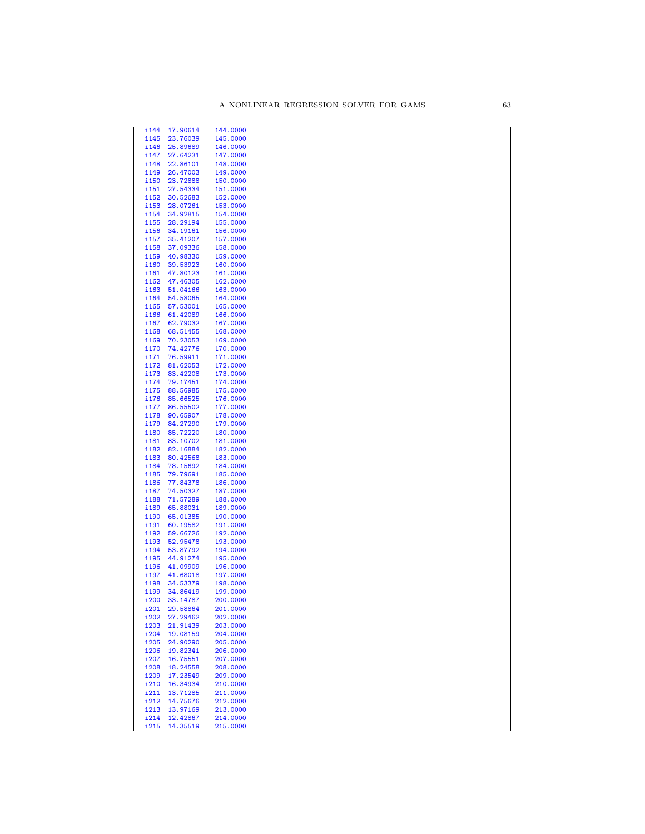| i144 | 17.90614 | 144.0000 |
|------|----------|----------|
| i145 | 23.76039 | 145.0000 |
| i146 | 25.89689 | 146.0000 |
|      |          |          |
| i147 | 27.64231 | 147.0000 |
| i148 | 22.86101 | 148.0000 |
| i149 | 26.47003 | 149.0000 |
| i150 | 23.72888 | 150.0000 |
| i151 | 27.54334 | 151.0000 |
|      |          |          |
| i152 | 30.52683 | 152.0000 |
| i153 | 28.07261 | 153.0000 |
| i154 | 34.92815 | 154.0000 |
| i155 | 28.29194 | 155.0000 |
| i156 |          | 156.0000 |
|      | 34.19161 |          |
| i157 | 35.41207 | 157.0000 |
| i158 | 37.09336 | 158.0000 |
| i159 | 40.98330 | 159.0000 |
| i160 | 39.53923 | 160.0000 |
|      |          |          |
| i161 | 47.80123 | 161.0000 |
| i162 | 47.46305 | 162.0000 |
| i163 | 51.04166 | 163.0000 |
| i164 | 54.58065 | 164.0000 |
| i165 | 57.53001 | 165.0000 |
|      |          |          |
| i166 | 61.42089 | 166.0000 |
| i167 | 62.79032 | 167.0000 |
| i168 | 68.51455 | 168.0000 |
| i169 | 70.23053 | 169.0000 |
|      |          |          |
| i170 | 74.42776 | 170.0000 |
| i171 | 76.59911 | 171.0000 |
| i172 | 81.62053 | 172.0000 |
| i173 | 83.42208 | 173.0000 |
| i174 | 79.17451 | 174.0000 |
|      |          |          |
| i175 | 88.56985 | 175.0000 |
| i176 | 85.66525 | 176.0000 |
| i177 | 86.55502 | 177.0000 |
| i178 | 90.65907 | 178.0000 |
|      |          |          |
| i179 | 84.27290 | 179.0000 |
| i180 | 85.72220 | 180.0000 |
| i181 | 83.10702 | 181.0000 |
| i182 | 82.16884 | 182.0000 |
| i183 | 80.42568 | 183.0000 |
|      | 78.15692 |          |
| i184 |          | 184.0000 |
| i185 | 79.79691 | 185.0000 |
| i186 | 77.84378 | 186.0000 |
| i187 | 74.50327 | 187.0000 |
| i188 | 71.57289 | 188.0000 |
|      |          |          |
| i189 | 65.88031 | 189.0000 |
| i190 | 65.01385 | 190.0000 |
| i191 | 60.19582 | 191.0000 |
| i192 | 59.66726 | 192.0000 |
| i193 | 52.95478 | 193.0000 |
|      |          |          |
| i194 | 53.87792 | 194.0000 |
| i195 | 44.91274 | 195.0000 |
| i196 | 41.09909 | 196.0000 |
| i197 | 41.68018 | 197.0000 |
| i198 | 34.53379 | 198.0000 |
|      |          |          |
| i199 | 34.86419 | 199.0000 |
| i200 | 33.14787 | 200.0000 |
| i201 | 29.58864 | 201.0000 |
| i202 | 27.29462 | 202.0000 |
| i203 | 21.91439 | 203.0000 |
|      |          |          |
| i204 | 19.08159 | 204.0000 |
| i205 | 24.90290 | 205.0000 |
| i206 | 19.82341 | 206.0000 |
| i207 | 16.75551 | 207.0000 |
| i208 |          |          |
|      | 18.24558 | 208.0000 |
| i209 | 17.23549 | 209.0000 |
| i210 | 16.34934 | 210.0000 |
| i211 | 13.71285 | 211.0000 |
| i212 | 14.75676 | 212.0000 |
| i213 | 13.97169 | 213.0000 |
|      |          |          |
| i214 | 12.42867 | 214.0000 |
| i215 | 14.35519 | 215.0000 |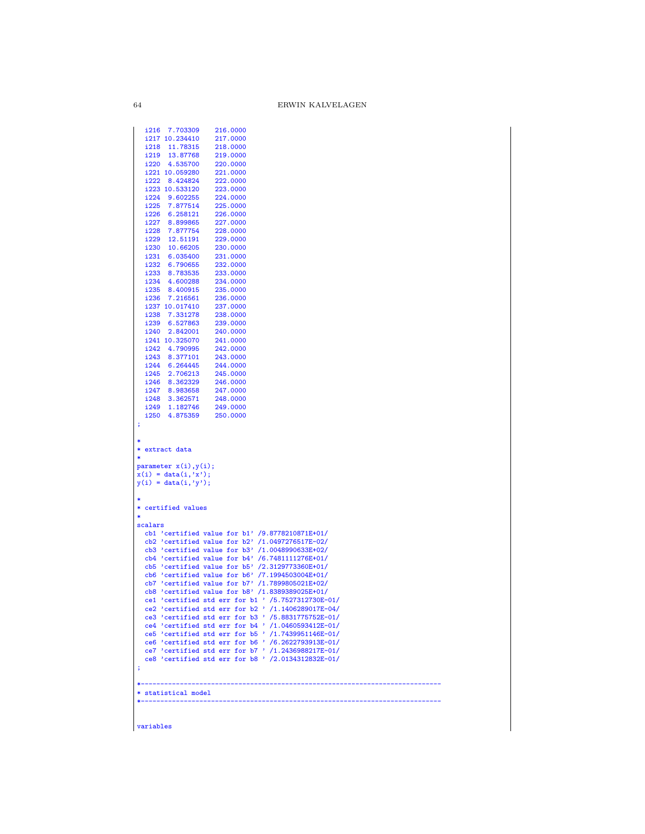```
i216 7.703309 216.0000
  i217 10.234410 217.0000<br>i218 11.78315 218.0000
  i218 11.78315 218.0000
  i219 13.87768 219.0000
  i220 4.535700 220.0000<br>i221 10.059280 221.0000
  i221 10.059280 221.0000
  i222 8.424824 222.0000<br>i223 10.533120 223.0000
  i223 10.533120 223.0000<br>i224 9.602255 224.0000
  i224 9.602255 224.0000
  i225 7.877514 225.0000
  i226 6.258121 226.0000<br>i227 8.899865 227.0000
  i227 8.899865 227.0000
  i228 7.877754 228.0000
  i229 12.51191 229.0000<br>i230 10.66205 230.0000
  i230 10.66205 230.0000<br>i231 6.035400 231.0000
  i231 6.035400 231.0000
  i232 6.790655 232.0000
  i233 8.783535 233.0000
  i234 4.600288 234.0000
  i235 8.400915 235.0000<br>i236 7.216561 236.0000
  i236 7.216561 236.0000<br>i237 10.017410 237.0000
  i237 10.017410 237.0000<br>i238 7.331278 238.0000
  i238 7.331278 238.0000
  i239 6.527863 239.0000
  i240 2.842001 240.0000<br>i241 10.325070 241.0000
  i241 10.325070 241.0000<br>i242 4.790995 242.0000
  i242 4.790995 242.0000<br>i243 8.377101 243.0000
  i243 8.377101 243.0000<br>i244 6.264445 244.0000
  i244 6.264445 244.0000<br>i245 2.706213 245.0000
  i245 2.706213 245.0000<br>i246 8.362329 246.0000
  i246 8.362329 246.0000
  i247 8.983658 247.0000
  i248 3.362571 248.0000<br>i249 1.182746 249.0000
  i249 1.182746 249.0000<br>i250 4 875359 250,0000
  i250 4.875359 250.0000
;
*
* extract data
*
parameter x(i),y(i);
x(i) = data(i,'x');
y(i) = data(i,'y');
*
* certified values
*
scalars
  cb1 'certified value for b1' /9.8778210871E+01/
   cb2 'certified value for b2' /1.0497276517E-02/
cb3 'certified value for b3' /1.0048990633E+02/
  cb4 'certified value for b4' /6.7481111276E+01/
   cb5 'certified value for b5' /2.3129773360E+01/
cb6 'certified value for b6' /7.1994503004E+01/
   cb7 'certified value for b7' /1.7899805021E+02/
cb8 'certified value for b8' /1.8389389025E+01/
   ce1 'certified std err for b1 ' /5.7527312730E-01/
ce2 'certified std err for b2 ' /1.1406289017E-04/
ce3 'certified std err for b3 ' /5.8831775752E-01/
ce4 'certified std err for b4 ' /1.0460593412E-01/
   ce6 'certified std err for b5 ' /1.7439951146E-01/<br>ce6 'certified std err for b6 ' /6.2622793913E-01/<br>ce7 'certified std err for b7 ' /1.2436988217E-01/<br>ce8 'certified std err for b8 ' /2.0134312832E-01/
;
*-----------------------------------------------------------------------------
* statistical model
*-----------------------------------------------------------------------------
```
variables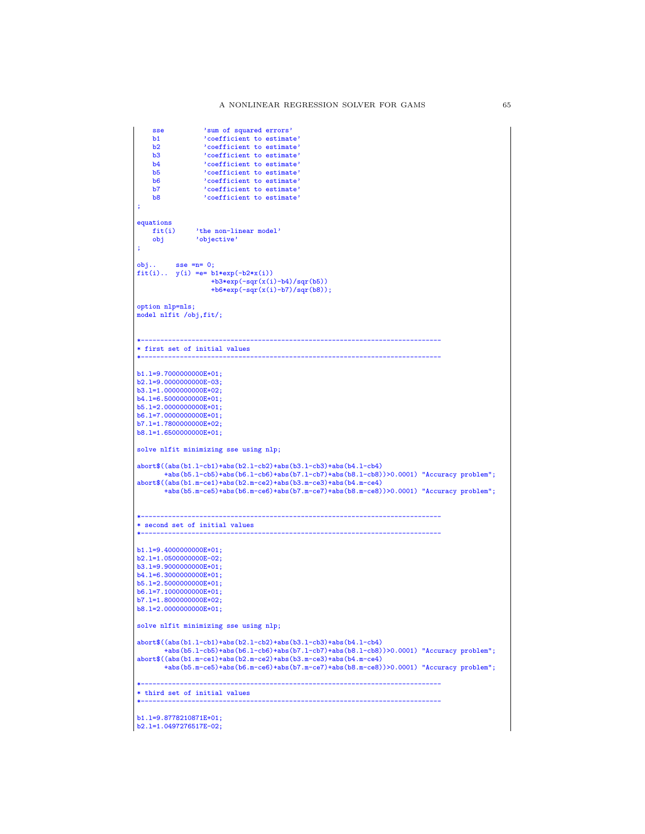```
sse \sum_{\text{sum of squared errors'}}<br>b1 \sum_{\text{coefficient to estimate}}b1 \qquad 'coefficient to estimate'<br>b2 \qquad 'coefficient to estimate'
    b2 \cdot 'coefficient to estimate'<br>b3 \cdot 'coefficient to estimate'
    b3 coefficient to estimate'<br>b4 coefficient to estimate'
     b4 'coefficient to estimate'
b5 'coefficient to estimate'
     b6 'coefficient to estimate'
b7 'coefficient to estimate'
    b8 'coefficient to estimate';
equations<br>fit(i)
    fit(i) 'the non-linear model'<br>obj 'objective'
               'objective'
;
obj... sse =n= 0;fit(i).. y(i) == b1*exp(-b2*x(i))+b3*exp(-sqrt(x(i)-b4)/sqrt(b5))+b6*exp(-sqr(x(i)-b7)/sqr(b8));
option nlp=nls;
model nlfit /obj,fit/;
*-----------------------------------------------------------------------------
* first set of initial values
*-----------------------------------------------------------------------------
b1.l=9.7000000000E+01;
b2.1=9.0000000000E-03;
b3.1=1.0000000000E+02;
b4.1=6.5000000000E+01;
b5.l=2.0000000000E+01;
b6.l=7.0000000000E+01;
b7.l=1.7800000000E+02;
b8.l=1.6500000000E+01;
solve nlfit minimizing sse using nlp;
abort$((abs(b1.l-cb1)+abs(b2.l-cb2)+abs(b3.l-cb3)+abs(b4.l-cb4)
       +abs(b5.l-cb5)+abs(b6.l-cb6)+abs(b7.l-cb7)+abs(b8.l-cb8))>0.0001) "Accuracy problem";
abort$((abs(b1.m-ce1)+abs(b2.m-ce2)+abs(b3.m-ce3)+abs(b4.m-ce4)
       +abs(b5.m-ce5)+abs(b6.m-ce6)+abs(b7.m-ce7)+abs(b8.m-ce8))>0.0001) "Accuracy problem";
*-----------------------------------------------------------------------------
* second set of initial values
*-----------------------------------------------------------------------------
b1.l=9.4000000000E+01;
b2.l=1.0500000000E-02;
b3.l=9.9000000000E+01;
b4.l=6.3000000000E+01;
b5.l=2.5000000000E+01;
b6.l=7.1000000000E+01;
b7.l=1.8000000000E+02;
b8.l=2.0000000000E+01;
solve nlfit minimizing sse using nlp;
abort$((abs(b1.l-cb1)+abs(b2.l-cb2)+abs(b3.l-cb3)+abs(b4.l-cb4)
       +abs(b5.l-cb5)+abs(b6.l-cb6)+abs(b7.l-cb7)+abs(b8.l-cb8))>0.0001) "Accuracy problem";
abort$((abs(b1.m-ce1)+abs(b2.m-ce2)+abs(b3.m-ce3)+abs(b4.m-ce4)
       +abs(b5.m-ce5)+abs(b6.m-ce6)+abs(b7.m-ce7)+abs(b8.m-ce8))>0.0001) "Accuracy problem";
*-----------------------------------------------------------------------------
* third set of initial values
*-----------------------------------------------------------------------------
b1.l=9.8778210871E+01;
b2.l=1.0497276517E-02;
```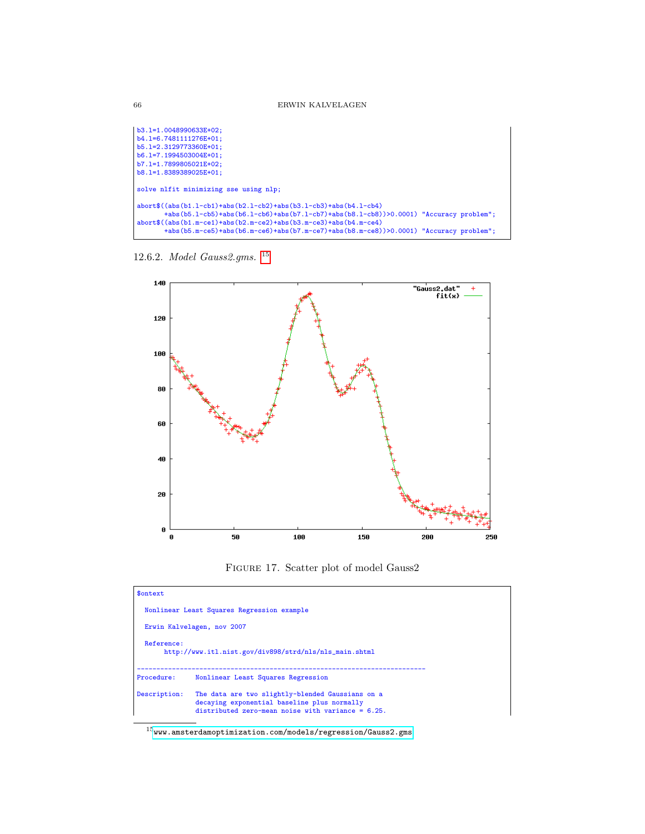b3.l=1.0048990633E+02; b4.l=6.7481111276E+01; b5.l=2.3129773360E+01; b6.l=7.1994503004E+01; b7.l=1.7899805021E+02; b8.l=1.8389389025E+01; solve nlfit minimizing sse using nlp; abort\$((abs(b1.l-cb1)+abs(b2.l-cb2)+abs(b3.l-cb3)+abs(b4.l-cb4) +abs(b5.l-cb5)+abs(b6.l-cb6)+abs(b7.l-cb7)+abs(b8.l-cb8))>0.0001) "Accuracy problem"; abort\$((abs(b1.m-ce1)+abs(b2.m-ce2)+abs(b3.m-ce3)+abs(b4.m-ce4) +abs(b5.m-ce5)+abs(b6.m-ce6)+abs(b7.m-ce7)+abs(b8.m-ce8))>0.0001) "Accuracy problem";

12.6.2. Model Gauss2.gms. [15](#page-65-0)



Figure 17. Scatter plot of model Gauss2

| <b>Sontext</b> |                                                                                                                                                         |
|----------------|---------------------------------------------------------------------------------------------------------------------------------------------------------|
|                | Nonlinear Least Squares Regression example                                                                                                              |
|                | Erwin Kalvelagen, nov 2007                                                                                                                              |
| Reference:     | http://www.itl.nist.gov/div898/strd/nls/nls_main.shtml                                                                                                  |
| Procedure:     | Nonlinear Least Squares Regression                                                                                                                      |
| Description:   | The data are two slightly-blended Gaussians on a<br>decaying exponential baseline plus normally<br>distributed zero-mean noise with variance = $6.25$ . |

<span id="page-65-0"></span> $^{15}\!$ <www.amsterdamoptimization.com/models/regression/Gauss2.gms>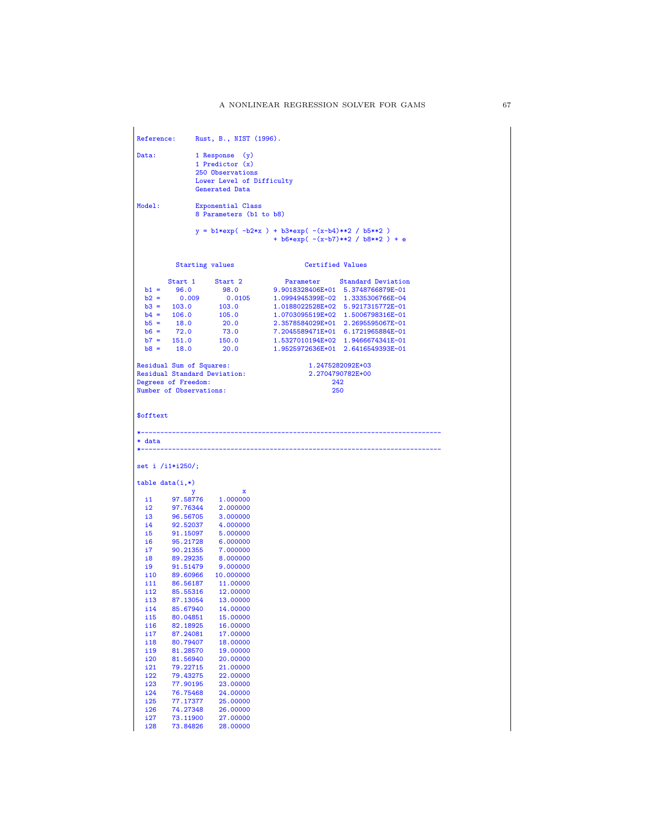| <b>Reference:</b>    |                            | Rust, B., NIST (1996).                                                               |                                                  |                                      |
|----------------------|----------------------------|--------------------------------------------------------------------------------------|--------------------------------------------------|--------------------------------------|
| Data:                |                            | 1 Response (y)<br>1 Predictor $(x)$<br>250 Observations<br>Lower Level of Difficulty |                                                  |                                      |
|                      |                            | Generated Data                                                                       |                                                  |                                      |
| Model:               |                            | Exponential Class<br>8 Parameters (b1 to b8)                                         |                                                  |                                      |
|                      |                            |                                                                                      | $y = b1*exp(-b2*x) + b3*exp(-(x-b4)**2 / b5**2)$ | + $b6*exp(- (x-b7)**2 / b8**2 ) + e$ |
|                      |                            | <b>Starting values</b>                                                               | Certified Values                                 |                                      |
|                      | Start 1                    | Start 2                                                                              | Parameter                                        | <b>Standard Deviation</b>            |
| $b1 =$               | 96.0                       | 98.0                                                                                 | 9.9018328406E+01 5.3748766879E-01                |                                      |
|                      | $b2 = 0.009$               | 0.0105                                                                               | 1.0994945399E-02 1.3335306766E-04                |                                      |
|                      | $b3 = 103.0$               | 103.0                                                                                | 1.0188022528E+02 5.9217315772E-01                |                                      |
|                      | $b4 = 106.0$               | 105.0                                                                                | 1.0703095519E+02 1.5006798316E-01                |                                      |
|                      | $b5 = 18.0$<br>$b6 = 72.0$ | 20.0                                                                                 | 2.3578584029E+01 2.2695595067E-01                |                                      |
|                      |                            | 73.0                                                                                 | 7.2045589471E+01 6.1721965884E-01                |                                      |
|                      | $b7 = 151.0$               | 150.0                                                                                |                                                  | 1.5327010194E+02 1.9466674341E-01    |
|                      | $b8 = 18.0$                | 20.0                                                                                 |                                                  | 1.9525972636E+01 2.6416549393E-01    |
|                      |                            | Residual Sum of Squares:<br><b>Residual Standard Deviation:</b>                      |                                                  | 1.2475282092E+03<br>2.2704790782E+00 |
| Degrees of Freedom:  |                            |                                                                                      | 242                                              |                                      |
|                      |                            | Number of Observations:                                                              | 250                                              |                                      |
|                      |                            |                                                                                      |                                                  |                                      |
| \$offtext            |                            |                                                                                      |                                                  |                                      |
|                      |                            |                                                                                      |                                                  |                                      |
| * data               |                            | --------------------------                                                           |                                                  |                                      |
|                      |                            |                                                                                      |                                                  |                                      |
| $set i / i1* i250$ ; |                            |                                                                                      |                                                  |                                      |
| $table data(i,*)$    |                            |                                                                                      |                                                  |                                      |
|                      | у                          | х                                                                                    |                                                  |                                      |
| 11<br>12             | 97.58776<br>97.76344       | 1.000000                                                                             |                                                  |                                      |
| i3 i                 | 96.56705                   | 2.000000<br>3.000000                                                                 |                                                  |                                      |
| i4.                  | 92.52037                   | 4.000000                                                                             |                                                  |                                      |
| i5.                  |                            | 91.15097   5.000000                                                                  |                                                  |                                      |
| i6                   | 95.21728                   | 6.000000                                                                             |                                                  |                                      |
| i7                   |                            |                                                                                      |                                                  |                                      |
| i8                   |                            | 90.21355        7.000000<br>89.29235        8.000000                                 |                                                  |                                      |
| i9                   | 91.51479                   | 9.000000                                                                             |                                                  |                                      |
| i10                  |                            | 89.60966 10.000000                                                                   |                                                  |                                      |
|                      | i11 86.56187               | 11.00000                                                                             |                                                  |                                      |
| i 12                 | 85.55316                   | 12.00000                                                                             |                                                  |                                      |
| i13                  | 87.13054                   | 13,00000                                                                             |                                                  |                                      |
| i 14<br>i15          | 85.67940<br>80.04851       | 14.00000<br>15.00000                                                                 |                                                  |                                      |
| i16                  | 82.18925                   | 16.00000                                                                             |                                                  |                                      |
| i17                  | 87.24081                   | 17.00000                                                                             |                                                  |                                      |
| i18                  | 80.79407                   | 18.00000                                                                             |                                                  |                                      |
| i19                  | 81.28570                   | 19.00000                                                                             |                                                  |                                      |
| i20                  | 81.56940                   | 20.00000                                                                             |                                                  |                                      |
| i21                  | 79.22715                   | 21.00000                                                                             |                                                  |                                      |
| i22                  | 79.43275                   | 22.00000                                                                             |                                                  |                                      |
| i23                  | 77.90195                   | 23.00000                                                                             |                                                  |                                      |
| i24                  | 76.75468                   | 24.00000                                                                             |                                                  |                                      |
| i25                  | 77.17377                   | 25.00000                                                                             |                                                  |                                      |
| i26                  | 74.27348                   | 26.00000                                                                             |                                                  |                                      |
| i27                  | 73.11900<br>73.84826       | 27.00000<br>28.00000                                                                 |                                                  |                                      |
| i28                  |                            |                                                                                      |                                                  |                                      |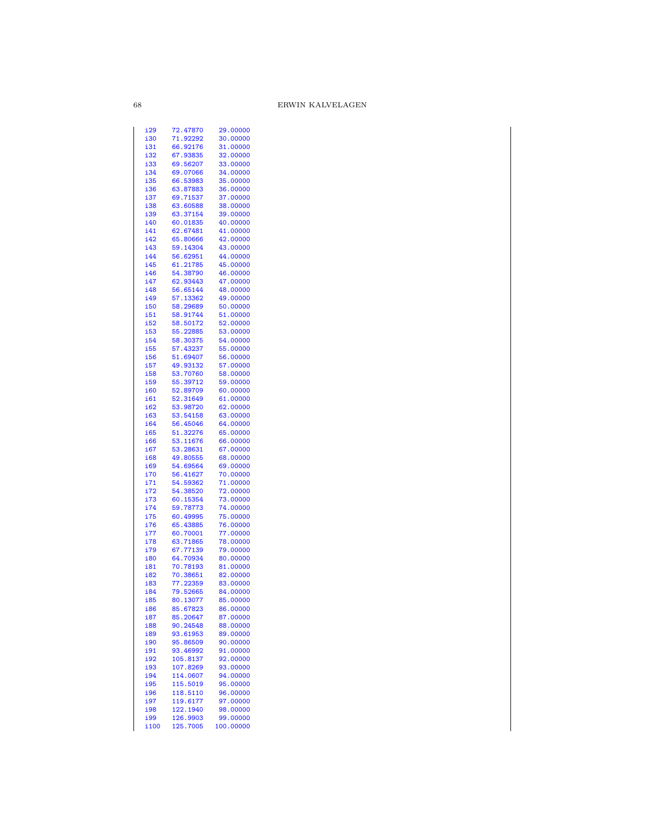| i29         | 72.47870             | 29.00000              |
|-------------|----------------------|-----------------------|
| i30         | 71.92292             | 30.00000              |
|             |                      |                       |
| i31         | 66.92176             | 31.00000              |
| i32         | 67.93835             | 32.00000              |
| i33         | 69.56207             | 33.00000              |
|             |                      |                       |
| i34         | 69.07066             | 34.00000              |
| i35         | 66.53983             | 35.00000              |
|             |                      |                       |
| i36         | 63.87883             | 36.00000              |
| i37         | 69.71537             | 37.00000              |
| i38         | 63.60588             | 38.00000              |
|             |                      |                       |
| i39         | 63.37154             | 39.00000              |
| i40         | 60.01835             | 40.00000              |
|             |                      |                       |
| i41         | 62.67481             | 41.00000              |
| i42         | 65.80666             | 42.00000              |
| i43         | 59.14304             | 43.00000              |
|             |                      |                       |
| i44         | 56.62951             | 44.00000              |
| i45         | 61.21785             | 45.00000              |
|             |                      |                       |
| i46         | 54.38790             | 46.00000              |
| i47         | 62.93443             | 47.00000              |
|             |                      |                       |
| i48         | 56.65144             | 48.00000              |
| i49         | 57.13362             | 49.00000              |
| i50         | 58.29689             | 50.00000              |
|             |                      |                       |
| i51         | 58.91744             | 51.00000              |
| i52         | 58.50172             | 52.00000              |
|             |                      |                       |
| i53         | 55.22885             | 53.00000              |
| i54         | 58.30375             | 54.00000              |
| i55         | 57.43237             | 55.00000              |
|             |                      |                       |
| i56         | 51.69407             | 56.00000              |
| i57         | 49.93132             | 57.00000              |
|             |                      | 58.00000              |
| i58         | 53.70760             |                       |
| i59         | 55.39712             | 59.00000              |
| i60         | 52.89709             | 60.00000              |
|             |                      |                       |
| i61         | 52.31649             | 61.00000              |
| i62         | 53.98720             | 62.00000              |
|             |                      |                       |
| i63         | 53.54158             | 63.00000              |
| i64         | 56.45046             | 64.00000              |
| i65         | 51.32276             | 65.00000              |
|             |                      |                       |
| i66         | 53.11676             | 66.00000              |
| i67         | 53.28631             | 67.00000              |
|             |                      |                       |
| i68         | 49.80555             | 68.00000              |
| i69         | 54.69564             | 69.00000              |
| i70         | 56.41627             | 70.00000              |
|             |                      |                       |
| i71         | 54.59362             | 71.00000              |
| i72         | 54.38520             | 72.00000              |
|             |                      |                       |
| i73         | 60.15354             | 73.00000              |
| i74         | 59.78773             | 74.00000              |
| i75         | 60.49995             | 75.00000              |
|             |                      |                       |
| i76         | 65.43885             | 76.00000              |
| i77         | 60.70001             | 77.00000              |
| i78         | 63.71865             | 78.00000              |
|             |                      |                       |
| i79         | 67.77139             | 79.00000              |
| i80         | 64.70934             | 80.00000              |
|             |                      |                       |
| i81         | 70.78193             | 81.00000              |
| i82         | 70.38651             | 82.00000              |
| i83         |                      |                       |
|             | 77.22359             | 83.00000              |
| i84         | 79.52665             | 84.00000              |
| i85         | 80.13077             | 85.00000              |
|             |                      |                       |
| i86         | 85.67823             | 86.00000              |
| i87         | 85.20647             | 87.00000              |
| i88         | 90.24548             | 88.00000              |
|             |                      |                       |
| i89         | 93.61953             | 89.00000              |
| i90         | 95.86509             | 90.00000              |
|             |                      |                       |
| i91         | 93.46992             | 91.00000              |
| i92         | 105.8137             | 92.00000              |
| i93         | 107.8269             | 93.00000              |
|             |                      |                       |
| i94         | 114.0607             | 94.00000              |
| i95         | 115.5019             | 95.00000              |
|             |                      |                       |
| i96         |                      |                       |
|             | 118.5110             | 96.00000              |
| <u>i97</u>  | 119.6177             | 97.00000              |
|             |                      |                       |
| i98         | 122.1940             | 98.00000              |
| i99<br>i100 | 126.9903<br>125.7005 | 99.00000<br>100.00000 |

 $68\,$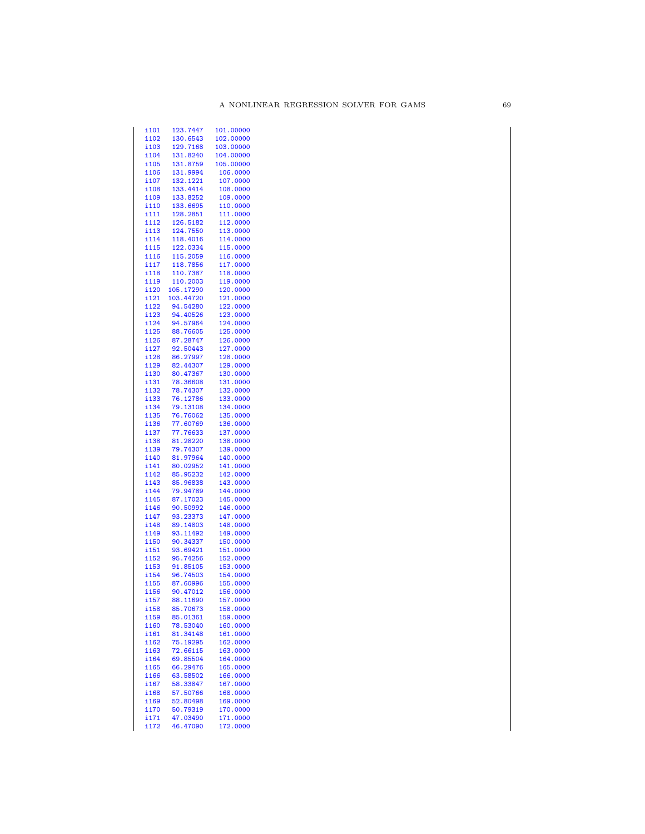| i 101 | 123.7447             | 101.00000            |
|-------|----------------------|----------------------|
| i102  | 130.6543             | 102.00000            |
| i103  | 129.7168             | 103.00000            |
| i104  | 131.8240             | 104.00000            |
| i105  | 131.8759             | 105.00000            |
| i106  | 131.9994             | 106.0000             |
| i107  | 132.1221             | 107.0000             |
| i108  | 133.4414             | 108.0000             |
| i109  | 133.8252             | 109.0000             |
| i110  | 133.6695             | 110.0000             |
| i111  | 128.2851             | 111.0000             |
| i112  | 126.5182             | 112.0000             |
| i113  |                      | 113.0000             |
| i114  | 124.7550<br>118.4016 |                      |
|       |                      | 114.0000             |
| i115  | 122.0334             | 115.0000             |
| i116  | 115.2059             | 116.0000             |
| i117  | 118.7856             | 117.0000             |
| i118  | 110.7387             | 118.0000             |
| i119  | 110.2003             | 119.0000             |
| i120  | 105.17290            | 120.0000             |
| i121  | 103.44720            | 121.0000             |
| i122  | 94.54280             | 122.0000             |
| i123  | 94.40526             | 123.0000             |
| i124  | 94.57964             | 124.0000             |
| i125  | 88.76605             | 125.0000             |
| i126  | 87.28747             | 126.0000             |
| i127  | 92.50443             | 127.0000             |
| i128  | 86.27997             | 128.0000             |
| i129  | 82.44307             | 129.0000             |
| i130  | 80.47367             | 130.0000             |
| i131  | 78.36608             |                      |
|       |                      | 131.0000<br>132.0000 |
| i132  | 78.74307             |                      |
| i133  | 76.12786             | 133.0000             |
| i134  | 79.13108             | 134.0000             |
| i135  | 76.76062             | 135.0000             |
| i136  | 77.60769             | 136.0000             |
| i137  | 77.76633             | 137.0000             |
| i138  | 81.28220             | 138.0000             |
| i139  | 79.74307             | 139.0000             |
| i140  | 81.97964             | 140.0000             |
| i141  | 80.02952             | 141.0000             |
| i142  | 85.95232             | 142.0000             |
| i143  | 85.96838             | 143.0000             |
| i144  | 79.94789             | 144.0000             |
| i145  | 87.17023             | 145.0000             |
| i146  | 90.50992             | 146.0000             |
| i147  | 93.23373             | 147.0000             |
| i148  | 89.14803             | 148.0000             |
| i149  | 93.11492             | 149.0000             |
| i150  | 90.34337             | 150.0000             |
| i151  | 93.69421             | 151.0000             |
| i152  | 95.74256             | 152.0000             |
| i153  | 91.85105             | 153.0000             |
|       | 96.74503             | 154.0000             |
| i154  |                      |                      |
| i155  | 87.60996             | 155.0000             |
| i156  | 90.47012             | 156.0000             |
| i 157 | 88.11690             | 157.0000             |
| i158  | 85.70673             | 158.0000             |
| i159  | 85.01361             | 159.0000             |
| i160  | 78.53040             | 160.0000             |
| i161  | 81.34148             | 161.0000             |
| i162  | 75.19295             | 162.0000             |
| i163  | 72.66115             | 163.0000             |
| i164  | 69.85504             | 164.0000             |
| i165  | 66.29476             | 165.0000             |
| i166  | 63.58502             | 166.0000             |
| i167  | 58.33847             | 167.0000             |
| i168  | 57.50766             | 168.0000             |
| i169  | 52.80498             | 169.0000             |
| i170  | 50.79319             | 170.0000             |
| i 171 | 47.03490             | 171.0000             |
| i172  | 46.47090             | 172.0000             |
|       |                      |                      |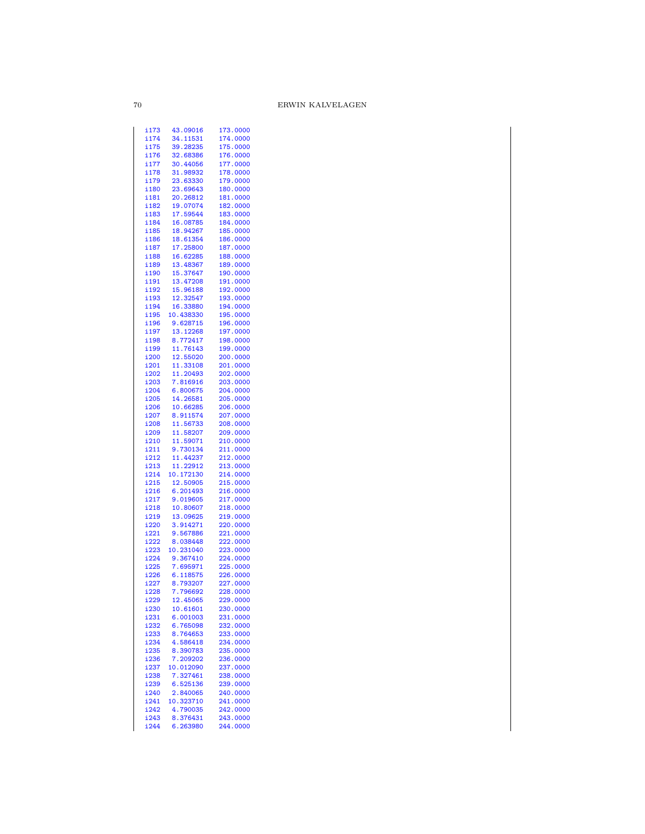| i173         | 43.09016             | 173.0000             |
|--------------|----------------------|----------------------|
| i174         | 34.11531             | 174.0000             |
| i175         | 39.28235             | 175.0000             |
| i176         | 32.68386             | 176.0000             |
|              |                      |                      |
| i177         | 30.44056             | 177.0000             |
| i178         | 31.98932             | 178.0000             |
| i179         | 23.63330             | 179.0000             |
|              |                      |                      |
| i180         | 23.69643             | 180.0000             |
| i181         | 20.26812             | 181.0000             |
| i182         | 19.07074             | 182.0000             |
| i183         | 17.59544             | 183.0000             |
|              |                      |                      |
| i184         | 16.08785             | 184.0000             |
| i185         | 18.94267             | 185.0000             |
| i186         | 18.61354             | 186.0000             |
| i187         |                      | 187.0000             |
|              | 17.25800             |                      |
| i188         | 16.62285             | 188.0000             |
| i189         | 13.48367             | 189.0000             |
| i190         | 15.37647             | 190.0000             |
| i191         | 13.47208             | 191.0000             |
| i192         | 15.96188             |                      |
|              |                      | 192.0000             |
| i193         | 12.32547             | 193.0000             |
| i194         | 16.33880             | 194.0000             |
| i195         | 10.438330            | 195.0000             |
| i196         | 9.628715             | 196.0000             |
|              |                      |                      |
| i197         | 13.12268             | 197.0000             |
| i198         | 8.772417             | 198.0000             |
| i199         | 11.76143             | 199.0000             |
| i200         | 12.55020             | 200.0000             |
| i201         |                      | 201.0000             |
|              | 11.33108             |                      |
| i202         | 11.20493             | 202.0000             |
| i203         | 7.816916             | 203.0000             |
| i204         | 6.800675             | 204.0000             |
| i205         | 14.26581             | 205.0000             |
|              |                      |                      |
| i206         | 10.66285             | 206.0000             |
| i207         | 8.911574             | 207.0000             |
| i208         | 11.56733             | 208.0000             |
| i209         | 11.58207             | 209.0000             |
| i210         | 11.59071             | 210.0000             |
|              |                      |                      |
| i211         | 9.730134             | 211.0000             |
| i212         | 11.44237             | 212.0000             |
| i213         | 11.22912             | 213.0000             |
| i214         | 10.172130            | 214.0000             |
|              |                      |                      |
| i215         | 12.50905             | 215.0000             |
| i216         | 6.201493             | 216.0000             |
| i217         | 9.019605             | 217.0000             |
| i218         | 10.80607             | 218.0000             |
|              | 13.09625             | 219.0000             |
| i219         |                      |                      |
| i220         | 3.914271             | 220.0000             |
| i221         | 9.567886             | 221.0000             |
| i222         | 8.038448             | 222.0000             |
| i223         | 10.231040            | 223.0000             |
|              |                      |                      |
| i224         | 9.367410             | 224.0000             |
| i225         | 7.695971             | 225.0000             |
| i226         | 6.118575             | 226.0000             |
| i227         | 8.793207             | 227.0000             |
| i228         |                      | 228.0000             |
|              | 7.796692<br>12.45065 |                      |
| i229         |                      | 229.0000             |
| i230         | 10.61601             | 230.0000             |
| i231         | 6.001003             | 231.0000             |
| i232         |                      |                      |
|              |                      |                      |
|              | 6.765098             | 232.0000             |
| i233         | 8.764653             | 233.0000             |
| i234         | 4.586418             | 234.0000             |
| i235         | 8.390783             | 235.0000             |
| i236         | 7.209202             | 236.0000             |
|              | 10.012090            | 237.0000             |
| i237         |                      |                      |
| i238         | 7.327461             | 238.0000             |
| i239         | 6.525136             | 239.0000             |
| i240         | 2.840065             | 240.0000             |
| i241         | 10.323710            | 241.0000             |
|              |                      |                      |
| i242         | 4.790035             | 242.0000             |
| i243<br>i244 | 8.376431<br>6.263980 | 243.0000<br>244.0000 |

 $70\,$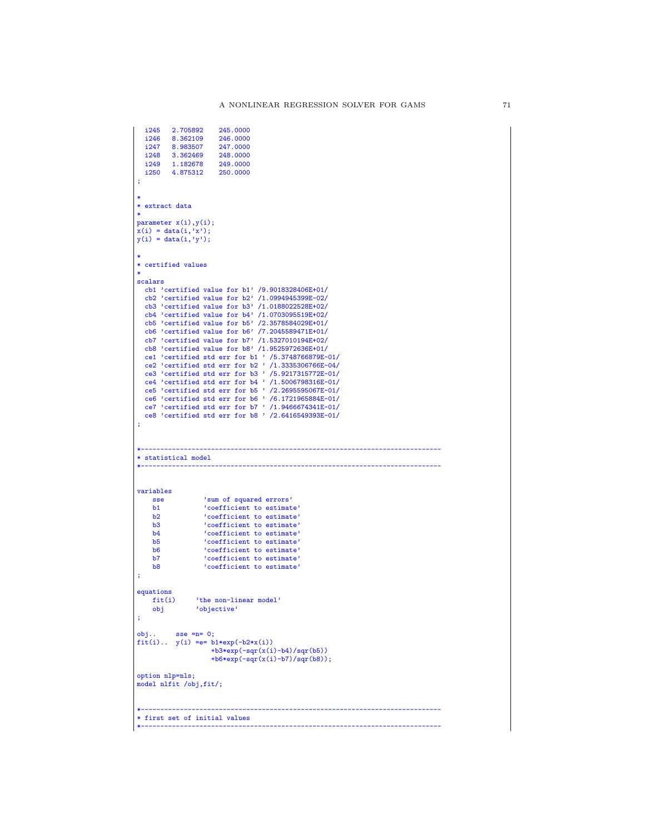```
i245 2.705892 245.0000
   i246 8.362109 246.0000<br>i247 8.983507 247.0000
   i247 8.983507 247.0000
   i248 3.362469<br>i249 1.182678
                              21816666<br>249.0000<br>250.0000
   i250 4.875312
;
 *
* extract data
 *
parameter x(i),y(i);
x(i) = data(i, 'x');y(i) = data(i, 'y');*
* certified values
 *
scalars
   cb1 'certified value for b1' /9.9018328406E+01/
   cb2 'certified value for b2' /1.0994945399E-02/
   cb3 'certified value for b3' /1.0188022528E+02/
    cb4 'certified value for b4' /1.0703095519E+02/
cb5 'certified value for b5' /2.3578584029E+01/
   cb6 'certified value for b6' /7.2045589471E+01/
    cb7 'certified value for b7' /1.5327010194E+02/
cb8 'certified value for b8' /1.9525972636E+01/
    ce1 'certified std err for b1 ' /5.3748766879E-01/
ce2 'certified std err for b2 ' /1.3335306766E-04/
ce3 'certified std err for b3 ' /5.9217315772E-01/
    ce4 'certified std err for b4 ' /1.5006798316E-01/<br>ce5 'certified std err for b5 ' /2.2695595067E-01/<br>ce6 'certified std err for b6 ' /6.1721965884E-01/<br>ce7 'certified std err for b7 ' /1.9466674341E-01/<br>ce8 'certified st
;
 *-----------------------------------------------------------------------------
* statistical model
 *-----------------------------------------------------------------------------
variables
      sse \frac{?}{}sum \space of \space squared \space errors'<br>h1 \frac{?}{}coefficients \space to \space estimateb1 <br>
b2 <br>
coefficient to estimate'<br>
coefficient to estimate'
       b2 'coefficient to estimate'
b3 'coefficient to estimate'
b4 'coefficient to estimate'
b5 'coefficient to estimate'
b6 'coefficient to estimate'
b7 'coefficient to estimate'
b8 'coefficient to estimate'
 ;
equations<br>fit(i)
       fit(i) 'the non-linear model'
obj 'objective'
 ;
obj.. sse =n= 0;
fit(i).. y(i) = e = b1*exp(-b2*x(i))+b3*exp(-sqrt(x(i)-b4)/sqrt(b5))+b6*exp(-sqr(x(i)-b7)/sqr(b8));
option nlp=nls;
model nlfit /obj,fit/;
 *-----------------------------------------------------------------------------
* first set of initial values
 *-----------------------------------------------------------------------------
```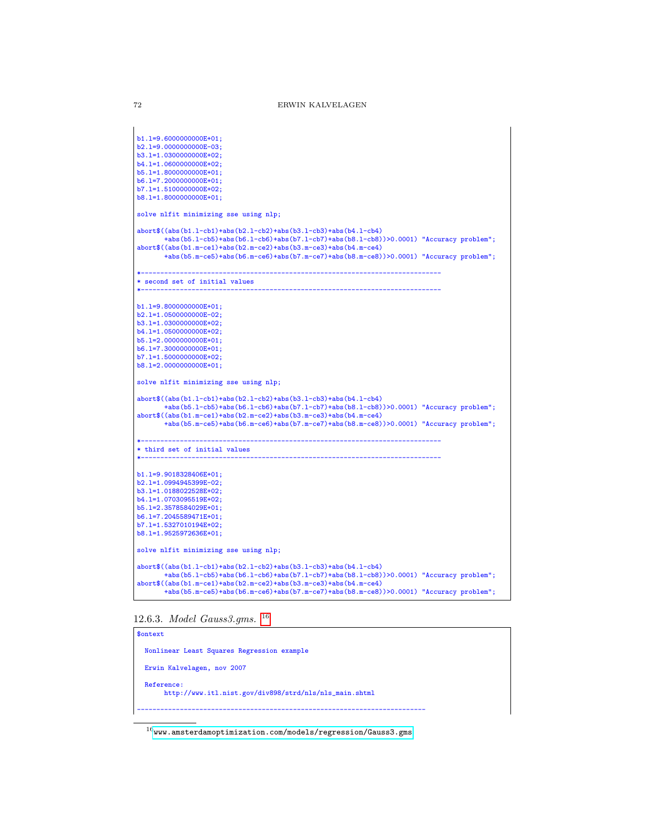```
b1.l=9.6000000000E+01;
b2.l=9.0000000000E-03;
b3.l=1.0300000000E+02;
b4.l=1.0600000000E+02;
b5.l=1.8000000000E+01;
b6.l=7.2000000000E+01;
b7.l=1.5100000000E+02;
b8.l=1.8000000000E+01;
solve nlfit minimizing sse using nlp;
abort$((abs(b1.l-cb1)+abs(b2.l-cb2)+abs(b3.l-cb3)+abs(b4.l-cb4)
       +abs(b5.l-cb5)+abs(b6.l-cb6)+abs(b7.l-cb7)+abs(b8.l-cb8))>0.0001) "Accuracy problem";
abort$((abs(b1.m-ce1)+abs(b2.m-ce2)+abs(b3.m-ce3)+abs(b4.m-ce4)
       +abs(b5.m-ce5)+abs(b6.m-ce6)+abs(b7.m-ce7)+abs(b8.m-ce8))>0.0001) "Accuracy problem";
*-----------------------------------------------------------------------------
* second set of initial values
*-----------------------------------------------------------------------------
b1.l=9.8000000000E+01;
b2.l=1.0500000000E-02;
b3.1=1.0300000000E+02;
b4.l=1.0500000000E+02;
b5.l=2.0000000000E+01;
b6.l=7.3000000000E+01;
b7.l=1.5000000000E+02;
b8.l=2.0000000000E+01;
solve nlfit minimizing sse using nlp;
abort$((abs(b1.l-cb1)+abs(b2.l-cb2)+abs(b3.l-cb3)+abs(b4.l-cb4)
+abs(b5.l-cb5)+abs(b6.l-cb6)+abs(b7.l-cb7)+abs(b8.l-cb8))>0.0001) "Accuracy problem";
abort$((abs(b1.m-ce1)+abs(b2.m-ce2)+abs(b3.m-ce3)+abs(b4.m-ce4)
       +abs(b5.m-ce5)+abs(b6.m-ce6)+abs(b7.m-ce7)+abs(b8.m-ce8))>0.0001) "Accuracy problem";
*-----------------------------------------------------------------------------
* third set of initial values
*-----------------------------------------------------------------------------
b1.l=9.9018328406E+01;
b2.l=1.0994945399E-02;
b3.l=1.0188022528E+02;
b4.l=1.0703095519E+02;
b5.l=2.3578584029E+01;
b6.l=7.2045589471E+01;
b7.l=1.5327010194E+02;
b8.l=1.9525972636E+01;
solve nlfit minimizing sse using nlp;
abort$((abs(b1.l-cb1)+abs(b2.l-cb2)+abs(b3.l-cb3)+abs(b4.l-cb4)
       +abs(b5.l-cb5)+abs(b6.l-cb6)+abs(b7.l-cb7)+abs(b8.l-cb8))>0.0001) "Accuracy problem";
abort$((abs(b1.m-ce1)+abs(b2.m-ce2)+abs(b3.m-ce3)+abs(b4.m-ce4)
       +abs(b5.m-ce5)+abs(b6.m-ce6)+abs(b7.m-ce7)+abs(b8.m-ce8))>0.0001) "Accuracy problem";
```
## 12.6.3. Model Gauss3.gms. [16](#page-71-0)

\$ontext Nonlinear Least Squares Regression example Erwin Kalvelagen, nov 2007 Reference: http://www.itl.nist.gov/div898/strd/nls/nls\_main.shtml --------------------------------------------------------------------------

<span id="page-71-0"></span> $16$ <www.amsterdamoptimization.com/models/regression/Gauss3.gms>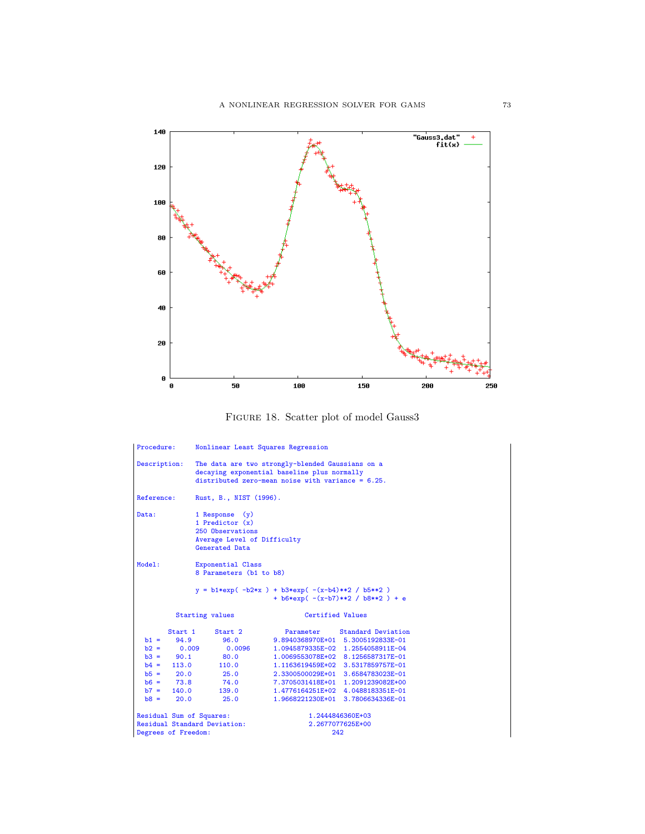

FIGURE 18. Scatter plot of model Gauss<sup>3</sup>

| Procedure:                   | Nonlinear Least Squares Regression                                                                                                                      |                                                                                          |  |  |
|------------------------------|---------------------------------------------------------------------------------------------------------------------------------------------------------|------------------------------------------------------------------------------------------|--|--|
| Description:                 | The data are two strongly-blended Gaussians on a<br>decaying exponential baseline plus normally<br>distributed zero-mean noise with variance = $6.25$ . |                                                                                          |  |  |
| Reference:                   | Rust, B., NIST (1996).                                                                                                                                  |                                                                                          |  |  |
| Data:                        | 1 Response (y)<br>1 Predictor $(x)$<br>250 Observations<br>Average Level of Difficulty<br>Generated Data                                                |                                                                                          |  |  |
| Model:                       | Exponential Class<br>8 Parameters (b1 to b8)                                                                                                            |                                                                                          |  |  |
|                              |                                                                                                                                                         | $y = b1*exp(-b2*x) + b3*exp(-(x-b4)**2 / b5**2)$<br>+ $b6*exp(- (x-b7)**2 / b8**2 ) + e$ |  |  |
|                              | Starting values                                                                                                                                         | Certified Values                                                                         |  |  |
| Start 1                      | Start 2                                                                                                                                                 | Parameter Standard Deviation                                                             |  |  |
| $b1 = 94.9$                  | 96.0                                                                                                                                                    | 9.8940368970E+01 5.3005192833E-01                                                        |  |  |
| $b2 = 0.009$                 |                                                                                                                                                         | 0.0096 1.0945879335E-02 1.2554058911E-04                                                 |  |  |
| $b3 = 90.1$                  | 80.0                                                                                                                                                    | 1.0069553078E+02 8.1256587317E-01                                                        |  |  |
|                              |                                                                                                                                                         | b4 = 113.0 110.0 1.1163619459E+02 3.5317859757E-01                                       |  |  |
|                              |                                                                                                                                                         | b5 = 20.0 25.0 2.3300500029E+01 3.6584783023E-01                                         |  |  |
|                              |                                                                                                                                                         | $b6 = 73.8$ $74.0$ $7.3705031418E+01$ $1.2091239082E+00$                                 |  |  |
|                              |                                                                                                                                                         | $b7 = 140.0$ 139.0 $1.4776164251E+02$ 4.0488183351E-01                                   |  |  |
| $b8 = 20.0$                  | 25.0                                                                                                                                                    | 1.9668221230E+01 3.7806634336E-01                                                        |  |  |
| Residual Sum of Squares:     |                                                                                                                                                         | 1.2444846360E+03                                                                         |  |  |
| Residual Standard Deviation: |                                                                                                                                                         | 2.2677077625E+00                                                                         |  |  |
| Degrees of Freedom:          |                                                                                                                                                         | 242                                                                                      |  |  |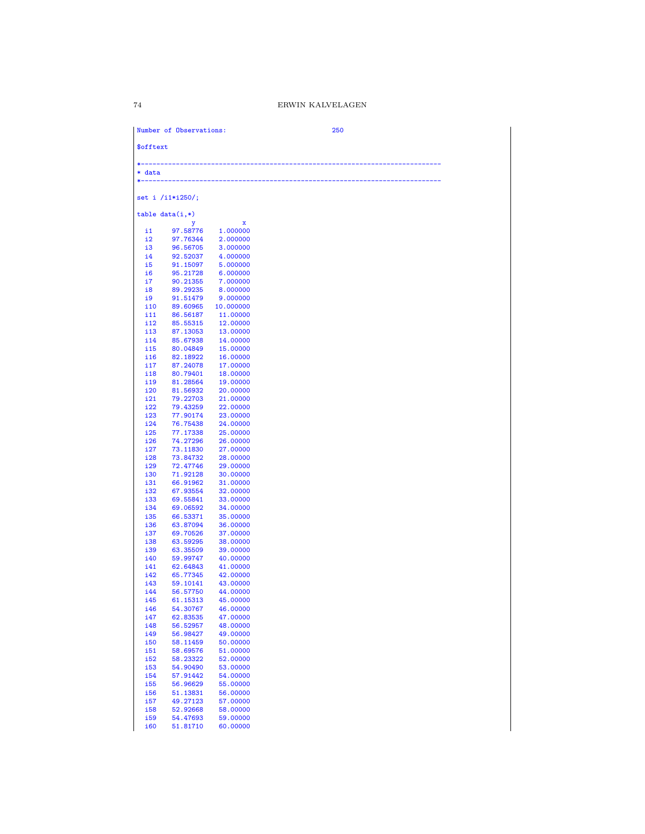| data               |                      |                      |  |  |
|--------------------|----------------------|----------------------|--|--|
|                    |                      |                      |  |  |
|                    | set i $/i1*1250$ ;   |                      |  |  |
|                    | $table data(i,*)$    |                      |  |  |
|                    | у                    | x                    |  |  |
| $\mathbf{i}$<br>i2 | 97.58776<br>97.76344 | 1.000000<br>2.000000 |  |  |
| i3                 | 96.56705             | 3.000000             |  |  |
| $\frac{14}{2}$     | 92.52037             | 4.000000             |  |  |
| i5                 | 91.15097             | 5.000000             |  |  |
| i6                 | 95.21728             | 6.000000             |  |  |
| i7<br>i8           | 90.21355<br>89.29235 | 7.000000<br>8.000000 |  |  |
| i9                 | 91.51479             | 9.000000             |  |  |
| i10                | 89.60965             | 10.000000            |  |  |
| i11                | 86.56187             | 11.00000             |  |  |
| i12<br>i13         | 85.55315             | 12.00000<br>13.00000 |  |  |
| i14                | 87.13053<br>85.67938 | 14.00000             |  |  |
| i15                | 80.04849             | 15.00000             |  |  |
| i16                | 82.18922             | 16.00000             |  |  |
| 117                | 87.24078             | 17.00000             |  |  |
| i18                | 80.79401<br>81.28564 | 18.00000             |  |  |
| i19<br>i20         | 81.56932             | 19.00000<br>20.00000 |  |  |
| 121                | 79.22703             | 21.00000             |  |  |
| i22                | 79.43259             | 22.00000             |  |  |
| i23                | 77.90174             | 23.00000             |  |  |
| i24<br>i25         | 76.75438<br>77.17338 | 24.00000<br>25.00000 |  |  |
| i26                | 74.27296             | 26.00000             |  |  |
| i27                | 73.11830             | 27.00000             |  |  |
| i28                | 73.84732             | 28.00000             |  |  |
| i29                | 72.47746             | 29.00000             |  |  |
| i30<br>i31         | 71.92128<br>66.91962 | 30.00000<br>31.00000 |  |  |
| i32                | 67.93554             | 32.00000             |  |  |
| i33                | 69.55841             | 33.00000             |  |  |
| i34                | 69.06592             | 34.00000             |  |  |
| i35                | 66.53371             | 35.00000             |  |  |
| i36<br>i37         | 63.87094<br>69.70526 | 36.00000<br>37.00000 |  |  |
| i38                | 63.59295             | 38.00000             |  |  |
| i39                | 63.35509             | 39.00000             |  |  |
| i40                | 59.99747             | 40.00000             |  |  |
| i41<br>i42         | 62.64843             | 41.00000<br>42.00000 |  |  |
| i43                | 65.77345<br>59.10141 | 43.00000             |  |  |
| i44                | 56.57750             | 44.00000             |  |  |
| i45                | 61.15313             | 45.00000             |  |  |
| i46                | 54.30767             | 46.00000             |  |  |
| i47<br>i48         | 62.83535<br>56.52957 | 47.00000<br>48.00000 |  |  |
| i49                | 56.98427             | 49.00000             |  |  |
| <b>i50</b>         | 58.11459             | 50.00000             |  |  |
| i51                | 58.69576             | 51.00000             |  |  |
| i52                | 58.23322             | 52.00000             |  |  |
| i53                | 54.90490             | 53.00000             |  |  |
| i54<br>i55         | 57.91442<br>56.96629 | 54.00000<br>55.00000 |  |  |
| i56                | 51.13831             | 56.00000             |  |  |
| i57                | 49.27123             | 57.00000             |  |  |
| i58                | 52.92668             | 58.00000             |  |  |
| i59<br><b>i60</b>  | 54.47693<br>51.81710 | 59.00000<br>60.00000 |  |  |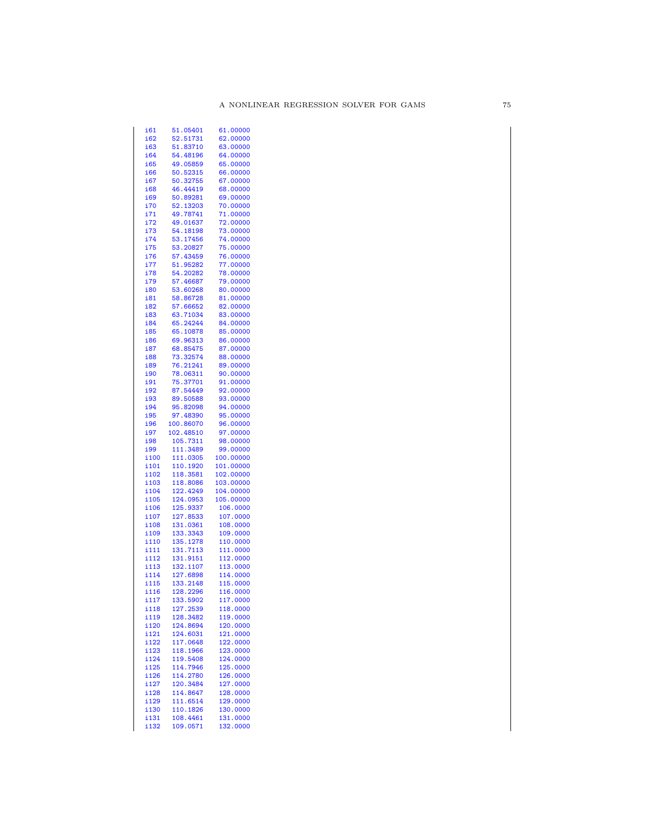| i61           | 51.05401             | 61.00000             |
|---------------|----------------------|----------------------|
| i62           | 52.51731             | 62.00000             |
| i63           | 51.83710             | 63.00000             |
| i64           | 54.48196             | 64.00000             |
| i65           |                      | 65.00000             |
|               | 49.05859             |                      |
| <b>i66</b>    | 50.52315             | 66.00000             |
| i67           | 50.32755             | 67.00000             |
| i68           | 46.44419             | 68.00000             |
| i69           | 50.89281             | 69.00000             |
| i70           | 52.13203             | 70.00000             |
|               |                      |                      |
| i71           | 49.78741             | 71.00000             |
| i72           | 49.01637             | 72.00000             |
| i73           | 54.18198             | 73.00000             |
| i74           | 53.17456             | 74.00000             |
| i75           | 53.20827             | 75.00000             |
|               |                      |                      |
| i76           | 57.43459             | 76.00000             |
| i77           | 51.95282             | 77.00000             |
| i78           | 54.20282             | 78.00000             |
| i79           | 57.46687             | 79.00000             |
| i80           | 53.60268             | 80.00000             |
| i81           | 58.86728             | 81.00000             |
|               |                      |                      |
| i82           | 57.66652             | 82.00000             |
| i83           | 63.71034             | 83.00000             |
| i84           | 65.24244             | 84.00000             |
| i85           | 65.10878             | 85.00000             |
| i86           | 69.96313             | 86.00000             |
|               |                      |                      |
| i87           | 68.85475             | 87.00000             |
| i88           | 73.32574             | 88.00000             |
| i89           | 76.21241             | 89.00000             |
| i90           | 78.06311             | 90.00000             |
| i91           | 75.37701             | 91.00000             |
|               |                      |                      |
| i92           | 87.54449             | 92.00000             |
| i93           | 89.50588             | 93.00000             |
| i94           | 95.82098             | 94.00000             |
| i95           | 97.48390             | 95.00000             |
| i96           | 100.86070            | 96.00000             |
| i97           | 102.48510            | 97.00000             |
|               |                      |                      |
| i98           | 105.7311             | 98.00000             |
| i99           | 111.3489             | 99.00000             |
| i100          | 111.0305             | 100.00000            |
| i101          | 110.1920             | 101.00000            |
| i102          | 118.3581             | 102.00000            |
|               |                      |                      |
| i103          | 118.8086             | 103.00000            |
| i104          | 122.4249             | 104.00000            |
| i105          | 124.0953             | 105.00000            |
| i106          | 125.9337             | 106.0000             |
| i107          | 127.8533             | 107.0000             |
| i108          |                      |                      |
|               | 131.0361             | 108.0000             |
| i109          | 133.3343             | 109.0000             |
| i110          | 135.1278             | 110.0000             |
| i111          | 131.7113             | 111.0000             |
| i112          | 131.9151             | 112.0000             |
| i113          | 132.1107             | 113.0000             |
| i114          |                      |                      |
|               |                      |                      |
|               | 127.6898             | 114.0000             |
| i115          | 133.2148             | 115.0000             |
| i116          | 128.2296             | 116.0000             |
| i 117         | 133.5902             | 117,0000             |
|               |                      |                      |
| i118          | 127.2539             | 118.0000             |
| i119          | 128.3482             | 119.0000             |
| i120          | 124.8694             | 120.0000             |
| i 121         | 124.6031             | 121.0000             |
| i122          | 117.0648             | 122.0000             |
|               |                      |                      |
| i 123         | 118.1966             | 123.0000             |
| i124          | 119.5408             | 124.0000             |
| i 125         | 114.7946             | 125.0000             |
| i126          | 114.2780             | 126.0000             |
| i127          | 120.3484             | 127.0000             |
| i128          | 114.8647             | 128.0000             |
|               |                      |                      |
| i129          | 111.6514             | 129.0000             |
| i130          | 110.1826             | 130.0000             |
| i 131<br>i132 | 108.4461<br>109.0571 | 131.0000<br>132.0000 |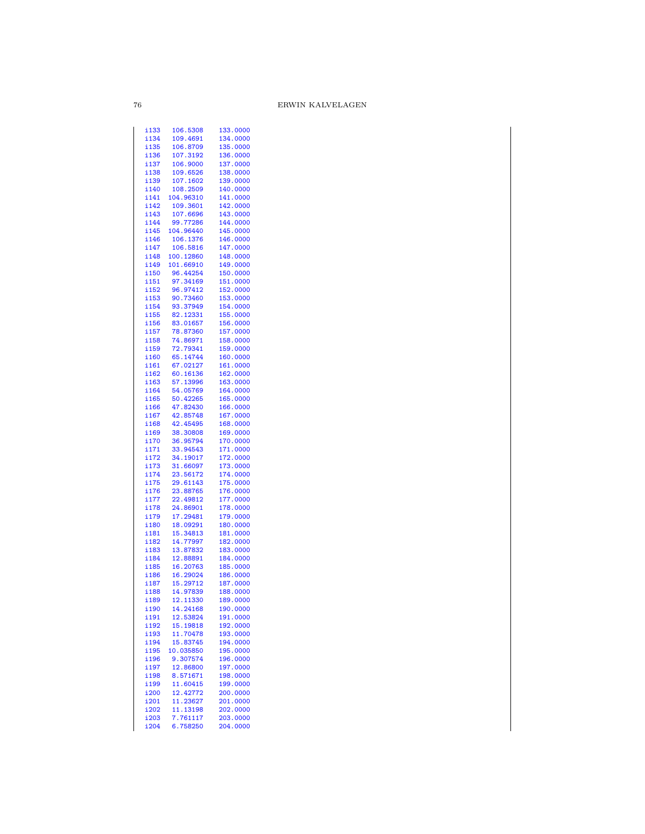| i133 | 106.5308  | 133.0000 |
|------|-----------|----------|
| i134 | 109.4691  | 134.0000 |
|      |           |          |
| i135 | 106.8709  | 135.0000 |
| i136 | 107.3192  | 136.0000 |
| i137 | 106.9000  | 137.0000 |
|      |           |          |
| i138 | 109.6526  | 138.0000 |
| i139 | 107.1602  | 139.0000 |
| i140 | 108.2509  | 140.0000 |
|      |           |          |
| i141 | 104.96310 | 141.0000 |
| i142 | 109.3601  | 142.0000 |
| i143 | 107.6696  | 143.0000 |
|      |           |          |
| i144 | 99.77286  | 144.0000 |
| i145 | 104.96440 | 145.0000 |
| i146 | 106.1376  | 146.0000 |
| i147 | 106.5816  | 147.0000 |
|      |           |          |
| i148 | 100.12860 | 148.0000 |
| i149 | 101.66910 | 149.0000 |
| i150 | 96.44254  | 150.0000 |
|      |           |          |
| i151 | 97.34169  | 151.0000 |
| i152 | 96.97412  | 152.0000 |
| i153 | 90.73460  | 153.0000 |
|      |           |          |
| i154 | 93.37949  | 154.0000 |
| i155 | 82.12331  | 155.0000 |
| i156 | 83.01657  | 156.0000 |
| i157 | 78.87360  | 157.0000 |
|      |           |          |
| i158 | 74.86971  | 158.0000 |
| i159 | 72.79341  | 159.0000 |
| i160 | 65.14744  | 160.0000 |
|      |           |          |
| i161 | 67.02127  | 161.0000 |
| i162 | 60.16136  | 162.0000 |
| i163 | 57.13996  | 163.0000 |
| i164 | 54.05769  | 164.0000 |
|      |           |          |
| i165 | 50.42265  | 165.0000 |
| i166 | 47.82430  | 166.0000 |
| i167 | 42.85748  | 167.0000 |
| i168 | 42.45495  | 168.0000 |
| i169 | 38.30808  | 169.0000 |
|      |           |          |
| i170 | 36.95794  | 170.0000 |
| i171 | 33.94543  | 171.0000 |
| i172 | 34.19017  | 172.0000 |
| i173 | 31.66097  | 173.0000 |
| i174 | 23.56172  | 174.0000 |
|      |           |          |
| i175 | 29.61143  | 175.0000 |
| i176 | 23.88765  | 176.0000 |
| i177 | 22.49812  | 177.0000 |
| i178 | 24.86901  | 178.0000 |
|      |           |          |
| i179 | 17.29481  | 179.0000 |
| i180 | 18.09291  | 180.0000 |
| i181 | 15.34813  | 181.0000 |
| i182 | 14.77997  | 182.0000 |
|      |           |          |
| i183 | 13.87832  | 183.0000 |
| i184 | 12.88891  | 184.0000 |
| i185 | 16.20763  | 185.0000 |
| i186 |           |          |
|      | 16.29024  | 186.0000 |
| i187 | 15.29712  | 187.0000 |
| i188 | 14.97839  | 188.0000 |
| i189 | 12.11330  | 189.0000 |
| i190 | 14.24168  | 190.0000 |
|      |           |          |
| i191 | 12.53824  | 191.0000 |
| i192 | 15.19818  | 192.0000 |
| i193 | 11.70478  | 193.0000 |
| i194 | 15.83745  | 194.0000 |
| i195 | 10.035850 | 195.0000 |
|      |           |          |
| i196 | 9.307574  | 196.0000 |
| i197 | 12.86800  | 197.0000 |
| i198 | 8.571671  | 198.0000 |
| i199 | 11.60415  | 199.0000 |
|      |           |          |
| i200 | 12.42772  | 200.0000 |
| i201 | 11.23627  | 201.0000 |
| i202 | 11.13198  | 202.0000 |
| i203 | 7.761117  | 203.0000 |
| i204 | 6.758250  | 204.0000 |
|      |           |          |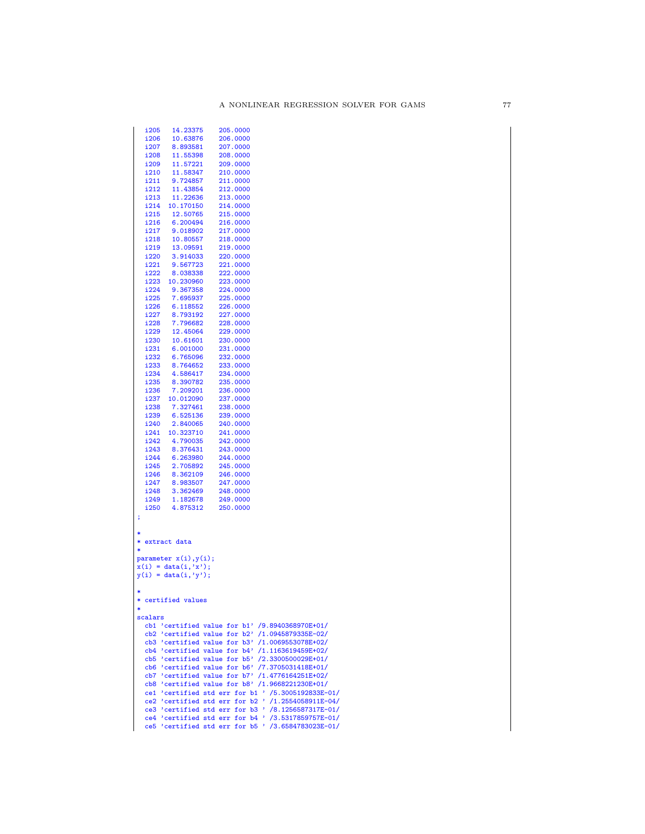| i205    | 14.23375               | 205.0000                                             |
|---------|------------------------|------------------------------------------------------|
| i206    | 10.63876               | 206.0000                                             |
| i207    | 8.893581               | 207.0000                                             |
| i208    | 11.55398               | 208.0000                                             |
| i209    | 11.57221               | 209.0000                                             |
| i210    | 11.58347               | 210.0000                                             |
| i211    | 9.724857               | 211.0000                                             |
| i212    | 11.43854               | 212.0000                                             |
| i213    | 11.22636               | 213.0000                                             |
| i214    | 10.170150              | 214.0000                                             |
| i215    | 12.50765               | 215.0000                                             |
| i216    | 6.200494               | 216.0000                                             |
| i217    | 9.018902               | 217.0000                                             |
| i218    | 10.80557               | 218.0000                                             |
| i219    | 13.09591               | 219.0000                                             |
| i220    | 3.914033               | 220.0000                                             |
| i221    | 9.567723               | 221.0000                                             |
| i222    | 8.038338               | 222.0000                                             |
| i223    | 10.230960              | 223.0000                                             |
| i224    | 9.367358               | 224.0000                                             |
| i225    | 7.695937               | 225.0000                                             |
| i226    | 6.118552               | 226.0000                                             |
| i227    | 8.793192               | 227.0000                                             |
| i228    | 7.796682               | 228.0000                                             |
| i229    | 12.45064               | 229.0000                                             |
| i230    | 10.61601               |                                                      |
|         |                        | 230.0000                                             |
| i231    | 6.001000               | 231.0000                                             |
| i232    | 6.765096               | 232.0000                                             |
| i233    | 8.764652               | 233.0000                                             |
| i234    | 4.586417               | 234.0000                                             |
| i235    | 8.390782               | 235.0000                                             |
| i236    | 7.209201               | 236.0000                                             |
| i237    | 10.012090              | 237.0000                                             |
| i238    | 7.327461               | 238.0000                                             |
| i239    | 6.525136               | 239.0000                                             |
| i240    | 2.840065               | 240.0000                                             |
| i241    | 10.323710              | 241.0000                                             |
| i242    | 4.790035               | 242.0000                                             |
| i243    | 8.376431               | 243.0000                                             |
| i244    | 6.263980               | 244.0000                                             |
| i245    | 2.705892               | 245.0000                                             |
| i246    | 8.362109               | 246.0000                                             |
| i247    | 8.983507               | 247.0000                                             |
| i248    | 3.362469               | 248.0000                                             |
| i249    | 1.182678               | 249.0000                                             |
| i250    | 4.875312               | 250.0000                                             |
| ţ       |                        |                                                      |
|         |                        |                                                      |
| *       |                        |                                                      |
|         | * extract data         |                                                      |
| $\ast$  |                        |                                                      |
|         | parameter x(i), y(i);  |                                                      |
|         | $x(i) = data(i, 'x');$ |                                                      |
|         | $y(i) = data(i, 'y');$ |                                                      |
|         |                        |                                                      |
| *       |                        |                                                      |
|         | * certified values     |                                                      |
| *       |                        |                                                      |
| scalars |                        |                                                      |
|         |                        | cb1 'certified value for b1' /9.8940368970E+01/      |
|         |                        | cb2 'certified value for $b2'$ /1.0945879335E-02/    |
|         |                        | cb3 'certified value for b3' /1.0069553078E+02/      |
|         |                        | cb4 'certified value for b4' /1.1163619459E+02/      |
|         |                        | cb5 'certified value for b5' /2.3300500029E+01/      |
|         |                        | cb6 'certified value for b6' /7.3705031418E+01/      |
|         |                        | cb7 'certified value for b7' /1.4776164251E+02/      |
|         |                        | cb8 'certified value for b8' /1.9668221230E+01/      |
|         |                        | ce1 'certified std err for b1 ' /5.3005192833E-01/   |
|         |                        | ce2 'certified std err for $b2$ ' /1.2554058911E-04/ |
|         |                        | ce3 'certified std err for b3 ' /8.1256587317E-01/   |
|         |                        | ce4 'certified std err for b4 ' /3.5317859757E-01/   |
|         |                        | ce5 'certified std err for b5 ' /3.6584783023E-01/   |
|         |                        |                                                      |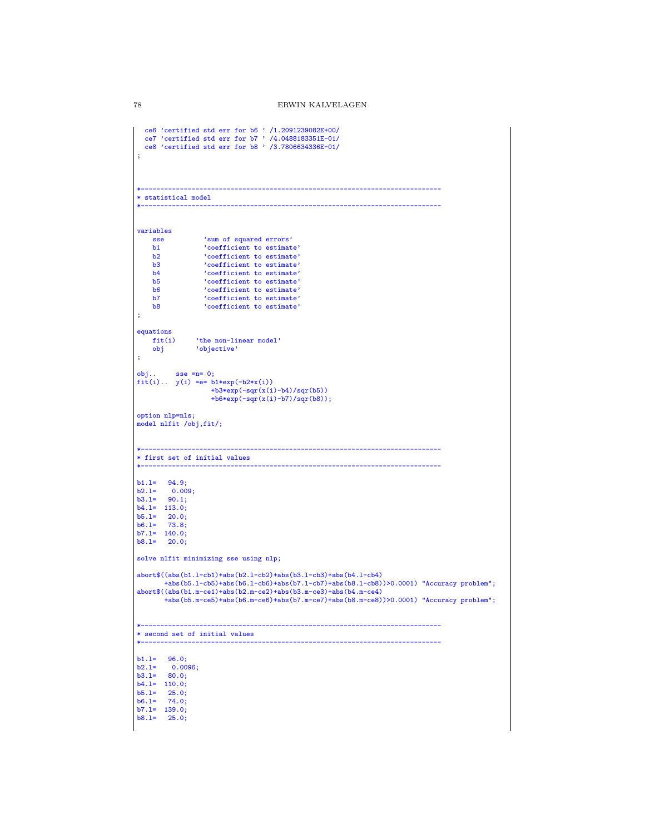```
ce6 'certified std err for b6 ' /1.2091239082E+00/
ce7 'certified std err for b7 ' /4.0488183351E-01/
ce8 'certified std err for b8 ' /3.7806634336E-01/
;
*-----------------------------------------------------------------------------
* statistical model
*-----------------------------------------------------------------------------
variables
    sse 'sum of squared errors'<br>b1 'coefficient to estimat
    b1 <br>
b2 <br>
coefficient to estimate'<br>
coefficient to estimate'
    b2 <br>b3 <br>coefficient to estimate'<br>coefficient to estimate'
    b3 <br>b4 'coefficient to estimate'<br>'coefficient to estimate'
     b4 'coefficient to estimate'
b5 'coefficient to estimate'
    b6 <br>b6 'coefficient to estimate'<br>b7 'coefficient to estimate'
    b7 \cdot coefficient to estimate'<br>b8 \cdot coefficient to estimate'
                    b8 'coefficient to estimate'
;
equations<br>fit(i)
    fit(i) <br>
'the non-linear model'<br>
obj<br>
'objective'
                  'objective'
;
obj.. sse =n= 0;
fit(i).. y(i) =e= b1*exp(-b2*x(i))
                       +b3*exp(-sqrt(x(i)-b4)/sqrt(b5))+b6*exp(-sqr(x(i)-b7)/sqr(b8));
option nlp=nls;
model nlfit /obj,fit/;
*-----------------------------------------------------------------------------
* first set of initial values
*-----------------------------------------------------------------------------
b1.l= 94.9;
b2.l= 0.009;
b3.l= 90.1;
b4.l= 113.0;
b5.l= 20.0;
b6.l= 73.8;
b7.1 = 140.0;b8.l= 20.0;
solve nlfit minimizing sse using nlp;
abort$((abs(b1.l-cb1)+abs(b2.l-cb2)+abs(b3.l-cb3)+abs(b4.l-cb4)
         +abs(b5.l-cb5)+abs(b6.l-cb6)+abs(b7.l-cb7)+abs(b8.l-cb8))>0.0001) "Accuracy problem";
abort$((abs(b1.m-ce1)+abs(b2.m-ce2)+abs(b3.m-ce3)+abs(b4.m-ce4)
         +abs(b5.m-ce5)+abs(b6.m-ce6)+abs(b7.m-ce7)+abs(b8.m-ce8))>0.0001) "Accuracy problem";
*-----------------------------------------------------------------------------
* second set of initial values
*-----------------------------------------------------------------------------
b1.l= 96.0;
b2.l= 0.0096;
b3.l= 80.0;
b4.l= 110.0;
b5.1 = 25.0;b6.l= 74.0;
b7.l= 139.0;
b8.1 = 25.0;
```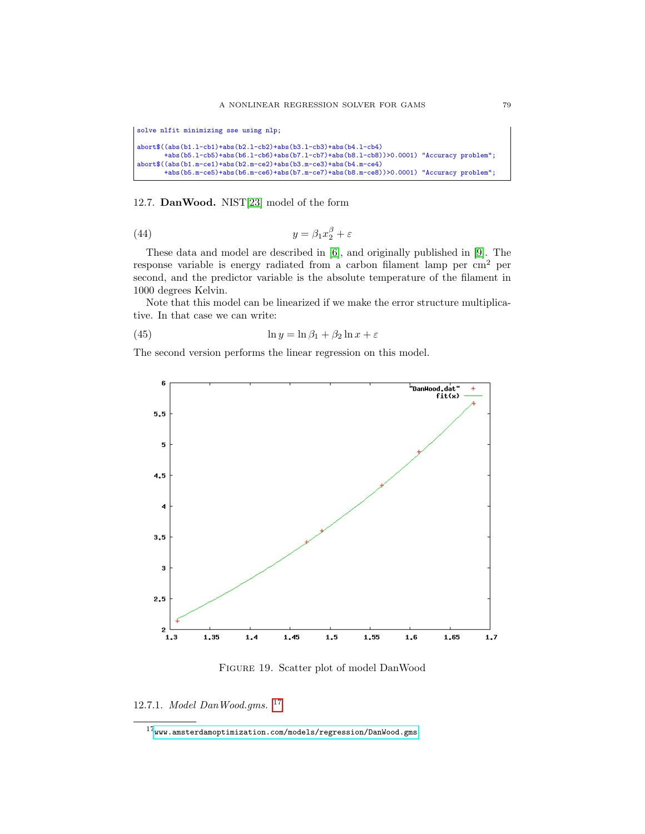```
solve nlfit minimizing sse using nlp;
abort$((abs(b1.l-cb1)+abs(b2.l-cb2)+abs(b3.l-cb3)+abs(b4.l-cb4)
       +abs(b5.l-cb5)+abs(b6.l-cb6)+abs(b7.l-cb7)+abs(b8.l-cb8))>0.0001) "Accuracy problem";
abort$((abs(b1.m-ce1)+abs(b2.m-ce2)+abs(b3.m-ce3)+abs(b4.m-ce4)
      +abs(b5.m-ce5)+abs(b6.m-ce6)+abs(b7.m-ce7)+abs(b8.m-ce8))>0.0001) "Accuracy problem";
```
## 12.7. DanWood. NIST[\[23\]](#page-146-0) model of the form

(44) 
$$
y = \beta_1 x_2^{\beta} + \varepsilon
$$

These data and model are described in [\[6\]](#page-145-0), and originally published in [\[9\]](#page-145-1). The response variable is energy radiated from a carbon filament lamp per cm<sup>2</sup> per second, and the predictor variable is the absolute temperature of the filament in 1000 degrees Kelvin.

Note that this model can be linearized if we make the error structure multiplicative. In that case we can write:

(45) 
$$
\ln y = \ln \beta_1 + \beta_2 \ln x + \varepsilon
$$

The second version performs the linear regression on this model.



Figure 19. Scatter plot of model DanWood

12.7.1. Model DanWood.gms. [17](#page-78-0)

<span id="page-78-0"></span> $^{17}\hspace{-1mm}$ <www.amsterdamoptimization.com/models/regression/DanWood.gms>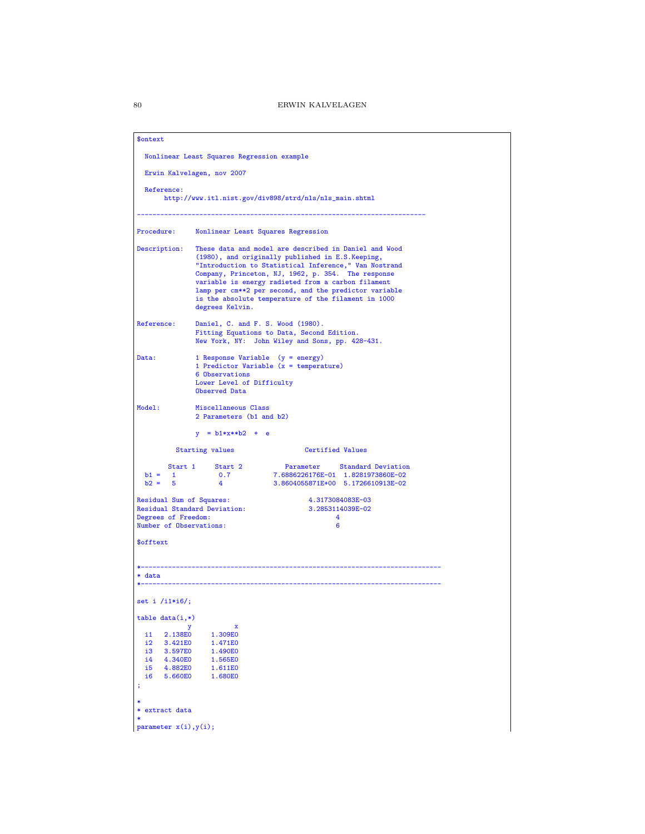| \$ontext                                                                                                                                                                           |                                                                               |                                                                                                                                                                                                                                                                                                                                                                                                |  |  |  |
|------------------------------------------------------------------------------------------------------------------------------------------------------------------------------------|-------------------------------------------------------------------------------|------------------------------------------------------------------------------------------------------------------------------------------------------------------------------------------------------------------------------------------------------------------------------------------------------------------------------------------------------------------------------------------------|--|--|--|
|                                                                                                                                                                                    | Nonlinear Least Squares Regression example                                    |                                                                                                                                                                                                                                                                                                                                                                                                |  |  |  |
|                                                                                                                                                                                    | Erwin Kalvelagen, nov 2007                                                    |                                                                                                                                                                                                                                                                                                                                                                                                |  |  |  |
| Reference:                                                                                                                                                                         |                                                                               | http://www.itl.nist.gov/div898/strd/nls/nls_main.shtml                                                                                                                                                                                                                                                                                                                                         |  |  |  |
| Procedure:                                                                                                                                                                         |                                                                               | Nonlinear Least Squares Regression                                                                                                                                                                                                                                                                                                                                                             |  |  |  |
| Description:                                                                                                                                                                       | degrees Kelvin.                                                               | These data and model are described in Daniel and Wood<br>(1980), and originally published in E.S.Keeping,<br>"Introduction to Statistical Inference," Van Nostrand<br>Company, Princeton, NJ, 1962, p. 354. The response<br>variable is energy radieted from a carbon filament<br>lamp per cm**2 per second, and the predictor variable<br>is the absolute temperature of the filament in 1000 |  |  |  |
| Reference:                                                                                                                                                                         |                                                                               | Daniel, C. and F. S. Wood (1980).<br>Fitting Equations to Data, Second Edition.<br>New York, NY: John Wiley and Sons, pp. 428-431.                                                                                                                                                                                                                                                             |  |  |  |
| Data:                                                                                                                                                                              | 6 Observations<br>Lower Level of Difficulty<br>Observed Data                  | 1 Response Variable (y = energy)<br>1 Predictor Variable $(x = temperature)$                                                                                                                                                                                                                                                                                                                   |  |  |  |
| Model:                                                                                                                                                                             | Miscellaneous Class<br>2 Parameters (b1 and b2)                               |                                                                                                                                                                                                                                                                                                                                                                                                |  |  |  |
|                                                                                                                                                                                    | $y = b1*x**b2 + e$<br><b>Starting values</b>                                  | Certified Values                                                                                                                                                                                                                                                                                                                                                                               |  |  |  |
| $b1 = 1$<br>$b2 = 5$<br>Residual Sum of Squares:                                                                                                                                   | Start 1 Start 2<br>0.7<br>$\overline{4}$<br>Residual Standard Deviation:      | Parameter Standard Deviation<br>7.6886226176E-01 1.8281973860E-02<br>3.8604055871E+00 5.1726610913E-02<br>4.3173084083E-03<br>3.2853114039E-02                                                                                                                                                                                                                                                 |  |  |  |
| Degrees of Freedom:<br>Number of Observations:                                                                                                                                     |                                                                               | 4<br>6                                                                                                                                                                                                                                                                                                                                                                                         |  |  |  |
| \$offtext                                                                                                                                                                          |                                                                               |                                                                                                                                                                                                                                                                                                                                                                                                |  |  |  |
| * data                                                                                                                                                                             |                                                                               |                                                                                                                                                                                                                                                                                                                                                                                                |  |  |  |
| set i $/i1*16$ ;                                                                                                                                                                   |                                                                               |                                                                                                                                                                                                                                                                                                                                                                                                |  |  |  |
| $table data(i,*)$<br>у<br>i1<br>2.138E0<br>i2<br>3.421E0<br>i3<br>3.597E0<br>i4<br>4.340E0<br>i5<br>4.882E0<br>i6<br>5.660E0<br>;<br>extract data<br>*<br>parameter $x(i), y(i)$ ; | $\mathbf x$<br>1.309E0<br>1.471E0<br>1.490E0<br>1.565E0<br>1.611E0<br>1.680E0 |                                                                                                                                                                                                                                                                                                                                                                                                |  |  |  |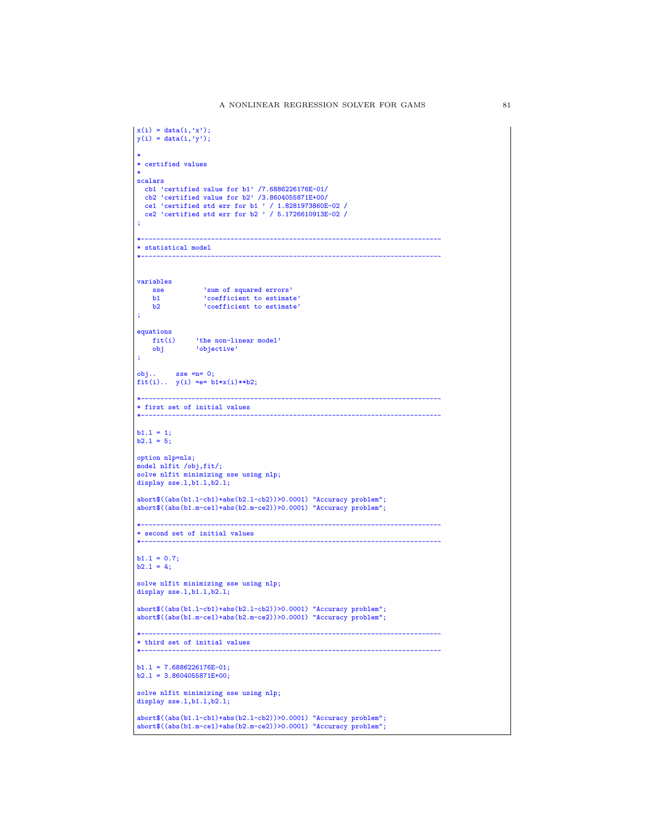```
x(i) = data(i, 'x');y(i) = data(i, 'y');*
* certified values
 *
scalars
  cb1 'certified value for b1' /7.6886226176E-01/
  cb2 'certified value for b2' /3.8604055871E+00/
   ce1 'certified std err for b1 ' / 1.8281973860E-02 /
ce2 'certified std err for b2 ' / 5.1726610913E-02 /
;
 *-----------------------------------------------------------------------------
* statistical model
 *-----------------------------------------------------------------------------
variables
      sse 'sum of squared errors'
b1 'coefficient to estimate'
b2 'coefficient to estimate'
;
equations
      fit(i) 'the non-linear model'
obj 'objective'
;
 obj.. sse =n= 0;
fit(i).. y(i) =e= b1*x(i)**b2;
 *-----------------------------------------------------------------------------
* first set of initial values
 *-----------------------------------------------------------------------------
 b1.l = 1;
b2.l = 5;
option nlp=nls;
model nlfit /obj,fit/;
solve nlfit minimizing sse using nlp;
display sse.1,b1.1,b2.1;
 abort$((abs(b1.l-cb1)+abs(b2.l-cb2))>0.0001) "Accuracy problem";
abort$((abs(b1.m-ce1)+abs(b2.m-ce2))>0.0001) "Accuracy problem";
 *-----------------------------------------------------------------------------
* second set of initial values
 *-----------------------------------------------------------------------------
b1.1 = 0.7;b2.1 = 4;solve nlfit minimizing sse using nlp;
display sse.1,b1.1,b2.1;
 abort$((abs(b1.l-cb1)+abs(b2.l-cb2))>0.0001) "Accuracy problem";
abort$((abs(b1.m-ce1)+abs(b2.m-ce2))>0.0001) "Accuracy problem";
 *-----------------------------------------------------------------------------
* third set of initial values
 *-----------------------------------------------------------------------------
b1.1 = 7.6886226176E-01;b2.1 = 3.8604055871E+00;solve nlfit minimizing sse using nlp;
display sse.1,b1.1,b2.1;
 abort$((abs(b1.l-cb1)+abs(b2.l-cb2))>0.0001) "Accuracy problem";
abort$((abs(b1.m-ce1)+abs(b2.m-ce2))>0.0001) "Accuracy problem";
```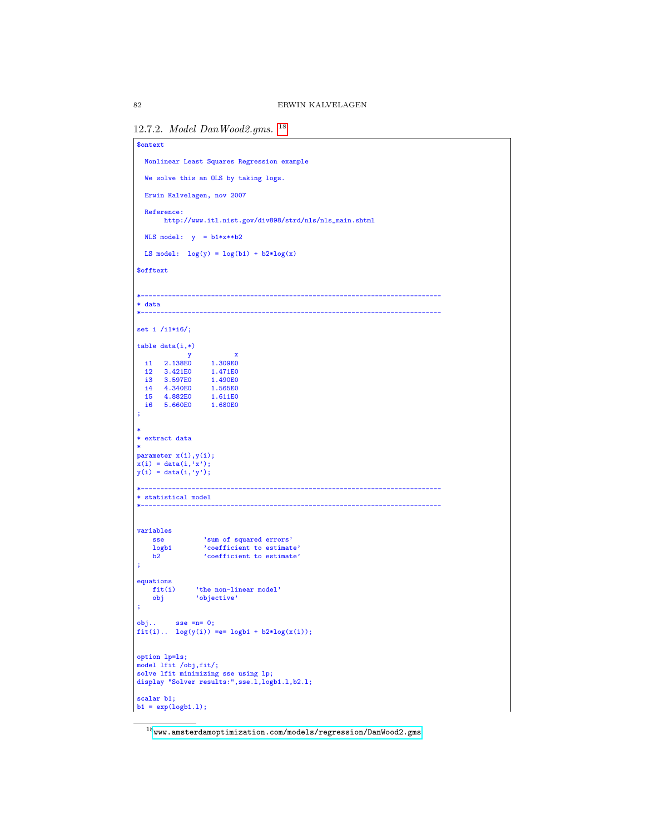```
12.7.2. Model DanWood2.gms. 18
```

```
$ontext
  Nonlinear Least Squares Regression example
  We solve this an OLS by taking logs.
  Erwin Kalvelagen, nov 2007
  Reference:
       http://www.itl.nist.gov/div898/strd/nls/nls_main.shtml
  NLS model: y = b1*x**b2LS model: log(y) = log(b1) + b2*log(x)$offtext
                                                              *-----------------------------------------------------------------------------
* data
*-----------------------------------------------------------------------------
set i /i1*i6/;
table data(i,*)y x<br>co 1.309E0<br>co 1.471E0
   i1 2.138E0 1.309E0
i2 3.421E0 1.471E0
   i3 3.597E0 1.490E0
i4 4.340E0 1.565E0
   i5 4.882E0 1.611E0
i6 5.660E0 1.680E0
;
*
* extract data
*
parameter x(i),y(i);
x(i) = data(i,'x');
y(i) = data(i,'y');
*-----------------------------------------------------------------------------
* statistical model
*-----------------------------------------------------------------------------
variables
     sse 'sum of squared errors'
logb1 'coefficient to estimate'
b2 'coefficient to estimate'
;
equations<br>fit(i)
     fit(i) 'the non-linear model'
obj 'objective'
;
obj.. sse =n= 0;
fit(i).. log(y(i)) =e= logb1 + b2*log(x(i));
option lp=ls;
model lfit /obj,fit/;
solve lfit minimizing sse using lp;
display "Solver results:",sse.l,logb1.l,b2.l;
scalar b1;
b1 = exp(logb1.1);
```
<span id="page-81-0"></span> $^{18}\!$  <www.amsterdamoptimization.com/models/regression/DanWood2.gms>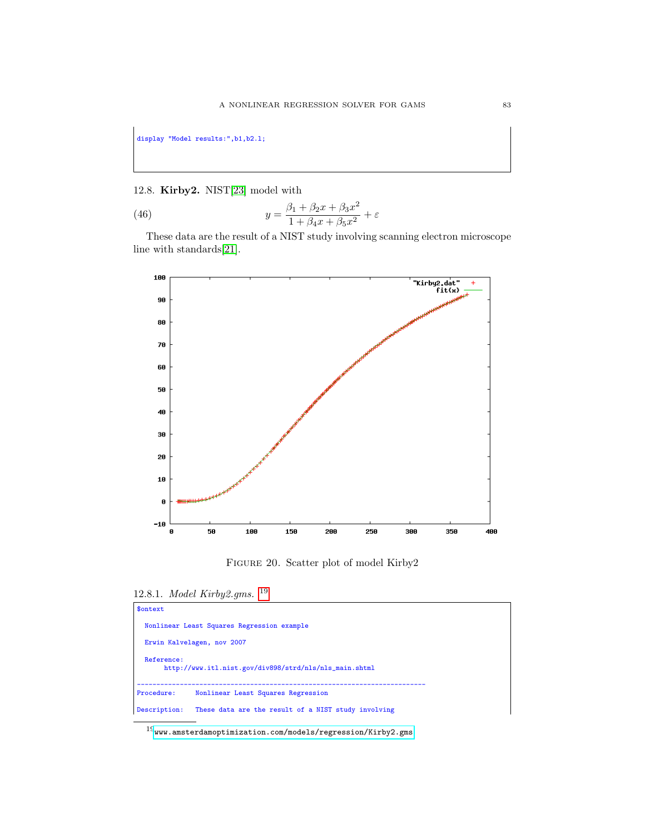display "Model results:",b1,b2.l;

## 12.8. Kirby2. NIST[\[23\]](#page-146-0) model with

(46) 
$$
y = \frac{\beta_1 + \beta_2 x + \beta_3 x^2}{1 + \beta_4 x + \beta_5 x^2} + \varepsilon
$$

These data are the result of a NIST study involving scanning electron microscope line with standards[\[21\]](#page-145-2).



Figure 20. Scatter plot of model Kirby2

12.8.1. Model Kirby2.gms. [19](#page-82-0)

| \$ontext     |                                                        |
|--------------|--------------------------------------------------------|
|              | Nonlinear Least Squares Regression example             |
|              | Erwin Kalvelagen, nov 2007                             |
| Reference:   | http://www.itl.nist.gov/div898/strd/nls/nls_main.shtml |
| Procedure:   | Nonlinear Least Squares Regression                     |
| Description: | These data are the result of a NIST study involving    |

<span id="page-82-0"></span> $^{19}$ <www.amsterdamoptimization.com/models/regression/Kirby2.gms>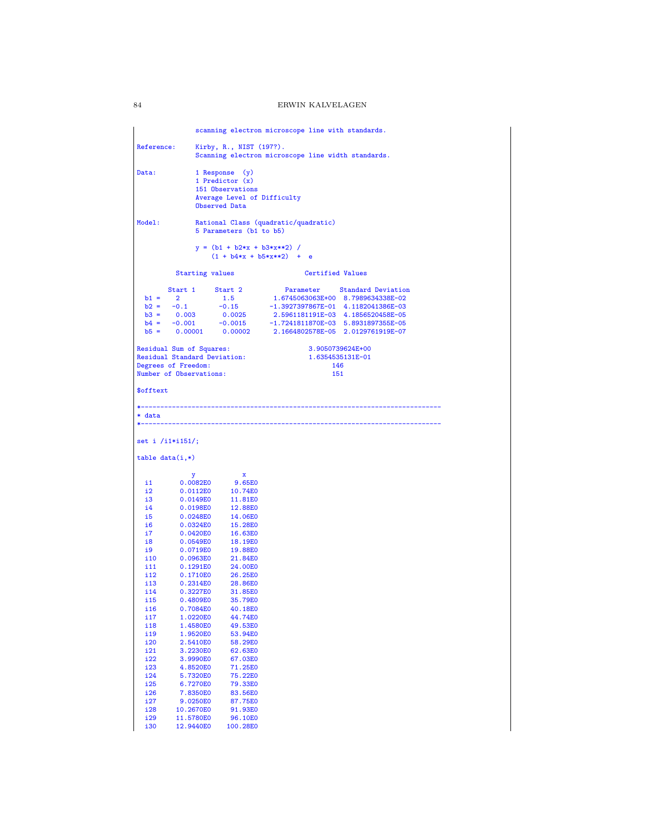scanning electron microscope line with standards. Reference: Kirby, R., NIST (197?). Scanning electron microscope line width standards. Data: 1 Response (y) 1 Predictor (x) 151 Observations Average Level of Difficulty Observed Data Model: Rational Class (quadratic/quadratic) 5 Parameters (b1 to b5)  $y = (b1 + b2*x + b3*x*x)$  /  $(1 + b4*x + b5*x**2)$  + e Starting values **Certified Values** Start 1 Start 2 Parameter Standard Deviation<br>
b1 = 2 1.5 1.6745063063E+00 8.7989634338E-02<br>
b2 = -0.1 -0.15 -1.3927397667E-01 4.1182041386E-03<br>
b3 = 0.003 0.0025 2.5961181191E-03 4.1856520458E-05<br>
b4 = -0.001 -0.0015 -1.72 Residual Sum of Squares: 3.9050739624E+00 Residual Standard Deviation: 1.6354535131E-01 Degrees of Freedom: 146 Number of Observations: 151 \$offtext \*----------------------------------------------------------------------------- \* data \*---------------------------------------------------------------------------- set i /i1\*i151/; table  $data(i,*)$ y x i1 0.0082E0 9.65E0 i2 0.0112E0 10.74E0<br>i3 0.0149E0 11.81E0 i3 0.0149E0 11.81E0<br>i4 0.0198E0 12.88E0 i4 0.0198E0 12.88E0<br>i5 0.0248E0 14.06E0 i5 0.0248E0 14.06E0<br>i6 0.0324E0 15.28E0 i6 0.0324E0 15.28E0<br>i7 0.0420E0 16.63E0 i7 0.0420E0 16.63E0<br>i8 0.0549E0 18.19E0 i8 0.0549E0 18.19E0<br>i9 0.0719E0 19.88E0 i9 0.0719E0 19.88E0<br>i10 0.0963E0 21.84E0 i10 0.0963E0 21.84E0<br>i11 0.1291E0 24.00E0 i11 0.1291E0<br>i12 0.1710E0 i12 0.1710E0 26.25E0<br>i13 0.2314E0 28.86E0 i13 0.2314E0 28.86E0<br>i14 0.3227E0 31.85E0 i14 0.3227E0 31.85E0 i15 0.4809E0 35.79E0 i16 0.7084E0 40.18E0<br>i17 1.0220E0 44.74E0 i17 1.0220E0 44.74E0<br>i18 1.4580E0 49.53E0 i18 1.4580E0 49.53E0<br>i19 1.9520E0 53.94E0 i19 1.9520E0 53.94E0<br>i20 2.5410E0 58.29E0 i20 2.5410E0 58.29E0<br>i21 3.2230E0 62.63E0 i21 3.2230E0 62.63E0 i22 3.9990E0 67.03E0 i23 4.8520E0 71.25E0 i24 5.7320E0 75.22E0 i25 6.7270E0 79.33E0<br>i26 7.8350E0 83.56E0 i26 7.8350E0 83.56E0<br>i27 9.0250E0 87.75E0 i27 9.0250E0 87.75E0 i28 10.2670E0 91.93E0<br>i29 11.5780E0 96.10E0 i29 11.5780E0 96.10E0<br>i30 12.9440E0 100.28E0

12.9440E0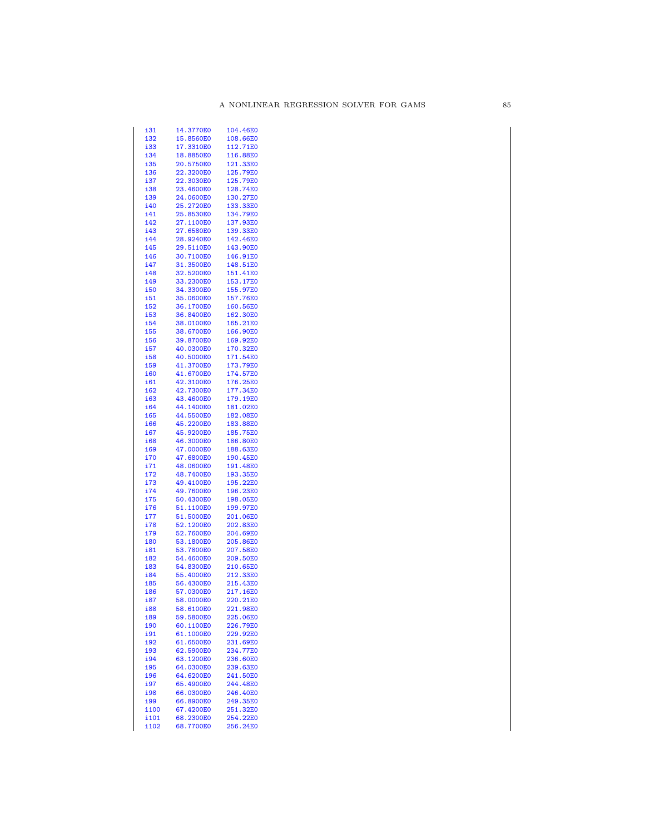| i31        | 14.3770E0 | 104.46E0 |
|------------|-----------|----------|
| i32        | 15.8560E0 | 108.66E0 |
|            | 17.3310E0 |          |
| i33        |           | 112.71E0 |
| i34        | 18.8850E0 | 116.88E0 |
| i35        | 20.5750E0 | 121.33E0 |
| i36        | 22.3200E0 | 125.79E0 |
|            |           |          |
| i37        | 22.3030E0 | 125.79E0 |
| i38        | 23.4600E0 | 128.74E0 |
| i39        | 24.0600E0 | 130.27E0 |
| i40        | 25.2720E0 | 133.33E0 |
|            |           |          |
| i41        | 25.8530E0 | 134.79E0 |
| i42        | 27.1100E0 | 137.93E0 |
| i43        | 27.6580E0 | 139.33E0 |
|            | 28.9240E0 | 142.46E0 |
| i44        |           |          |
| i45        | 29.5110E0 | 143.90E0 |
| i46        | 30.7100E0 | 146.91E0 |
| i47        | 31.3500E0 | 148.51E0 |
| i48        |           |          |
|            | 32.5200E0 | 151.41E0 |
| i49        | 33.2300E0 | 153.17E0 |
| i50        | 34.3300E0 | 155.97E0 |
| i51        | 35.0600E0 | 157.76E0 |
|            |           |          |
| i52        | 36.1700E0 | 160.56E0 |
| i53        | 36.8400E0 | 162.30E0 |
| i54        | 38.0100E0 | 165.21E0 |
| i55        | 38.6700E0 | 166.90E0 |
|            |           |          |
| <b>i56</b> | 39.8700E0 | 169.92E0 |
| i57        | 40.0300E0 | 170.32E0 |
| i58        | 40.5000E0 | 171.54E0 |
| i59        | 41.3700E0 | 173.79E0 |
|            |           |          |
| i60        | 41.6700E0 | 174.57E0 |
| i61        | 42.3100E0 | 176.25E0 |
| i62        | 42.7300E0 | 177.34E0 |
| i63        | 43.4600E0 | 179.19E0 |
|            |           |          |
| i64        | 44.1400E0 | 181.02E0 |
| i65        | 44.5500E0 | 182.08E0 |
| i66        | 45.2200E0 | 183.88E0 |
| i67        | 45.9200E0 | 185.75E0 |
|            |           |          |
| i68        | 46.3000E0 | 186.80E0 |
| i69        | 47.0000E0 | 188.63E0 |
| i70        | 47.6800E0 | 190.45E0 |
| i71        | 48.0600E0 | 191.48E0 |
|            |           |          |
| i72        | 48.7400E0 | 193.35E0 |
| i73        | 49.4100E0 | 195.22E0 |
| i74        | 49.7600E0 | 196.23E0 |
|            | 50.4300E0 |          |
| i75        |           | 198.05E0 |
| i76        | 51.1100E0 | 199.97E0 |
| i77        | 51.5000E0 | 201.06E0 |
| i78        | 52.1200E0 | 202.83E0 |
|            |           |          |
| i79        | 52.7600E0 | 204.69E0 |
| i80        | 53.1800E0 | 205.86E0 |
| i81        | 53.7800E0 | 207.58E0 |
| i82        | 54.4600E0 | 209.50E0 |
|            | 54.8300E0 | 210.65E0 |
| i83        |           |          |
| i84        | 55.4000E0 | 212.33E0 |
| i85        | 56.4300E0 | 215.43E0 |
| i86        | 57.0300E0 | 217.16E0 |
|            |           |          |
| i87        | 58.0000E0 | 220.21E0 |
| <u>i88</u> | 58.6100E0 | 221.98E0 |
| i89        | 59.5800E0 | 225.06E0 |
| <u>i90</u> |           |          |
|            |           |          |
|            | 60.1100E0 | 226.79E0 |
| <u>i91</u> | 61.1000E0 | 229.92E0 |
| <u>192</u> | 61.6500E0 | 231.69E0 |
|            |           |          |
| <u>i93</u> | 62.5900E0 | 234.77E0 |
| <u>i94</u> | 63.1200E0 | 236.60E0 |
| <u>i95</u> | 64.0300E0 | 239.63E0 |
| <u>i96</u> | 64.6200E0 | 241.50E0 |
|            | 65.4900E0 |          |
| <u>i97</u> |           | 244.48E0 |
| <u>i98</u> | 66.0300E0 | 246.40E0 |
| <u>i99</u> | 66.8900E0 | 249.35E0 |
| i100       | 67.4200E0 | 251.32E0 |
| i101       | 68.2300E0 | 254.22E0 |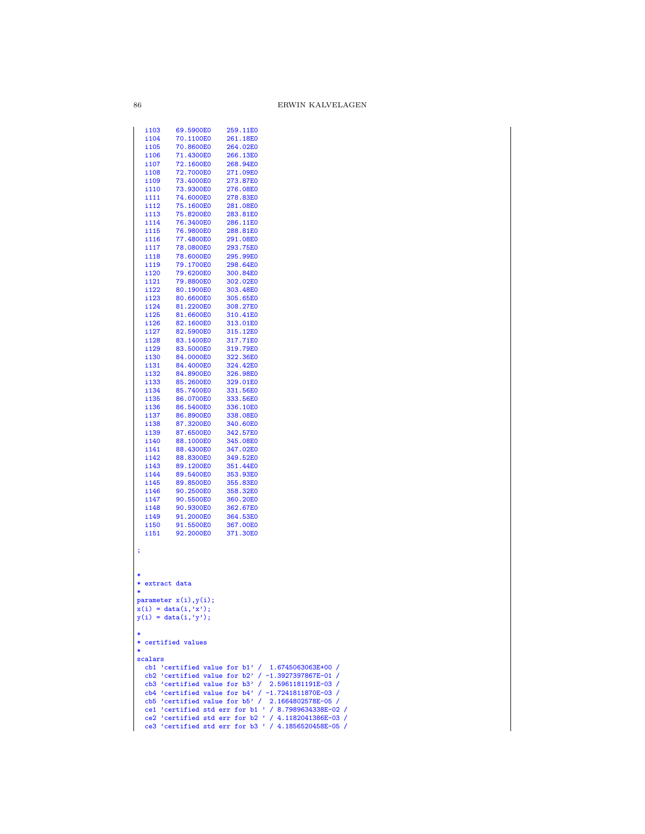| i 103              | 69.5900E0                   | 259.11E0                                             |
|--------------------|-----------------------------|------------------------------------------------------|
| i104               | 70.1100E0                   | 261.18E0                                             |
| i105               | 70.8600E0                   | 264.02E0                                             |
|                    |                             |                                                      |
| i106               | 71.4300E0                   | 266.13E0                                             |
| i107               | 72.1600E0                   | 268.94E0                                             |
| i108               | 72.7000E0                   | 271.09E0                                             |
| i109               | 73.4000E0                   | 273.87E0                                             |
|                    | 73.9300E0                   | 276.08E0                                             |
| i110               |                             |                                                      |
| i111               | 74.6000E0                   | 278.83E0                                             |
| i112               | 75.1600E0                   | 281.08E0                                             |
| i 113              | 75.8200E0                   | 283.81E0                                             |
| i114               | 76.3400E0                   | 286.11E0                                             |
|                    | 76.9800E0                   |                                                      |
| i115               |                             | 288.81E0                                             |
| i116               | 77.4800E0                   | 291.08E0                                             |
| i117               | 78.0800E0                   | 293.75E0                                             |
| i118               | 78.6000E0                   | 295.99E0                                             |
| i 119              | 79.1700E0                   | 298.64E0                                             |
|                    |                             |                                                      |
| i120               | 79.6200E0                   | 300.84E0                                             |
| i 121              | 79.8800E0                   | 302.02E0                                             |
| i122               | 80.1900E0                   | 303.48E0                                             |
| i123               | 80.6600E0                   | 305.65E0                                             |
| i124               | 81.2200E0                   | 308.27E0                                             |
|                    |                             |                                                      |
| i125               | 81.6600E0                   | 310.41E0                                             |
| i126               | 82.1600E0                   | 313.01E0                                             |
| i 127              | 82.5900E0                   | 315.12E0                                             |
| i 128              | 83.1400E0                   | 317.71E0                                             |
|                    |                             |                                                      |
| i129               | 83.5000E0                   | 319.79E0                                             |
| i130               | 84.0000E0                   | 322.36E0                                             |
| i 131              | 84.4000E0                   | 324.42E0                                             |
| i132               | 84.8900E0                   | 326.98E0                                             |
| i133               | 85.2600E0                   | 329.01E0                                             |
|                    |                             |                                                      |
| i 134              | 85.7400E0                   | 331.56E0                                             |
| i135               | 86.0700E0                   | 333.56E0                                             |
| i136               | 86.5400E0                   | 336.10E0                                             |
| i 137              | 86.8900E0                   | 338.08E0                                             |
| i138               | 87.3200E0                   | 340.60E0                                             |
|                    |                             |                                                      |
| i139               | 87.6500E0                   | 342.57E0                                             |
| i140               | 88.1000E0                   | 345.08E0                                             |
| i141               | 88.4300E0                   | 347.02E0                                             |
| i142               | 88.8300E0                   | 349.52E0                                             |
| i143               | 89.1200E0                   | 351.44E0                                             |
|                    |                             |                                                      |
| i144               | 89.5400E0                   | 353.93E0                                             |
| i145               | 89.8500E0                   | 355.83E0                                             |
| i146               | 90.2500E0                   | 358.32E0                                             |
| i 147              | 90.5500E0                   | 360.20E0                                             |
|                    |                             |                                                      |
| i148               | 90.9300E0                   | 362.67E0                                             |
| i149               | 91.2000E0                   | 364.53E0                                             |
| i150               | 91.5500E0                   | 367.00E0                                             |
| i151               | 92.2000E0                   | 371.30E0                                             |
|                    |                             |                                                      |
|                    |                             |                                                      |
| ĵ,                 |                             |                                                      |
|                    |                             |                                                      |
|                    |                             |                                                      |
|                    |                             |                                                      |
| extract data<br>*  |                             |                                                      |
|                    |                             |                                                      |
| ∗                  |                             |                                                      |
|                    | parameter $x(i)$ , $y(i)$ ; |                                                      |
|                    | $x(i) = data(i, 'x');$      |                                                      |
|                    | $y(i) = data(i, 'y');$      |                                                      |
|                    |                             |                                                      |
|                    |                             |                                                      |
|                    |                             |                                                      |
| * certified values |                             |                                                      |
| $\ast$             |                             |                                                      |
| scalars            |                             |                                                      |
|                    |                             |                                                      |
|                    |                             | cb1 'certified value for $b1'$ / 1.6745063063E+00 /  |
|                    |                             | cb2 'certified value for b2' / $-1.3927397867E-01$ / |
|                    |                             | cb3 'certified value for b3' / $2.5961181191E-03$ /  |
|                    |                             | cb4 'certified value for $b4'$ / -1.7241811870E-03 / |
|                    |                             | cb5 'certified value for $b5'$ / 2.1664802578E-05 /  |
|                    |                             | ce1 'certified std err for b1 ' / 8.7989634338E-02 / |
|                    |                             |                                                      |
|                    |                             | ce2 'certified std err for b2 ' / 4.1182041386E-03 / |
|                    |                             | ce3 'certified std err for b3 ' / 4.1856520458E-05 / |
|                    |                             |                                                      |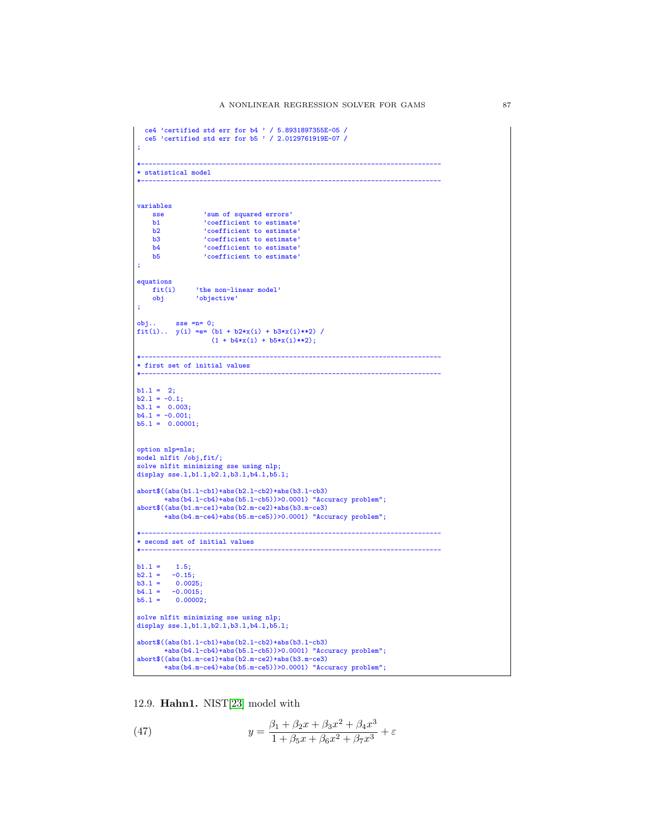```
ce4 'certified std err for b4 ' / 5.8931897355E-05 /
ce5 'certified std err for b5 ' / 2.0129761919E-07 /
;
*-----------------------------------------------------------------------------
* statistical model
*-----------------------------------------------------------------------------
variables
    sse 'sum of squared errors'<br>b1 'coefficient to estimate
    b1 <br>
b2 <br>
coefficient to estimate'<br>
coefficient to estimate'
     b2 'coefficient to estimate'
b3 'coefficient to estimate'
b4 'coefficient to estimate'
b5 'coefficient to estimate'
;
equationsfit(i)fit(i) 'the non-linear model'
obj 'objective'
;
obj.. sse =n= 0;
fit(i).. y(i) =e= (b1 + b2*x(i) + b3*x(i)**2) /
                    (1 + b4*x(i) + b5*x(i)*2);*-----------------------------------------------------------------------------
* first set of initial values
*-----------------------------------------------------------------------------
b1.1 = 2:
b2.1 = -0.1;
b3.1 = 0.003;<br>b4.1 = -0.001;b5.1 = 0.00001;option nlp=nls;
model nlfit /obj,fit/;
solve nlfit minimizing sse using nlp;
display sse.l,b1.l,b2.l,b3.l,b4.l,b5.l;
abort$((abs(b1.l-cb1)+abs(b2.l-cb2)+abs(b3.l-cb3)
        +abs(b4.l-cb4)+abs(b5.l-cb5))>0.0001) "Accuracy problem";
abort$((abs(b1.m-ce1)+abs(b2.m-ce2)+abs(b3.m-ce3)
        +abs(b4.m-ce4)+abs(b5.m-ce5))>0.0001) "Accuracy problem";
*-----------------------------------------------------------------------------
* second set of initial values
*-----------------------------------------------------------------------------
b1.1 = 1.5;b2.1 = -0.15;
b3.1 = 0.0025;<br>
b4.1 = -0.0015;<br>
b5.1 = 0.00002;solve nlfit minimizing sse using nlp;
display sse.1,b1.1,b2.1,b3.1,b4.1,b5.1;
abort$((abs(b1.l-cb1)+abs(b2.l-cb2)+abs(b3.l-cb3)
        +abs(b4.l-cb4)+abs(b5.l-cb5))>0.0001) "Accuracy problem";
abort$((abs(b1.m-ce1)+abs(b2.m-ce2)+abs(b3.m-ce3)
       +abs(b4.m-ce4)+abs(b5.m-ce5))>0.0001) "Accuracy problem";
```
12.9. Hahn1. NIST[\[23\]](#page-146-0) model with

(47) 
$$
y = \frac{\beta_1 + \beta_2 x + \beta_3 x^2 + \beta_4 x^3}{1 + \beta_5 x + \beta_6 x^2 + \beta_7 x^3} + \varepsilon
$$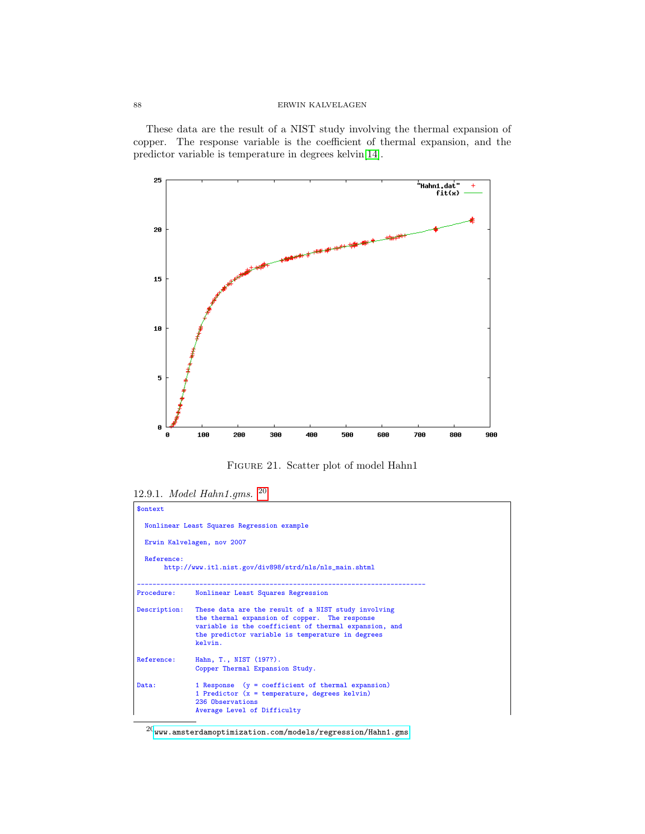These data are the result of a NIST study involving the thermal expansion of copper. The response variable is the coefficient of thermal expansion, and the predictor variable is temperature in degrees kelvin[\[14\]](#page-145-3).



Figure 21. Scatter plot of model Hahn1

12.9.1. Model Hahn1.gms. [20](#page-87-0)

| \$ontext     |                                                                                                                                                                                                                              |  |  |  |  |
|--------------|------------------------------------------------------------------------------------------------------------------------------------------------------------------------------------------------------------------------------|--|--|--|--|
|              | Nonlinear Least Squares Regression example                                                                                                                                                                                   |  |  |  |  |
|              | Erwin Kalvelagen, nov 2007                                                                                                                                                                                                   |  |  |  |  |
| Reference:   | http://www.itl.nist.gov/div898/strd/nls/nls_main.shtml                                                                                                                                                                       |  |  |  |  |
| Procedure:   | Nonlinear Least Squares Regression                                                                                                                                                                                           |  |  |  |  |
| Description: | These data are the result of a NIST study involving<br>the thermal expansion of copper. The response<br>variable is the coefficient of thermal expansion, and<br>the predictor variable is temperature in degrees<br>kelvin. |  |  |  |  |
| Reference:   | Hahn, T., NIST (197?).<br>Copper Thermal Expansion Study.                                                                                                                                                                    |  |  |  |  |
| Data:        | 1 Response $(y = coefficient of thermal expansion)$<br>1 Predictor $(x = temperature, degrees kelvin)$<br>236 Observations<br>Average Level of Difficulty                                                                    |  |  |  |  |

<span id="page-87-0"></span> $^{20}\!$  <www.amsterdamoptimization.com/models/regression/Hahn1.gms>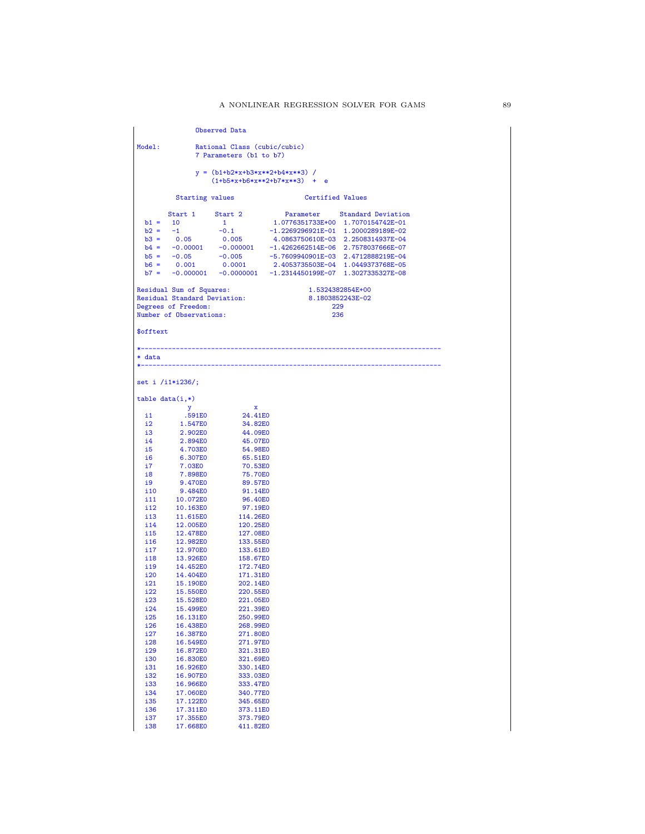Observed Data Model: Rational Class (cubic/cubic) 7 Parameters (b1 to b7)  $y = (b1+b2*x+b3*x*x+2+b4*x*x+3)$ (1+b5\*x+b6\*x\*\*2+b7\*x\*\*3) + e Starting values **Certified Values** Start 1 Start 2 Parameter Standard Deviation b1 = 10 1 1.0776351733E+00 1.7070154742E-01 b2 = -1 -0.1 -1.2269296921E-01 1.2000289189E-02 b3 = 0.05 0.005 4.0863750610E-03 2.2508314937E-04  $\begin{array}{cccccc} \rm{b4} & = & -0.00001 & -0.000001 & -1.4262662514E-06 & 2.7578037666E-07 \\ \rm{b5} & = & -0.05 & -0.005 & -5.7609940901E-03 & 2.4712888219E-04 \\ \rm{b6} & = & 0.001 & 0.0001 & 2.4053735503E-04 & 1.0449373768E-05 \end{array}$  $\begin{array}{cccccc} \text{b5} = & -0.05 & & -0.005 & & -5.7609940901E - 03 & 2.4712888219E - 04 \\ \text{b6} = & 0.001 & & 0.0001 & & 2.4053735603E - 04 & 1.0449373768E - 05 \end{array}$  $b6 = \begin{array}{cccc} 0.001 & 0.0001 & 2.4053735603E-04 & 1.0449373768E-05 \\ b7 = -0.000001 & -0.0000001 & -1.2314450199E-07 & 1.3027335327E-08 \end{array}$  $-0.000001$   $-0.0000001$   $-1.2314450199E-07$   $1.3027335327E-08$ Residual Sum of Squares: 1.5324382854E+00<br>Residual Standard Deviation: 3.1803852243E-02 Residual Standard Deviation: 8.1803852<br>Degrees of Freedom: 229 Degrees of Freedom: 229<br>
Number of Observations: 236<br>
236 Number of Observations: \$offtext \*----------------------------------------------------------------------------- \* data \*---------------------------------------------------------------------------- set i /i1\*i236/; table data(i,\*) y x i1 .591E0 24.41E0 i2 1.547E0 34.82E0<br>i3 2.902E0 44.09E0 i3 2.902E0 44.09E0 i4 2.894E0 45.07E0 i5 4.703E0 54.98E0 iff 6.307E0 65.51E0<br>1.03E0 70.53E0 i7 7.03E0 70.53E0<br>i8 7.898E0 75.70E0 i8 7.898E0 75.70E0 i9 9.470E0 89.57E0<br>i10 9.484E0 91.14E0 i10 9.484E0 91.14E0<br>i11 10.072E0 96.40E0 i11 10.072E0 96.40E0<br>i12 10.163E0 97.19E0 i12 10.163E0 97.19E0<br>i13 11.615E0 114.26E0 i13 11.615E0 114.26E0<br>i14 12.005E0 120.25E0 i14 12.005E0 120.25E0<br>i15 12.478E0 127.08E0 i15 12.478E0 127.08E0<br>i16 12.982E0 133.55E0 i16 12.982E0 133.55E0<br>i17 12.970E0 133.61E0 i17 12.970E0 133.61E0<br>i18 13.926E0 158.67E0 i18 13.926E0 158.67E0<br>i19 14.452E0 172.74E0 i19 14.452E0 172.74E0<br>i20 14.404E0 171.31E0 i20 14.404E0 171.31E0<br>i21 15.190E0 202.14E0 i21 15.190E0 202.14E0<br>i22 15.550E0 220.55E0 i22 15.550E0 220.55E0 i23 15.528E0 221.05E0 i24 15.499E0 221.39E0<br>i25 16.131E0 250.99E0 i25 16.131E0 250.99E0<br>i26 16.438E0 268.99E0 i26 16.438E0 268.99E0<br>i27 16.387E0 271.80E0 i27 16.387E0 271.80E0<br>i28 16.549E0 271.97E0 i28 16.549E0 271.97E0<br>i29 16.872E0 321.31E0 i29 16.872E0 321.31E0<br>i30 16.830E0 321.69E0 i30 16.830E0 321.69E0 i31 16.926E0 330.14E0<br>i32 16.907E0 333.03E0 i32 16.907E0 333.03E0<br>i33 16.966E0 333.47E0 i33 16.966E0 333.47E0<br>i34 17.060E0 340.77E0 i34 17.060E0 340.77E0<br>i35 17.122E0 345.65E0 i35 17.122E0 345.65E0<br>i36 17.311E0 373.11E0 i36 17.311E0 373.11E0<br>i37 17.355E0 373.79E0 i37 17.355E0<br>i38 17.668E0 411.82E0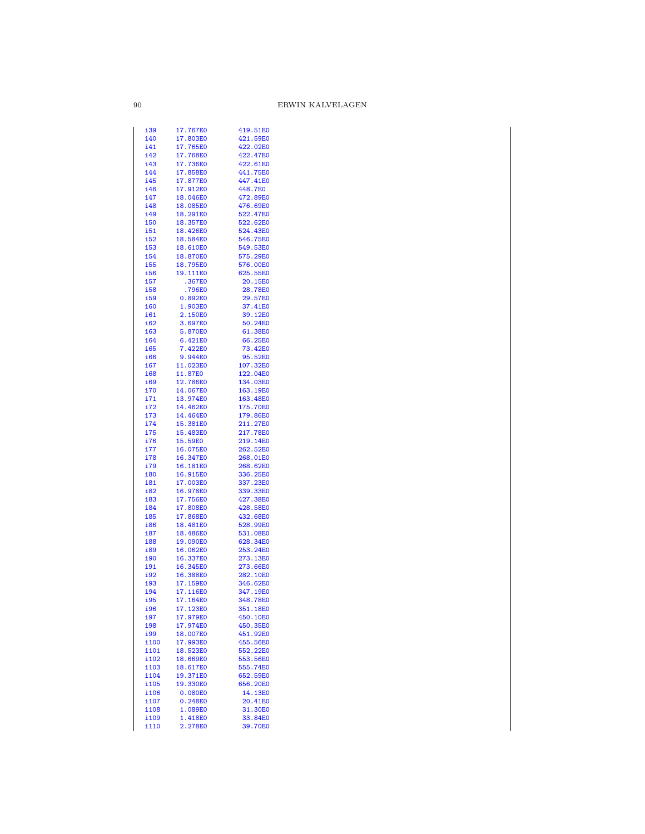| i39        | 17.767E0 | 419.51E0 |
|------------|----------|----------|
| i40        | 17.803E0 | 421.59E0 |
| i41        | 17.765E0 | 422.02E0 |
|            |          |          |
| i42        | 17.768E0 | 422.47E0 |
| i43        | 17.736E0 | 422.61E0 |
| i44        | 17.858E0 | 441.75E0 |
|            |          |          |
| i45        | 17.877E0 | 447.41E0 |
| i46        | 17.912E0 | 448.7E0  |
| i47        | 18.046E0 | 472.89E0 |
|            |          |          |
| i48        | 18.085E0 | 476.69E0 |
| i49        | 18.291E0 | 522.47E0 |
| i50        | 18.357E0 | 522.62E0 |
|            |          |          |
| i51        | 18.426E0 | 524.43E0 |
| i52        | 18.584E0 | 546.75E0 |
| i53        | 18.610E0 | 549.53E0 |
|            |          |          |
| i54        | 18.870E0 | 575.29E0 |
| i55        | 18.795E0 | 576.00E0 |
| i56        | 19.111E0 | 625.55E0 |
|            |          |          |
| i57        | .367E0   | 20.15E0  |
| i58        | .796E0   | 28.78E0  |
| i59        | 0.892E0  | 29.57E0  |
| <b>i60</b> | 1.903E0  | 37.41E0  |
|            |          |          |
| i61        | 2.150E0  | 39.12E0  |
| i62        | 3.697E0  | 50.24E0  |
| i63        | 5.870E0  | 61.38E0  |
|            |          |          |
| i64        | 6.421E0  | 66.25E0  |
| i65        | 7.422E0  | 73.42E0  |
| i66        | 9.944E0  | 95.52E0  |
|            |          |          |
| i67        | 11.023E0 | 107.32E0 |
| i68        | 11.87E0  | 122.04E0 |
| i69        | 12.786E0 | 134.03E0 |
|            | 14.067E0 |          |
| i70        |          | 163.19E0 |
| i71        | 13.974E0 | 163.48E0 |
| i72        | 14.462E0 | 175.70E0 |
| i73        | 14.464E0 | 179.86E0 |
|            |          |          |
| i74        | 15.381E0 | 211.27E0 |
| i75        | 15.483E0 | 217.78E0 |
| i76        | 15.59E0  | 219.14E0 |
|            |          |          |
| i77        | 16.075E0 | 262.52E0 |
| i78        | 16.347E0 | 268.01E0 |
| i79        | 16.181E0 | 268.62E0 |
| i80        | 16.915E0 | 336.25E0 |
|            |          |          |
| i81        | 17.003E0 | 337.23E0 |
| i82        | 16.978E0 | 339.33E0 |
| i83        | 17.756E0 | 427.38E0 |
|            | 17.808E0 |          |
| i84        |          | 428.58E0 |
| i85        | 17.868E0 | 432.68E0 |
| i86        | 18.481E0 | 528.99E0 |
| i87        | 18.486E0 | 531.08E0 |
|            |          |          |
| i88        | 19.090E0 | 628.34E0 |
| i89        | 16.062E0 | 253.24E0 |
| i90        | 16.337E0 | 273.13E0 |
|            |          |          |
| i91        | 16.345E0 | 273.66E0 |
| i92        | 16.388E0 | 282.10E0 |
| i93        | 17.159E0 | 346.62E0 |
|            |          |          |
| i94        | 17.116E0 | 347.19E0 |
| <u>i95</u> | 17.164E0 | 348.78E0 |
| <u>i96</u> | 17.123E0 | 351.18E0 |
|            |          | 450.10E0 |
| i97        | 17.979E0 |          |
| i98        | 17.974E0 | 450.35E0 |
| <u>i99</u> | 18.007E0 | 451.92E0 |
| i100       | 17.993E0 | 455.56E0 |
|            |          |          |
| i101       | 18.523E0 | 552.22E0 |
| i102       | 18.669E0 | 553.56E0 |
| i103       | 18.617E0 | 555.74E0 |
| i104       |          |          |
|            |          |          |
|            | 19.371E0 | 652.59E0 |
| i105       | 19.330E0 | 656.20E0 |
|            | 0.080E0  |          |
| i106       |          | 14.13E0  |
| i107       | 0.248E0  | 20.41E0  |
| i108       | 1.089E0  | 31.30E0  |
| i109       | 1.418E0  | 33.84E0  |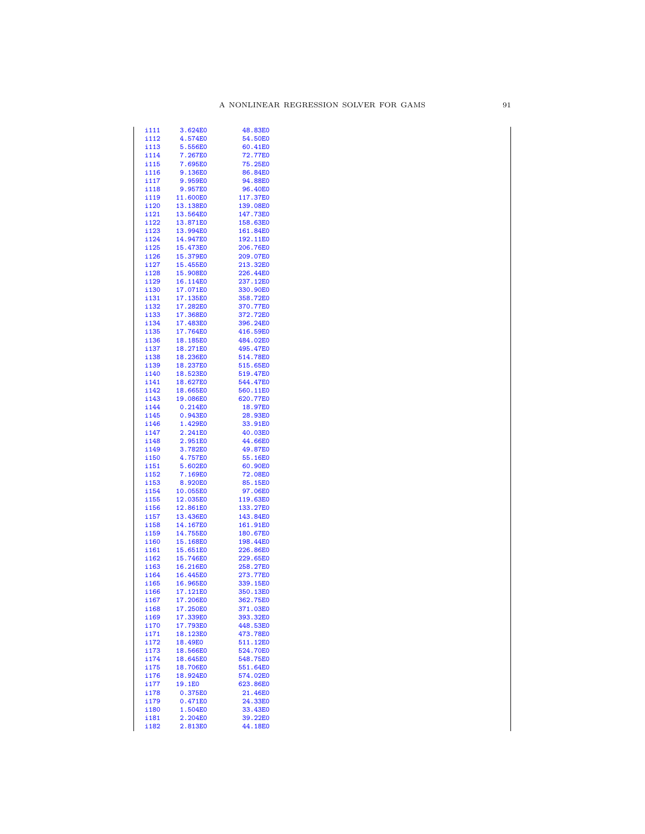| i111         | 3.624E0            | 48.83E0            |
|--------------|--------------------|--------------------|
| i112         | 4.574E0            | 54.50E0            |
| i113         | 5.556E0            | 60.41E0            |
|              |                    |                    |
| i114         | 7.267E0            | 72.77E0            |
| i115         | 7.695E0            | 75.25E0            |
| i116         | 9.136E0            | 86.84E0            |
|              |                    |                    |
| i117         | 9.959E0            | 94.88E0            |
| i118         | 9.957E0            | 96.40E0            |
|              | 11.600E0           |                    |
| i119         |                    | 117.37E0           |
| i120         | 13.138E0           | 139.08E0           |
| i121         | 13.564E0           | 147.73E0           |
|              |                    |                    |
| i122         | 13.871E0           | 158.63E0           |
| i123         | 13.994E0           | 161.84E0           |
| i124         | 14.947E0           | 192.11E0           |
|              |                    |                    |
| i125         | 15.473E0           | 206.76E0           |
| i126         | 15.379E0           | 209.07E0           |
| i127         | 15.455E0           | 213.32E0           |
|              |                    |                    |
| i128         | 15.908E0           | 226.44E0           |
| i129         | 16.114E0           | 237.12E0           |
| i130         | 17.071E0           | 330.90E0           |
|              |                    |                    |
| i131         | 17.135E0           | 358.72E0           |
| i132         | 17.282E0           | 370.77E0           |
| i133         | 17.368E0           | 372.72E0           |
|              |                    |                    |
| i134         | 17.483E0           | 396.24E0           |
| i135         | 17.764E0           | 416.59E0           |
|              |                    |                    |
| i136         | 18.185E0           | 484.02E0           |
| i137         | 18.271E0           | 495.47E0           |
| i138         | 18.236E0           | 514.78E0           |
|              |                    |                    |
| i139         | 18.237E0           | 515.65E0           |
| i140         | 18.523E0           | 519.47E0           |
| i141         | 18.627E0           | 544.47E0           |
|              |                    |                    |
| i142         | 18.665E0           | 560.11E0           |
| i143         | 19.086E0           | 620.77E0           |
| i144         | 0.214E0            | 18.97E0            |
|              |                    |                    |
| i145         | 0.943E0            | 28.93E0            |
| i146         | 1.429E0            | 33.91E0            |
| i147         | 2.241E0            | 40.03E0            |
|              |                    |                    |
| i148         | 2.951E0            | 44.66E0            |
| i149         | 3.782E0            | 49.87E0            |
| i150         | 4.757E0            | 55.16E0            |
|              |                    |                    |
| i151         | 5.602E0            | 60.90E0            |
| i152         | 7.169E0            | 72.08E0            |
|              | 8.920E0            |                    |
| i153         |                    | 85.15E0            |
| i154         | 10.055E0           | 97.06E0            |
| i155         | 12.035E0           | 119.63E0           |
|              |                    |                    |
| i156         | 12.861E0           | 133.27E0           |
| i157         | 13.436E0           | 143.84E0           |
| i158         | 14.167E0           | 161.91E0           |
|              |                    |                    |
| i159         | 14.755E0           | 180.67E0           |
| i160         | 15.168E0           | 198.44E0           |
| i161         | 15.651E0           | 226.86E0           |
|              |                    |                    |
| i162         | 15.746E0           | 229.65E0           |
| i163         | 16.216E0           | 258.27E0           |
| i164         | 16.445E0           | 273.77E0           |
|              |                    |                    |
| i165         | 16.965E0           | 339.15E0           |
| i166         | 17.121E0           | 350.13E0           |
|              |                    |                    |
| i167         | 17.206E0           | 362.75E0           |
| i168         | 17.250E0           | 371.03E0           |
| i169         | 17.339E0           | 393.32E0           |
|              |                    | 448.53E0           |
| i170         | 17.793E0           |                    |
| i 171        | 18.123E0           | 473.78E0           |
| i172         | 18.49E0            | 511.12E0           |
|              |                    |                    |
| i173         | 18.566E0           | 524.70E0           |
| i174         | 18.645E0           | 548.75E0           |
| i175         | 18.706E0           | 551.64E0           |
|              |                    |                    |
| i176         | 18.924E0           | 574.02E0           |
| i177         | 19.1E0             | 623.86E0           |
| i178         | 0.375E0            | 21.46E0            |
|              |                    |                    |
| i179         | 0.471E0            | 24.33E0            |
| i180         | 1.504E0            | 33.43E0            |
|              |                    |                    |
|              |                    |                    |
| i181<br>i182 | 2.204E0<br>2.813E0 | 39.22E0<br>44.18E0 |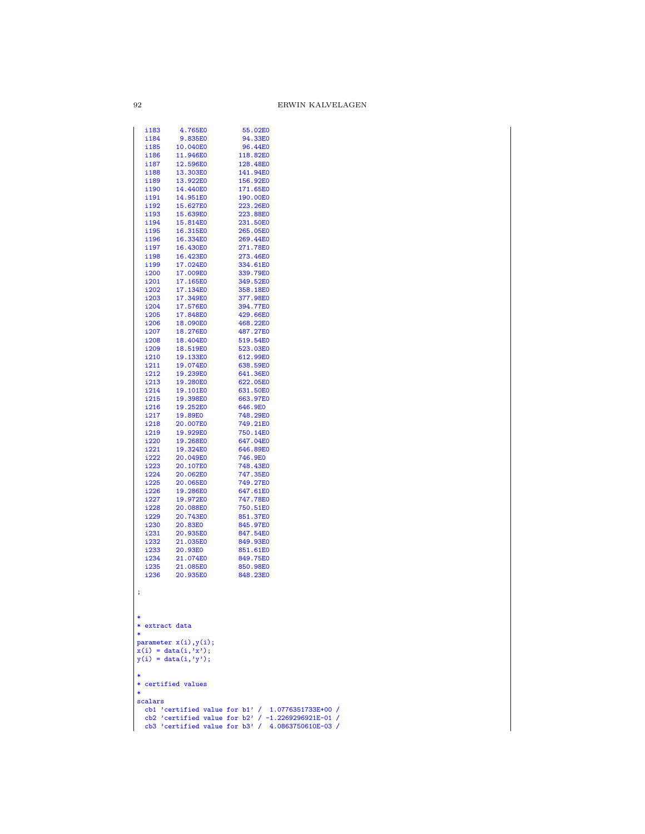|        | i183           | 4.765E0                                          | 55.02E0                                              |
|--------|----------------|--------------------------------------------------|------------------------------------------------------|
|        | i184           | 9.835E0                                          | 94.33E0                                              |
|        | i185<br>i186   | 10.040E0<br>11.946E0                             | 96.44E0<br>118.82E0                                  |
|        | i 187          | 12.596E0                                         | 128.48E0                                             |
|        | i 188          | 13.303E0                                         | 141.94E0                                             |
|        | i189           | 13.922E0                                         | 156.92E0                                             |
|        | i190           | 14.440E0                                         | 171.65E0                                             |
|        | i 191          | 14.951E0                                         | 190.00E0                                             |
|        | i 192          | 15.627E0<br>15.639E0                             | 223.26E0<br>223.88E0                                 |
|        | i193<br>i194   | 15.814E0                                         | 231.50E0                                             |
|        | i195           | 16.315E0                                         | 265.05E0                                             |
|        | i196           | 16.334E0                                         | 269.44E0                                             |
|        | i197           | 16.430E0                                         | 271.78E0                                             |
|        | i198           | 16.423E0                                         | 273.46E0                                             |
|        | i199<br>i200   | 17.024E0<br>17.009E0                             | 334.61E0<br>339.79E0                                 |
|        | i201           | 17.165E0                                         | 349.52E0                                             |
|        | i202           | 17.134E0                                         | 358.18E0                                             |
|        | i203           | 17.349E0                                         | 377.98E0                                             |
|        | i204           | 17.576E0                                         | 394.77E0                                             |
|        | i205           | 17.848E0                                         | 429.66E0                                             |
|        | i206<br>i207   | 18.090E0<br>18.276E0                             | 468.22E0<br>487.27E0                                 |
|        | i208           | 18.404E0                                         | 519.54E0                                             |
|        | i209           | 18.519E0                                         | 523.03E0                                             |
|        | i210           | 19.133E0                                         | 612.99E0                                             |
|        | i211           | 19.074E0                                         | 638.59E0                                             |
|        | i212<br>i213   | 19.239E0<br>19.280E0                             | 641.36E0<br>622.05E0                                 |
|        | i214           | 19.101E0                                         | 631.50E0                                             |
|        | i215           | 19.398E0                                         | 663.97E0                                             |
|        | i216           | 19.252E0                                         | 646.9E0                                              |
|        | i217           | 19.89E0                                          | 748.29E0                                             |
|        | i218<br>i219   | 20.007E0<br>19.929E0                             | 749.21E0<br>750.14E0                                 |
|        | i220           | 19.268E0                                         | 647.04E0                                             |
|        | i221           | 19.324E0                                         | 646.89E0                                             |
|        | i222           | 20.049E0                                         | 746.9E0                                              |
|        | i223           | 20.107E0                                         | 748.43E0                                             |
|        | i224<br>i225   | 20.062E0<br>20.065E0                             | 747.35E0<br>749.27E0                                 |
|        | i226           | 19.286E0                                         | 647.61E0                                             |
|        | i227           | 19.972E0                                         | 747.78E0                                             |
|        | i228           | 20.088E0                                         | 750.51E0                                             |
|        | i229           | 20.743E0                                         | 851.37E0                                             |
|        | i230<br>i231   | 20.83E0<br>20.935E0                              | 845.97E0<br>847.54E0                                 |
|        | i232           | 21.035E0                                         | 849.93E0                                             |
|        | i233           | 20.93E0                                          | 851.61E0                                             |
|        | i234           | 21.074E0                                         | 849.75E0                                             |
|        | i235           | 21.085E0<br>20.935E0                             | 850.98E0                                             |
|        | i236           |                                                  | 848.23E0                                             |
| ;      |                |                                                  |                                                      |
|        |                |                                                  |                                                      |
|        |                |                                                  |                                                      |
|        | * extract data |                                                  |                                                      |
| $\ast$ |                |                                                  |                                                      |
|        |                | parameter $x(i)$ , $y(i)$ ;                      |                                                      |
|        |                | $x(i) = data(i, 'x');$<br>$y(i) = data(i, 'y');$ |                                                      |
|        |                |                                                  |                                                      |
|        |                |                                                  |                                                      |
| *      |                | * certified values                               |                                                      |
|        | scalars        |                                                  |                                                      |
|        |                |                                                  | cb1 'certified value for $b1'$ / 1.0776351733E+00 /  |
|        |                |                                                  | cb2 'certified value for b2' / $-1.2269296921E-01$ / |
|        |                |                                                  | cb3 'certified value for b3' / 4.0863750610E-03 /    |

 $\boldsymbol{92}$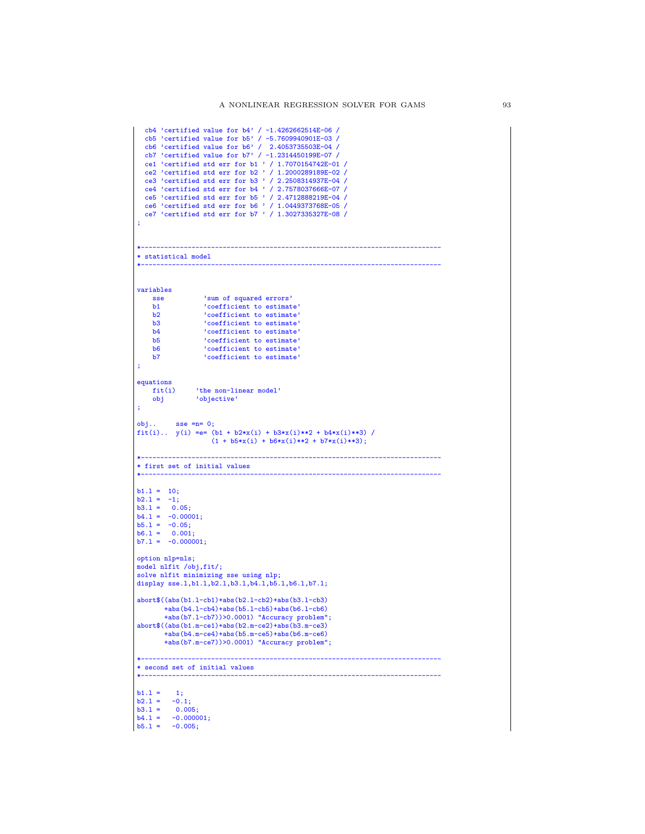|                    | cb4 'certified value for $b4'$ / -1.4262662514E-06 /         |
|--------------------|--------------------------------------------------------------|
|                    | $cb5$ 'certified value for $b5'$ / -5.7609940901E-03 /       |
|                    | cb6 'certified value for b6' / 2.4053735503E-04 /            |
|                    | cb7 'certified value for $b7'$ / -1.2314450199E-07 /         |
|                    | ce1 'certified std err for b1 ' / 1.7070154742E-01 /         |
|                    | ce2 'certified std err for b2 ' / 1.2000289189E-02 /         |
|                    | ce3 'certified std err for b3 ' / 2.2508314937E-04 /         |
|                    | ce4 'certified std err for b4 ' / 2.7578037666E-07 /         |
|                    | $ce5$ 'certified std err for $b5$ ' / 2.4712888219E-04 /     |
|                    | ce6 'certified std err for b6 ' / 1.0449373768E-05 /         |
|                    | ce7 'certified std err for b7 ' / 1.3027335327E-08 /         |
| ţ,                 |                                                              |
|                    |                                                              |
|                    |                                                              |
|                    | * statistical model                                          |
|                    |                                                              |
|                    |                                                              |
|                    |                                                              |
| variables          |                                                              |
| sse                | 'sum of squared errors'                                      |
| b1                 | 'coefficient to estimate'                                    |
| b2                 | 'coefficient to estimate'                                    |
| b3                 | 'coefficient to estimate'                                    |
| b4                 | 'coefficient to estimate'                                    |
| b5                 | 'coefficient to estimate'                                    |
| b6                 | 'coefficient to estimate'                                    |
| b7                 | 'coefficient to estimate'                                    |
| ÷                  |                                                              |
|                    |                                                              |
| equations          |                                                              |
| fit(i)             | 'the non-linear model'                                       |
| obj                | 'objective'                                                  |
| ;                  |                                                              |
|                    |                                                              |
|                    | $obj$ sse = $n=0;$                                           |
|                    | fit(i) $y(i) = e = (b1 + b2*x(i) + b3*x(i)*2 + b4*x(i)*3)$ / |
|                    | $(1 + b5*x(i) + b6*x(i)*2 + b7*x(i)*3);$                     |
|                    | . <u>.</u> .                                                 |
|                    | * first set of initial values                                |
|                    |                                                              |
|                    |                                                              |
| $b1.1 = 10;$       |                                                              |
| $b2.1 = -1;$       |                                                              |
| $b3.1 = 0.05;$     |                                                              |
| $b4.1 = -0.00001;$ |                                                              |
| $b5.1 = -0.05;$    |                                                              |
| $b6.1 = 0.001;$    |                                                              |
|                    | $b7.1 = -0.000001;$                                          |
|                    |                                                              |
| option nlp=nls;    |                                                              |
|                    | model nlfit /obj,fit/;                                       |
|                    | solve nlfit minimizing sse using nlp;                        |
|                    | display sse.1, b1.1, b2.1, b3.1, b4.1, b5.1, b6.1, b7.1;     |
|                    |                                                              |
|                    | abort\$((abs(b1.1-cb1)+abs(b2.1-cb2)+abs(b3.1-cb3)           |
|                    | $+abs(b4.1-cb4)+abs(b5.1-cb5)+abs(b6.1-cb6)$                 |
|                    | +abs(b7.1-cb7))>0.0001) "Accuracy problem";                  |
|                    | $abort$((abs(b1.m-ce1)+abs(b2.m-ce2)+abs(b3.m-ce3))$         |
|                    | $+abs(b4.m-ce4)+abs(b5.m-ce5)+abs(b6.m-ce6)$                 |
|                    | +abs(b7.m-ce7))>0.0001) "Accuracy problem";                  |
|                    |                                                              |
|                    |                                                              |
|                    | * second set of initial values                               |
|                    |                                                              |
|                    |                                                              |
| $b1.1 =$           | 1;                                                           |
| $b2.1 =$           | $-0.1;$                                                      |
| $b3.1 =$           | 0.005;                                                       |
| $b4.1 =$           | $-0.000001;$                                                 |
| $b5.1 =$           | $-0.005;$                                                    |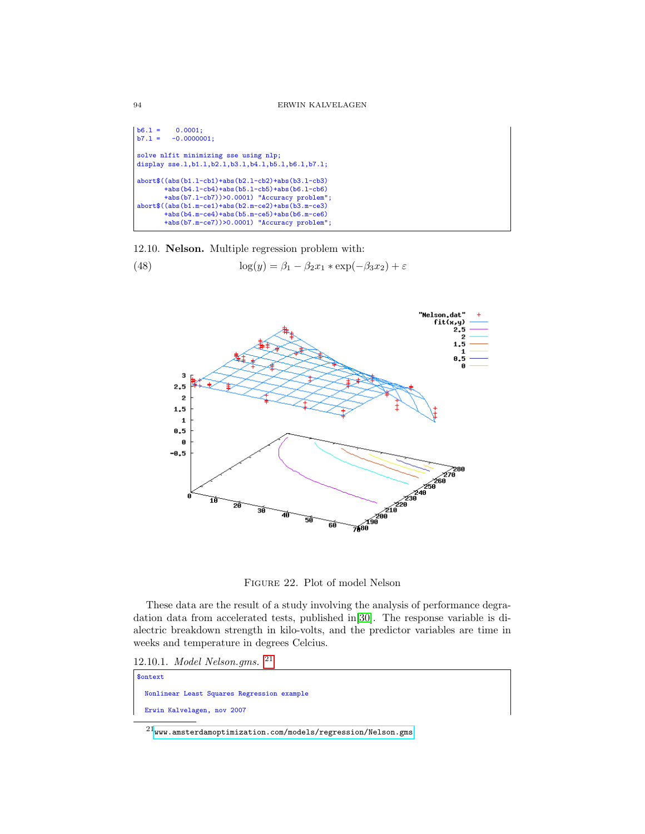$b6.1 = 0.0001;$ <br> $b7.1 = -0.00000$  $-0.0000001;$ solve nlfit minimizing sse using nlp; display sse.1,b1.1,b2.1,b3.1,b4.1,b5.1,b6.1,b7.1; abort\$((abs(b1.l-cb1)+abs(b2.l-cb2)+abs(b3.l-cb3) +abs(b4.l-cb4)+abs(b5.l-cb5)+abs(b6.l-cb6) +abs(b7.l-cb7))>0.0001) "Accuracy problem"; abort\$((abs(b1.m-ce1)+abs(b2.m-ce2)+abs(b3.m-ce3) +abs(b4.m-ce4)+abs(b5.m-ce5)+abs(b6.m-ce6) +abs(b7.m-ce7))>0.0001) "Accuracy problem";

12.10. Nelson. Multiple regression problem with:

(48) 
$$
\log(y) = \beta_1 - \beta_2 x_1 \cdot \exp(-\beta_3 x_2) + \varepsilon
$$



Figure 22. Plot of model Nelson

These data are the result of a study involving the analysis of performance degradation data from accelerated tests, published in[\[30\]](#page-146-1). The response variable is dialectric breakdown strength in kilo-volts, and the predictor variables are time in weeks and temperature in degrees Celcius.

12.10.1. Model Nelson.gms. [21](#page-93-0)

| \$ontext |                            |                                            |  |
|----------|----------------------------|--------------------------------------------|--|
|          |                            | Nonlinear Least Squares Regression example |  |
|          | Erwin Kalvelagen, nov 2007 |                                            |  |

<span id="page-93-0"></span> $^{21}$ <www.amsterdamoptimization.com/models/regression/Nelson.gms>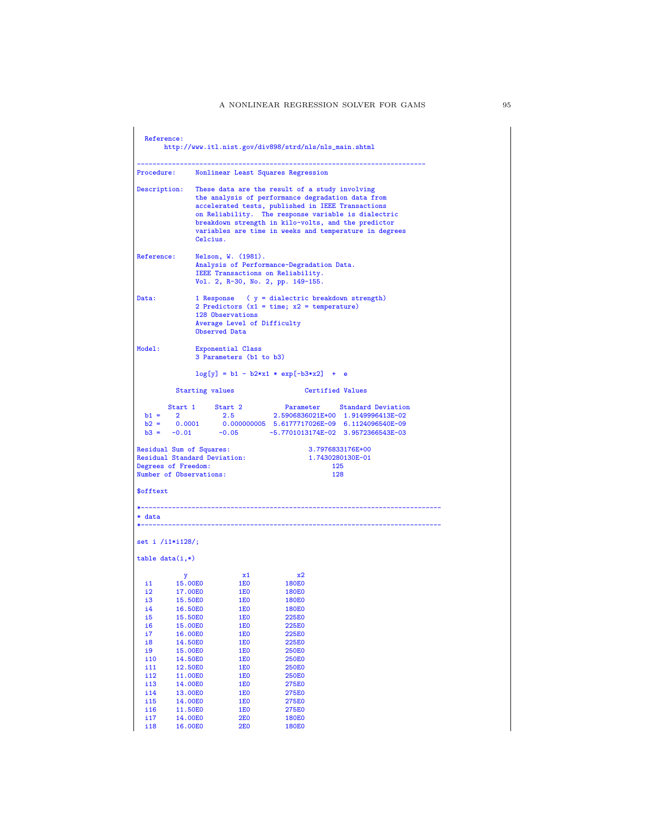| These data are the result of a study involving<br>the analysis of performance degradation data from<br>accelerated tests, published in IEEE Transactions<br>on Reliability. The response variable is dialectric<br>breakdown strength in kilo-volts, and the predictor<br>variables are time in weeks and temperature in degrees<br>1 Response ( y = dialectric breakdown strength)<br>2 Predictors $(x1 = time; x2 = temperature)$<br><b>Certified Values</b><br>Start 1 Start 2 Parameter Standard Deviation<br>2 2.5 2.5906836021E+00 1.9149996413E-02<br>2.5906836021E+00 1.9149996413E-02<br>b2 = 0.0001 0.000000005 5.6177717026E-09 6.1124096540E-09<br>b3 = -0.01 -0.05 -5.77701013174E-02 3.9572366543E-03<br>3.7976833176E+00<br>1.7430280130E-01 |
|-------------------------------------------------------------------------------------------------------------------------------------------------------------------------------------------------------------------------------------------------------------------------------------------------------------------------------------------------------------------------------------------------------------------------------------------------------------------------------------------------------------------------------------------------------------------------------------------------------------------------------------------------------------------------------------------------------------------------------------------------------------|
|                                                                                                                                                                                                                                                                                                                                                                                                                                                                                                                                                                                                                                                                                                                                                             |
|                                                                                                                                                                                                                                                                                                                                                                                                                                                                                                                                                                                                                                                                                                                                                             |
|                                                                                                                                                                                                                                                                                                                                                                                                                                                                                                                                                                                                                                                                                                                                                             |
|                                                                                                                                                                                                                                                                                                                                                                                                                                                                                                                                                                                                                                                                                                                                                             |
|                                                                                                                                                                                                                                                                                                                                                                                                                                                                                                                                                                                                                                                                                                                                                             |
|                                                                                                                                                                                                                                                                                                                                                                                                                                                                                                                                                                                                                                                                                                                                                             |
|                                                                                                                                                                                                                                                                                                                                                                                                                                                                                                                                                                                                                                                                                                                                                             |
|                                                                                                                                                                                                                                                                                                                                                                                                                                                                                                                                                                                                                                                                                                                                                             |
|                                                                                                                                                                                                                                                                                                                                                                                                                                                                                                                                                                                                                                                                                                                                                             |
|                                                                                                                                                                                                                                                                                                                                                                                                                                                                                                                                                                                                                                                                                                                                                             |
|                                                                                                                                                                                                                                                                                                                                                                                                                                                                                                                                                                                                                                                                                                                                                             |
|                                                                                                                                                                                                                                                                                                                                                                                                                                                                                                                                                                                                                                                                                                                                                             |
|                                                                                                                                                                                                                                                                                                                                                                                                                                                                                                                                                                                                                                                                                                                                                             |
|                                                                                                                                                                                                                                                                                                                                                                                                                                                                                                                                                                                                                                                                                                                                                             |
|                                                                                                                                                                                                                                                                                                                                                                                                                                                                                                                                                                                                                                                                                                                                                             |
|                                                                                                                                                                                                                                                                                                                                                                                                                                                                                                                                                                                                                                                                                                                                                             |
|                                                                                                                                                                                                                                                                                                                                                                                                                                                                                                                                                                                                                                                                                                                                                             |
|                                                                                                                                                                                                                                                                                                                                                                                                                                                                                                                                                                                                                                                                                                                                                             |
|                                                                                                                                                                                                                                                                                                                                                                                                                                                                                                                                                                                                                                                                                                                                                             |
|                                                                                                                                                                                                                                                                                                                                                                                                                                                                                                                                                                                                                                                                                                                                                             |
|                                                                                                                                                                                                                                                                                                                                                                                                                                                                                                                                                                                                                                                                                                                                                             |
|                                                                                                                                                                                                                                                                                                                                                                                                                                                                                                                                                                                                                                                                                                                                                             |
|                                                                                                                                                                                                                                                                                                                                                                                                                                                                                                                                                                                                                                                                                                                                                             |
|                                                                                                                                                                                                                                                                                                                                                                                                                                                                                                                                                                                                                                                                                                                                                             |
|                                                                                                                                                                                                                                                                                                                                                                                                                                                                                                                                                                                                                                                                                                                                                             |
|                                                                                                                                                                                                                                                                                                                                                                                                                                                                                                                                                                                                                                                                                                                                                             |
|                                                                                                                                                                                                                                                                                                                                                                                                                                                                                                                                                                                                                                                                                                                                                             |
|                                                                                                                                                                                                                                                                                                                                                                                                                                                                                                                                                                                                                                                                                                                                                             |
|                                                                                                                                                                                                                                                                                                                                                                                                                                                                                                                                                                                                                                                                                                                                                             |
|                                                                                                                                                                                                                                                                                                                                                                                                                                                                                                                                                                                                                                                                                                                                                             |
|                                                                                                                                                                                                                                                                                                                                                                                                                                                                                                                                                                                                                                                                                                                                                             |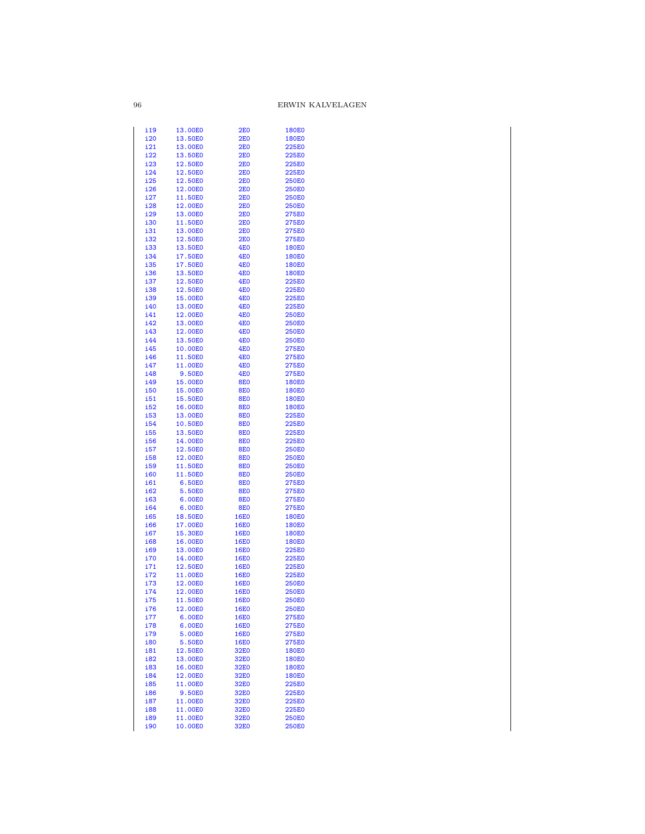| i19        | 13.00E0 | 2E0             | <b>180E0</b> |
|------------|---------|-----------------|--------------|
| i20        | 13.50E0 |                 |              |
|            |         | 2E0             | <b>180E0</b> |
| i21        | 13.00E0 | <b>2E0</b>      | 225E0        |
| i22        | 13.50E0 | <b>2E0</b>      | 225E0        |
| i23        | 12.50E0 | <b>2E0</b>      | 225E0        |
| i24        | 12.50E0 | <b>2E0</b>      | 225E0        |
| i25        | 12.50E0 | <b>2E0</b>      | <b>250E0</b> |
|            |         |                 |              |
| i26        | 12.00E0 | <b>2E0</b>      | <b>250E0</b> |
| i27        | 11.50E0 | <b>2E0</b>      | <b>250E0</b> |
| i28        | 12.00E0 | <b>2E0</b>      | <b>250E0</b> |
| i29        | 13.00E0 | <b>2E0</b>      | 275E0        |
| i30        | 11.50E0 | <b>2E0</b>      | 275E0        |
| i31        | 13.00E0 | <b>2E0</b>      | <b>275E0</b> |
|            |         |                 |              |
| i32        | 12.50E0 | <b>2E0</b>      | 275E0        |
| i33        | 13.50E0 | <b>4E0</b>      | <b>180E0</b> |
| i34        | 17.50E0 | <b>4E0</b>      | <b>180E0</b> |
| i35        | 17.50E0 | <b>4E0</b>      | <b>180E0</b> |
| i36        | 13.50E0 | <b>4E0</b>      | <b>180E0</b> |
| i37        | 12.50E0 | <b>4E0</b>      | 225E0        |
|            |         | <b>4E0</b>      |              |
| i38        | 12.50E0 |                 | 225E0        |
| i39        | 15.00E0 | <b>4E0</b>      | 225E0        |
| i40        | 13.00E0 | <b>4E0</b>      | 225E0        |
| i41        | 12.00E0 | <b>4E0</b>      | <b>250E0</b> |
| i42        | 13.00E0 | <b>4E0</b>      | <b>250E0</b> |
| i43        | 12.00E0 | <b>4E0</b>      | <b>250E0</b> |
|            |         |                 |              |
| i44        | 13.50E0 | <b>4E0</b>      | 250E0        |
| i45        | 10.00E0 | <b>4E0</b>      | 275E0        |
| i46        | 11.50E0 | <b>4E0</b>      | 275E0        |
| i47        | 11.00E0 | <b>4E0</b>      | 275E0        |
| i48        | 9.50E0  | 4E <sub>0</sub> | 275E0        |
|            |         |                 |              |
| i49        | 15.00E0 | <b>8E0</b>      | <b>180E0</b> |
| <b>i50</b> | 15.00E0 | <b>8E0</b>      | <b>180E0</b> |
| i51        | 15.50E0 | <b>8E0</b>      | <b>180E0</b> |
| i52        | 16.00E0 | <b>8E0</b>      | <b>180E0</b> |
| i53        | 13.00E0 | <b>8E0</b>      | 225E0        |
| i54        | 10.50E0 | <b>8E0</b>      | 225E0        |
|            |         |                 |              |
| i55        | 13.50E0 | <b>8E0</b>      | 225E0        |
| i56        | 14.00E0 | <b>8E0</b>      | <b>225E0</b> |
| i57        | 12.50E0 | <b>8E0</b>      | <b>250E0</b> |
| i58        | 12.00E0 | <b>8E0</b>      | <b>250E0</b> |
| i59        | 11.50E0 | <b>8E0</b>      | <b>250E0</b> |
| <b>i60</b> | 11.50E0 | <b>8E0</b>      | 250E0        |
|            |         |                 |              |
| i61        | 6.50E0  | <b>8E0</b>      | 275E0        |
| i62        | 5.50E0  | <b>8E0</b>      | 275E0        |
| i63        | 6.00E0  | <b>8E0</b>      | <b>275E0</b> |
| i64        | 6.00E0  | <b>8E0</b>      | 275E0        |
| i65        | 18.50E0 | <b>16E0</b>     | <b>180E0</b> |
| i66        | 17.00E0 | <b>16E0</b>     | <b>180E0</b> |
|            |         | <b>16E0</b>     |              |
| i67        | 15.30E0 |                 | <b>180E0</b> |
| i68        | 16.00E0 | <b>16E0</b>     | <b>180E0</b> |
| i69        | 13.00E0 | <b>16E0</b>     | 225E0        |
| i70        | 14.00E0 | <b>16E0</b>     | 225E0        |
| i71        | 12.50E0 | <b>16E0</b>     | 225E0        |
| i72        | 11.00E0 | <b>16E0</b>     | 225E0        |
|            | 12.00E0 |                 | <b>250E0</b> |
| i73        |         | <b>16E0</b>     |              |
| i74        | 12.00E0 | <b>16E0</b>     | <b>250E0</b> |
| <u>i75</u> | 11.50E0 | <b>16E0</b>     | 250E0        |
| i76        | 12.00E0 | 16E0            | <b>250E0</b> |
| i77        | 6.00E0  | <b>16E0</b>     | 275E0        |
| i78        | 6.00E0  | <b>16E0</b>     | 275E0        |
|            |         |                 |              |
| i79        | 5.00E0  | <b>16E0</b>     | 275E0        |
| i80        | 5.50E0  | <b>16E0</b>     | 275E0        |
| i81        | 12.50E0 | 32E0            | <b>180E0</b> |
| i82        | 13.00E0 | 32E0            | <b>180E0</b> |
| i83        | 16.00E0 | 32E0            | <b>180E0</b> |
| i84        | 12.00E0 | 32E0            | <b>180E0</b> |
|            |         |                 |              |
| i85        | 11.00E0 | 32E0            | <b>225E0</b> |
| i86        | 9.50E0  | 32E0            | 225E0        |
| <u>i87</u> | 11.00E0 | 32E0            | 225E0        |
| i88        | 11.00E0 | 32E0            | 225E0        |
| i89        | 11.00E0 | 32E0            | 250E0        |
| i90        | 10.00E0 | 32E0            | 250E0        |
|            |         |                 |              |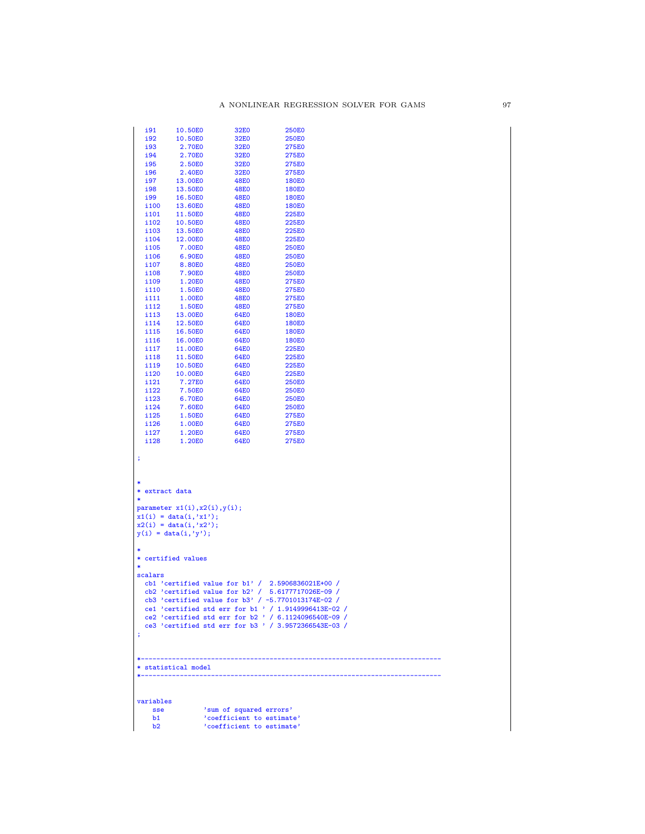| i92<br>i93                                    | 10.50E0                                                                                                                                 | 32E0                |                                                                                                                                                                                                                                                                                      |  |
|-----------------------------------------------|-----------------------------------------------------------------------------------------------------------------------------------------|---------------------|--------------------------------------------------------------------------------------------------------------------------------------------------------------------------------------------------------------------------------------------------------------------------------------|--|
|                                               |                                                                                                                                         | 32E0                | <b>250E0</b>                                                                                                                                                                                                                                                                         |  |
|                                               | 2.70E0                                                                                                                                  | 32E0                | 275E0                                                                                                                                                                                                                                                                                |  |
| i94                                           | 2.70E0                                                                                                                                  | 32E0                | 275E0                                                                                                                                                                                                                                                                                |  |
| i95<br>i96                                    | 2.50E0                                                                                                                                  | 32E0<br>32E0        | 275E0                                                                                                                                                                                                                                                                                |  |
| i97                                           | 2.40E <sub>0</sub><br>13.00E0                                                                                                           | <b>48E0</b>         | 275E0<br><b>180E0</b>                                                                                                                                                                                                                                                                |  |
| i98                                           | 13.50E0                                                                                                                                 | <b>48E0</b>         | <b>180E0</b>                                                                                                                                                                                                                                                                         |  |
| i99                                           | 16.50E0                                                                                                                                 | <b>48E0</b>         | <b>180E0</b>                                                                                                                                                                                                                                                                         |  |
| i100                                          | 13.60E0                                                                                                                                 | 48E0                | 180E0                                                                                                                                                                                                                                                                                |  |
| i101                                          | 11.50E0                                                                                                                                 | <b>48E0</b>         | 225E0                                                                                                                                                                                                                                                                                |  |
| i102                                          | 10.50E0                                                                                                                                 | <b>48E0</b>         | 225E0                                                                                                                                                                                                                                                                                |  |
| i103                                          | 13.50E0                                                                                                                                 | <b>48E0</b>         | <b>225E0</b>                                                                                                                                                                                                                                                                         |  |
| i104                                          | 12.00E0                                                                                                                                 | <b>48E0</b>         | 225E0                                                                                                                                                                                                                                                                                |  |
| i105                                          | 7.00E0                                                                                                                                  | <b>48E0</b>         | <b>250E0</b>                                                                                                                                                                                                                                                                         |  |
| i106                                          | 6.90E0                                                                                                                                  | <b>48E0</b>         | <b>250E0</b>                                                                                                                                                                                                                                                                         |  |
| i107                                          | 8.80E0                                                                                                                                  | <b>48E0</b>         | <b>250E0</b>                                                                                                                                                                                                                                                                         |  |
| i108                                          | 7.90E0                                                                                                                                  | <b>48E0</b>         | <b>250E0</b>                                                                                                                                                                                                                                                                         |  |
| i109                                          | 1.20E0                                                                                                                                  | <b>48E0</b>         | 275E0                                                                                                                                                                                                                                                                                |  |
| i110                                          | 1.50E0                                                                                                                                  | <b>48E0</b>         | 275E0                                                                                                                                                                                                                                                                                |  |
| i111                                          | 1.00E0                                                                                                                                  | <b>48E0</b>         | 275E0                                                                                                                                                                                                                                                                                |  |
| i112<br>i113                                  | 1.50E0<br>13.00E0                                                                                                                       | <b>48E0</b><br>64E0 | 275E0<br><b>180E0</b>                                                                                                                                                                                                                                                                |  |
| i114                                          | 12.50E0                                                                                                                                 | 64E0                | 180E0                                                                                                                                                                                                                                                                                |  |
| i115                                          | 16.50E0                                                                                                                                 | 64E0                | <b>180E0</b>                                                                                                                                                                                                                                                                         |  |
| i116                                          | 16.00E0                                                                                                                                 | 64E0                | 180E0                                                                                                                                                                                                                                                                                |  |
| i117                                          | 11.00E0                                                                                                                                 | <b>64E0</b>         | 225E0                                                                                                                                                                                                                                                                                |  |
| i118                                          | 11.50E0                                                                                                                                 | 64E0                | 225E0                                                                                                                                                                                                                                                                                |  |
| i119                                          | 10.50E0                                                                                                                                 | <b>64E0</b>         | <b>225E0</b>                                                                                                                                                                                                                                                                         |  |
| i120                                          | 10.00E0                                                                                                                                 | 64E0                | 225E0                                                                                                                                                                                                                                                                                |  |
| i121                                          | 7.27E0                                                                                                                                  | 64E0                | 250E0                                                                                                                                                                                                                                                                                |  |
| i122                                          | 7.50E0                                                                                                                                  | 64E0                | <b>250E0</b>                                                                                                                                                                                                                                                                         |  |
| i123                                          | 6.70E0                                                                                                                                  | 64E0                | <b>250E0</b>                                                                                                                                                                                                                                                                         |  |
| i124                                          | 7.60E0                                                                                                                                  | 64E0                | <b>250E0</b>                                                                                                                                                                                                                                                                         |  |
| i125                                          | 1.50E0                                                                                                                                  | 64E0<br><b>64E0</b> | 275E0                                                                                                                                                                                                                                                                                |  |
| i126<br>i127                                  | 1.00E0<br>1.20E0                                                                                                                        | <b>64E0</b>         | 275E0<br>275E0                                                                                                                                                                                                                                                                       |  |
| i128                                          | 1.20E0                                                                                                                                  | <b>64E0</b>         | 275E0                                                                                                                                                                                                                                                                                |  |
|                                               |                                                                                                                                         |                     |                                                                                                                                                                                                                                                                                      |  |
| ∗<br>* extract data<br>*<br>$\ast$<br>scalars | parameter $x1(i), x2(i), y(i);$<br>$x1(i) = data(i, 'x1');$<br>$x2(i) = data(i, 'x2');$<br>$y(i) = data(i, 'y');$<br>* certified values |                     | cb1 'certified value for $b1'$ / 2.5906836021E+00 /                                                                                                                                                                                                                                  |  |
| ţ,                                            |                                                                                                                                         |                     | cb2 'certified value for $b2'$ / 5.6177717026E-09 /<br>cb3 'certified value for b3' / $-$ b.7701013174E-02 /<br>ce1 'certified std err for b1 ' / 1.9149996413E-02 /<br>ce2 'certified std err for b2 ' / 6.1124096540E-09 /<br>ce3 'certified std err for b3 ' / 3.9572366543E-03 / |  |
|                                               |                                                                                                                                         |                     |                                                                                                                                                                                                                                                                                      |  |
|                                               | * statistical model                                                                                                                     |                     |                                                                                                                                                                                                                                                                                      |  |

| sse | 'sum of squared errors'   |
|-----|---------------------------|
| h1  | 'coefficient to estimate' |
| h2  | 'coefficient to estimate' |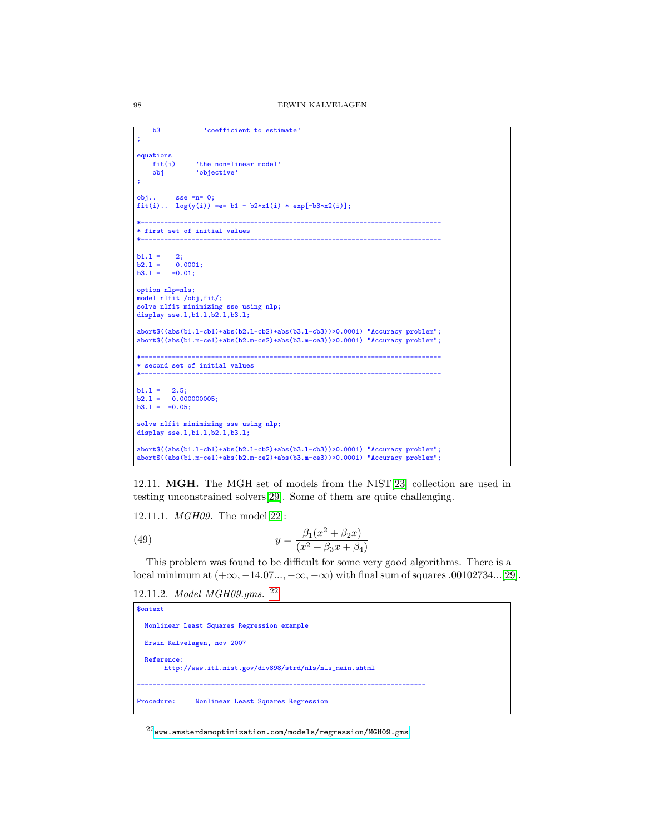```
b3 coefficient to estimate'
;
equations<br>fit(i)
    fit(i) 'the non-linear model'<br>obj 'objective'
                'objective'
;
obj.. sse =n= 0;fit(i).. log(y(i)) = e = b1 - b2*x1(i) * exp[-b3*x2(i)];*-----------------------------------------------------------------------------
* first set of initial values
*-----------------------------------------------------------------------------
b1.1 = 2;<br>b2.1 = 0.00.0001;b3.1 = -0.01;option nlp=nls;
model nlfit /obj,fit/;
solve nlfit minimizing sse using nlp;
display sse.l,b1.l,b2.l,b3.l;
abort$((abs(b1.l-cb1)+abs(b2.l-cb2)+abs(b3.l-cb3))>0.0001) "Accuracy problem";
abort$((abs(b1.m-ce1)+abs(b2.m-ce2)+abs(b3.m-ce3))>0.0001) "Accuracy problem";
*-----------------------------------------------------------------------------
* second set of initial values
*-----------------------------------------------------------------------------
b1.l = 2.5;
b2.l = 0.000000005;
b3.1 = -0.05;solve nlfit minimizing sse using nlp;
display sse.l,b1.l,b2.l,b3.l;
abort$((abs(b1.l-cb1)+abs(b2.l-cb2)+abs(b3.l-cb3))>0.0001) "Accuracy problem";
abort$((abs(b1.m-ce1)+abs(b2.m-ce2)+abs(b3.m-ce3))>0.0001) "Accuracy problem";
```
12.11. MGH. The MGH set of models from the NIST[\[23\]](#page-146-0) collection are used in testing unconstrained solvers[\[29\]](#page-146-2). Some of them are quite challenging.

12.11.1. MGH09. The model[\[22\]](#page-146-3):

(49) 
$$
y = \frac{\beta_1(x^2 + \beta_2 x)}{(x^2 + \beta_3 x + \beta_4)}
$$

This problem was found to be difficult for some very good algorithms. There is a local minimum at  $(+\infty, -14.07...,-\infty, -\infty)$  with final sum of squares .00102734...[\[29\]](#page-146-2).

12.11.2. Model MGH09.gms. [22](#page-97-0)

```
$ontext
  Nonlinear Least Squares Regression example
 Erwin Kalvelagen, nov 2007
 Reference:
      http://www.itl.nist.gov/div898/strd/nls/nls_main.shtml
--------------------------------------------------------------------------
Procedure: Nonlinear Least Squares Regression
```
<span id="page-97-0"></span> $^{22}$ <www.amsterdamoptimization.com/models/regression/MGH09.gms>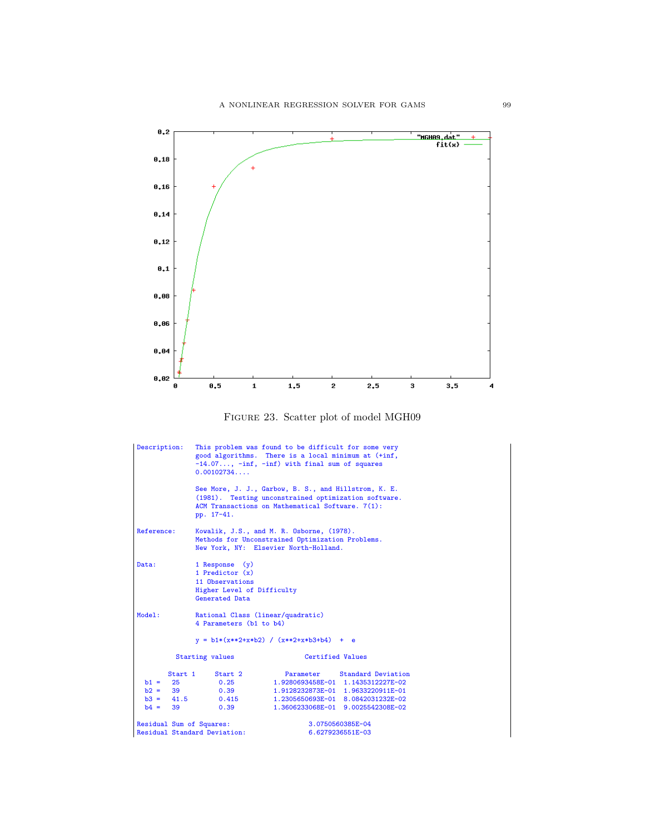



| Description:                                                  | $-14.07$ , $-inf$ , $-inf$ ) with final sum of squares<br>0.00102734                                                                   | This problem was found to be difficult for some very<br>good algorithms. There is a local minimum at (+inf,                                                                      |
|---------------------------------------------------------------|----------------------------------------------------------------------------------------------------------------------------------------|----------------------------------------------------------------------------------------------------------------------------------------------------------------------------------|
|                                                               | ACM Transactions on Mathematical Software. 7(1):<br>pp. 17-41.                                                                         | See More, J. J., Garbow, B. S., and Hillstrom, K. E.<br>(1981). Testing unconstrained optimization software.                                                                     |
| Reference:                                                    | Kowalik, J.S., and M. R. Osborne, (1978).<br>Methods for Unconstrained Optimization Problems.<br>New York, NY: Elsevier North-Holland. |                                                                                                                                                                                  |
| Data:                                                         | 1 Response (y)<br>1 Predictor $(x)$<br>11 Observations<br>Higher Level of Difficulty<br>Generated Data                                 |                                                                                                                                                                                  |
| Model:                                                        | Rational Class (linear/quadratic)<br>4 Parameters (b1 to b4)                                                                           |                                                                                                                                                                                  |
|                                                               | $y = b1*(x**2+x*b2) / (x**2+x*b3+b4) + e$                                                                                              |                                                                                                                                                                                  |
|                                                               | Starting values                                                                                                                        | Certified Values                                                                                                                                                                 |
| Start 1<br>$b1 = 25$<br>$b2 = 39$<br>$b3 = 41.5$<br>$b4 = 39$ | Start 2<br>0.25<br>0.39<br>0.415<br>0.39                                                                                               | Parameter Standard Deviation<br>1.9280693458E-01 1.1435312227E-02<br>1.9128232873E-01 1.9633220911E-01<br>1.2305650693E-01 8.0842031232E-02<br>1.3606233068E-01 9.0025542308E-02 |
| Residual Sum of Squares:                                      | Residual Standard Deviation:                                                                                                           | 3.0750560385E-04<br>6.6279236551E-03                                                                                                                                             |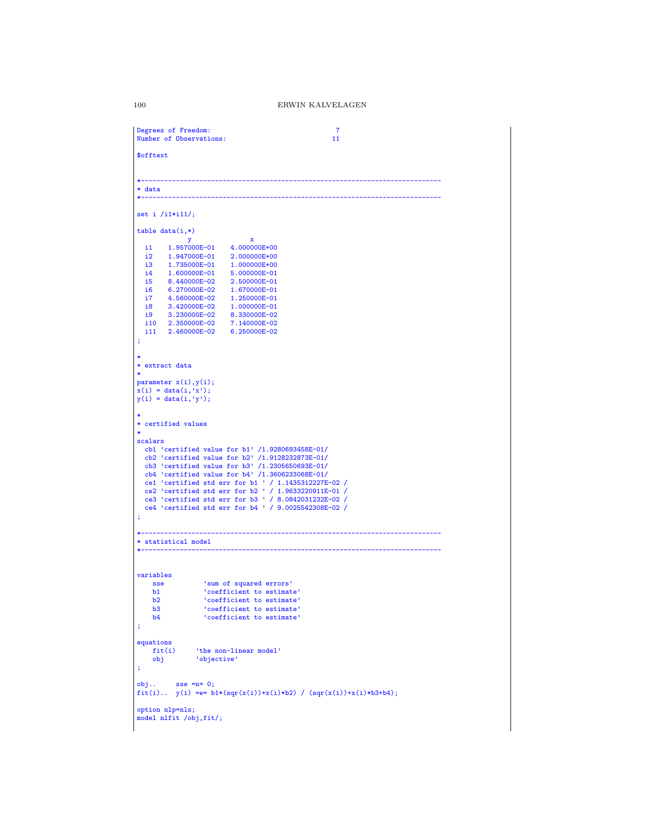```
Degrees of Freedom: 7<br>Number of Observations: 7<br>11
 Number of Observations:
 $offtext
 *-----------------------------------------------------------------------------
 * data
 *-----------------------------------------------------------------------------
 set i /i1*i11/;
table data(i,*)
          y x<br>1.957000E-01 4.00000
    i1 1.957000E-01 4.000000E+00
i2 1.947000E-01 2.000000E+00
   \begin{tabular}{llllll} \bf{ i3} & 1.735000E-01 & 1.000000E+00 \\ \bf{ i4} & 1.600000E-01 & 5.000000E-01 \\ \bf{ i5} & 8.440000E-02 & 2.500000E-01 \\ \end{tabular}i4 1.600000E-01 5.000000E-01
i5 8.440000E-02 2.500000E-01
    i6 6.270000E-02 1.670000E-01
i7 4.560000E-02 1.250000E-01
    i8 3.420000E-02 1.000000E-01
i9 3.230000E-02 8.330000E-02
i10 2.350000E-02 7.140000E-02
i11 2.460000E-02 6.250000E-02
 ;
 *
 * extract data
 *
parameter x(i),y(i);
 x(i) = data(i,'x');
y(i) = data(i,'y');
 *
* certified values
 *
scalars
    cb1 'certified value for b1' /1.9280693458E-01/
cb2 'certified value for b2' /1.9128232873E-01/
cb3 'certified value for b3' /1.2305650693E-01/
   cb4 'certified value for b4' /1.3606233068E-01/
    ce1 'certified std err for b1 ' / 1.1435312227E-02 /
ce2 'certified std err for b2 ' / 1.9633220911E-01 /
ce3 'certified std err for b3 ' / 8.0842031232E-02 /
ce4 'certified std err for b4 ' / 9.0025542308E-02 /
 ;
 *-----------------------------------------------------------------------------
 * statistical model
 *-----------------------------------------------------------------------------
variables
        sse 'sum of squared errors'
b1 'coefficient to estimate'
b2 'coefficient to estimate'
b3 'coefficient to estimate'
b4 'coefficient to estimate'
 ;
 equations fit(i)fit(i) 'the non-linear model'<br>obj 'objective'
                       'objective'
 ;
 obj.. sse =n= 0;
fit(i).. y(i) =e= b1*(sqr(x(i))+x(i)*b2) / (sqr(x(i))+x(i)*b3+b4);
option nlp=nls;
model nlfit /obj,fit/;
```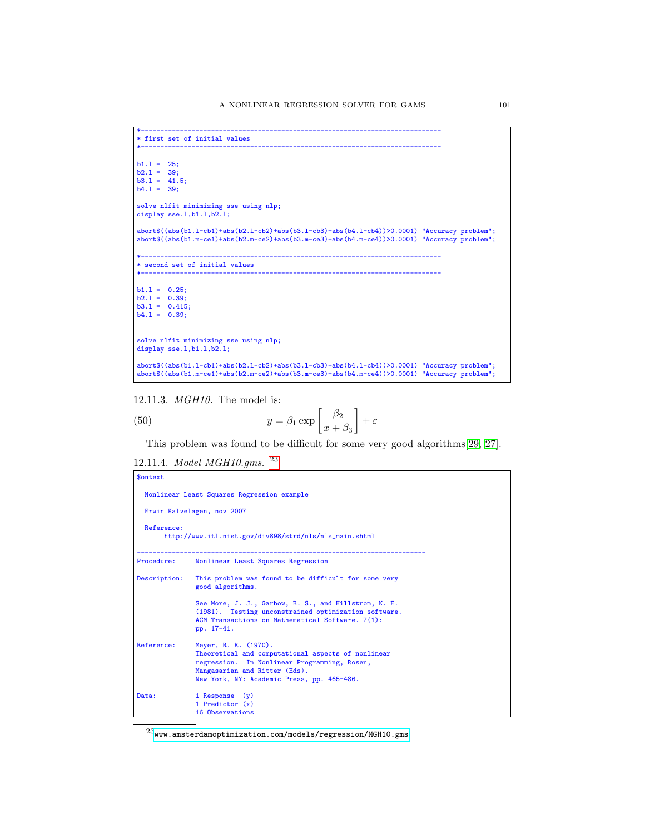```
*-----------------------------------------------------------------------------
* first set of initial values
*-----------------------------------------------------------------------------
b1.1 = 25;b2.1 = 39;b3.1 = 41.5;<br>b4.1 = 39;solve nlfit minimizing sse using nlp;
display sse.1,b1.1,b2.1;
abort$((abs(b1.l-cb1)+abs(b2.l-cb2)+abs(b3.l-cb3)+abs(b4.l-cb4))>0.0001) "Accuracy problem";
abort$((abs(b1.m-ce1)+abs(b2.m-ce2)+abs(b3.m-ce3)+abs(b4.m-ce4))>0.0001) "Accuracy problem";
*-----------------------------------------------------------------------------
* second set of initial values
*-----------------------------------------------------------------------------
b1.1 = 0.25;b2.l = 0.39;
b3.l = 0.415;
b4.1 = 0.39;solve nlfit minimizing sse using nlp;
display sse.l,b1.l,b2.l;
abort$((abs(b1.l-cb1)+abs(b2.l-cb2)+abs(b3.l-cb3)+abs(b4.l-cb4))>0.0001) "Accuracy problem";
abort$((abs(b1.m-ce1)+abs(b2.m-ce2)+abs(b3.m-ce3)+abs(b4.m-ce4))>0.0001) "Accuracy problem";
```
12.11.3. MGH10. The model is:

(50) 
$$
y = \beta_1 \exp\left[\frac{\beta_2}{x + \beta_3}\right] + \varepsilon
$$

This problem was found to be difficult for some very good algorithms[\[29,](#page-146-2) [27\]](#page-146-4).

12.11.4. Model MGH10.gms. [23](#page-100-0)

\$ontext

```
Nonlinear Least Squares Regression example
 Erwin Kalvelagen, nov 2007
 Reference:
       http://www.itl.nist.gov/div898/strd/nls/nls_main.shtml
--------------------------------------------------------------------------
Procedure: Nonlinear Least Squares Regression
Description: This problem was found to be difficult for some very
                good algorithms.
                See More, J. J., Garbow, B. S., and Hillstrom, K. E.
                 (1981). Testing unconstrained optimization software.
ACM Transactions on Mathematical Software. 7(1):
                pp. 17-41.
Reference: Meyer, R. R. (1970).
                 Theoretical and computational aspects of nonlinear
regression. In Nonlinear Programming, Rosen,
                Mangasarian and Ritter (Eds).
                New York, NY: Academic Press, pp. 465-486.
Data: 1 Response (y)<br>
1 Predictor (x)
                16 Observations
```
<span id="page-100-0"></span> $^{23}$ <www.amsterdamoptimization.com/models/regression/MGH10.gms>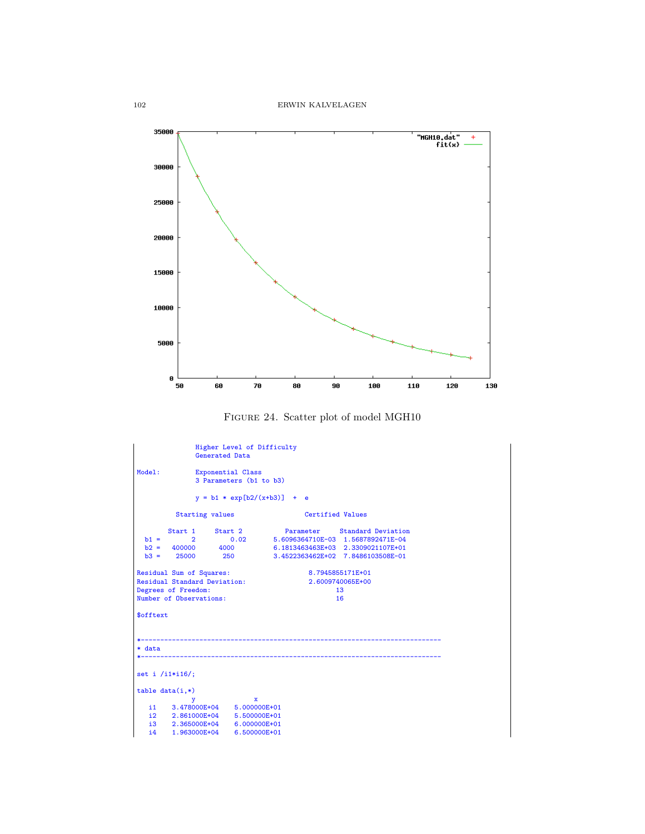

```
Generated Data
Model: Exponential Class
                  3 Parameters (b1 to b3)
                  y = b1 * exp[b2/(x+b3)] + eStarting values Certified Values
         Start 1 Start 2 Parameter Standard Deviation<br>2 0.02 5.6096364710E-03 1.5687892471E-04
  b1 = \begin{array}{cccc} 2 & 0.02 & 5.6096364710E-03 & 1.5687892471E-04 \\ b2 = & 400000 & 4000 & 6.1813463463E+03 & 2.3309021107E+01 \end{array}b2 = 400000 4000 6.1813463463E+03 2.3309021107E+01
b3 = 25000 250 3.4522363462E+02 7.8486103508E-01
Residual Sum of Squares: 8.7945855171E+01
Residual Standard Deviation: 2.6009740065E+00
Degrees of Freedom: 13
Number of Observations: 16
$offtext
*-----------------------------------------------------------------------------
* data
*-----------------------------------------------------------------------------
set i /i1*i16/;
table data(i,*)y x
i1 3.478000E+04 5.000000E+01
i2 2.861000E+04 5.500000E+01
   i3 2.365000E+04 6.000000E+01<br>i4 1.963000E+04 6.500000E+01
          1.963000E+04
```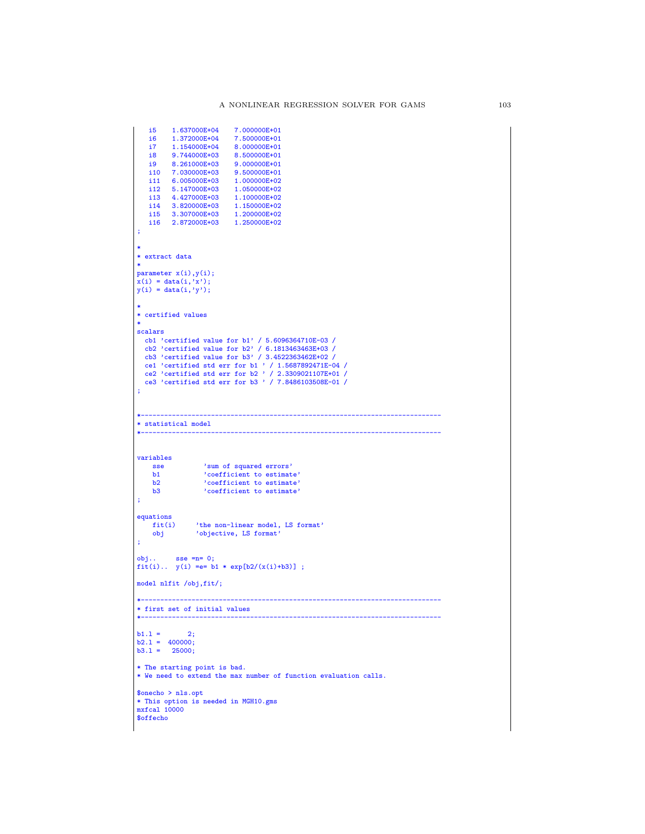```
i5 1.637000E+04 7.000000E+01
      \begin{array}{cccc} \text{i6} & \text{1.372000E+04} & \text{7.500000E+01} \ \text{i7} & \text{1.1544000E+04} & \text{8.000000E+01} \ \text{ii8} & \text{9.744000E+03} & \text{9.500000E+01} \ \text{ii9} & \text{7.030000E+03} & \text{9.500000E+01} \ \end{array}i11 6.005000E+03 1.000000E+02
i12 5.147000E+03 1.050000E+02
    i13 4.427000E+03 1.100000E+02
      i14 3.820000E+03 1.150000E+02
i15 3.307000E+03 1.200000E+02
i16 2.872000E+03 1.250000E+02
 ;
 *
* extract data
 *
parameter x(i),y(i);
x(i) = data(i,'x');y(i) = data(i, 'y');*
* certified values
 *
 scalars<br>
cb1 'certified value for b1' / 5.6096364710E-03 /<br>
cb2 'certified value for b2' / 6.1813463463E+03 /<br>
cb3 'crtified value for b3' / 3.4522363462E+02 /<br>
ce1 'certified std err for b1 ' / 1.5687892471E-04 /<br>
ce2 'ce
;
 *-----------------------------------------------------------------------------
* statistical model
                                                              *-----------------------------------------------------------------------------
variables
       sse 'sum of squared errors'<br>
b1 'coefficient to estimate'<br>
b2 'coefficient to estimate'<br>
b3 'coefficient to estimate'
;
equationsfit(i)fit(i) 'the non-linear model, LS format'
obj 'objective, LS format'
 ;
 obj.. sse =n= 0;
fit(i).. y(i) =e= b1 * exp[b2/(x(i)+b3)] ;
model nlfit /obj,fit/;
 *-----------------------------------------------------------------------------
* first set of initial values
 *-----------------------------------------------------------------------------
b1.1 = 2;b2.1 = 400000;b3.1 = 25000;* The starting point is bad.
* We need to extend the max number of function evaluation calls.
$onecho > nls.opt
 * This option is needed in MGH10.gms
mxfcal 10000
$offecho
```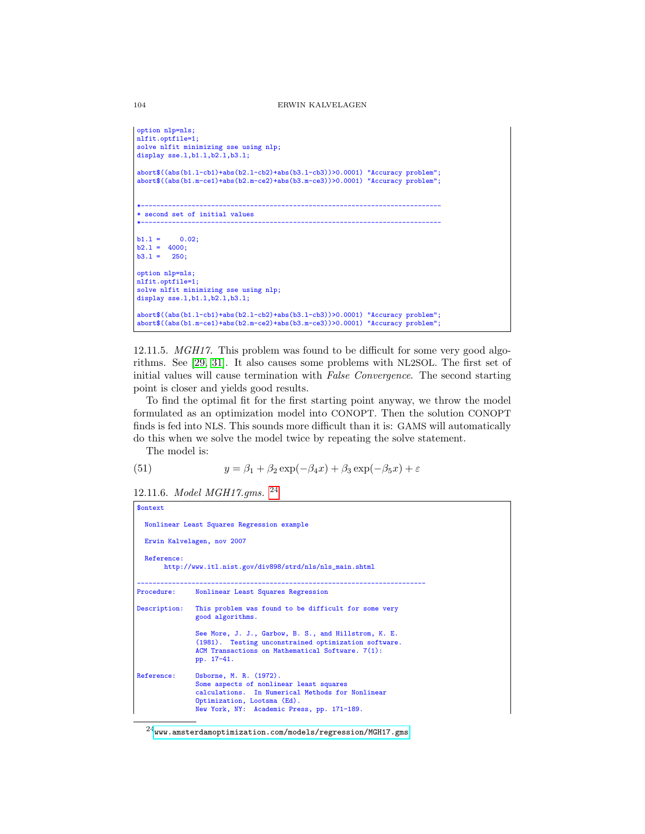```
option nlp=nls;
nlfit.optfile=1;
solve nlfit minimizing sse using nlp;
display sse.l,b1.l,b2.l,b3.l;
abort$((abs(b1.l-cb1)+abs(b2.l-cb2)+abs(b3.l-cb3))>0.0001) "Accuracy problem";
abort$((abs(b1.m-ce1)+abs(b2.m-ce2)+abs(b3.m-ce3))>0.0001) "Accuracy problem";
*-----------------------------------------------------------------------------
* second set of initial values
*-----------------------------------------------------------------------------
b1.1 = 0.02;b2.1 = 4000;b3.1 = 250;option nlp=nls;
nlfit.optfile=1;
solve nlfit minimizing sse using nlp;
display sse.1,b1.1,b2.1,b3.1;
abort$((abs(b1.l-cb1)+abs(b2.l-cb2)+abs(b3.l-cb3))>0.0001) "Accuracy problem";
abort$((abs(b1.m-ce1)+abs(b2.m-ce2)+abs(b3.m-ce3))>0.0001) "Accuracy problem";
```
12.11.5. MGH17. This problem was found to be difficult for some very good algorithms. See [\[29,](#page-146-2) [31\]](#page-146-5). It also causes some problems with NL2SOL. The first set of initial values will cause termination with False Convergence. The second starting point is closer and yields good results.

To find the optimal fit for the first starting point anyway, we throw the model formulated as an optimization model into CONOPT. Then the solution CONOPT finds is fed into NLS. This sounds more difficult than it is: GAMS will automatically do this when we solve the model twice by repeating the solve statement.

The model is:

(51) 
$$
y = \beta_1 + \beta_2 \exp(-\beta_4 x) + \beta_3 \exp(-\beta_5 x) + \varepsilon
$$

12.11.6. Model MGH17.gms. [24](#page-103-0)

```
$ontext
 Nonlinear Least Squares Regression example
 Erwin Kalvelagen, nov 2007
 Reference:
      http://www.itl.nist.gov/div898/strd/nls/nls_main.shtml
--------------------------------------------------------------------------
Procedure: Nonlinear Least Squares Regression
Description: This problem was found to be difficult for some very
              good algorithms.
              See More, J. J., Garbow, B. S., and Hillstrom, K. E.
              (1981). Testing unconstrained optimization software.
              ACM Transactions on Mathematical Software. 7(1):
              pp. 17-41.
Reference: Osborne, M. R. (1972).
              Some aspects of nonlinear least squares
              calculations. In Numerical Methods for Nonlinear
              Optimization, Lootsma (Ed).
              New York, NY: Academic Press, pp. 171-189.
```
<span id="page-103-0"></span> $^{24}$ <www.amsterdamoptimization.com/models/regression/MGH17.gms>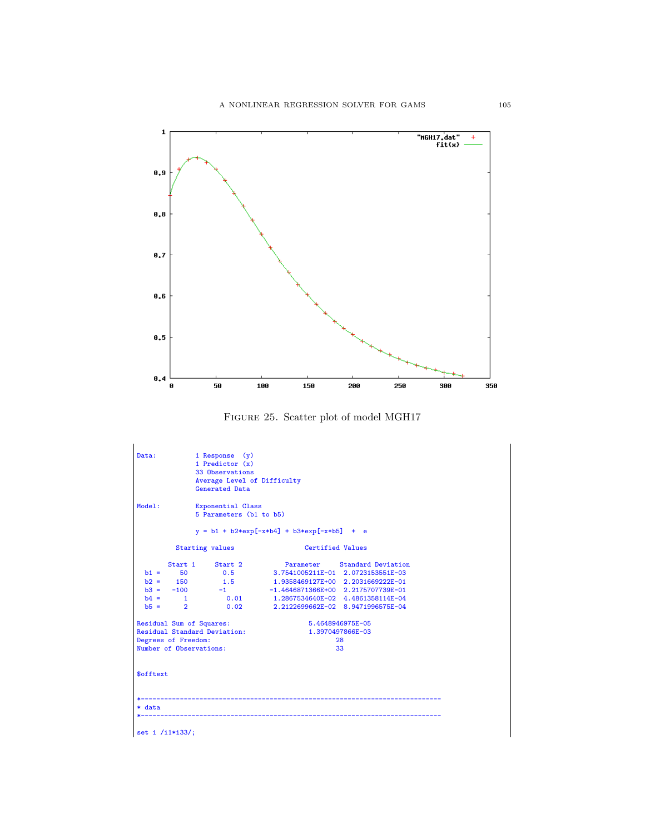

Figure 25. Scatter plot of model MGH17

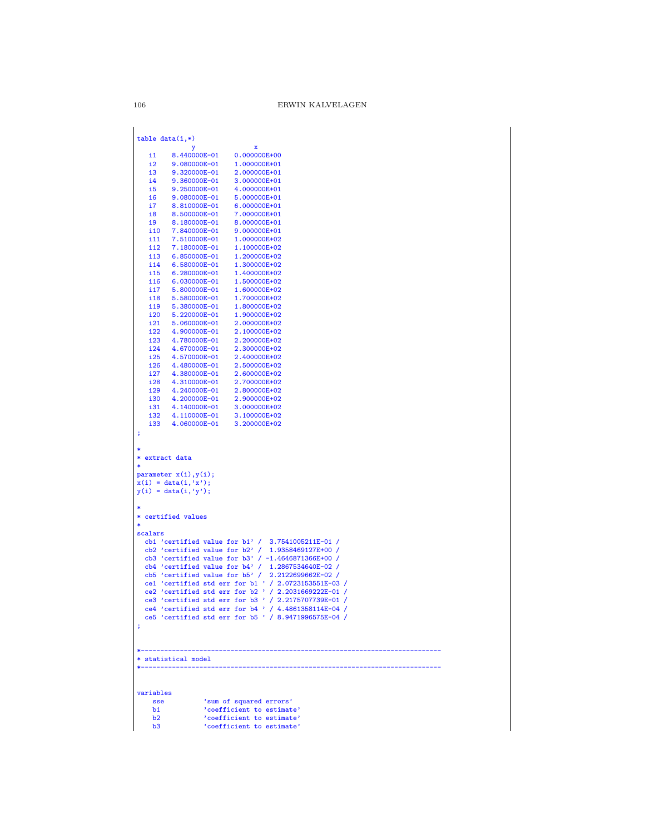## $\rm ERWIN$ KALVELAGEN

|                 | у                            | x                                                                                                           |
|-----------------|------------------------------|-------------------------------------------------------------------------------------------------------------|
| i1              | 8.440000E-01                 | 0.000000E+00                                                                                                |
| 12 <sup>2</sup> | 9.080000E-01                 | 1.000000E+01                                                                                                |
| i3<br>i4        | 9.320000E-01                 | 2.000000E+01<br>3.000000E+01                                                                                |
| i5              | 9.360000E-01<br>9.250000E-01 | 4.000000E+01                                                                                                |
| i6              | 9.080000E-01                 | 5.000000E+01                                                                                                |
| i7              | 8.810000E-01                 | 6.000000E+01                                                                                                |
| i8              | 8.500000E-01                 | 7.000000E+01                                                                                                |
| i9              | 8.180000E-01                 | 8.000000E+01                                                                                                |
| i10             | 7.840000E-01                 | 9.000000E+01                                                                                                |
| i11             | 7.510000E-01                 | 1.000000E+02                                                                                                |
| i 12            | 7.180000E-01                 | 1.100000E+02                                                                                                |
| i13             | 6.850000E-01                 | 1.200000E+02                                                                                                |
| i14             | 6.580000E-01                 | 1.300000E+02                                                                                                |
| i15             | 6.280000E-01                 | 1.400000E+02                                                                                                |
| i16             | 6.030000E-01                 | 1.500000E+02                                                                                                |
| i 17            | 5.800000E-01                 | 1.600000E+02                                                                                                |
| i18<br>i 19     | 5.580000E-01<br>5.380000E-01 | 1.700000E+02<br>1.800000E+02                                                                                |
| i20             | 5.220000E-01                 | 1.900000E+02                                                                                                |
| i21             | 5.060000E-01                 | 2.000000E+02                                                                                                |
| 122             | 4.900000E-01                 | 2.100000E+02                                                                                                |
| i23             | 4.780000E-01                 | 2.200000E+02                                                                                                |
| i24             | 4.670000E-01                 | 2.300000E+02                                                                                                |
| i25             | 4.570000E-01                 | 2.400000E+02                                                                                                |
| i26             | 4.480000E-01                 | 2.500000E+02                                                                                                |
| i27             | 4.380000E-01                 | 2.600000E+02                                                                                                |
| i28             | 4.310000E-01                 | 2.700000E+02                                                                                                |
| i29<br>i30      | 4.240000E-01                 | 2.800000E+02                                                                                                |
| i31             | 4.200000E-01<br>4.140000E-01 | 2.900000E+02<br>3.000000E+02                                                                                |
| i32             | 4.110000E-01                 | 3.100000E+02                                                                                                |
| i33             | 4.060000E-01                 | 3.200000E+02                                                                                                |
| ;               |                              |                                                                                                             |
|                 |                              |                                                                                                             |
|                 |                              |                                                                                                             |
| * extract data  |                              |                                                                                                             |
| ∗               | parameter $x(i), y(i)$ ;     |                                                                                                             |
|                 | $x(i) = data(i, 'x');$       |                                                                                                             |
|                 | $y(i) = data(i, 'y');$       |                                                                                                             |
|                 |                              |                                                                                                             |
|                 |                              |                                                                                                             |
|                 | * certified values           |                                                                                                             |
|                 |                              |                                                                                                             |
| scalars         |                              |                                                                                                             |
|                 |                              | cb1 'certified value for $b1'$ / 3.7541005211E-01 /                                                         |
|                 |                              | cb2 'certified value for $b2'$ / 1.9358469127E+00 /                                                         |
|                 |                              | cb3 'certified value for b3' / -1.4646871366E+00 /<br>$cb4$ 'certified value for $b4'$ / 1.2867534640E-02 / |
|                 |                              | $cb5$ 'certified value for $b5'$ / 2.2122699662E-02 /                                                       |
|                 |                              | ce1 'certified std err for b1 ' / 2.0723153551E-03 /                                                        |
|                 |                              | ce2 'certified std err for $b2$ ' / 2.2031669222E-01 /                                                      |
|                 |                              | ce3 'certified std err for b3 ' / 2.2175707739E-01 /                                                        |
|                 |                              | ce4 'certified std err for b4 ' / 4.4861358114E-04 /                                                        |
|                 |                              | ce5 'certified std err for b5 ' / 8.9471996575E-04 /                                                        |
| ÷               |                              |                                                                                                             |
|                 |                              |                                                                                                             |
|                 |                              |                                                                                                             |
|                 | * statistical model          |                                                                                                             |
|                 |                              |                                                                                                             |
|                 |                              |                                                                                                             |
| variables       |                              |                                                                                                             |
| sse             |                              | 'sum of squared errors'                                                                                     |
|                 |                              | 'coefficient to estimate'                                                                                   |

 $\frac{b2}{b3}$ Contribution to columnate<br>coefficient to estimate'<br>coefficient to estimate'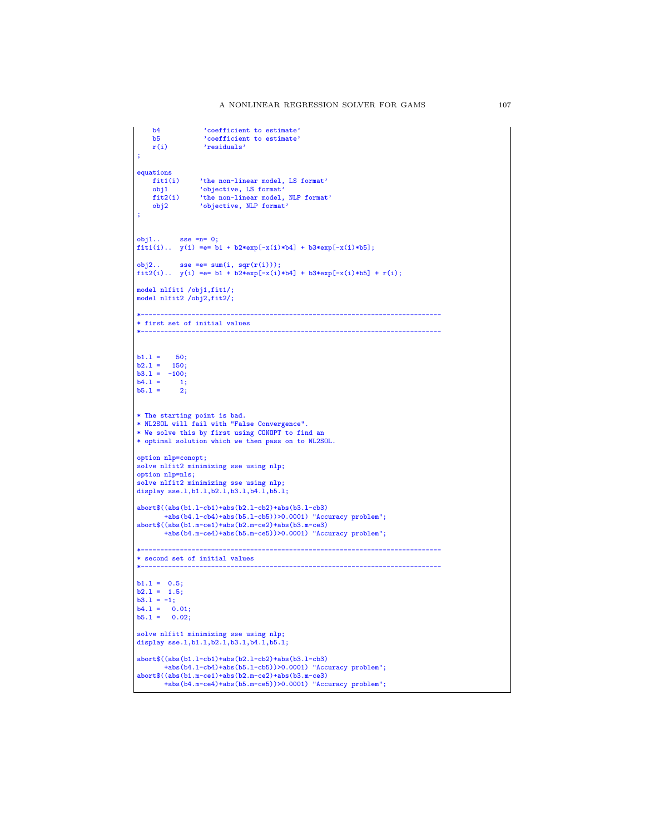```
b4 \cdot 'coefficient to estimate'<br>b5 \cdot 'coefficient to estimate'
    b5 'coefficient to estimate'
                   'residuals'
;
equations<br>fit1(i)
     fit1(i) 'the non-linear model, LS format'
obj1 'objective, LS format'
    fit2(i) 'the non-linear model, NLP format'<br>obj2 'objective, NLP format'
                  'objective, NLP format'
;
obj1.. sse =n= 0;
fit1(i).. y(i) =e= b1 + b2*exp[-x(i)*b4] + b3*exp[-x(i)*b5];
obj2.. sse =e= sum(i, sqr(r(i)));
fit2(i).. y(i) =e= b1 + b2*exp[-x(i)*b4] + b3*exp[-x(i)*b5] + r(i);
model nlfit1 /obj1,fit1/;
model nlfit2 /obj2,fit2/;
*-----------------------------------------------------------------------------
* first set of initial values
*-----------------------------------------------------------------------------
b1.1 = 50;<br>
b2.1 = 150;<br>
b3.1 = -100;b4.1 = 1;<br>b5.1 = 2;b5.1 =* The starting point is bad.
* NL2SOL will fail with "False Convergence".
* We solve this by first using CONOPT to find an
* optimal solution which we then pass on to NL2SOL.
option nlp=conopt;
solve nlfit2 minimizing sse using nlp;
option nlp=nls;
solve nlfit2 minimizing sse using nlp;
display sse.l,b1.l,b2.l,b3.l,b4.l,b5.l;
abort$((abs(b1.l-cb1)+abs(b2.l-cb2)+abs(b3.l-cb3)
        +abs(b4.l-cb4)+abs(b5.l-cb5))>0.0001) "Accuracy problem";
abort$((abs(b1.m-ce1)+abs(b2.m-ce2)+abs(b3.m-ce3)
        +abs(b4.m-ce4)+abs(b5.m-ce5))>0.0001) "Accuracy problem";
*-----------------------------------------------------------------------------
* second set of initial values
*-----------------------------------------------------------------------------
b1.l = 0.5;
b2.l = 1.5;
b3.1 = -1;<br>
b4.1 = 0.01;<br>
b5.1 = 0.02;solve nlfit1 minimizing sse using nlp;
display sse.l,b1.l,b2.l,b3.l,b4.l,b5.l;
abort$((abs(b1.l-cb1)+abs(b2.l-cb2)+abs(b3.l-cb3)
        +abs(b4.l-cb4)+abs(b5.l-cb5))>0.0001) "Accuracy problem";
abort$((abs(b1.m-ce1)+abs(b2.m-ce2)+abs(b3.m-ce3)
        +abs(b4.m-ce4)+abs(b5.m-ce5))>0.0001) "Accuracy problem";
```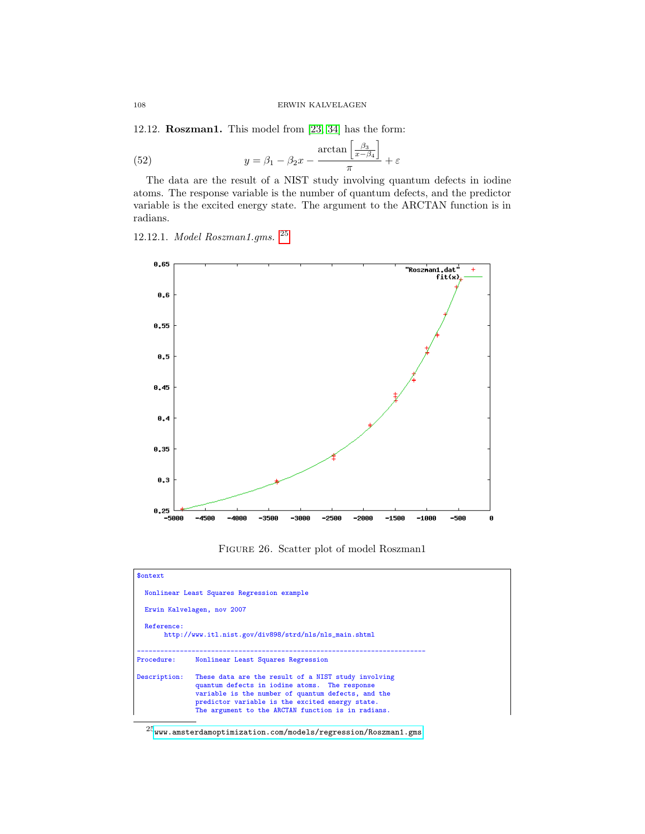12.12. Roszman1. This model from [\[23,](#page-146-0) [34\]](#page-146-6) has the form:

(52) 
$$
y = \beta_1 - \beta_2 x - \frac{\arctan\left[\frac{\beta_3}{x - \beta_4}\right]}{\pi} + \varepsilon
$$

The data are the result of a NIST study involving quantum defects in iodine atoms. The response variable is the number of quantum defects, and the predictor variable is the excited energy state. The argument to the ARCTAN function is in radians.

12.12.1. Model Roszman1.gms. [25](#page-107-0)



Figure 26. Scatter plot of model Roszman1

| \$ontext                                                             |                                                                                                                                                                                                                                                                     |  |  |  |
|----------------------------------------------------------------------|---------------------------------------------------------------------------------------------------------------------------------------------------------------------------------------------------------------------------------------------------------------------|--|--|--|
|                                                                      | Nonlinear Least Squares Regression example                                                                                                                                                                                                                          |  |  |  |
| Erwin Kalvelagen, nov 2007                                           |                                                                                                                                                                                                                                                                     |  |  |  |
| Reference:<br>http://www.itl.nist.gov/div898/strd/nls/nls_main.shtml |                                                                                                                                                                                                                                                                     |  |  |  |
| Procedure:                                                           | Nonlinear Least Squares Regression                                                                                                                                                                                                                                  |  |  |  |
| Description:                                                         | These data are the result of a NIST study involving<br>quantum defects in iodine atoms. The response<br>variable is the number of quantum defects, and the<br>predictor variable is the excited energy state.<br>The argument to the ARCTAN function is in radians. |  |  |  |

<span id="page-107-0"></span> $^{25}\!\!$  <www.amsterdamoptimization.com/models/regression/Roszman1.gms>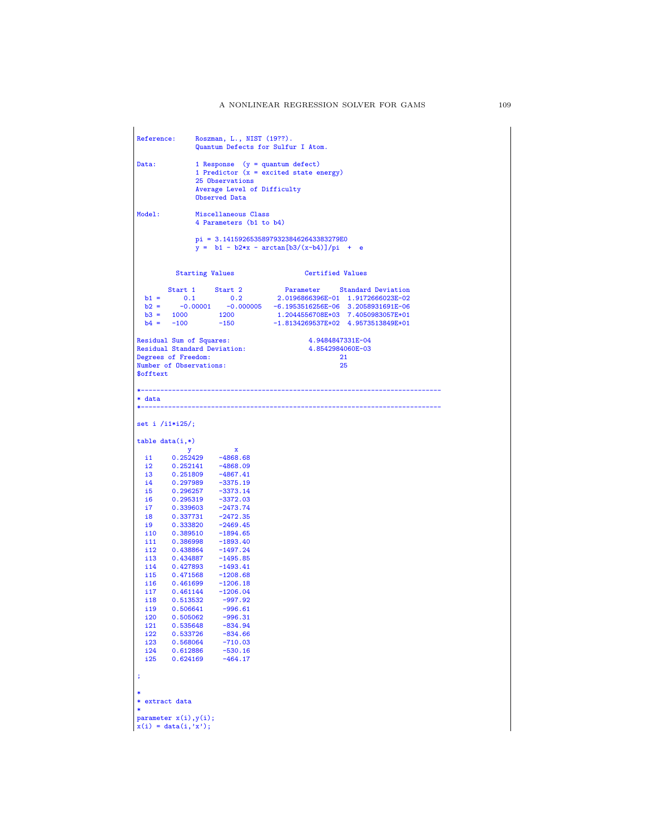|                               |                          | Reference: Roszman, L., NIST (19??).<br>Quantum Defects for Sulfur I Atom.                                                                                                                                                                          |                                                                                                                                                                                                                                    |    |
|-------------------------------|--------------------------|-----------------------------------------------------------------------------------------------------------------------------------------------------------------------------------------------------------------------------------------------------|------------------------------------------------------------------------------------------------------------------------------------------------------------------------------------------------------------------------------------|----|
| Data:                         |                          | 1 Response $(y = quantum defect)$                                                                                                                                                                                                                   |                                                                                                                                                                                                                                    |    |
|                               |                          |                                                                                                                                                                                                                                                     | 1 Predictor $(x = excited state energy)$                                                                                                                                                                                           |    |
|                               |                          | 25 Observations                                                                                                                                                                                                                                     |                                                                                                                                                                                                                                    |    |
|                               |                          | Average Level of Difficulty<br>Observed Data                                                                                                                                                                                                        |                                                                                                                                                                                                                                    |    |
| Model:                        |                          | Miscellaneous Class                                                                                                                                                                                                                                 |                                                                                                                                                                                                                                    |    |
|                               |                          | 4 Parameters (b1 to b4)                                                                                                                                                                                                                             |                                                                                                                                                                                                                                    |    |
|                               |                          |                                                                                                                                                                                                                                                     | $pi = 3.141592653589793238462643383279E0$<br>$y = b1 - b2*x - arctan[b3/(x-b4)]/pi + e$                                                                                                                                            |    |
|                               |                          | <b>Starting Values</b>                                                                                                                                                                                                                              | Certified Values                                                                                                                                                                                                                   |    |
|                               |                          |                                                                                                                                                                                                                                                     |                                                                                                                                                                                                                                    |    |
|                               |                          |                                                                                                                                                                                                                                                     | $\begin{tabular}{lcccccc} Start & 1 & Start & 2 & Parameter & Standard Deviation \\ b1 = & 0.1 & 0.2 & 2.0196866396E-01 & 1.9172666023E-02 \\ b2 = & -0.00001 & -0.000005 & -6.1953516256E-06 & 3.2058931691E-06 \\ \end{tabular}$ |    |
|                               |                          |                                                                                                                                                                                                                                                     |                                                                                                                                                                                                                                    |    |
|                               | $b3 = 1000$              | 1200                                                                                                                                                                                                                                                | 1.2044556708E+03 7.4050983057E+01                                                                                                                                                                                                  |    |
|                               |                          |                                                                                                                                                                                                                                                     | b4 = -100 -150 -1.8134269537E+02 4.9573513849E+01                                                                                                                                                                                  |    |
|                               | Residual Sum of Squares: |                                                                                                                                                                                                                                                     | 4.9484847331E-04                                                                                                                                                                                                                   |    |
|                               |                          | <b>Residual Standard Deviation:</b>                                                                                                                                                                                                                 | 4.8542984060E-03                                                                                                                                                                                                                   |    |
|                               | Degrees of Freedom:      |                                                                                                                                                                                                                                                     |                                                                                                                                                                                                                                    | 21 |
| <b><i><u>Sofftext</u></i></b> | Number of Observations:  |                                                                                                                                                                                                                                                     |                                                                                                                                                                                                                                    | 25 |
|                               |                          |                                                                                                                                                                                                                                                     |                                                                                                                                                                                                                                    |    |
|                               |                          |                                                                                                                                                                                                                                                     |                                                                                                                                                                                                                                    |    |
| * data                        |                          |                                                                                                                                                                                                                                                     |                                                                                                                                                                                                                                    |    |
|                               | set i $/i1*125$ ;        |                                                                                                                                                                                                                                                     |                                                                                                                                                                                                                                    |    |
|                               | $table data(i,*)$        |                                                                                                                                                                                                                                                     |                                                                                                                                                                                                                                    |    |
|                               |                          |                                                                                                                                                                                                                                                     |                                                                                                                                                                                                                                    |    |
| i2                            | 0.252141                 | $\begin{array}{ccccc}\n & & y & x \\ \text{i1} & & 0.252429 & -4868.68 \\ \text{ii2} & & 0.252444 & 4000.00\n\end{array}$<br>$-4868.09$                                                                                                             |                                                                                                                                                                                                                                    |    |
|                               |                          |                                                                                                                                                                                                                                                     |                                                                                                                                                                                                                                    |    |
|                               |                          |                                                                                                                                                                                                                                                     |                                                                                                                                                                                                                                    |    |
|                               |                          |                                                                                                                                                                                                                                                     |                                                                                                                                                                                                                                    |    |
|                               |                          |                                                                                                                                                                                                                                                     |                                                                                                                                                                                                                                    |    |
|                               |                          |                                                                                                                                                                                                                                                     |                                                                                                                                                                                                                                    |    |
|                               |                          |                                                                                                                                                                                                                                                     |                                                                                                                                                                                                                                    |    |
|                               |                          |                                                                                                                                                                                                                                                     |                                                                                                                                                                                                                                    |    |
|                               |                          |                                                                                                                                                                                                                                                     |                                                                                                                                                                                                                                    |    |
|                               |                          | $\begin{array}{cccc} 12&0.252141&-4868.09\\ 13&0.251809&-4867.41\\ 14&0.297989&-3375.19\\ 15&0.296257&-3373.14\\ 16&0.295319&-3372.03\\ 17&0.339603&-2473.74\\ 18&0.337731&-2472.35\\ 19&0.333820&-2469.45\\ 110&0.386998&-1893.40\\ 111&0.43864&-$ |                                                                                                                                                                                                                                    |    |
|                               |                          |                                                                                                                                                                                                                                                     |                                                                                                                                                                                                                                    |    |
|                               |                          | $\begin{tabular}{llll} i12 & 0.438864 & -1497.24 \\ i13 & 0.434887 & -1495.85 \\ i14 & 0.427893 & -1493.41 \end{tabular}$                                                                                                                           |                                                                                                                                                                                                                                    |    |
|                               |                          | i15  0.471568  -1208.68                                                                                                                                                                                                                             |                                                                                                                                                                                                                                    |    |
| i16                           | 0.461699                 | $-1206.18$                                                                                                                                                                                                                                          |                                                                                                                                                                                                                                    |    |
| i 17                          |                          | 0.461144 -1206.04                                                                                                                                                                                                                                   |                                                                                                                                                                                                                                    |    |
| i18                           | 0.513532                 | $-997.92$                                                                                                                                                                                                                                           |                                                                                                                                                                                                                                    |    |
| i19                           | 0.506641                 | $-996.61$                                                                                                                                                                                                                                           |                                                                                                                                                                                                                                    |    |
| i20<br>i21                    | 0.505062<br>0.535648     | $-996.31$<br>$-834.94$                                                                                                                                                                                                                              |                                                                                                                                                                                                                                    |    |
| i22                           | 0.533726                 | $-834.66$                                                                                                                                                                                                                                           |                                                                                                                                                                                                                                    |    |
| i23                           | 0.568064                 | $-710.03$                                                                                                                                                                                                                                           |                                                                                                                                                                                                                                    |    |
| i24                           | 0.612886                 | $-530.16$                                                                                                                                                                                                                                           |                                                                                                                                                                                                                                    |    |
| i25                           | 0.624169                 | $-464.17$                                                                                                                                                                                                                                           |                                                                                                                                                                                                                                    |    |
| ;                             |                          |                                                                                                                                                                                                                                                     |                                                                                                                                                                                                                                    |    |
|                               |                          |                                                                                                                                                                                                                                                     |                                                                                                                                                                                                                                    |    |
|                               | * extract data           |                                                                                                                                                                                                                                                     |                                                                                                                                                                                                                                    |    |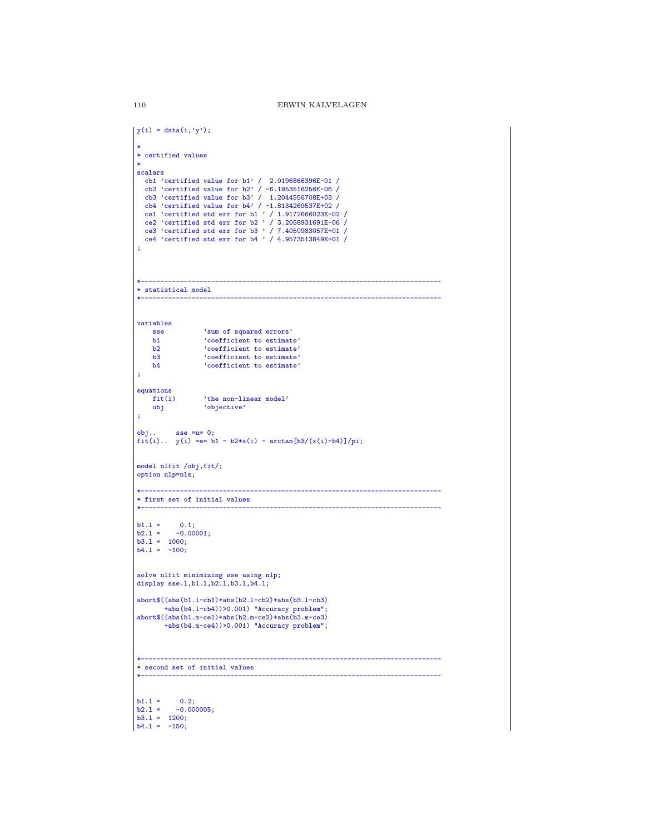```
|y(i) = data(i, 'y');
 *
* certified values
 scalars
 scalars<br>
cb1' / 2.0196866396E-01 /<br>
cb2 'certified value for b2' / -6.1953516256E-06 /<br>
cb3 'certified value for b3' / 1.2044556708E+03 /<br>
cb4 'certified value for b4' / -1.8134269537E+02 /<br>
ce1 'certified std err for b1 
 ;
 *-----------------------------------------------------------------------------
 * statistical model
 *-----------------------------------------------------------------------------
 variables
    sse <sup>'</sup>sum of squared errors'<br>b1 <sup>'</sup>coefficient to estimat
       b1 'coefficient to estimate'
b2 'coefficient to estimate'
     b3 coefficient to estimate'<br>b4 coefficient to estimate'
                    'coefficient to estimate'
 ;
 equations fit(i)'the non-linear model'
     obj 'objective'
 ;
 obj.. sse =n= 0;
fit(i).. y(i) =e= b1 - b2*x(i) - arctan[b3/(x(i)-b4)]/pi;
 model nlfit /obj,fit/;
 option nlp=nls;
 *-----------------------------------------------------------------------------
 * first set of initial values
 *-----------------------------------------------------------------------------
 b1.1 = 0.1;<br>b2.1 = -0.00001;b3.l = 1000;
b4.l = -100;
 solve nlfit minimizing sse using nlp;
 display sse.l,b1.l,b2.l,b3.l,b4.l;
 abort$((abs(b1.l-cb1)+abs(b2.l-cb2)+abs(b3.l-cb3)
 +abs(b4.l-cb4))>0.001) "Accuracy problem";
abort$((abs(b1.m-ce1)+abs(b2.m-ce2)+abs(b3.m-ce3)
          +abs(b4.m-ce4))>0.001) "Accuracy problem";
 *-----------------------------------------------------------------------------
 * second set of initial values
 *-----------------------------------------------------------------------------
 b1.1 = 0.2;<br>b2.1 = -0.000005;b3.l = 1200;
b4.l = -150;
```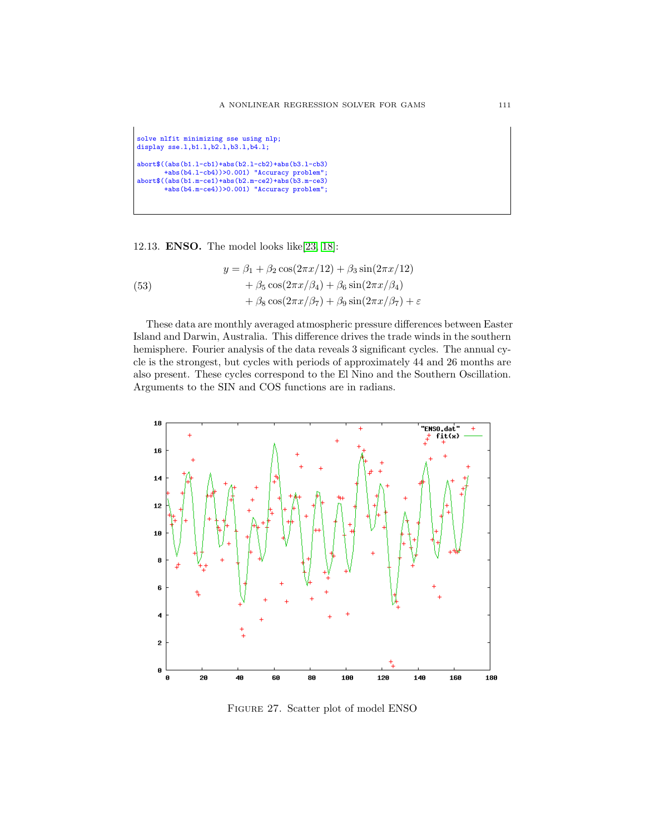```
solve nlfit minimizing sse using nlp;
display sse.l,b1.l,b2.l,b3.l,b4.l;
abort$((abs(b1.l-cb1)+abs(b2.l-cb2)+abs(b3.l-cb3)
       +abs(b4.l-cb4))>0.001) "Accuracy problem";
abort$((abs(b1.m-ce1)+abs(b2.m-ce2)+abs(b3.m-ce3)
       +abs(b4.m-ce4))>0.001) "Accuracy problem";
```
12.13. ENSO. The model looks like[\[23,](#page-146-0) [18\]](#page-145-0):

(53)  
\n
$$
y = \beta_1 + \beta_2 \cos(2\pi x/12) + \beta_3 \sin(2\pi x/12)
$$
\n
$$
+ \beta_5 \cos(2\pi x/\beta_4) + \beta_6 \sin(2\pi x/\beta_4)
$$
\n
$$
+ \beta_8 \cos(2\pi x/\beta_7) + \beta_9 \sin(2\pi x/\beta_7) + \varepsilon
$$

These data are monthly averaged atmospheric pressure differences between Easter Island and Darwin, Australia. This difference drives the trade winds in the southern hemisphere. Fourier analysis of the data reveals 3 significant cycles. The annual cycle is the strongest, but cycles with periods of approximately 44 and 26 months are also present. These cycles correspond to the El Nino and the Southern Oscillation. Arguments to the SIN and COS functions are in radians.



Figure 27. Scatter plot of model ENSO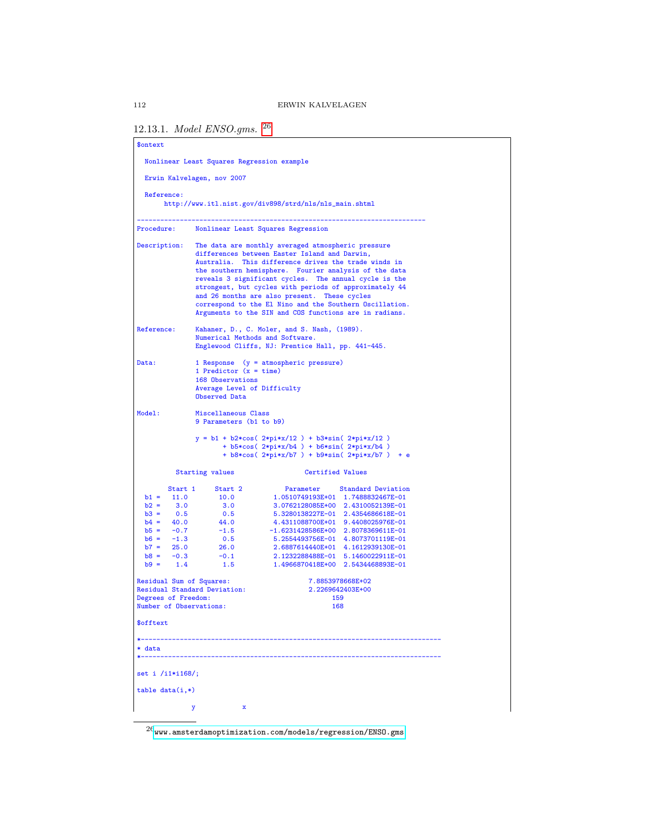## 12.13.1. Model ENSO.gms. [26](#page-111-0)

| <b>\$ontext</b>                                                                                                                                     |                                                                                                                                                                                                                                                                                                                                                                                                                                                                                                              |                                                                                                                                                                                                                                                                                                                                                                            |  |  |  |
|-----------------------------------------------------------------------------------------------------------------------------------------------------|--------------------------------------------------------------------------------------------------------------------------------------------------------------------------------------------------------------------------------------------------------------------------------------------------------------------------------------------------------------------------------------------------------------------------------------------------------------------------------------------------------------|----------------------------------------------------------------------------------------------------------------------------------------------------------------------------------------------------------------------------------------------------------------------------------------------------------------------------------------------------------------------------|--|--|--|
|                                                                                                                                                     | Nonlinear Least Squares Regression example                                                                                                                                                                                                                                                                                                                                                                                                                                                                   |                                                                                                                                                                                                                                                                                                                                                                            |  |  |  |
| Erwin Kalvelagen, nov 2007                                                                                                                          |                                                                                                                                                                                                                                                                                                                                                                                                                                                                                                              |                                                                                                                                                                                                                                                                                                                                                                            |  |  |  |
| Reference:                                                                                                                                          |                                                                                                                                                                                                                                                                                                                                                                                                                                                                                                              | http://www.itl.nist.gov/div898/strd/nls/nls_main.shtml                                                                                                                                                                                                                                                                                                                     |  |  |  |
|                                                                                                                                                     |                                                                                                                                                                                                                                                                                                                                                                                                                                                                                                              | Procedure: Nonlinear Least Squares Regression                                                                                                                                                                                                                                                                                                                              |  |  |  |
| Description:                                                                                                                                        | The data are monthly averaged atmospheric pressure<br>differences between Easter Island and Darwin,<br>Australia. This difference drives the trade winds in<br>the southern hemisphere. Fourier analysis of the data<br>reveals 3 significant cycles. The annual cycle is the<br>strongest, but cycles with periods of approximately 44<br>and 26 months are also present. These cycles<br>correspond to the El Nino and the Southern Oscillation.<br>Arguments to the SIN and COS functions are in radians. |                                                                                                                                                                                                                                                                                                                                                                            |  |  |  |
| Reference:                                                                                                                                          | Numerical Methods and Software.                                                                                                                                                                                                                                                                                                                                                                                                                                                                              | Kahaner, D., C. Moler, and S. Nash, (1989).<br>Englewood Cliffs, NJ: Prentice Hall, pp. 441-445.                                                                                                                                                                                                                                                                           |  |  |  |
| Data:                                                                                                                                               | 1 Predictor $(x = time)$<br>168 Observations<br>Average Level of Difficulty<br>Observed Data                                                                                                                                                                                                                                                                                                                                                                                                                 | 1 Response (y = atmospheric pressure)                                                                                                                                                                                                                                                                                                                                      |  |  |  |
| Model:                                                                                                                                              | Miscellaneous Class<br>9 Parameters (b1 to b9)                                                                                                                                                                                                                                                                                                                                                                                                                                                               |                                                                                                                                                                                                                                                                                                                                                                            |  |  |  |
|                                                                                                                                                     |                                                                                                                                                                                                                                                                                                                                                                                                                                                                                                              | y = b1 + b2*cos( 2*pi*x/12 ) + b3*sin( 2*pi*x/12 )<br>$+ b5*cos( 2*pi*x/b4 ) + b6*sin( 2*pi*x/b4 )$<br>+ $b8*cos(2*pi*x/b7) + b9*sin(2*pi*x/b7) + e$                                                                                                                                                                                                                       |  |  |  |
|                                                                                                                                                     | <b>Starting values</b>                                                                                                                                                                                                                                                                                                                                                                                                                                                                                       | Certified Values                                                                                                                                                                                                                                                                                                                                                           |  |  |  |
| Start 1<br>$b1 = 11.0$<br>$b2 =$<br>3.0<br>$b3 = 0.5$<br>$b4 = 40.0$<br>$b5 =$<br>$-0.7$<br>$b6 = -1.3$<br>$b7 = 25.0$<br>$b8 = -0.3$<br>$b9 = 1.4$ | Start 2<br>10.0<br>3.0<br>0.5<br>44.0<br>$-1.5$<br>0.5<br>26.0<br>$-0.1$<br>1.5                                                                                                                                                                                                                                                                                                                                                                                                                              | Parameter Standard Deviation<br>1.0510749193E+01 1.7488832467E-01<br>3.0762128085E+00 2.4310052139E-01<br>5.3280138227E-01 2.4354686618E-01<br>4.4311088700E+01 9.4408025976E-01<br>-1.6231428586E+00 2.8078369611E-01<br>5.2554493756E-01 4.8073701119E-01<br>2.6887614440E+01 4.1612939130E-01<br>2.1232288488E-01 5.1460022911E-01<br>1.4966870418E+00 2.5434468893E-01 |  |  |  |
| Residual Sum of Squares:<br>Degrees of Freedom:<br>Number of Observations:                                                                          | Residual Standard Deviation:                                                                                                                                                                                                                                                                                                                                                                                                                                                                                 | 7.8853978668E+02<br>2.2269642403E+00<br>159<br>168                                                                                                                                                                                                                                                                                                                         |  |  |  |
| \$offtext                                                                                                                                           |                                                                                                                                                                                                                                                                                                                                                                                                                                                                                                              |                                                                                                                                                                                                                                                                                                                                                                            |  |  |  |
| * data                                                                                                                                              |                                                                                                                                                                                                                                                                                                                                                                                                                                                                                                              |                                                                                                                                                                                                                                                                                                                                                                            |  |  |  |
| set i /i1*i168/;                                                                                                                                    |                                                                                                                                                                                                                                                                                                                                                                                                                                                                                                              |                                                                                                                                                                                                                                                                                                                                                                            |  |  |  |
| $table data(i,*)$                                                                                                                                   |                                                                                                                                                                                                                                                                                                                                                                                                                                                                                                              |                                                                                                                                                                                                                                                                                                                                                                            |  |  |  |
|                                                                                                                                                     | $\mathbf x$<br>у                                                                                                                                                                                                                                                                                                                                                                                                                                                                                             |                                                                                                                                                                                                                                                                                                                                                                            |  |  |  |

<span id="page-111-0"></span> $\overline{\phantom{a}^{26}$ <www.amsterdamoptimization.com/models/regression/ENSO.gms>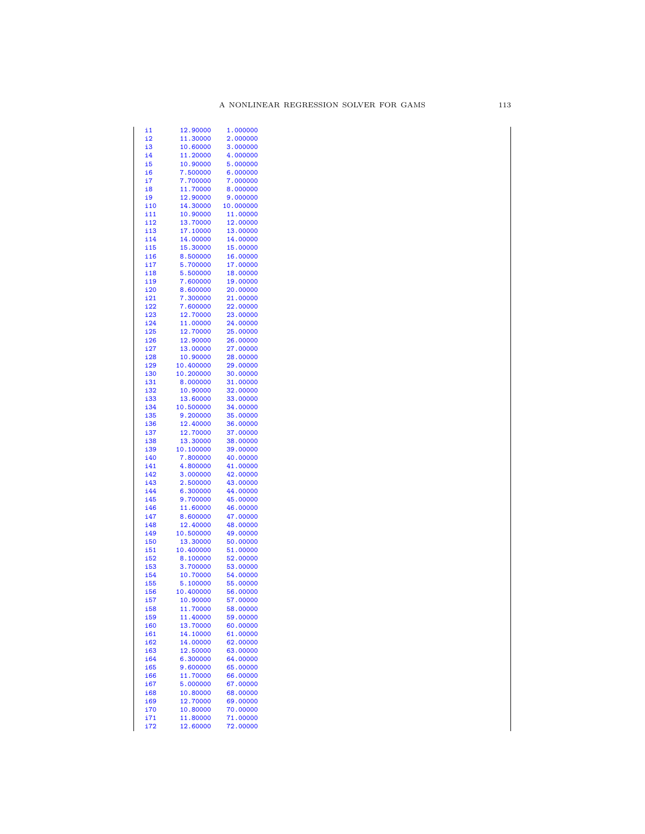| i1         | 12.90000  | 1.000000  |
|------------|-----------|-----------|
| i2         | 11.30000  | 2.000000  |
| i3         | 10.60000  | 3.000000  |
| i4         | 11.20000  | 4.000000  |
| i5         | 10.90000  | 5.000000  |
| i6         | 7.500000  | 6.000000  |
| i7         | 7.700000  | 7.000000  |
| i8         | 11.70000  | 8.000000  |
| i9         | 12.90000  | 9.000000  |
| i10        | 14.30000  | 10.000000 |
| i11        | 10.90000  | 11.00000  |
| i12        | 13.70000  | 12.00000  |
| i13        | 17.10000  | 13.00000  |
| i14        | 14.00000  | 14.00000  |
| i15        | 15.30000  | 15.00000  |
| i16        | 8.500000  | 16.00000  |
| i 17       | 5.700000  | 17.00000  |
| i18        | 5.500000  | 18.00000  |
| i19        | 7.600000  | 19.00000  |
|            | 8.600000  | 20.00000  |
| <u>i20</u> |           |           |
| i21        | 7.300000  | 21.00000  |
| i22        | 7.600000  | 22.00000  |
| i23        | 12.70000  | 23.00000  |
| i24        | 11.00000  | 24.00000  |
| i25        | 12.70000  | 25.00000  |
| i26        | 12.90000  | 26.00000  |
| i27        | 13.00000  | 27.00000  |
| i28        | 10.90000  | 28.00000  |
| i29        | 10.400000 | 29.00000  |
| i30        | 10.200000 | 30.00000  |
| i31        | 8.000000  | 31.00000  |
| i32        | 10.90000  | 32.00000  |
| i33        | 13.60000  | 33.00000  |
| i34        | 10.500000 | 34.00000  |
| i35        | 9.200000  | 35.00000  |
| i36        | 12.40000  | 36.00000  |
| i37        | 12.70000  | 37.00000  |
| i38        | 13.30000  | 38.00000  |
| i39        | 10.100000 | 39.00000  |
| i40        | 7.800000  | 40.00000  |
| i41        | 4.800000  | 41.00000  |
| i42        | 3.000000  | 42.00000  |
| i43        | 2.500000  | 43.00000  |
| i44        | 6.300000  | 44.00000  |
| i45        | 9.700000  | 45.00000  |
| i46        | 11.60000  | 46.00000  |
| i47        | 8.600000  | 47.00000  |
| i48        | 12.40000  | 48.00000  |
| i49        | 10.500000 | 49.00000  |
| i50        | 13.30000  | 50.00000  |
| i51        | 10.400000 | 51.00000  |
|            | 8.100000  |           |
| i52        |           | 52.00000  |
| i53        | 3.700000  | 53.00000  |
| i54        | 10.70000  | 54.00000  |
| i55        | 5.100000  | 55.00000  |
| i56        | 10.400000 | 56.00000  |
| i57        | 10.90000  | 57.00000  |
| <b>i58</b> | 11.70000  | 58.00000  |
| <b>i59</b> | 11.40000  | 59.00000  |
| i60        | 13.70000  | 60.00000  |
| <u>i61</u> | 14.10000  | 61.00000  |
| <u>162</u> | 14.00000  | 62.00000  |
| i63        | 12.50000  | 63.00000  |
| i64        | 6.300000  | 64.00000  |
| <u>165</u> | 9.600000  | 65.00000  |
| i66        | 11.70000  | 66.00000  |
| <b>i67</b> | 5.000000  | 67.00000  |
| <u>168</u> | 10.80000  | 68.00000  |
| i69        | 12.70000  | 69.00000  |
| i70        | 10.80000  | 70.00000  |
| i71        | 11.80000  | 71.00000  |
| i72        | 12.60000  | 72.00000  |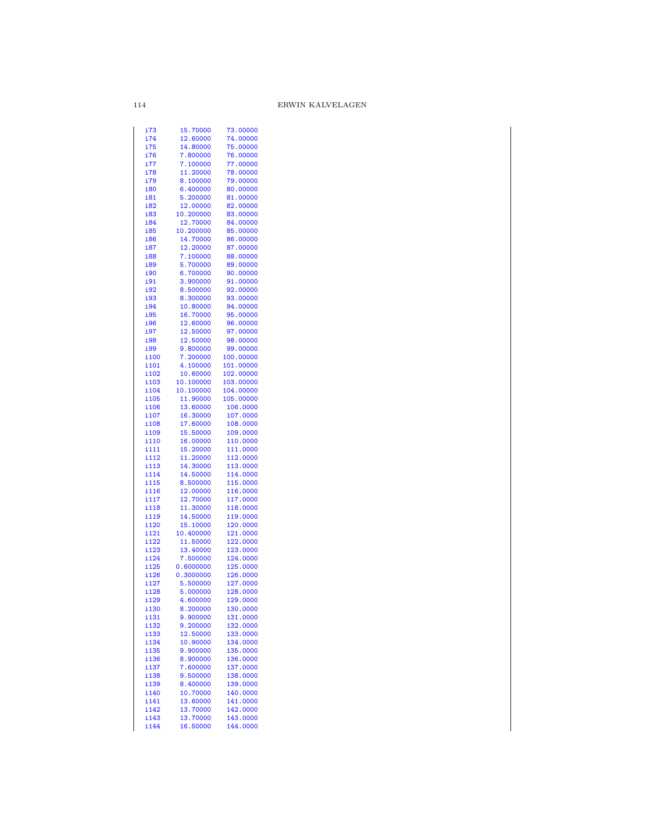| i73          | 15.70000             | 73.00000             |
|--------------|----------------------|----------------------|
|              |                      |                      |
| i74          | 12.60000             | 74.00000             |
| i75          | 14.80000             | 75.00000             |
| i76          | 7.800000             | 76.00000             |
|              |                      |                      |
| i77          | 7.100000             | 77.00000             |
| i78          | 11.20000             | 78.00000             |
|              |                      |                      |
| i79          | 8.100000             | 79,00000             |
| i80          | 6.400000             | 80.00000             |
|              |                      |                      |
| i81          | 5.200000             | 81.00000             |
| i82          | 12.00000             | 82.00000             |
|              |                      | 83.00000             |
| i83          | 10.200000            |                      |
| i84          | 12.70000             | 84.00000             |
| i85          | 10.200000            | 85.00000             |
|              |                      |                      |
| i86          | 14.70000             | 86.00000             |
| i87          | 12.20000             | 87.00000             |
|              |                      |                      |
| i88          | 7.100000             | 88.00000             |
| i89          | 5.700000             | 89.00000             |
|              | 6.700000             |                      |
| i90          |                      | 90.00000             |
| i91          | 3.900000             | 91.00000             |
| i92          | 8.500000             | 92.00000             |
|              |                      |                      |
| i93          | 8.300000             | 93.00000             |
| i94          | 10.80000             | 94.00000             |
|              |                      |                      |
| i95          | 16.70000             | 95.00000             |
| i96          | 12.60000             | 96.00000             |
|              |                      |                      |
| i97          | 12.50000             | 97.00000             |
| i98          | 12.50000             | 98.00000             |
|              | 9.800000             | 99.00000             |
| i99          |                      |                      |
| i100         | 7.200000             | 100.00000            |
| i101         | 4.100000             | 101.00000            |
|              |                      |                      |
| i102         | 10.60000             | 102.00000            |
| i103         | 10.100000            | 103.00000            |
| i104         |                      |                      |
|              | 10.100000            | 104.00000            |
| i105         | 11.90000             | 105.00000            |
| i106         | 13.60000             | 106.0000             |
|              |                      |                      |
| i107         | 16.30000             | 107.0000             |
| i108         | 17.60000             | 108.0000             |
|              |                      |                      |
| i109         | 15.50000             | 109.0000             |
| i110         | 16.00000             | 110.0000             |
|              |                      | 111.0000             |
| i111         | 15.20000             |                      |
| i112         | 11.20000             | 112.0000             |
| i113         | 14.30000             | 113.0000             |
|              |                      |                      |
| i114         | 14.50000             | 114.0000             |
| i115         | 8.500000             | 115.0000             |
|              |                      |                      |
| i116         | 12.00000             | 116.0000             |
| i117         | 12.70000             | 117.0000             |
| i118         | 11.30000             | 118.0000             |
|              |                      |                      |
| i119         | 14.50000             | 119.0000             |
| i120         | 15.10000             | 120.0000             |
|              |                      |                      |
| i121         | 10.400000            | 121.0000             |
| i122         | 11.50000             | 122.0000             |
|              | 13.40000             |                      |
| i123         |                      | 123.0000             |
| i124         | 7.500000             | 124.0000             |
| i125         | 0.6000000            | 125.0000             |
|              |                      |                      |
| i126         | 0.3000000            | 126.0000             |
| i127         | 5.500000             | 127.0000             |
|              |                      |                      |
| i128         | 5.000000             | 128.0000             |
| i129         | 4.600000             | 129.0000             |
| i130         | 8.200000             | 130.0000             |
|              |                      |                      |
| i131         | 9.900000             | 131.0000             |
| i132         | 9.200000             | 132.0000             |
|              |                      |                      |
| i133         | 12.50000             | 133.0000             |
| i134         | 10.90000             | 134.0000             |
| i135         | 9.900000             |                      |
|              |                      | 135.0000             |
| i136         | 8.900000             | 136.0000             |
| i137         | 7.600000             | 137.0000             |
|              |                      |                      |
| i138         | 9.500000             | 138.0000             |
| i139         | 8.400000             | 139.0000             |
|              |                      |                      |
| i140         | 10.70000             | 140.0000             |
| i141         |                      |                      |
|              | 13.60000             | 141.0000             |
|              |                      |                      |
| i142         | 13.70000             | 142.0000             |
| i143<br>i144 | 13.70000<br>16.50000 | 143.0000<br>144.0000 |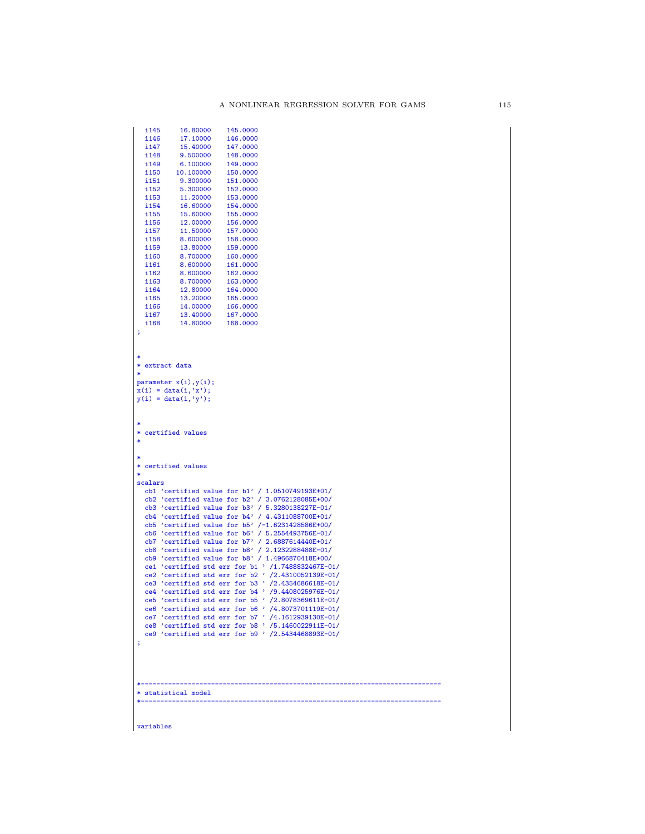```
\begin{array}{cccc} \texttt{i145} & \texttt{16.80000} & \texttt{145.0000} \\ \texttt{i146} & \texttt{17.10000} & \texttt{146.0000} \end{array}it 146 17.10000 146.0000<br>it 147 15.40000 147.0000
    \begin{array}{cccc} \texttt{i147} & \texttt{15.40000} & \texttt{147.0000} \\ \texttt{i148} & \texttt{9.500000} & \texttt{148.0000} \end{array}\begin{array}{r}\n 1148 \quad 9.500000 \quad 148.0000 \\
 1149 \quad 6.100000 \quad 149.0000\n \end{array}\begin{array}{cccc} 1149 & & 6.100000 & & 149.0000 \\ 1150 & & 10.100000 & & 150.0000 \end{array}\begin{array}{cccc} \text{i150} & \text{10.100000} & \text{150.0000} \\ \text{i151} & \text{9.300000} & \text{151.0000} \end{array}i151 9.300000 151.0000<br>i152 5.300000 152.0000
    \begin{array}{cccc} \texttt{i152} & \texttt{5.300000} & \texttt{152.0000} \\ \texttt{i153} & \texttt{11.20000} & \texttt{153.0000} \end{array}\begin{array}{r}\n 1153 \quad 11.20000 \quad 153.0000 \\
 1154 \quad 16.60000 \quad 154.0000\n \end{array}\begin{array}{cccc} \texttt{i154} & \texttt{16.60000} & \texttt{154.0000} \\ \texttt{i155} & \texttt{15.60000} & \texttt{155.0000} \end{array}i155 15.60000 155.0000<br>i156 12.00000 156.0000
    \begin{array}{r}\n 1156 \quad 12.00000 \quad 156.0000 \\
 1157 \quad 11.50000 \quad 157.0000\n \end{array}\begin{array}{cccc} \texttt{i157} & \texttt{11.50000} & \texttt{157.0000} \\ \texttt{i158} & \texttt{8.600000} & \texttt{158.0000} \end{array}i158 8.600000 158.0000<br>i159 13.80000 159.0000
    \begin{array}{r}\n 1159 \\
 13.80000 \\
 159.0000 \\
 160.0000\n \end{array}i160 8.700000 160.0000<br>i161 8.600000 161.0000
    \begin{array}{r}\n 1161 \quad 8.600000 \quad 161.0000 \\
 1162 \quad 8.600000 \quad 162.0000\n \end{array}i162 8.600000 162.0000<br>i163 8.700000 163.0000
    i163 8.700000 163.0000<br>i164 12.80000 164.0000
    i<br>164 12.80000 164.0000<br>165 13.20000 165.0000
    i165 13.20000 165.0000<br>i166 14.00000 166.0000
    i166 14.00000 166.0000<br>i167 13.40000 167.0000
    i167 13.40000 167.0000<br>i168 14.80000 168.0000
                       14.80000
;
 *
* extract data
 *
parameter x(i),y(i);
 x(i) = data(i,'x');
y(i) = data(i,'y');
 *
* certified values
 *
 *
* certified values
 *
scalars
     cb1 'certified value for b1' / 1.0510749193E+01/
cb2 'certified value for b2' / 3.0762128085E+00/
cb3 'certified value for b3' / 5.3280138227E-01/
     cb4 'certified value for b4' / 4.4311088700E+01/
cb5 'certified value for b5' /-1.6231428586E+00/
    cb6 'certified value for b6' / 5.2554493756E-01/
     cb7 'certified value for b7' / 2.6887614440E+01/
cb8 'certified value for b8' / 2.1232288488E-01/
    cb9 'certified value for b8' / 1.4966870418E+00/
     ce1 'certified std err for b1 ' /1.7488832467E-01/
ce2 'certified std err for b2 ' /2.4310052139E-01/
     ce3 'certified std err for b3 ' /2.4354686618E-01/<br>ce4 'certified std err for b4 ' /9.4408025976E-01/<br>ce5 'certified std err for b5 ' /2.8078369611E-01/<br>ce6 'certified std err for b6 ' /4.8073701119E-01/<br>ce7 'certified st
    ce9 'certified std err for b9 ' /2.5434468893E-01/
 ;
 *-----------------------------------------------------------------------------
* statistical model
 *-----------------------------------------------------------------------------
```
variables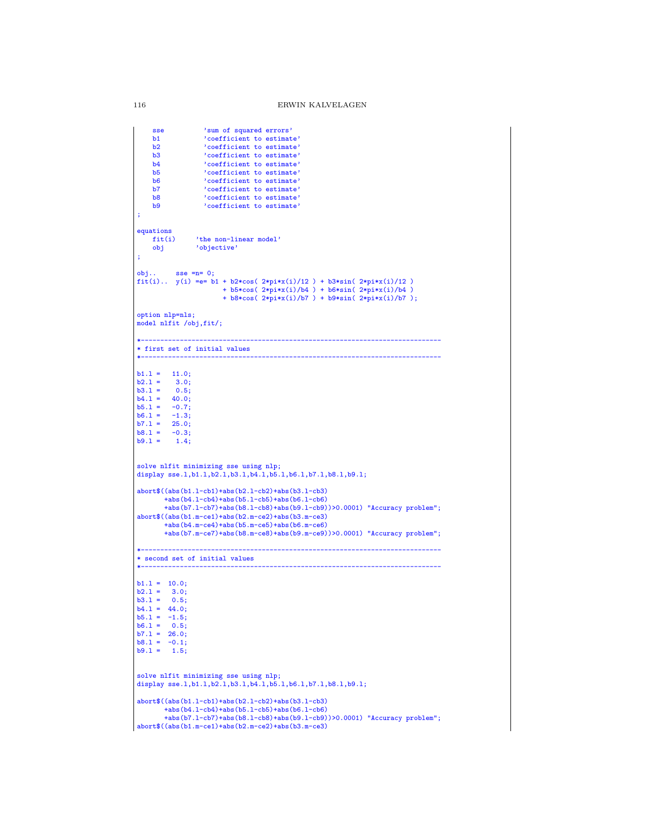```
sse 'sum of squared errors'
     b1 \qquad 'coefficient to estimate'<br>b2 \qquad 'coefficient to estimate'
    b2 \qquad \qquad 'coefficient to estimate' \text{ } b3 \qquad \qquad 'coefficient to estimate' \text{ } b4b3 coefficient to estimate'<br>b4 coefficient to estimate'
     b4 'coefficient to estimate'
b5 'coefficient to estimate'
     b6 'coefficient to estimate'
b7 'coefficient to estimate'
     b8 \degree 'coefficient to estimate'<br>b9 \degree 'coefficient to estimate'
                    'coefficient to estimate'
;
equations<br>fit(i)
    fit(i) 'the non-linear model'<br>obj 'objective'
                 'objective'
;
obj.. sse =n= 0;
fit(i).. y(i) =e= b1 + b2*cos( 2*pi*x(i)/12 ) + b3*sin( 2*pi*x(i)/12 )
                          + b5*cos( 2*pi*x(i)/b4 ) + b6*sin( 2*pi*x(i)/b4 )
                           + b8*cos( 2*pi*x(i)/b7 ) + b9*sin( 2*pi*x(i)/b7 );
option nlp=nls;
model nlfit /obj,fit/;
*-----------------------------------------------------------------------------
* first set of initial values
*-----------------------------------------------------------------------------
b1.1 = 11.0;<br>b2.1 = 3.0;3.0;<br>0.5;b3.1 = 0.5;<br>b4.1 = 40.0;
b4.1 = 40.0;<br>b5.1 = -0.7;b5.1 = -0.7;<br>b6.1 = -1.3;
h6.1 =b7.1 = 25.0;
b8.1 = -0.3;<br>b9.1 = 1.4;solve nlfit minimizing sse using nlp;
display sse.1,b1.1,b2.1,b3.1,b4.1,b5.1,b6.1,b7.1,b8.1,b9.1;
abort$((abs(b1.l-cb1)+abs(b2.l-cb2)+abs(b3.l-cb3)
         +abs(b4.l-cb4)+abs(b5.l-cb5)+abs(b6.l-cb6)
         +abs(b7.l-cb7)+abs(b8.l-cb8)+abs(b9.l-cb9))>0.0001) "Accuracy problem";
abort$((abs(b1.m-ce1)+abs(b2.m-ce2)+abs(b3.m-ce3)
         +abs(b4.m-ce4)+abs(b5.m-ce5)+abs(b6.m-ce6)+abs(b7.m-ce7)+abs(b8.m-ce8)+abs(b9.m-ce9))>0.0001) "Accuracy problem";
*-----------------------------------------------------------------------------
* second set of initial values
*-----------------------------------------------------------------------------
b1.1 = 10.0;<br>
b2.1 = 3.0;<br>
b3.1 = 0.5;b4.1 = 44.0;<br>b5.1 = -1.5;b6.1 = 0.5;<br>
b7.1 = 26.0;<br>
b8.1 = -0.1;<br>
b9.1 = 1.5;solve nlfit minimizing sse using nlp;
display sse.l,b1.l,b2.l,b3.l,b4.l,b5.l,b6.l,b7.l,b8.l,b9.l;
abort$((abs(b1.l-cb1)+abs(b2.l-cb2)+abs(b3.l-cb3)
        +abs(b4.l-cb4)+abs(b5.l-cb5)+abs(b6.l-cb6)
         +abs(b7.l-cb7)+abs(b8.l-cb8)+abs(b9.l-cb9))>0.0001) "Accuracy problem";
abort$((abs(b1.m-ce1)+abs(b2.m-ce2)+abs(b3.m-ce3)
```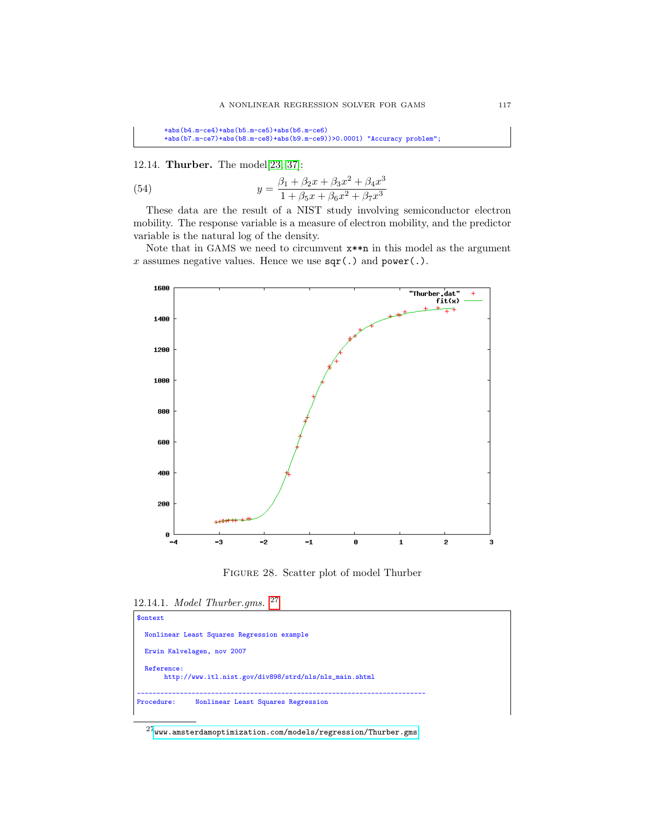+abs(b4.m-ce4)+abs(b5.m-ce5)+abs(b6.m-ce6) +abs(b7.m-ce7)+abs(b8.m-ce8)+abs(b9.m-ce9))>0.0001) "Accuracy problem";

12.14. Thurber. The model[\[23,](#page-146-0) [37\]](#page-146-1):

(54) 
$$
y = \frac{\beta_1 + \beta_2 x + \beta_3 x^2 + \beta_4 x^3}{1 + \beta_5 x + \beta_6 x^2 + \beta_7 x^3}
$$

These data are the result of a NIST study involving semiconductor electron mobility. The response variable is a measure of electron mobility, and the predictor variable is the natural log of the density.

Note that in GAMS we need to circumvent x\*\*n in this model as the argument x assumes negative values. Hence we use  $\text{sqr}(\cdot)$  and  $\text{power}(\cdot)$ .



Figure 28. Scatter plot of model Thurber

<sup>12.14.1.</sup> Model Thurber.gms. [27](#page-116-0)

| <b>Sontext</b>                                                       |  |
|----------------------------------------------------------------------|--|
| Nonlinear Least Squares Regression example                           |  |
| Erwin Kalvelagen, nov 2007                                           |  |
| Reference:<br>http://www.itl.nist.gov/div898/strd/nls/nls_main.shtml |  |
| Procedure:<br>Nonlinear Least Squares Regression                     |  |

<span id="page-116-0"></span> $^{27}\hspace{-1mm}$ ww.amsterdamoptimization.com/models/regression/Thurber.gms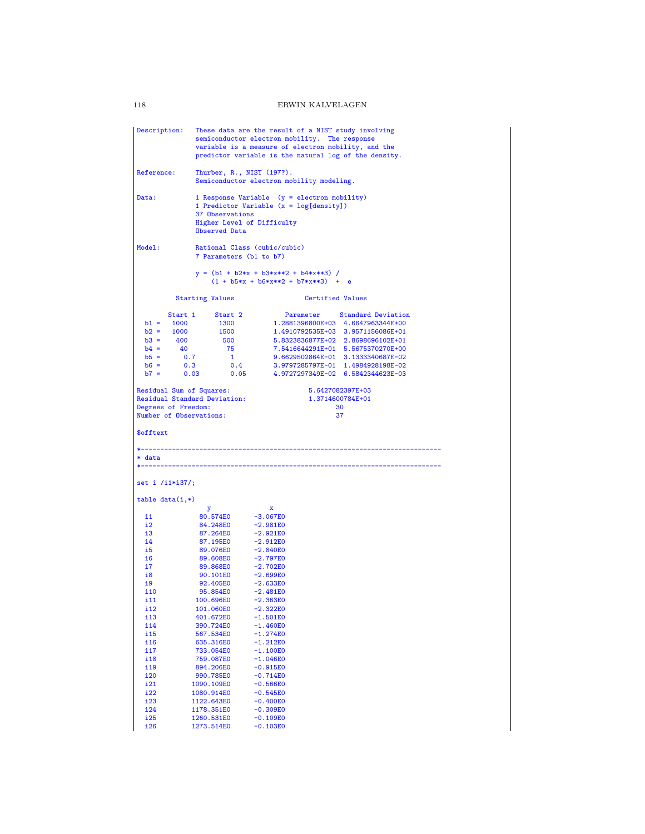Description: These data are the result of a NIST study involving semiconductor electron mobility. The response variable is a measure of electron mobility, and the predictor variable is the natural log of the density. Reference: Thurber, R., NIST (197?). Semiconductor electron mobility modeling. Data: 1 Response Variable (y = electron mobility) 1 Predictor Variable  $(x = log[density])$ 37 Observations Higher Level of Difficulty Observed Data Model: Rational Class (cubic/cubic) 7 Parameters (b1 to b7)  $y = (b1 + b2*x + b3*x**2 + b4*x**3) /$ <br>(1 + b5\*x + b6\*x\*\*2 + b7\*x\*\*3) + e Starting Values Certified Values Start 1 Start 2 Parameter Standard Deviation b1 = 1000 1300 1.2881396800E+03 4.6647963344E+00 b2 = 1000 1500 1.4910792535E+03 3.9571156086E+01 b3 = 400 500 5.8323836877E+02 2.8698696102E+01 b4 = 40 75 7.5416644291E+01 5.5675370270E+00 b5 = 0.7 1 9.6629502864E-01 3.1333340687E-02 b6 = 0.3 0.4 3.9797285797E-01 1.4984928198E-02 b7 = 0.03 0.05 4.9727297349E-02 6.5842344623E-03 Residual Sum of Squares: 5.6427082397E+03 Residual Standard Deviation: 1.3714600784E+01 Degrees of Freedom: 30<br>
Number of Observations: 37 Number of Observations: \$offtext \*----------------------------------------------------------------------------- \* data \*---------------------------------------------------------------------------- set i /i1\*i37/; table data(i,\*) y x i1 80.574E0 -3.067E0 i2 84.248E0 -2.981E0<br>i3 87.264E0 -2.921E0 i3 87.264E0 -2.921E0<br>i4 87.195E0 -2.912E0 i4 87.195E0<br>i5 89.076E0 i5 89.076E0 -2.840E0<br>i6 89.608E0 -2.797E0 i6 89.608E0 -2.797E0<br>i7 89.868E0 -2.702E0 i7 89.868E0 -2.702E0<br>i8 90.101E0 -2.699E0 i8 90.101E0 -2.699E0<br>i9 92.405E0 -2.633E0 i9 92.405E0 -2.633E0<br>i10 95.854E0 -2.481E0 i10 95.854E0 -2.481E0<br>i11 100.696E0 -2.363E0 i11 100.696E0 -2.363E0<br>i12 101.060E0 -2.322E0 i12 101.060E0<br>i13 401.672E0 i13 401.672E0 -1.501E0<br>i14 390.724E0 -1.460E0 i14 390.724E0 -1.460E0<br>i15 567.534E0 -1.274E0 i15 567.534E0 -1.274E0<br>i16 635.316E0 -1.212E0 i16 635.316E0 -1.212E0<br>i17 733.054E0 -1.100E0 i17 733.054E0 -1.100E0<br>i18 759.087E0 -1.046E0 i18 759.087E0 -1.046E0<br>i19 894.206E0 -0.915E0 i19 894.206E0 -0.915E0<br>i20 990.785E0 -0.714E0 i20 990.785E0 -0.714E0<br>i21 1090.109E0 -0.566E0 i21 1090.109E0 -0.566E0<br>i22 1080.914E0 -0.545E0 i22 1080.914E0 -0.545E0<br>i23 1122.643E0 -0.400E0 i23 1122.643E0 -0.400E0<br>i24 1178.351E0 -0.309E0 i24 1178.351E0 -0.309E0<br>i25 1260.531E0 -0.109E0 i25 1260.531E0 -0.109E0<br>i26 1273.514E0 -0.103E0 1273.514E0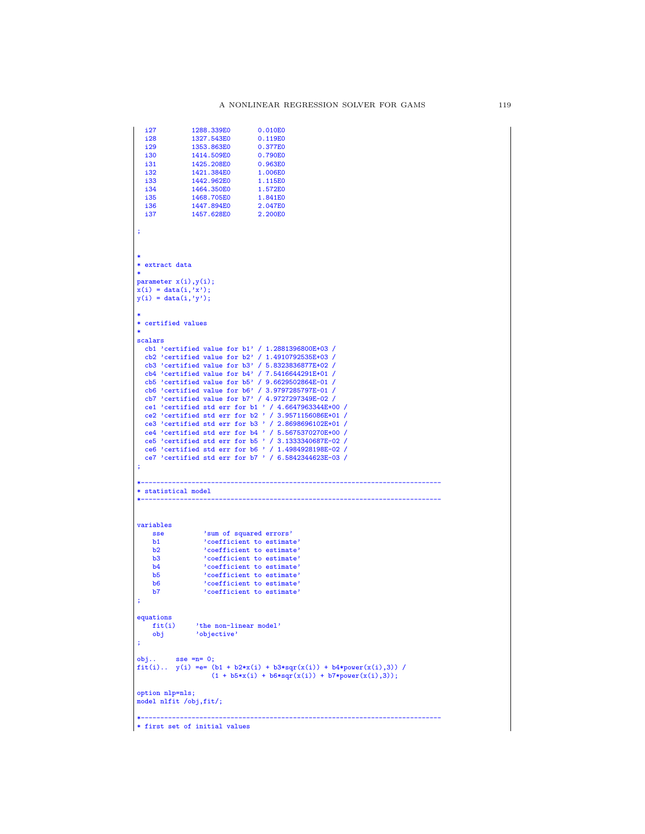```
i27 1288.339E0 0.010E0<br>i28 1327.543E0 0.119E0
   i28 1327.543E0 0.119E0<br>i29 1353.863E0 0.377E0
   i29 1353.863E0 0.377E0<br>i30 1414.509E0 0.790E0
   i30 1414.509E0 0.790E0<br>i31 1425.208E0 0.963E0
   i31 1425.208E0 0.963E0<br>i32 1421.384E0 1.006E0
   i32 1421.384E0 1.006E0<br>i33 1442.962E0 1.115E0
   i33 1442.962E0 1.115E0<br>i34 1464.350E0 1.572E0
   i34 1464.350E0 1.572E0<br>i35 1468.705E0 1.841E0
   i35 1468.705E0 1.841E0<br>
i36 1447.894E0 2.047E0<br>
i37 1457.628E0 2.200E0
    i36 1447.894E0 2.047E0
i37 1457.628E0 2.200E0
 ;
 *
* extract data
 *
parameter x(i),y(i);
x(i) = data(i, 'x');y(i) = data(i, 'y');*
* certified values
 *
scalars
  cb1 'certified value for b1' / 1.2881396800E+03 /
   cb2 'certified value for b2' / 1.4910792535E+03 /
    cb3 'certified value for b3' / 5.8323836877E+02 /
cb4 'certified value for b4' / 7.5416644291E+01 /
    cb5 'certified value for b5' / 9.6629502864E-01 /
cb6 'certified value for b6' / 3.9797285797E-01 /
    cb7 'certified value for b7' / 4.9727297349E-02 /
ce1 'certified std err for b1 ' / 4.6647963344E+00 /
ce2 'certified std err for b2 ' / 3.9571156086E+01 /
   ce2 certified std err for b3 ' / 2.8698696102E+01 /
    ce4 'certified std err for b4 ' / 5.5675370270E+00 /
ce5 'certified std err for b5 ' / 3.1333340687E-02 /
ce6 'certified std err for b6 ' / 1.4984928198E-02 /
ce7 'certified std err for b7 ' / 6.5842344623E-03 /
;
 *-----------------------------------------------------------------------------
* statistical model
 *-----------------------------------------------------------------------------
variables
       sse 'sum of squared errors'<br>
b2 'coefficient to estimate'<br>
b2 'coefficient to estimate'<br>
b3 'coefficient to estimate'<br>
b4 'coefficient to estimate'<br>
b5 'coefficient to estimate'<br>
b7 'coefficient to estimate'
;
equations<br>fit(i)
                   'the non-linear model'
     obj 'objective'
 ;
 obj.. sse =n= 0;
fit(i).. y(i) =e= (b1 + b2*x(i) + b3*sqr(x(i)) + b4*power(x(i),3)) /
                            (1 + b5*x(i) + b6*sqrt(x(i)) + b7*power(x(i),3));option nlp=nls;
model nlfit /obj,fit/;
 *-----------------------------------------------------------------------------
* first set of initial values
```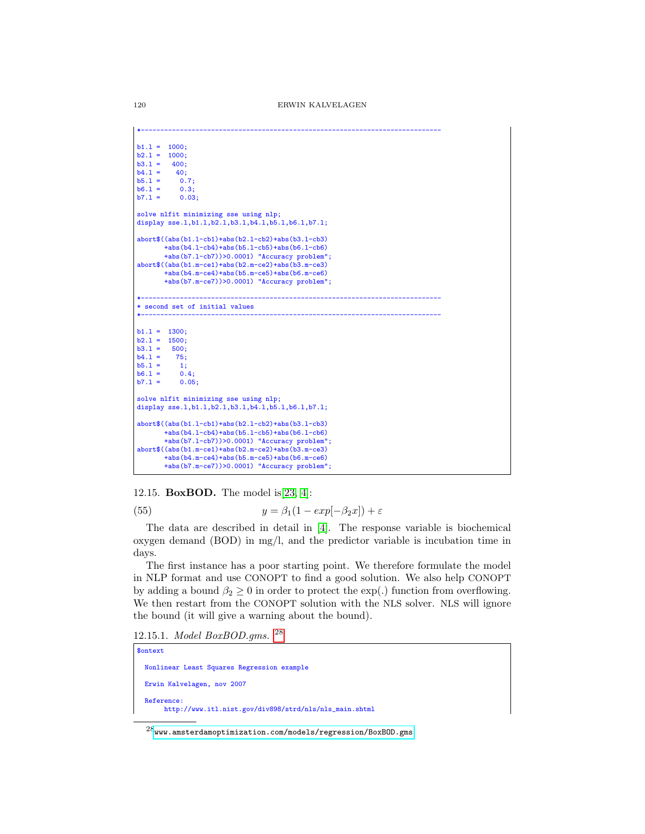```
*-----------------------------------------------------------------------------
b1.1 = 1000;<br>b2.1 = 1000;b2.1 = 1000;<br>b3.1 = 400;b3.1 = 400;<br>b4.1 = 40;b4.1 = 40;<br>b5.1 = 0.7;b5.1 = 0.7;<br>b6.1 = 0.3;
b6.1 = 0.3;<br>b7.1 = 0.03;b7.1 =solve nlfit minimizing sse using nlp;
display sse.1,b1.1,b2.1,b3.1,b4.1,b5.1,b6.1,b7.1;
abort$((abs(b1.l-cb1)+abs(b2.l-cb2)+abs(b3.l-cb3)
        +abs(b4.l-cb4)+abs(b5.l-cb5)+abs(b6.l-cb6)
        +abs(b7.l-cb7))>0.0001) "Accuracy problem";
abort$((abs(b1.m-ce1)+abs(b2.m-ce2)+abs(b3.m-ce3)
        +abs(b4.m-ce4)+abs(b5.m-ce5)+abs(b6.m-ce6)
        +abs(b7.m-ce7))>0.0001) "Accuracy problem";
*-----------------------------------------------------------------------------
* second set of initial values
*-----------------------------------------------------------------------------
b1.1 = 1300:
b2.1 = 1500;<br>b3.1 = 500:b3.1 = 500;<br>b4.1 = 75h4.1 =b5.1 = 1;<br>b6.1 = 0.4;
b6.1 =b7.1 = 0.05;
solve nlfit minimizing sse using nlp;
display sse.l,b1.l,b2.l,b3.l,b4.l,b5.l,b6.l,b7.l;
abort$((abs(b1.l-cb1)+abs(b2.l-cb2)+abs(b3.l-cb3)
        +abs(b4.l-cb4)+abs(b5.l-cb5)+abs(b6.l-cb6)
        +abs(b7.l-cb7))>0.0001) "Accuracy problem";
abort$((abs(b1.m-ce1)+abs(b2.m-ce2)+abs(b3.m-ce3)
        +abs(b4.m-ce4)+abs(b5.m-ce5)+abs(b6.m-ce6)
        +abs(b7.m-ce7))>0.0001) "Accuracy problem";
```
12.15. **BoxBOD.** The model is [\[23,](#page-146-0) [4\]](#page-145-1):

(55) 
$$
y = \beta_1(1 - exp[-\beta_2 x]) + \varepsilon
$$

The data are described in detail in [\[4\]](#page-145-1). The response variable is biochemical oxygen demand  $(BOD)$  in mg/l, and the predictor variable is incubation time in days.

The first instance has a poor starting point. We therefore formulate the model in NLP format and use CONOPT to find a good solution. We also help CONOPT by adding a bound  $\beta_2 \geq 0$  in order to protect the exp(.) function from overflowing. We then restart from the CONOPT solution with the NLS solver. NLS will ignore the bound (it will give a warning about the bound).

12.15.1. Model BoxBOD.gms. [28](#page-119-0)

| <b>Sontext</b>                                                       |
|----------------------------------------------------------------------|
| Nonlinear Least Squares Regression example                           |
| Erwin Kalvelagen, nov 2007                                           |
| Reference:<br>http://www.itl.nist.gov/div898/strd/nls/nls_main.shtml |

<span id="page-119-0"></span> $^{28}$ <www.amsterdamoptimization.com/models/regression/BoxBOD.gms>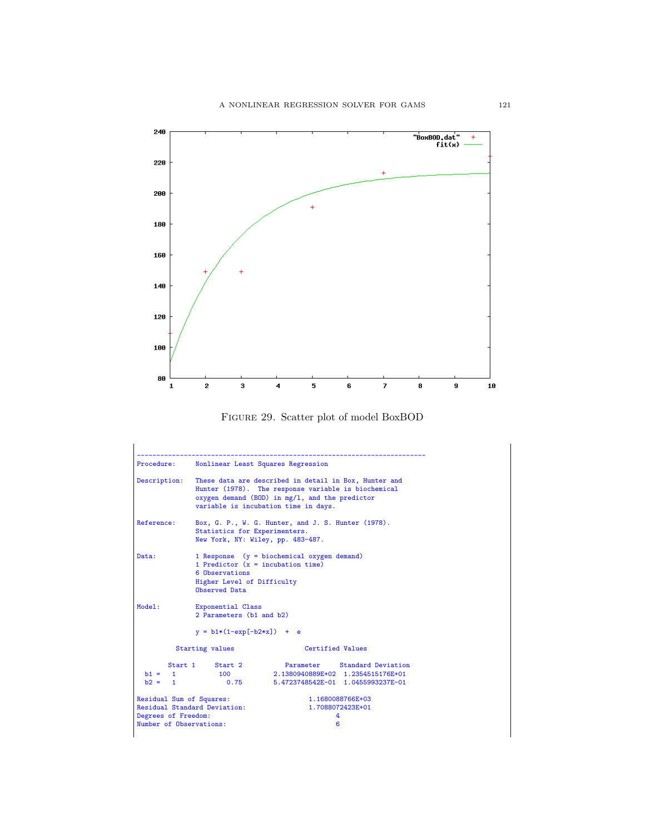

Figure 29. Scatter plot of model BoxBOD

| Procedure:                                                                                                                                                                                                                |                                                               | Nonlinear Least Squares Regression                                                                     |
|---------------------------------------------------------------------------------------------------------------------------------------------------------------------------------------------------------------------------|---------------------------------------------------------------|--------------------------------------------------------------------------------------------------------|
| These data are described in detail in Box, Hunter and<br>Description:<br>Hunter (1978). The response variable is biochemical<br>oxygen demand (BOD) in $mg/1$ , and the predictor<br>variable is incubation time in days. |                                                               |                                                                                                        |
| Reference:                                                                                                                                                                                                                | Statistics for Experimenters.                                 | Box, G. P., W. G. Hunter, and J. S. Hunter (1978).<br>New York, NY: Wiley, pp. 483-487.                |
| Data:                                                                                                                                                                                                                     | 6 Observations<br>Higher Level of Difficulty<br>Observed Data | 1 Response $(y = biochematical oxygen demand)$<br>1 Predictor $(x = incubation time)$                  |
| Model:                                                                                                                                                                                                                    | Exponential Class<br>2 Parameters (b1 and b2)                 |                                                                                                        |
|                                                                                                                                                                                                                           | $y = b1*(1-exp[-b2*x]) + e$                                   |                                                                                                        |
|                                                                                                                                                                                                                           | Starting values                                               | Certified Values                                                                                       |
| $b1 = 1$<br>$b2 = 1$                                                                                                                                                                                                      | Start 1 Start 2<br>100<br>0.75                                | Parameter Standard Deviation<br>2.1380940889E+02 1.2354515176E+01<br>5.4723748542E-01 1.0455993237E-01 |
| Residual Sum of Squares:<br>Degrees of Freedom:<br>Number of Observations:                                                                                                                                                | Residual Standard Deviation:                                  | 1.1680088766E+03<br>1.7088072423E+01<br>4<br>6                                                         |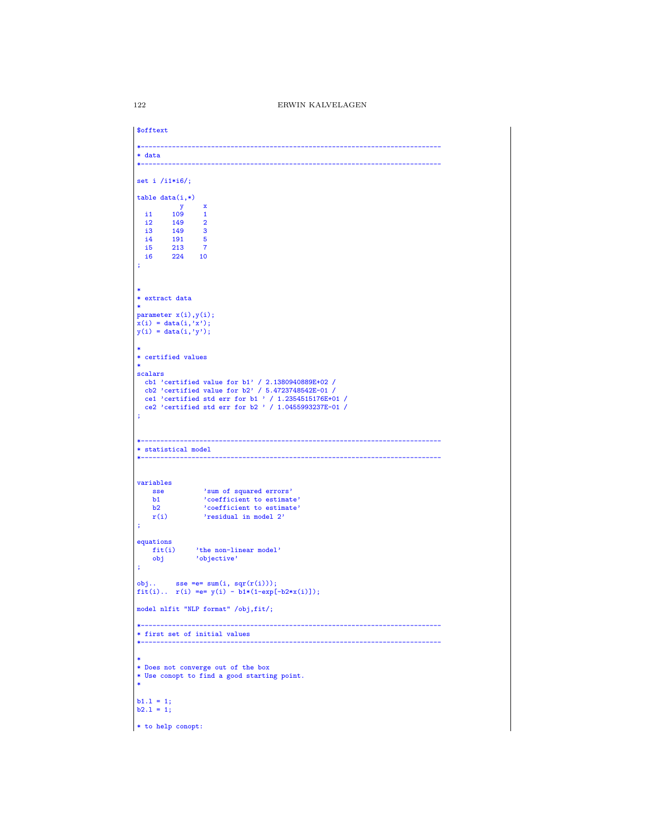| \$offtext         |                                                                             |
|-------------------|-----------------------------------------------------------------------------|
| * data            |                                                                             |
|                   |                                                                             |
| set i $/11*16$ ;  |                                                                             |
| $table data(i,*)$ |                                                                             |
|                   | $\mathbf{y}$<br>$\mathbf{x}$                                                |
| i1 109            | $\mathbf{1}$                                                                |
| i2                | 149<br>$\overline{\mathbf{2}}$                                              |
| i3                | 149<br>$\overline{\mathbf{3}}$<br>$-5$                                      |
|                   | $\begin{array}{cc}\n 14 & 191 \\  15 & 213\n \end{array}$<br>$\overline{7}$ |
|                   | i6 224 10                                                                   |
|                   |                                                                             |
|                   |                                                                             |
|                   |                                                                             |
| * extract data    |                                                                             |
| $\ast$            |                                                                             |
|                   | parameter x(i), y(i);                                                       |
|                   | $x(i) = data(i, 'x');$                                                      |
|                   | $y(i) = data(i, 'y');$                                                      |
|                   |                                                                             |
|                   | * certified values                                                          |
| $\ast$            |                                                                             |
| scalars           |                                                                             |
|                   | cb1 'certified value for $b1'$ / 2.1380940889E+02 /                         |
|                   | cb2 'certified value for b2' / 5.4723748542E-01 /                           |
|                   | ce1 'certified std err for b1 ' / 1.2354515176E+01 /                        |
|                   | ce2 'certified std err for b2 ' / 1.0455993237E-01 /                        |
|                   |                                                                             |
|                   |                                                                             |
|                   |                                                                             |
|                   | * statistical model                                                         |
|                   |                                                                             |
|                   |                                                                             |
| variables         |                                                                             |
| <b>sse</b>        |                                                                             |
| b1                | 'sum of squared errors'<br>'coefficient to estimate'                        |
| b2                | 'coefficient to estimate'                                                   |
| r(i)              | 'residual in model 2'                                                       |
| ÷                 |                                                                             |
|                   |                                                                             |
| equations         | 'the non-linear model'<br>fit(i)                                            |
| obj               | 'objective'                                                                 |
| ĵ,                |                                                                             |
|                   |                                                                             |
|                   | obj sse = e = $sum(i, sqr(r(i)))$ ;                                         |
|                   | $fit(i)  r(i) == y(i) - b1*(1-exp[-b2*x(i)]);$                              |
|                   | model nlfit "NLP format" /obj,fit/;                                         |
|                   |                                                                             |
|                   |                                                                             |
|                   | * first set of initial values                                               |
|                   | *------------------------                                                   |
|                   |                                                                             |
| ∗                 |                                                                             |
|                   | * Does not converge out of the box                                          |
| *                 | * Use conopt to find a good starting point.                                 |
|                   |                                                                             |
| $b1.1 = 1;$       |                                                                             |
| $b2.1 = 1;$       |                                                                             |
|                   |                                                                             |
|                   | * to help conopt:                                                           |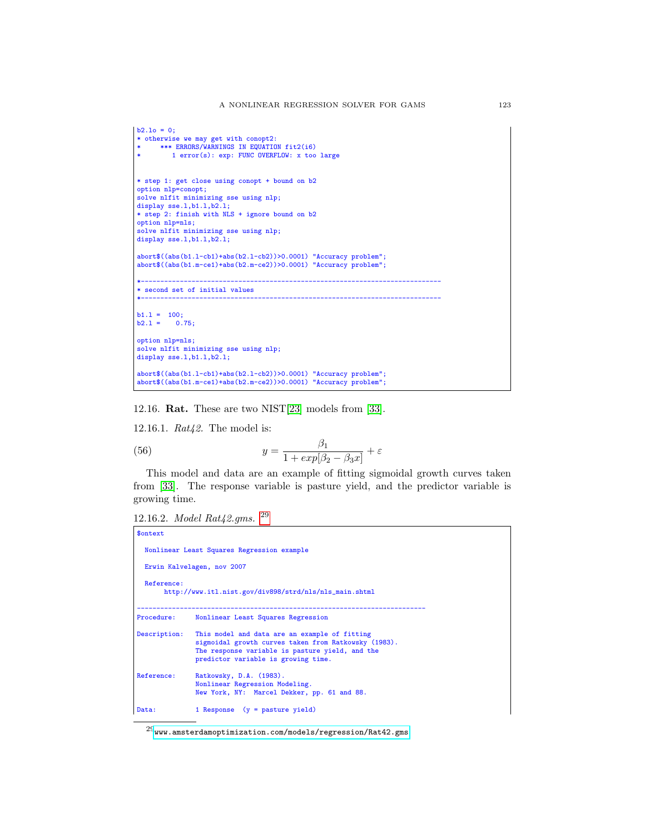```
b2.1o = 0;* otherwise we may get with conopt2:
* *** ERRORS/WARNINGS IN EQUATION fit2(i6)
         1 error(s): exp: FUNC OVERFLOW: x too large
* step 1: get close using conopt + bound on b2
option nlp=conopt;
solve nlfit minimizing sse using nlp;
display sse.1,b1.1,b2.1;
* step 2: finish with NLS + ignore bound on b2
option nlp=nls;
solve nlfit minimizing sse using nlp;
display sse.1,b1.1,b2.1;
abort$((abs(b1.l-cb1)+abs(b2.l-cb2))>0.0001) "Accuracy problem";
abort$((abs(b1.m-ce1)+abs(b2.m-ce2))>0.0001) "Accuracy problem";
*-----------------------------------------------------------------------------
* second set of initial values
*-----------------------------------------------------------------------------
b1.1 = 100;<br>b2.1 = 0.75;b2.1 =option nlp=nls;
solve nlfit minimizing sse using nlp;
display sse.1,b1.1,b2.1;
abort$((abs(b1.l-cb1)+abs(b2.l-cb2))>0.0001) "Accuracy problem";
abort$((abs(b1.m-ce1)+abs(b2.m-ce2))>0.0001) "Accuracy problem";
```
12.16. Rat. These are two NIST[\[23\]](#page-146-0) models from [\[33\]](#page-146-2).

12.16.1. Rat42. The model is:

(56) 
$$
y = \frac{\beta_1}{1 + exp[\beta_2 - \beta_3 x]} + \varepsilon
$$

This model and data are an example of fitting sigmoidal growth curves taken from [\[33\]](#page-146-2). The response variable is pasture yield, and the predictor variable is growing time.

```
12.16.2. Model Rat42.gms. 29
```

```
$ontext
  Nonlinear Least Squares Regression example
  Erwin Kalvelagen, nov 2007
  Reference:
       http://www.itl.nist.gov/div898/strd/nls/nls_main.shtml
--------------------------------------------------------------------------
Procedure: Nonlinear Least Squares Regression
Description: This model and data are an example of fitting
sigmoidal growth curves taken from Ratkowsky (1983).
                The response variable is pasture yield, and the
                predictor variable is growing time.
Reference: Ratkowsky, D.A. (1983).
Nonlinear Regression Modeling.
                New York, NY: Marcel Dekker, pp. 61 and 88.
Data: 1 Response (y = pasture yield)
```
<span id="page-122-0"></span> $^{29}$ <www.amsterdamoptimization.com/models/regression/Rat42.gms>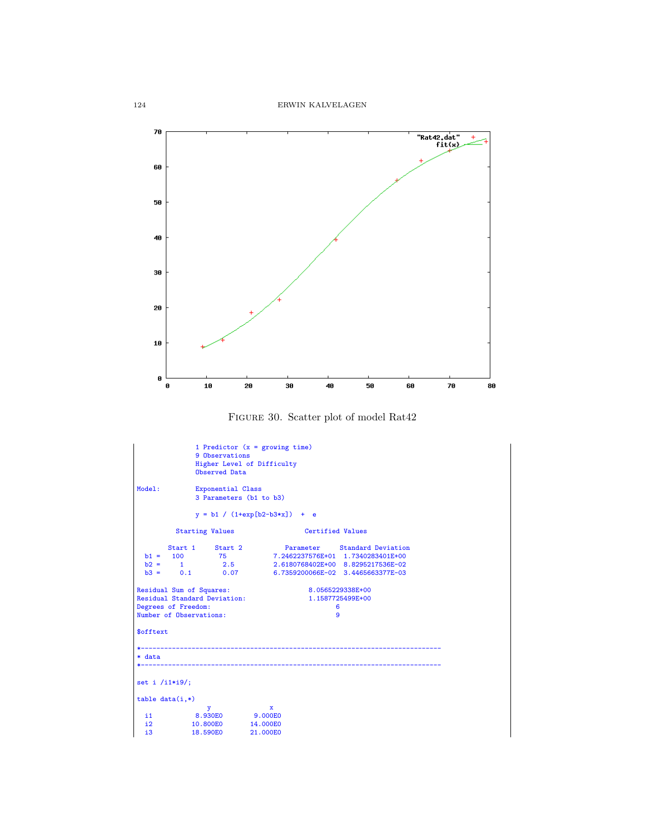

Figure 30. Scatter plot of model Rat42

| Model:           |                                                                                       | 9 Observations<br>Observed Data<br>Exponential Class | 1 Predictor $(x =$ growing time)<br>Higher Level of Difficulty<br>3 Parameters (b1 to b3)<br>$y = b1 / (1+exp[b2-b3*x]) + e$                                                                                                                                                        |  |
|------------------|---------------------------------------------------------------------------------------|------------------------------------------------------|-------------------------------------------------------------------------------------------------------------------------------------------------------------------------------------------------------------------------------------------------------------------------------------|--|
|                  |                                                                                       | <b>Starting Values</b>                               | Certified Values                                                                                                                                                                                                                                                                    |  |
|                  | b1 = $100$ 75<br>b2 = $1$ 2.5<br>b3 = 0.1 0.07<br>Residual Sum of Squares:            |                                                      | $\begin{tabular}{lcccccc} Start & & Start & 2 & \multicolumn{4}{c}{Parameter} & Standard Deviation \\ 100 & & 75 & & 7.2462237576E+01 & 1.7340283401E+00 \\ 1 & & 2.5 & 2.6180768402E+00 & 8.8295217536E-02 \end{tabular}$<br>6.7359200066E-02 3.4465663377E-03<br>8.0565229338E+00 |  |
|                  | <b>Residual Standard Deviation:</b><br>Degrees of Freedom:<br>Number of Observations: |                                                      | 1.1587725499E+00<br>6<br>9                                                                                                                                                                                                                                                          |  |
| \$offtext        |                                                                                       |                                                      |                                                                                                                                                                                                                                                                                     |  |
| * data           |                                                                                       |                                                      | ------------------------------                                                                                                                                                                                                                                                      |  |
| set i $/i1*ig$ ; |                                                                                       |                                                      |                                                                                                                                                                                                                                                                                     |  |
|                  | $table data(i,*)$                                                                     |                                                      |                                                                                                                                                                                                                                                                                     |  |
| i2<br>i3         | i1 8.930E0 9.000E0<br>10.800E0 14.000E0                                               | $\mathbf{y}$<br>18.590E0                             | $\mathbf{x}$<br>21.000E0                                                                                                                                                                                                                                                            |  |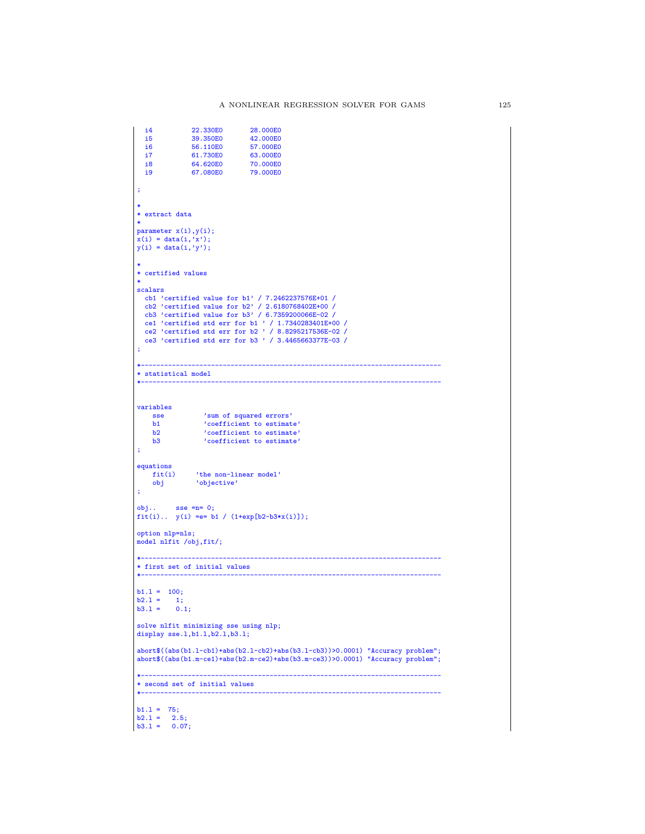```
i4 22.330E0 28.000E0<br>i5 39.350E0 42.000E0
  i5 39.350E0<br>i6 56.110E0
  i6 56.110E0 57.000E0<br>i7 61.730E0 63.000E0
  i7 61.730E0 63.000E0<br>i8 64.620E0 70.000E0
  i8 64.620E0<br>i9 67.080E0
                                     79.000E0
;
*
* extract data
*
parameter x(i),y(i);
x(i) = data(i, 'x');y(i) = data(i, 'y');*
* certified values
*
scalars<br>
cb1 'certified value for b1' / 7.2462237576E+01 /<br>
cb2 'certified value for b2' / 2.6180768402E+00 /<br>
cb3 'certified value for b3' / 6.7359200066E-02 /<br>
ce1 'certified std err for b1 ' / 1.7340283401E+00 /<br>
ce2 'c
;
                          *-----------------------------------------------------------------------------
* statistical model
                                                               *-----------------------------------------------------------------------------
variables
    sse 'sum of squared errors'<br>b1 'coefficient to estimat
    b1 <br>b2 <br>coefficient to estimate'<br>coefficient to estimate'
    b2 \qquad \qquad 'coefficient to estimate'<br>h3 \qquad \qquad 'coefficient to estimate''coefficient to estimate'
;
equations<br>fit(i)
      fit(i) 'the non-linear model'
obj 'objective'
;
obj.. sse =n= 0;
fit(i).. y(i) =e= b1 / (1+exp[b2-b3*x(i)]);
option nlp=nls;
model nlfit /obj,fit/;
*-----------------------------------------------------------------------------
* first set of initial values
*-----------------------------------------------------------------------------
b1.1 = 100;b2.1 = 1;<br>b3.1 = 0.1;solve nlfit minimizing sse using nlp;
display sse.l,b1.l,b2.l,b3.l;
abort$((abs(b1.l-cb1)+abs(b2.l-cb2)+abs(b3.l-cb3))>0.0001) "Accuracy problem";
abort$((abs(b1.m-ce1)+abs(b2.m-ce2)+abs(b3.m-ce3))>0.0001) "Accuracy problem";
*-----------------------------------------------------------------------------
* second set of initial values
*-----------------------------------------------------------------------------
b1.1 = 75;
b2.1 = 2.5;<br>b3.1 = 0.07;
```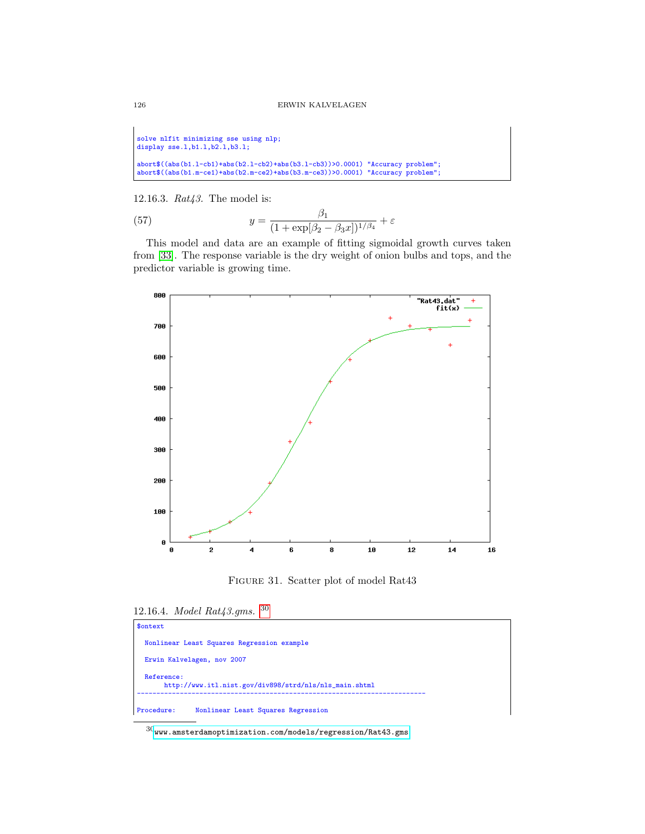solve nlfit minimizing sse using nlp; display sse.l,b1.l,b2.l,b3.l; abort\$((abs(b1.l-cb1)+abs(b2.l-cb2)+abs(b3.l-cb3))>0.0001) "Accuracy problem";

abort\$((abs(b1.m-ce1)+abs(b2.m-ce2)+abs(b3.m-ce3))>0.0001) "Accuracy problem";

12.16.3. Rat43. The model is:

(57) 
$$
y = \frac{\beta_1}{(1 + \exp[\beta_2 - \beta_3 x])^{1/\beta_4}} + \varepsilon
$$

This model and data are an example of fitting sigmoidal growth curves taken from [\[33\]](#page-146-2). The response variable is the dry weight of onion bulbs and tops, and the predictor variable is growing time.



Figure 31. Scatter plot of model Rat43

<sup>12.16.4.</sup> Model Rat43.gms. [30](#page-125-0)



<span id="page-125-0"></span> $^{30}\!$ <www.amsterdamoptimization.com/models/regression/Rat43.gms>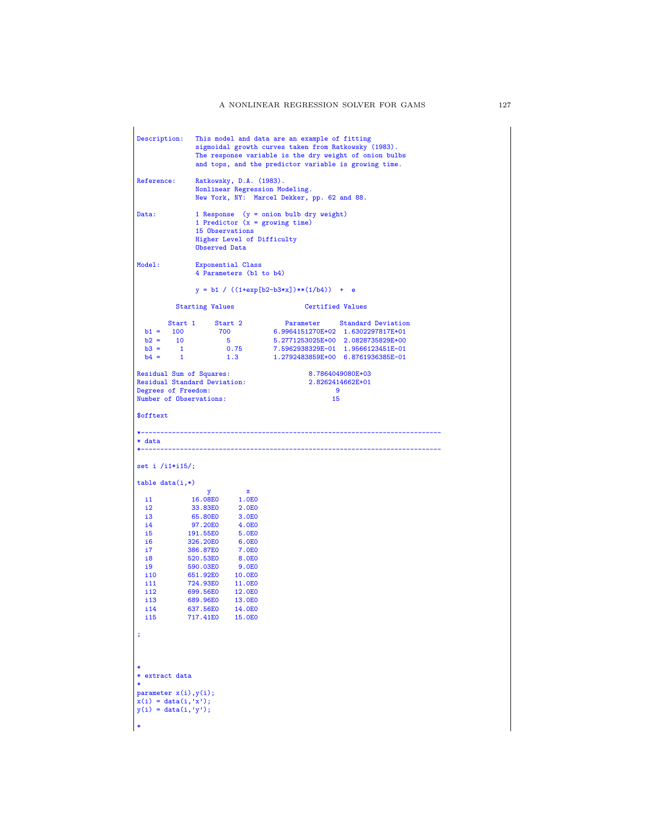| Description:                                                                                                                       | This model and data are an example of fitting<br>sigmoidal growth curves taken from Ratkowsky (1983).<br>The response variable is the dry weight of onion bulbs<br>and tops, and the predictor variable is growing time. |                                                                                                                                     |                                                                                                                                                  |                              |
|------------------------------------------------------------------------------------------------------------------------------------|--------------------------------------------------------------------------------------------------------------------------------------------------------------------------------------------------------------------------|-------------------------------------------------------------------------------------------------------------------------------------|--------------------------------------------------------------------------------------------------------------------------------------------------|------------------------------|
| Reference:                                                                                                                         | Ratkowsky, D.A. (1983).<br>Nonlinear Regression Modeling.<br>New York, NY: Marcel Dekker, pp. 62 and 88.                                                                                                                 |                                                                                                                                     |                                                                                                                                                  |                              |
| Data:                                                                                                                              | 15 Observations<br>Observed Data                                                                                                                                                                                         | Higher Level of Difficulty                                                                                                          | 1 Response (y = onion bulb dry weight)<br>1 Predictor $(x = growing time)$                                                                       |                              |
| Model:                                                                                                                             | Exponential Class                                                                                                                                                                                                        | 4 Parameters (b1 to b4)                                                                                                             |                                                                                                                                                  |                              |
|                                                                                                                                    |                                                                                                                                                                                                                          |                                                                                                                                     | $y = b1 / ((1+exp[b2-b3*x])** (1/b4)) + e$                                                                                                       |                              |
|                                                                                                                                    | <b>Starting Values</b>                                                                                                                                                                                                   |                                                                                                                                     | <b>Certified Values</b>                                                                                                                          |                              |
| $b1 = 100$<br>$b2 = 10$<br>$b3 = 1$<br>$b4 = 1$                                                                                    | Start 1 Start 2<br>700<br>$\overline{\mathbf{5}}$                                                                                                                                                                        | 0.75<br>1.3                                                                                                                         | 6.9964151270E+02 1.6302297817E+01<br>5.2771253025E+00 2.0828735829E+00<br>7.5962938329E-01 1.9566123451E-01<br>1.2792483859E+00 6.8761936385E-01 | Parameter Standard Deviation |
| Residual Sum of Squares:<br><b>Residual Standard Deviation:</b><br>Degrees of Freedom:<br>Number of Observations:                  |                                                                                                                                                                                                                          |                                                                                                                                     | 2.8262414662E+01<br>- 9<br>15                                                                                                                    | 8.7864049080E+03             |
| \$offtext                                                                                                                          |                                                                                                                                                                                                                          |                                                                                                                                     |                                                                                                                                                  |                              |
| * data<br>*-----------------------------------                                                                                     |                                                                                                                                                                                                                          |                                                                                                                                     |                                                                                                                                                  |                              |
| set i $/11*115$ ;                                                                                                                  |                                                                                                                                                                                                                          |                                                                                                                                     |                                                                                                                                                  |                              |
| $table data(i,*)$                                                                                                                  | y                                                                                                                                                                                                                        | $\mathbf{x}$                                                                                                                        |                                                                                                                                                  |                              |
| i1<br>i2<br>i3<br>i4<br>15 <sub>1</sub><br>i6<br>i7<br>i8<br>i9<br>i 10<br>i11<br>i12<br>i13<br>i 14<br>i15<br>÷<br>* extract data | 16.08E0<br>33.83E0<br>65.80E0<br>97.20E0<br>191.55E0<br>326.20E0<br>386.87E0<br>520.53E0<br>590.03E0<br>651.92E0<br>724.93E0 11.0E0<br>699.56E0 12.0E0<br>689.96E0<br>637.56E0<br>717.41E0                               | 1.0E0<br>2.0E0<br>3.0E0<br>4.0E0<br>5.0E0<br>6.0E0<br><b>7.0E0</b><br>8.0E0<br>9.0E0<br>10.0E0<br>13.0E0<br><b>14.0E0</b><br>15.0E0 |                                                                                                                                                  |                              |
| parameter $x(i), y(i)$ ;<br>$x(i) = data(i, 'x');$<br>$y(i) = data(i, 'y');$                                                       |                                                                                                                                                                                                                          |                                                                                                                                     |                                                                                                                                                  |                              |
| $\ast$                                                                                                                             |                                                                                                                                                                                                                          |                                                                                                                                     |                                                                                                                                                  |                              |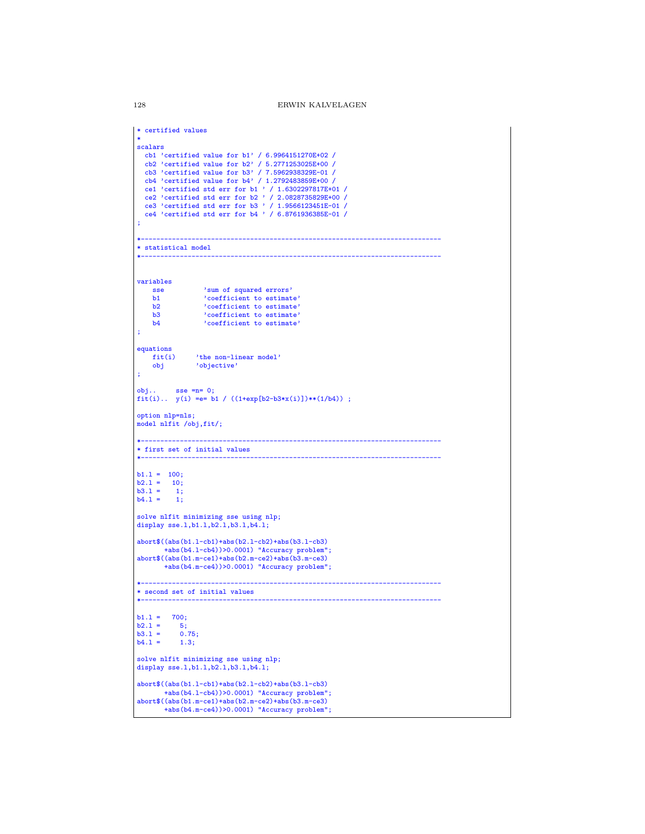```
* certified values
*
scalars
  cb1 'certified value for b1' / 6.9964151270E+02 /
   cb2 'certified value for b2' / 5.2771253025E+00 /
cb3 'certified value for b3' / 7.5962938329E-01 /
   cb4 'certified value for b4' / 1.2792483859E+00 /<br>cel 'certified std err for b1 ' / 1.6302297817E+01 /<br>ce2 'certified std err for b2 ' / 2.0828735829E+00 /<br>ce3 'certified std err for b3 ' / 1.9566123451E-01 /<br>ce4 'certifi
;
*-----------------------------------------------------------------------------
* statistical model
*-----------------------------------------------------------------------------
variables
    sse 'sum of squared errors'
      b1 'coefficient to estimate'
b2 'coefficient to estimate'
      b3 'coefficient to estimate'
b4 'coefficient to estimate'
;
equations<br>fit(i)fit(i) 'the non-linear model'
obj 'objective'
;
obj.. sse =n= 0;
fit(i).. y(i) =e= b1 / ((1+exp[b2-b3*x(i)])**(1/b4)) ;
option nlp=nls;
model nlfit /obj,fit/;
*-----------------------------------------------------------------------------
* first set of initial values
*-----------------------------------------------------------------------------
b1.1 = 100;b2.1 = 10;b3.1 = 1;<br>b4.1 = 1;solve nlfit minimizing sse using nlp;
display sse.l,b1.l,b2.l,b3.l,b4.l;
abort$((abs(b1.l-cb1)+abs(b2.l-cb2)+abs(b3.l-cb3)
         +abs(b4.l-cb4))>0.0001) "Accuracy problem";
abort$((abs(b1.m-ce1)+abs(b2.m-ce2)+abs(b3.m-ce3)
         +abs(b4.m-ce4))>0.0001) "Accuracy problem";
*-----------------------------------------------------------------------------
* second set of initial values
*-----------------------------------------------------------------------------
b1.1 = 700;<br>b2.1 = 5;
b2.1 = 5;<br>b3.1 = 0.75;
b3.1 =<br>b4.1 =1.3;solve nlfit minimizing sse using nlp;
display sse.l,b1.l,b2.l,b3.l,b4.l;
abort$((abs(b1.l-cb1)+abs(b2.l-cb2)+abs(b3.l-cb3)
         +abs(b4.l-cb4))>0.0001) "Accuracy problem";
abort$((abs(b1.m-ce1)+abs(b2.m-ce2)+abs(b3.m-ce3)
+abs(b4.m-ce4))>0.0001) "Accuracy problem";
```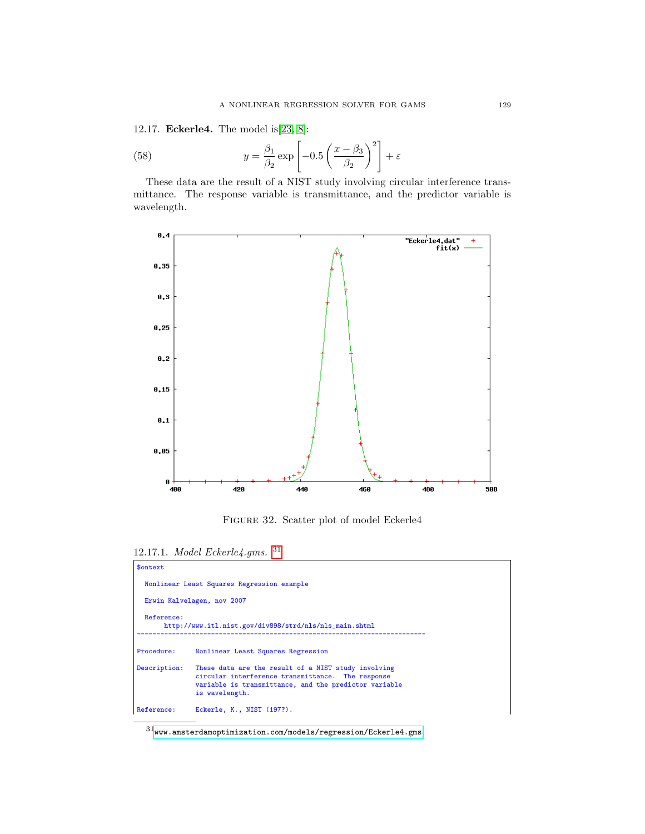12.17. Eckerle4. The model is[\[23,](#page-146-0) [8\]](#page-145-2):

(58) 
$$
y = \frac{\beta_1}{\beta_2} \exp\left[-0.5\left(\frac{x-\beta_3}{\beta_2}\right)^2\right] + \varepsilon
$$

These data are the result of a NIST study involving circular interference transmittance. The response variable is transmittance, and the predictor variable is wavelength.



Figure 32. Scatter plot of model Eckerle4

12.17.1. Model Eckerle4.gms. [31](#page-128-0)

| \$ontext     |                                                                                                                                                                                     |
|--------------|-------------------------------------------------------------------------------------------------------------------------------------------------------------------------------------|
|              | Nonlinear Least Squares Regression example                                                                                                                                          |
|              | Erwin Kalvelagen, nov 2007                                                                                                                                                          |
| Reference:   | http://www.itl.nist.gov/div898/strd/nls/nls_main.shtml                                                                                                                              |
| Procedure:   | Nonlinear Least Squares Regression                                                                                                                                                  |
| Description: | These data are the result of a NIST study involving<br>circular interference transmittance. The response<br>variable is transmittance, and the predictor variable<br>is wavelength. |
| Reference:   | Eckerle, K., NIST (197?).                                                                                                                                                           |

<span id="page-128-0"></span> $^{31}$  <www.amsterdamoptimization.com/models/regression/Eckerle4.gms>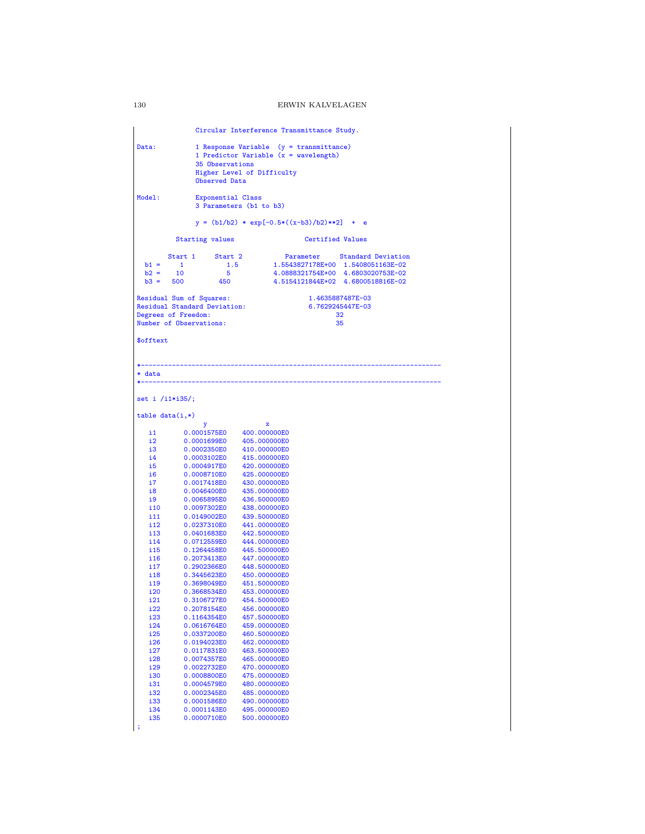Circular Interference Transmittance Study. Data: 1 Response Variable (y = transmittance) 1 Predictor Variable  $(x = wavelength)$ 35 Observations Higher Level of Difficulty Observed Data Model: Exponential Class 3 Parameters (b1 to b3)  $y = (b1/b2) * exp[-0.5*((x-b3)/b2)*2] + e$ Starting values **Certified Values** Start 1 Start 2 Parameter Standard Deviation<br>
b1 = 1 1.5 1.5543827178E+00 1.5008051163E-02<br>
b2 = 10 5 4.0888321754E+00 4.6803020753E-02<br>
b3 = 500 450 4.5154121844E+02 4.6800518816E-02 Residual Sum of Squares: 1.4635887487E-03<br>
Residual Standard Deviation: 6.7629245447E-03 Residual Standard Deviation: 6.76292454<br>Degrees of Freedom: 32 Degrees of Freedom: 32<br>Number of Observations: 35 Number of Observations: \$offtext \*----------------------------------------------------------------------------- \* data \*---------------------------------------------------------------------------- set i /i1\*i35/; table data(i,\*) y x i1 0.0001575E0 400.000000E0<br>i2 0.0001699E0 405.000000E0 i2 0.0001699E0 405.000000E0<br>i3 0.0002350E0 410.000000E0 i3 0.0002350E0<br>i4 0.0003102E0 i4 0.0003102E0 415.000000E0<br>i5 0.0004917E0 420.000000E0 i5 0.0004917E0<br>i6 0.0008710E0 i6 0.0008710E0 425.000000E0<br>i7 0.0017418E0 430.000000E0 i7 0.0017418E0 430.000000E0<br>i8 0.0046400E0 435.000000E0 i8 0.0046400E0<br>i9 0.0065895E0 i9 0.0065895E0 436.500000E0<br>i10 0.0097302E0 438.000000E0 i10 0.0097302E0 438.000000E0<br>i11 0.0149002E0 439.500000E0 i11 0.0149002E0 439.500000E0<br>i12 0.0237310E0 441.000000E0 i12 0.0237310E0 441.000000E0<br>i13 0.0401683E0 442.500000E0 i13 0.0401683E0 442.500000E0<br>i14 0.0712559E0 444.000000E0 i14 0.0712559E0 444.000000E0<br>i15 0.1264458E0 445.500000E0 i15 0.1264458E0<br>i16 0.2073413E0 i16 0.2073413E0 447.000000E0<br>i17 0.2902366E0 448.500000E0 i17 0.2902366E0 448.500000E0<br>i18 0.3445623E0 450.000000E0 i18 0.3445623E0 450.000000E0<br>i19 0.3698049E0 451.500000E0 i19 0.3698049E0 451.500000E0<br>i20 0.3668534E0 453.000000E0 i20 0.3668534E0 453.000000E0<br>i21 0.3106727E0 454.500000E0 i21 0.3106727E0 454.500000E0 i22 0.2078154E0 456.000000E0<br>i23 0.1164354E0 457.500000E0 i23 0.1164354E0 457.500000E0<br>i24 0.0616764E0 459.000000E0 i24 0.0616764E0 459.000000E0<br>i25 0.0337200E0 460.500000E0 i25 0.0337200E0 460.500000E0<br>i26 0.0194023E0 462.000000E0 i26 0.0194023E0 462.000000E0<br>i27 0.0117831E0 463.500000E0 i27 0.0117831E0 463.500000E0<br>i28 0.0074357E0 465.000000E0 i28 0.0074357E0 465.000000E0<br>i29 0.0022732E0 470.000000E0 i29 0.0022732E0<br>i30 0.0008800E0 i30 0.0008800E0 475.000000E0<br>i31 0.0004579E0 480.000000E0 i31 0.0004579E0<br>i32 0.0002345E0 i32 0.0002345E0 485.000000E0 i33 0.0001586E0 490.000000E0<br>i34 0.0001143E0 495.000000E0 i34 0.0001143E0 495.000000E0<br>i35 0.0000710E0 500.000000E0 500.000000E0

;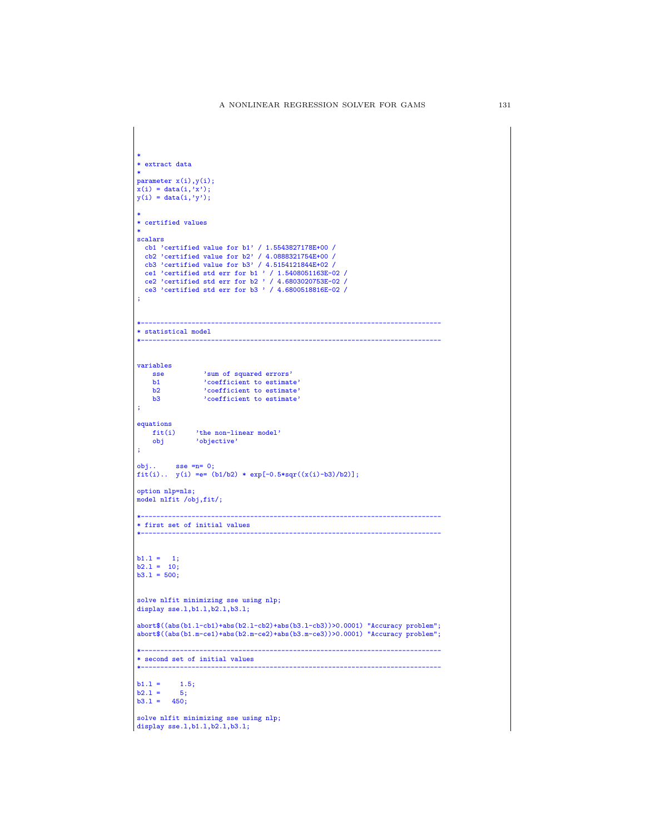```
*
* extract data
*
parameter x(i),y(i);
\mathbf{x}(\mathbf{i}) = \text{data}(\mathbf{i}, \mathbf{x'});
y(i) = data(i, 'y');*
* certified values
 *
scalars
   cb1 'certified value for b1' / 1.5543827178E+00 /
cb2 'certified value for b2' / 4.0888321754E+00 /
   cb3 'certified value for b3' / 4.5154121844E+02 /<br>ce1 'certified std err for b1 ' / 1.5408051163E-02 /<br>ce2 'certified std err for b2 ' / 4.6803020753E-02 /<br>ce3 'certified std err for b3 ' / 4.6800518816E-02 /
;
 *-----------------------------------------------------------------------------
* statistical model
                                                                              *-----------------------------------------------------------------------------
variables
     sse 'sum of squared errors'<br>h1 : coefficient to estimate
      b1 'coefficient to estimate'
b2 'coefficient to estimate'
b3 'coefficient to estimate'
;
equations<br>fit(i)
      fit(i) 'the non-linear model'
obj 'objective'
;
 obj.. sse =n= 0;
fit(i).. y(i) =e= (b1/b2) * exp[-0.5*sqr((x(i)-b3)/b2)];
option nlp=nls;
model nlfit /obj,fit/;
 *-----------------------------------------------------------------------------
* first set of initial values
 *-----------------------------------------------------------------------------
 b1.l = 1;
b2.l = 10;
b3.l = 500;
solve nlfit minimizing sse using nlp;
display sse.l,b1.l,b2.l,b3.l;
abort$((abs(b1.l-cb1)+abs(b2.l-cb2)+abs(b3.l-cb3))>0.0001) "Accuracy problem";
abort$((abs(b1.m-ce1)+abs(b2.m-ce2)+abs(b3.m-ce3))>0.0001) "Accuracy problem";
 *-----------------------------------------------------------------------------
* second set of initial values
 *-----------------------------------------------------------------------------
b1.1 = 1.5;<br>b2.1 = 5;
b2.1 =b3.1 = 450;solve nlfit minimizing sse using nlp;
display sse.l,b1.l,b2.l,b3.l;
```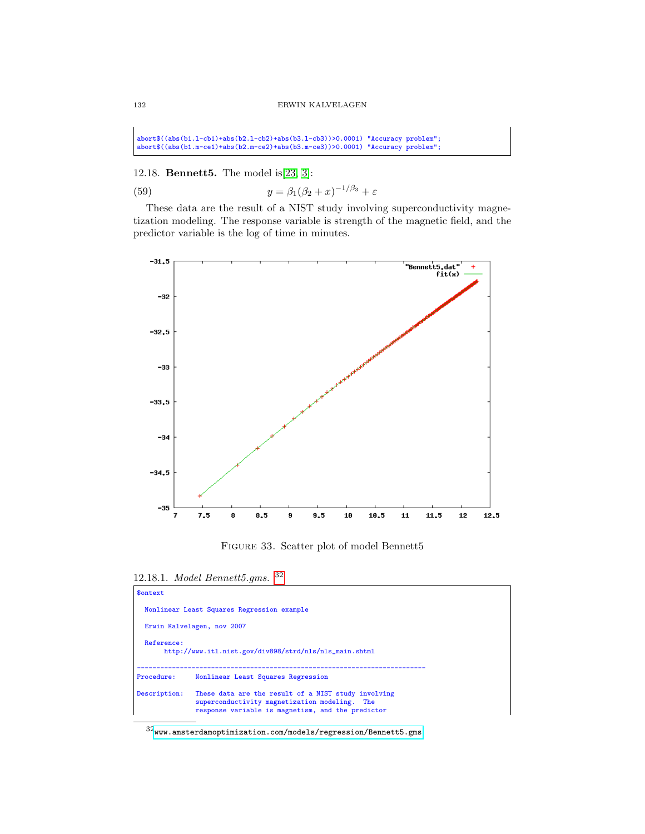abort\$((abs(b1.l-cb1)+abs(b2.l-cb2)+abs(b3.l-cb3))>0.0001) "Accuracy problem"; abort\$((abs(b1.m-ce1)+abs(b2.m-ce2)+abs(b3.m-ce3))>0.0001) "Accuracy problem";

12.18. Bennett5. The model is[\[23,](#page-146-0) [3\]](#page-145-3):

(59)  $y = \beta_1(\beta_2 + x)^{-1/\beta_3} + \varepsilon$ 

These data are the result of a NIST study involving superconductivity magnetization modeling. The response variable is strength of the magnetic field, and the predictor variable is the log of time in minutes.



Figure 33. Scatter plot of model Bennett5

12.18.1. Model Bennett5.gms. [32](#page-131-0)

| \$ontext     |                                                                                                                                                           |
|--------------|-----------------------------------------------------------------------------------------------------------------------------------------------------------|
|              | Nonlinear Least Squares Regression example                                                                                                                |
|              | Erwin Kalvelagen, nov 2007                                                                                                                                |
| Reference:   | http://www.itl.nist.gov/div898/strd/nls/nls_main.shtml                                                                                                    |
| Procedure:   | Nonlinear Least Squares Regression                                                                                                                        |
| Description: | These data are the result of a NIST study involving<br>superconductivity magnetization modeling. The<br>response variable is magnetism, and the predictor |

<span id="page-131-0"></span> $^{32}\!$  <www.amsterdamoptimization.com/models/regression/Bennett5.gms>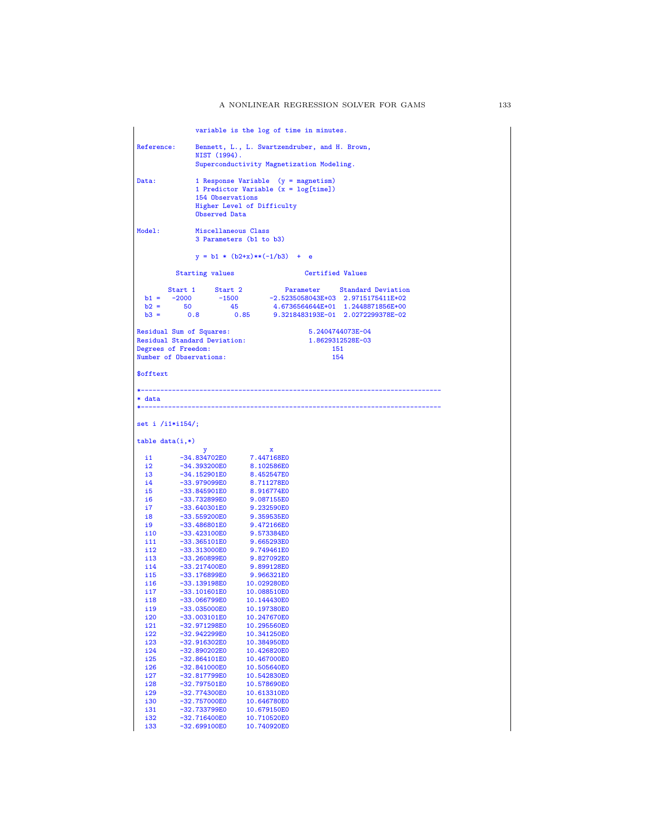```
variable is the log of time in minutes.
Reference: Bennett, L., L. Swartzendruber, and H. Brown,
                   NIST (1994).
                   Superconductivity Magnetization Modeling.
Data: 1 Response Variable (y = magnetism)
1 Predictor Variable (x = log[time])
                    154 Observations
                   Higher Level of Difficulty
                   Observed Data
Model: Miscellaneous Class
                   3 Parameters (b1 to b3)
                   y = b1 * (b2+x)**(-1/b3) + eStarting values Certified Values
   Start 1 Start 2 Parameter Standard Deviation<br>
b1 = -2000 -1500 -2.5235058043E+03 2.9715175411E+02<br>
b2 = 50 45 4.6736564644E+01 1.2448871856E+00<br>
b3 = 0.8 0.85 9.3218483193E-01 2.0272299378E-02
Residual Sum of Squares: 5.2404744073E-04
Residual Standard Deviation: 1.8629312528E-03
Degrees of Freedom: 151<br>
Number of Observations: 154
Number of Observations:
$offtext
                     *-----------------------------------------------------------------------------
* data
*-----------------------------------------------------------------------------
set i /i1*i154/;
table data(i,*)
   y x
i1 -34.834702E0 7.447168E0
  12 -34.393200E0 8.102586E0<br>13 -34.152901E0 8.452547E0
  i3 -34.152901E0 8.452547E0<br>i4 -33.979099E0 8.711278E0
  i4 -33.979099E0<br>i5 -33.845901E0
  i5 -33.845901E0 8.916774E0<br>i6 -33.732899E0 9.087155E0
  i6 -33.732899E0 9.087155E0
  i7 -33.640301E0 9.232590E0<br>i8 -33.559200E0 9.359535E0
  i8 -33.559200E0 9.359535E0
  i9 -33.486801E0 9.472166E0<br>i10 -33.423100E0 9.573384E0
  i10 -33.423100E0 9.573384E0<br>i11 -33.365101E0 9.665293E0
  i11 -33.365101E0 9.665293E0<br>i12 -33.313000E0 9.749461E0
  i12 -33.313000E0 9.749461E0<br>i13 -33.260899E0 9.827092E0
  i13 -33.260899E0 9.827092E0
  i14 -33.217400E0 9.899128E0<br>i15 -33.176899E0 9.966321E0
  i15 -33.176899E0 9.966321E0
  i16 -33.139198E0<br>i17 -33.101601E0
  i17 -33.101601E0 10.088510E0<br>i18 -33.066799E0 10.144430E0
  i18 -33.066799E0 10.144430E0
  i19 -33.035000E0 10.197380E0<br>i20 -33.003101E0 10.247670E0
  i20 -33.003101E0 10.247670E0<br>i21 -32.971298E0 10.295560E0
  i21 -32.971298E0 10.295560E0<br>i22 -32.942299E0 10.341250E0
  i22 -32.942299E0 10.341250E0<br>i23 -32.916302E0 10.384950E0
  i23 -32.916302E0 10.384950E0<br>i24 -32.890202E0 10.426820E0
  i24 -32.890202E0 10.426820E0<br>i25 -32.864101E0 10.467000E0
  i25 -32.864101E0 10.467000E0
  i26 -32.841000E0 10.505640E0<br>i27 -32.817799E0 10.542830E0
  i27 -32.817799E0 10.542830E0<br>i28 -32.797501E0 10.578690E0
  i28 -32.797501E0 10.578690E0
  i29 -32.774300E0 10.613310E0
  i30 -32.757000E0<br>i31 -32.733799E0
  i31 -32.733799E0 10.679150E0<br>i32 -32.716400E0 10.710520E0
  i32 -32.716400E0 10.710520E0<br>133 -32.699100E0 10.740920E0
              -32.699100E0
```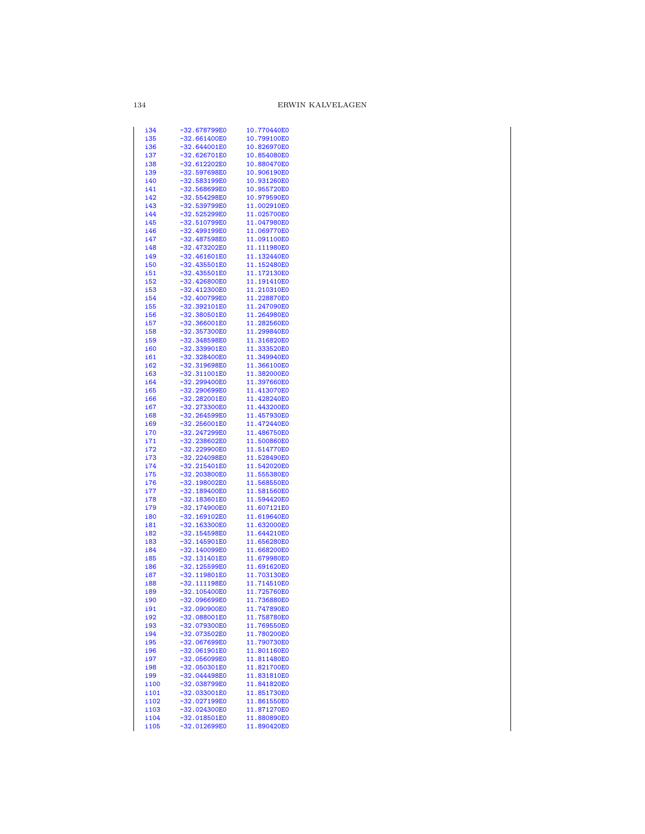| i34        | -32.678799E0   | 10.770440E0 |
|------------|----------------|-------------|
| i35        | $-32.661400E0$ | 10.799100E0 |
| i36        | $-32.644001E0$ | 10.826970E0 |
|            |                |             |
| i37        | -32.626701E0   | 10.854080E0 |
| i38        | $-32.612202E0$ | 10.880470E0 |
| i39        | -32.597698E0   | 10.906190E0 |
|            |                |             |
| i40        | -32.583199E0   | 10.931260E0 |
| i41        | $-32.568699E0$ | 10.955720E0 |
| i42        | -32.554298E0   | 10.979590E0 |
| i43        | -32.539799E0   | 11.002910E0 |
|            |                |             |
| i44        | -32.525299E0   | 11.025700E0 |
| i45        | -32.510799E0   | 11.047980E0 |
| i46        | -32.499199E0   | 11.069770E0 |
|            |                |             |
| i47        | -32.487598E0   | 11.091100E0 |
| i48        | -32.473202E0   | 11.111980E0 |
| i49        | -32.461601E0   | 11.132440E0 |
| <b>i50</b> | $-32.435501E0$ | 11.152480E0 |
| i51        | $-32.435501E0$ | 11.172130E0 |
|            |                |             |
| i52        | -32.426800E0   | 11.191410E0 |
| i53        | $-32.412300E0$ | 11.210310E0 |
| i54        | -32.400799E0   | 11.228870E0 |
| <b>i55</b> | -32.392101E0   | 11.247090E0 |
|            | $-32.380501E0$ | 11.264980E0 |
| <b>i56</b> |                |             |
| <u>i57</u> | $-32.366001E0$ | 11.282560E0 |
| <b>i58</b> | -32.357300E0   | 11.299840E0 |
| i59        | -32.348598E0   | 11.316820E0 |
| i60        | $-32.339901E0$ | 11.333520E0 |
|            |                |             |
| <u>i61</u> | -32.328400E0   | 11.349940E0 |
| i62        | -32.319698E0   | 11.366100E0 |
| <b>i63</b> | $-32.311001E0$ | 11.382000E0 |
| i64        | -32.299400E0   | 11.397660E0 |
| i65        | -32.290699E0   | 11.413070E0 |
|            |                |             |
| i66        | $-32.282001E0$ | 11.428240E0 |
| <b>i67</b> | -32.273300E0   | 11.443200E0 |
| i68        | $-32.264599E0$ | 11.457930E0 |
| i69        | $-32.256001E0$ | 11.472440E0 |
| i70        | -32.247299E0   | 11.486750E0 |
| i71        | -32.238602E0   | 11.500860E0 |
|            |                |             |
| i72        | $-32.229900E0$ | 11.514770E0 |
| i73        | -32.224098E0   | 11.528490E0 |
| i74        | $-32.215401E0$ | 11.542020E0 |
| i75        | $-32.203800E0$ | 11.555380E0 |
|            | $-32.198002E0$ | 11.568550E0 |
| i76        |                |             |
| i77        | $-32.189400E0$ | 11.581560E0 |
| i78        | $-32.183601E0$ | 11.594420E0 |
| <u>i79</u> | -32.174900E0   | 11.607121E0 |
| i80        | $-32.169102E0$ | 11.619640E0 |
|            | $-32.163300E0$ |             |
| i81        |                | 11.632000E0 |
| <u>182</u> | -32.154598E0   | 11.644210E0 |
| i83        | $-32.145901E0$ | 11.656280E0 |
| i84        | $-32.140099E0$ | 11.668200E0 |
| i85        | $-32.131401E0$ | 11.679980E0 |
| i86        | -32.125599E0   | 11.691620E0 |
|            |                |             |
| i87        | $-32.119801E0$ | 11.703130E0 |
| i88        | -32.111198E0   | 11.714510E0 |
| i89        | $-32.105400E0$ | 11.725760E0 |
| i90        | -32.096699E0   | 11.736880E0 |
| i91        |                |             |
|            |                |             |
|            | $-32.090900E0$ | 11.747890E0 |
| i92        | $-32.088001E0$ | 11.758780E0 |
| i93        | -32.079300E0   | 11.769550E0 |
| i94        | $-32.073502E0$ | 11.780200E0 |
|            |                |             |
| i95        | -32.067699E0   | 11.790730E0 |
| i96        | $-32.061901E0$ | 11.801160E0 |
| <u>i97</u> | $-32.056099E0$ | 11.811480E0 |
| <u>i98</u> | $-32.050301E0$ | 11.821700E0 |
| i99        | -32.044498E0   | 11.831810E0 |
|            |                |             |
| i100       | -32.038799E0   | 11.841820E0 |
| i101       | -32.033001E0   | 11.851730E0 |
| i102       | $-32.027199E0$ | 11.861550E0 |
| i103       | $-32.024300E0$ | 11.871270E0 |
| i104       | -32.018501E0   | 11.880890E0 |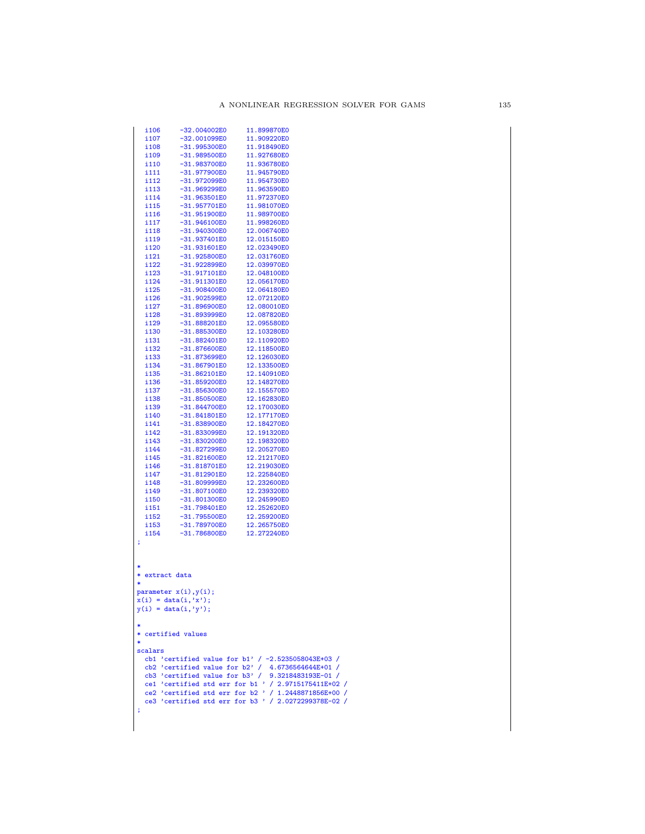|     | i106                   | -32.004002E0          | 11.899870E0                                                                                                |
|-----|------------------------|-----------------------|------------------------------------------------------------------------------------------------------------|
|     | i107                   | $-32.001099E0$        | 11.909220E0                                                                                                |
|     | i108                   | -31.995300E0          | 11.918490E0                                                                                                |
|     | i109                   | -31.989500E0          | 11.927680E0                                                                                                |
|     | i110                   | -31.983700E0          | 11.936780E0                                                                                                |
|     | i111                   | -31.977900E0          | 11.945790E0                                                                                                |
|     | i112                   | -31.972099E0          | 11.954730E0                                                                                                |
|     | i113                   | -31.969299E0          | 11.963590E0                                                                                                |
|     | i114                   | $-31.963501E0$        | 11.972370E0                                                                                                |
|     | i115                   | -31.957701E0          | 11.981070E0                                                                                                |
|     | i116                   | $-31.951900E0$        | 11.989700E0                                                                                                |
|     | i117                   | $-31.946100E0$        | 11.998260E0                                                                                                |
|     | i118                   | $-31.940300E0$        | 12.006740E0                                                                                                |
|     | i119                   | $-31.937401E0$        | 12.015150E0                                                                                                |
|     | i120                   | $-31.931601E0$        | 12.023490E0                                                                                                |
|     | i121                   | -31.925800E0          | 12.031760E0                                                                                                |
|     | i122                   | -31.922899E0          | 12.039970E0                                                                                                |
|     | i 123                  | -31.917101E0          | 12.048100E0                                                                                                |
|     | i124                   | $-31.911301E0$        | 12.056170E0                                                                                                |
|     | i125                   | -31.908400E0          | 12.064180E0                                                                                                |
|     | i126                   | $-31.902599E0$        | 12.072120E0                                                                                                |
|     | i127                   | -31.896900E0          | 12.080010E0                                                                                                |
|     | i128                   | $-31.893999E0$        | 12.087820E0                                                                                                |
|     | i129                   | $-31.888201E0$        | 12.095580E0                                                                                                |
|     | i130                   | -31.885300E0          | 12.103280E0                                                                                                |
|     | i131                   | $-31.882401E0$        | 12.110920E0                                                                                                |
|     | i132                   | $-31.876600E0$        | 12.118500E0                                                                                                |
|     | i133                   | -31.873699E0          | 12.126030E0                                                                                                |
|     | i134                   | $-31.867901E0$        | 12.133500E0                                                                                                |
|     | i135                   | $-31.862101E0$        | 12.140910E0                                                                                                |
|     | i136                   | -31.859200E0          | 12.148270E0                                                                                                |
|     | i137                   | $-31.856300E0$        | 12.155570E0                                                                                                |
|     | i138                   | $-31.850500E0$        | 12.162830E0                                                                                                |
|     | i139                   | -31.844700E0          | 12.170030E0                                                                                                |
|     | i140                   | $-31.841801E0$        | 12.177170E0                                                                                                |
|     | i141                   | -31.838900E0          | 12.184270E0                                                                                                |
|     | i142                   | -31.833099E0          | 12.191320E0                                                                                                |
|     | i143                   | -31.830200E0          | 12.198320E0                                                                                                |
|     | i144                   | -31.827299E0          | 12.205270E0                                                                                                |
|     | i 145                  | $-31.821600E0$        | 12.212170E0                                                                                                |
|     | i146                   | -31.818701E0          | 12.219030E0                                                                                                |
|     | i 147                  | $-31.812901E0$        | 12.225840E0                                                                                                |
|     | i148                   | -31.809999E0          | 12.232600E0                                                                                                |
|     | i149                   | -31.807100E0          | 12.239320E0                                                                                                |
|     | i150                   | $-31.801300E0$        | 12.245990E0                                                                                                |
|     | i 151                  | -31.798401E0          | 12.252620E0                                                                                                |
|     | i152                   | -31.795500E0          | 12.259200E0                                                                                                |
|     | i153                   | -31.789700E0          | 12.265750E0                                                                                                |
|     | i154                   | $-31.786800E0$        | 12.272240E0                                                                                                |
| ÷   |                        |                       |                                                                                                            |
|     |                        |                       |                                                                                                            |
|     |                        |                       |                                                                                                            |
|     |                        |                       |                                                                                                            |
| *   | extract data           |                       |                                                                                                            |
| *   |                        |                       |                                                                                                            |
|     |                        | parameter x(i), y(i); |                                                                                                            |
|     | $x(i) = data(i, 'x');$ |                       |                                                                                                            |
|     | $y(i) = data(i, 'y');$ |                       |                                                                                                            |
|     |                        |                       |                                                                                                            |
|     |                        |                       |                                                                                                            |
|     | * certified values     |                       |                                                                                                            |
|     |                        |                       |                                                                                                            |
|     | scalars                |                       |                                                                                                            |
|     |                        |                       | cb1 'certified value for b1' / $-2.5235058043E+03$ /                                                       |
|     |                        |                       | cb2 'certified value for b2' / $4.6736564644E+01$ /<br>cb3 'certified value for b3' / $9.3218483193E-01$ / |
|     |                        |                       | ce1 'certified std err for b1 ' / 2.9715175411E+02 /                                                       |
|     |                        |                       |                                                                                                            |
|     |                        |                       | ce2 'certified std err for b2 ' / 1.2448871856E+00 /                                                       |
|     |                        |                       | ce3 'certified std err for b3 ' / 2.0272299378E-02 /                                                       |
| -31 |                        |                       |                                                                                                            |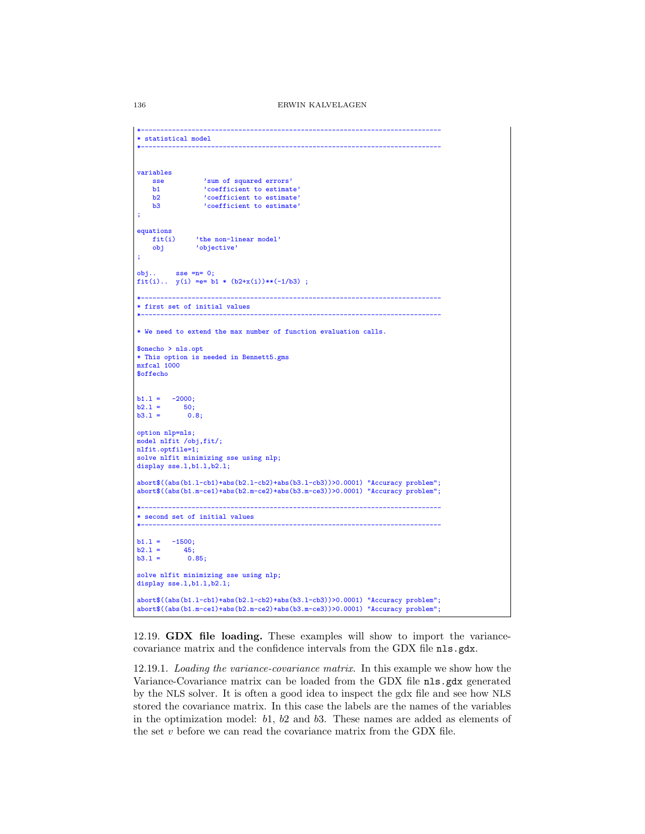```
*-----------------------------------------------------------------------------
* statistical model
*-----------------------------------------------------------------------------
variables
    sse 'sum of squared errors'<br>b1 'coefficient to estimat
    b1 \qquad \qquad 'coefficient to estimate'<br>b2 \qquad \qquad 'coefficient to estimate'
    b2 <br>b3 <br>coefficient to estimate'<br>coefficient to estimate'
                  'coefficient to estimate'
;
equations<br>fit(i)
    fit(i) 'the non-linear model'<br>obi 'objective'
                'objective'
;
obj.. sse =n= 0;fit(i).. y(i) = e = b1 * (b2+x(i))**(-1/b3);
*-----------------------------------------------------------------------------
* first set of initial values
*-----------------------------------------------------------------------------
* We need to extend the max number of function evaluation calls.
$onecho > nls.opt
* This option is needed in Bennett5.gms
mxfcal 1000
$offecho
b1.1 = -2000;<br>b2.1 = 50;
b2.1 = 50;<br>b3.1 = 0.8;option nlp=nls;
model nlfit /obj,fit/;
nlfit.optfile=1;
solve nlfit minimizing sse using nlp;
display sse.1,b1.1,b2.1;
abort$((abs(b1.l-cb1)+abs(b2.l-cb2)+abs(b3.l-cb3))>0.0001) "Accuracy problem";
abort$((abs(b1.m-ce1)+abs(b2.m-ce2)+abs(b3.m-ce3))>0.0001) "Accuracy problem";
*-----------------------------------------------------------------------------
* second set of initial values
*-----------------------------------------------------------------------------
b1.1 = -1500;<br>b2.1 = 45:
b2.1 = 45;<br>b3.1 = 0.85;
b3.1 =solve nlfit minimizing sse using nlp;
display sse.1,b1.1,b2.1;
abort$((abs(b1.l-cb1)+abs(b2.l-cb2)+abs(b3.l-cb3))>0.0001) "Accuracy problem";
abort$((abs(b1.m-ce1)+abs(b2.m-ce2)+abs(b3.m-ce3))>0.0001) "Accuracy problem";
```
12.19. GDX file loading. These examples will show to import the variancecovariance matrix and the confidence intervals from the GDX file nls.gdx.

12.19.1. Loading the variance-covariance matrix. In this example we show how the Variance-Covariance matrix can be loaded from the GDX file nls.gdx generated by the NLS solver. It is often a good idea to inspect the gdx file and see how NLS stored the covariance matrix. In this case the labels are the names of the variables in the optimization model: b1, b2 and b3. These names are added as elements of the set  $v$  before we can read the covariance matrix from the GDX file.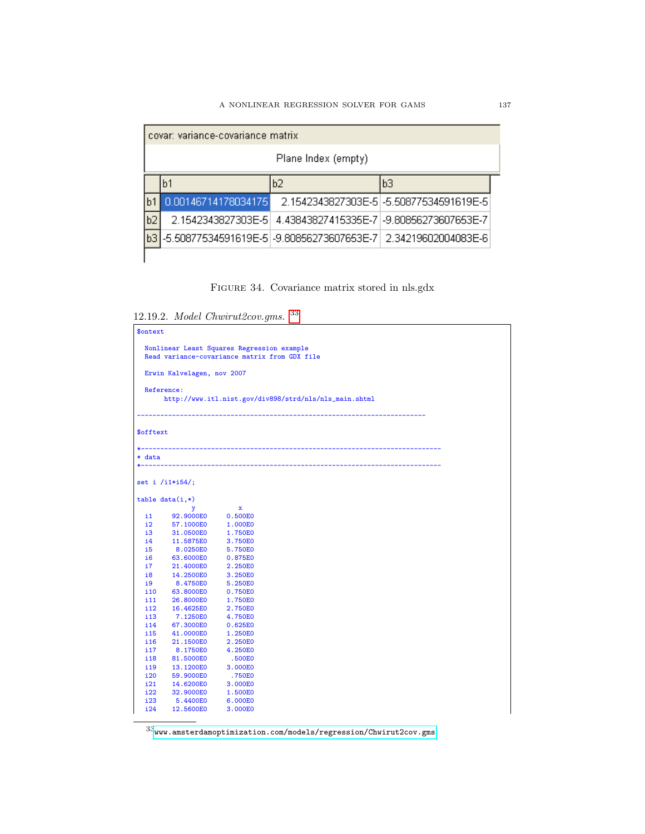|    | covar: variance-covariance matrix |    |                                                                |  |  |  |  |  |
|----|-----------------------------------|----|----------------------------------------------------------------|--|--|--|--|--|
|    | Plane Index (empty)               |    |                                                                |  |  |  |  |  |
|    | b1                                | b2 | bЗ                                                             |  |  |  |  |  |
|    | 0.00146714178034175               |    | 2 1542343827303E-51-5 50877534591619E-5                        |  |  |  |  |  |
| b2 | 2.1542343827303E-51               |    | 4.43843827415335E-71-9.80856273607653E-7                       |  |  |  |  |  |
| bЗ |                                   |    | -5.50877534591619E-5 -9.80856273607653E-7  2.34219602004083E-6 |  |  |  |  |  |
|    |                                   |    |                                                                |  |  |  |  |  |

FIGURE 34. Covariance matrix stored in nls.gdx

12.19.2. Model Chwirut2cov.gms. [33](#page-136-0)

| \$ontext  |                                                                                             |                    |                                                        |
|-----------|---------------------------------------------------------------------------------------------|--------------------|--------------------------------------------------------|
|           | Nonlinear Least Squares Regression example<br>Read variance-covariance matrix from GDX file |                    |                                                        |
|           | Erwin Kalvelagen, nov 2007                                                                  |                    |                                                        |
|           | Reference:                                                                                  |                    | http://www.itl.nist.gov/div898/strd/nls/nls_main.shtml |
| \$offtext |                                                                                             |                    |                                                        |
| * data    |                                                                                             |                    |                                                        |
|           | set i /i1*i54/;                                                                             |                    |                                                        |
|           | $table data(i,*)$                                                                           |                    |                                                        |
|           | у                                                                                           | $\mathbf x$        |                                                        |
| i1 -      | 92.9000E0                                                                                   | 0.500E0            |                                                        |
|           | i2<br>57.1000E0 1.000E0                                                                     |                    |                                                        |
| i3        | 31.0500E0<br>$\frac{1}{14}$                                                                 | 1.750E0            |                                                        |
|           | 11.5875E0                                                                                   | 3.750E0            |                                                        |
| 15        | 8.0250E0                                                                                    | 5.750E0            |                                                        |
| <b>i6</b> | 63.6000E0<br>i7                                                                             | 0.875E0            |                                                        |
| i8        | 21.4000E0                                                                                   | 2.250E0            |                                                        |
| i9        | 14.2500E0<br>8.4750E0                                                                       | 3.250E0            |                                                        |
| i10       | 63.8000E0                                                                                   | 5.250E0<br>0.750E0 |                                                        |
| i11       | 26.8000E0                                                                                   | 1.750E0            |                                                        |
| i12       | 16.4625E0                                                                                   | 2.750E0            |                                                        |
| i13       | 7.1250E0                                                                                    | 4.750E0            |                                                        |
| i14       | 67.3000E0                                                                                   | 0.625E0            |                                                        |
| i15       | 41.0000E0                                                                                   | 1.250E0            |                                                        |
| i16       | 21.1500E0                                                                                   | 2.250E0            |                                                        |
| i17       | 8.1750E0                                                                                    | 4.250E0            |                                                        |
| i18       | 81.5000E0                                                                                   | .500E0             |                                                        |
| i19       | 13.1200E0                                                                                   | 3.000E0            |                                                        |
| i20       | 59.9000E0                                                                                   | .750E0             |                                                        |
| i21       | 14.6200E0                                                                                   | 3.000E0            |                                                        |
| i22       | 32.9000E0                                                                                   | 1.500E0            |                                                        |
| i23       | 5.4400E0                                                                                    | 6.000E0            |                                                        |
| i24       | 12.5600E0                                                                                   | 3.000E0            |                                                        |

<span id="page-136-0"></span> $\overline{\frac{33}{500}}$  amsterdamoptimization.com/models/regression/Chwirut2cov.gms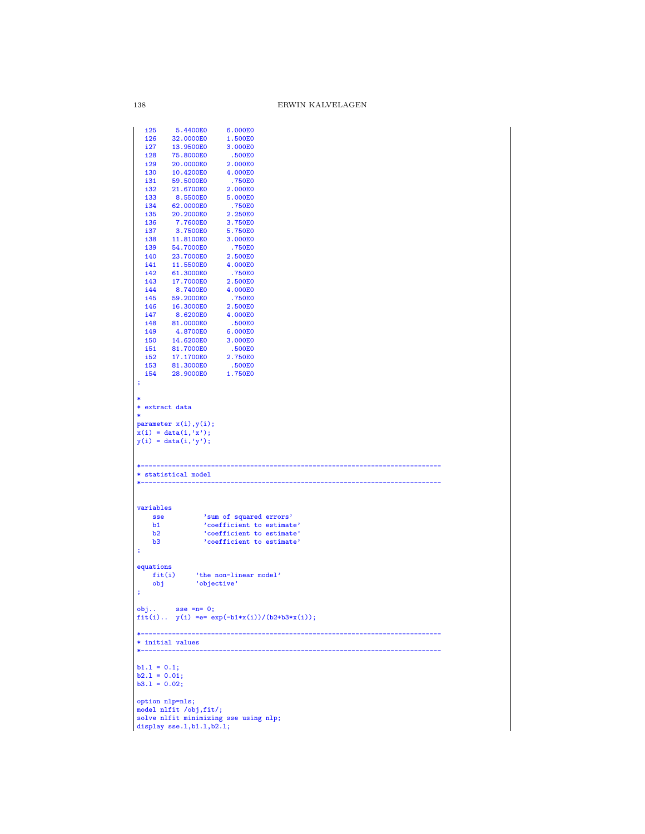| i25             | 5.4400E0                    | 6.000E0                                           |
|-----------------|-----------------------------|---------------------------------------------------|
| i26             | 32.0000E0                   | 1.500E0                                           |
| i27             | 13.9500E0                   | 3.000E0                                           |
| i28             | 75.8000E0                   | .500E0                                            |
| i29             | 20.0000E0                   | 2.000E0                                           |
| i30             | 10.4200E0                   | 4.000E0                                           |
| i31             | 59.5000E0                   | .750E0                                            |
| i32             | 21.6700E0                   | 2.000E0                                           |
| i33             | 8.5500E0                    | 5.000E0                                           |
| i34             | 62.0000E0                   | .750E0                                            |
| i35             | 20.2000E0                   | 2.250E0                                           |
| i36             | 7.7600E0                    | 3.750E0                                           |
| i37             | 3.7500E0                    | 5.750E0                                           |
| i38             | 11.8100E0                   | 3.000E0                                           |
| i39             | 54.7000E0                   | .750E0                                            |
| i40             | 23.7000E0                   | 2.500E0                                           |
| i41             | 11.5500E0                   | 4.000E0                                           |
| i42             | 61.3000E0                   | .750E0                                            |
| i43             | 17.7000E0                   | 2.500E0                                           |
| i44             | 8.7400E0                    | 4.000E0                                           |
| i45             | 59.2000E0                   | .750E0                                            |
| i46             | 16.3000E0                   | 2.500E0                                           |
| i47             | 8.6200E0                    | 4.000E0                                           |
| i48             | 81.0000E0                   | .500E0                                            |
| i49             | 4.8700E0                    | 6.000E0                                           |
| <b>i50</b>      | 14.6200E0                   | 3.000E0                                           |
| i51             | 81.7000E0                   | .500E0                                            |
| i52             | 17.1700E0                   | 2.750E0                                           |
| i53             | 81.3000E0                   | .500E0                                            |
| i54             | 28.9000E0                   | 1.750E0                                           |
| ÷               |                             |                                                   |
|                 |                             |                                                   |
| ∗               |                             |                                                   |
| * extract data  |                             |                                                   |
| $\ast$          |                             |                                                   |
|                 | parameter $x(i)$ , $y(i)$ ; |                                                   |
|                 | $x(i) = data(i, 'x');$      |                                                   |
|                 | $y(i) = data(i, 'y');$      |                                                   |
|                 |                             |                                                   |
|                 |                             |                                                   |
|                 |                             |                                                   |
|                 | * statistical model         |                                                   |
|                 |                             |                                                   |
|                 |                             |                                                   |
|                 |                             |                                                   |
| variables       |                             |                                                   |
| sse             |                             | 'sum of squared errors'                           |
| b1              |                             | 'coefficient to estimate'                         |
| b2              |                             | 'coefficient to estimate'                         |
| b3              |                             | 'coefficient to estimate'                         |
| ÷               |                             |                                                   |
|                 |                             |                                                   |
| equations       |                             |                                                   |
| fit(i)          |                             | 'the non-linear model'                            |
| obj             | 'objective'                 |                                                   |
| ÷               |                             |                                                   |
|                 |                             |                                                   |
|                 | $obj$ sse = $n=0;$          |                                                   |
|                 |                             | $fit(i)$ $y(i) = e = exp(-b1*x(i))/(b2+b3*x(i));$ |
|                 |                             |                                                   |
|                 | .                           | --------------                                    |
|                 | * initial values            |                                                   |
|                 |                             |                                                   |
|                 |                             |                                                   |
| $b1.1 = 0.1;$   |                             |                                                   |
| $b2.1 = 0.01;$  |                             |                                                   |
| $b3.1 = 0.02;$  |                             |                                                   |
|                 |                             |                                                   |
| option nlp=nls; |                             |                                                   |
|                 |                             |                                                   |
|                 | model nlfit /obj,fit/;      |                                                   |
|                 | display sse.1, b1.1, b2.1;  | solve nlfit minimizing sse using nlp;             |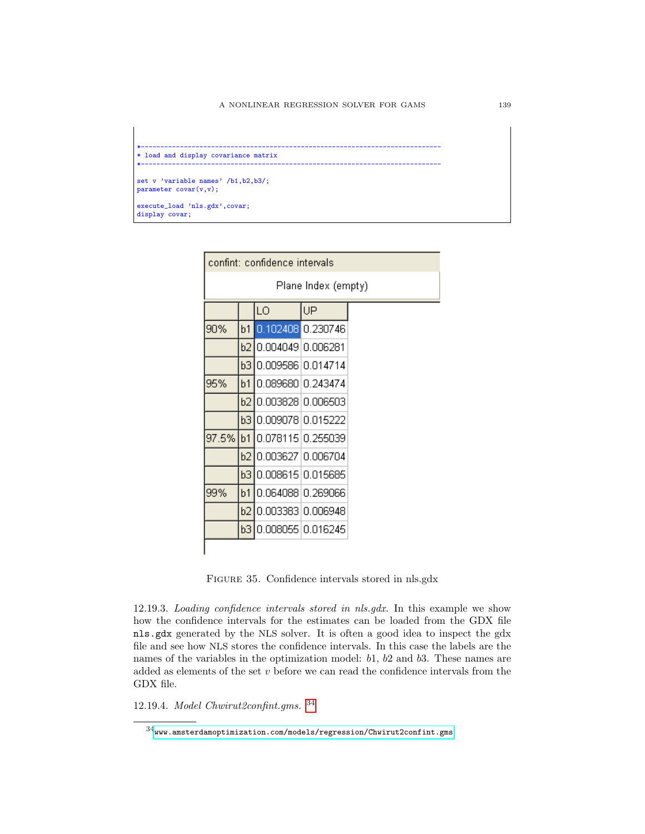

|     |    | confint: confidence intervals |                     |
|-----|----|-------------------------------|---------------------|
|     |    |                               | Plane Index (empty) |
|     |    | LO                            | UP                  |
| 90% | b1 | $0.102408$ 0.230746           |                     |
|     |    | b2 0.004049 0.006281          |                     |
|     |    | b310.00958610.014714          |                     |
| 95% | b1 | 10.089680 0.243474            |                     |
|     | b2 | 10.00382810.006503            |                     |
|     |    | b3 0.009078 0.015222          |                     |
|     |    | 97.5% b1 0.078115 0.255039    |                     |
|     |    | b2 0.003627 0.006704          |                     |
|     |    | b3 0.008615 0.015685          |                     |
| 99% | b1 | 0.064088 0.269066             |                     |
|     | b2 | 0.003383 0.006948             |                     |
|     |    | b3 0.008055 0.016245          |                     |

Figure 35. Confidence intervals stored in nls.gdx

12.19.3. Loading confidence intervals stored in nls.gdx. In this example we show how the confidence intervals for the estimates can be loaded from the GDX file nls.gdx generated by the NLS solver. It is often a good idea to inspect the gdx file and see how NLS stores the confidence intervals. In this case the labels are the names of the variables in the optimization model:  $b1$ ,  $b2$  and  $b3$ . These names are added as elements of the set  $v$  before we can read the confidence intervals from the GDX file.

12.19.4. Model Chwirut2confint.gms. [34](#page-138-0)

<span id="page-138-0"></span> $^{34}$ <www.amsterdamoptimization.com/models/regression/Chwirut2confint.gms>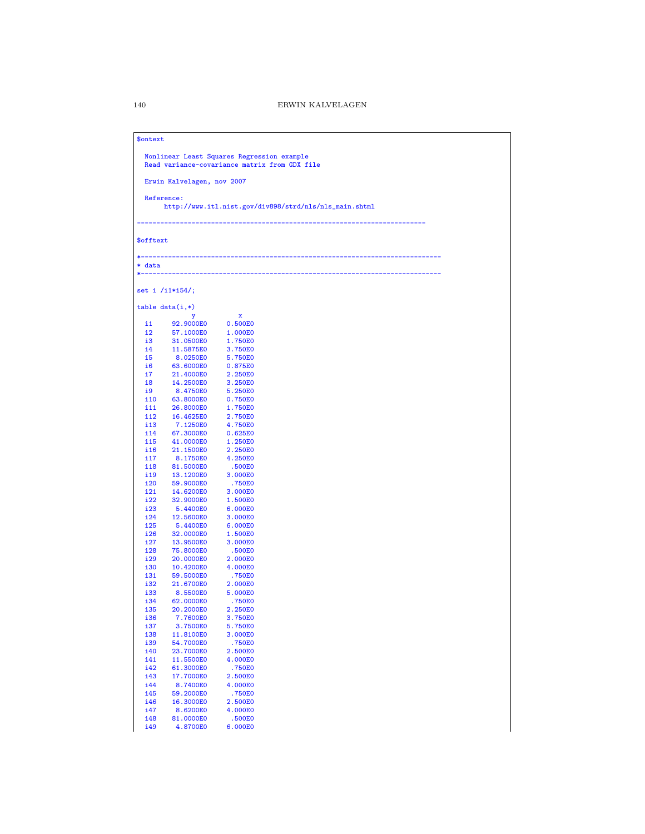## \$ontext

```
Nonlinear Least Squares Regression example
Read variance-covariance matrix from GDX file
```
Erwin Kalvelagen, nov 2007

Reference:

http://www.itl.nist.gov/div898/strd/nls/nls\_main.shtml

--------------------------------------------------------------------------

\$offtext

\*-----------------------------------------------------------------------------

\* data<br>\*-------\*-----------------------------------------------------------------------------

set i /i1\*i54/;

|     | $table data(i,*)$ |         |
|-----|-------------------|---------|
|     | y                 | x       |
| i1  | 92.9000E0         | 0.500E0 |
| i2  | 57.1000E0         | 1.000E0 |
| i3  | 31.0500E0         | 1.750E0 |
| i4  | 11.5875E0         | 3.750E0 |
| i5  | 8.0250E0          | 5.750E0 |
| i6  | 63.6000E0         | 0.875E0 |
| i7  | 21.4000E0         | 2.250E0 |
| i8  | 14.2500E0         | 3.250E0 |
| i9  | 8.4750E0          | 5.250E0 |
| i10 | 63.8000E0         | 0.750E0 |
| i11 | 26.8000E0         | 1.750E0 |
| i12 | 16.4625E0         | 2.750E0 |
| i13 | 7.1250E0          | 4.750E0 |
| i14 | 67.3000E0         | 0.625E0 |
| i15 | 41.0000E0         | 1.250E0 |
| i16 | 21.1500E0         | 2.250E0 |
| i17 | 8.1750E0          | 4.250E0 |
| i18 | 81.5000E0         | .500E0  |
| i19 | 13.1200E0         | 3.000E0 |
| i20 | 59.9000E0         | .750E0  |
| i21 | 14.6200E0         | 3.000E0 |
| i22 | 32.9000E0         | 1.500E0 |
| i23 | 5.4400E0          | 6.000E0 |
| i24 | 12.5600E0         | 3.000E0 |
| i25 | 5.4400E0          | 6.000E0 |
| i26 | 32.0000E0         | 1.500E0 |
| i27 | 13.9500E0         | 3.000E0 |
| i28 | 75.8000E0         | .500E0  |
| i29 | 20.0000E0         | 2.000E0 |
| i30 | 10.4200E0         | 4.000E0 |
| i31 | 59.5000E0         | .750E0  |
| i32 | 21.6700E0         | 2.000E0 |
| i33 | 8.5500E0          | 5.000E0 |
| i34 | 62.0000E0         | .750E0  |
| i35 | 20.2000E0         | 2.250E0 |
| i36 | 7.7600E0          | 3.750E0 |
| i37 | 3.7500E0          | 5.750E0 |
| i38 | 11.8100E0         | 3.000E0 |
| i39 | 54.7000E0         | .750E0  |
| i40 | 23.7000E0         | 2.500E0 |
| i41 | 11.5500E0         | 4.000E0 |
| i42 | 61.3000E0         | .750E0  |
| i43 | 17.7000E0         | 2.500E0 |
| i44 | 8.7400E0          | 4.000E0 |
| i45 | 59.2000E0         | .750E0  |
| i46 | 16.3000E0         | 2.500E0 |
| i47 | 8.6200E0          | 4.000E0 |
| i48 | 81.0000E0         | .500E0  |
| i49 | 4.8700E0          | 6.000E0 |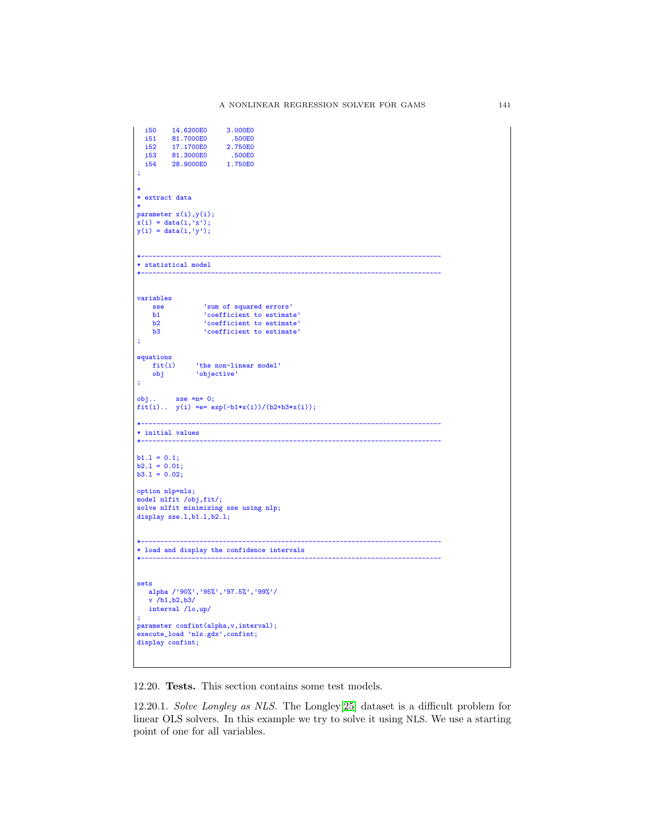```
i50  14.6200E0  3.000E0<br>i51  81.7000E0  .500E0<br>i52  17.1700E0  2.750E0
  i51 81.7000E0<br>i52 17.1700E0
  i52 17.1700E0 2.750E0
  i53 81.3000E0 .500E0<br>i54 28.9000E0 1.750E0
          28.9000E0
;
*
* extract data
*
parameter x(i),y(i);
x(i) = data(i, 'x');y(i) = data(i, 'y');*-----------------------------------------------------------------------------
* statistical model
*-----------------------------------------------------------------------------
variables
    sse 'sum of squared errors'<br>b1 'coefficient to estimat
     b1 'coefficient to estimate'
b2 'coefficient to estimate'
b3 'coefficient to estimate'
;
equations<br>fit(i)
    fit(i) <br>
'the non-linear model'<br>
obj <br>
'objective'
                 'objective'
;
obj.. sse =n= 0;
fit(i).. y(i) == exp(-b1*x(i))/(b2+b3*x(i));*-----------------------------------------------------------------------------
\ast initial values
*-----------------------------------------------------------------------------
b1.1 = 0.1;<br>
b2.1 = 0.01;<br>
b3.1 = 0.02;option nlp=nls;
model nlfit /obj,fit/;
solve nlfit minimizing sse using nlp;
display sse.1,b1.1,b2.1;
*-----------------------------------------------------------------------------
* load and display the confidence intervals
*-----------------------------------------------------------------------------
sets
  alpha /'90%','95%','97.5%','99%'/
   v /b1,b2,b3/
   interval /lo,up/
;
parameter confint(alpha,v,interval);
execute_load 'nls.gdx',confint;
display confint;
```
12.20. Tests. This section contains some test models.

12.20.1. Solve Longley as NLS. The Longley[\[25\]](#page-146-3) dataset is a difficult problem for linear OLS solvers. In this example we try to solve it using NLS. We use a starting point of one for all variables.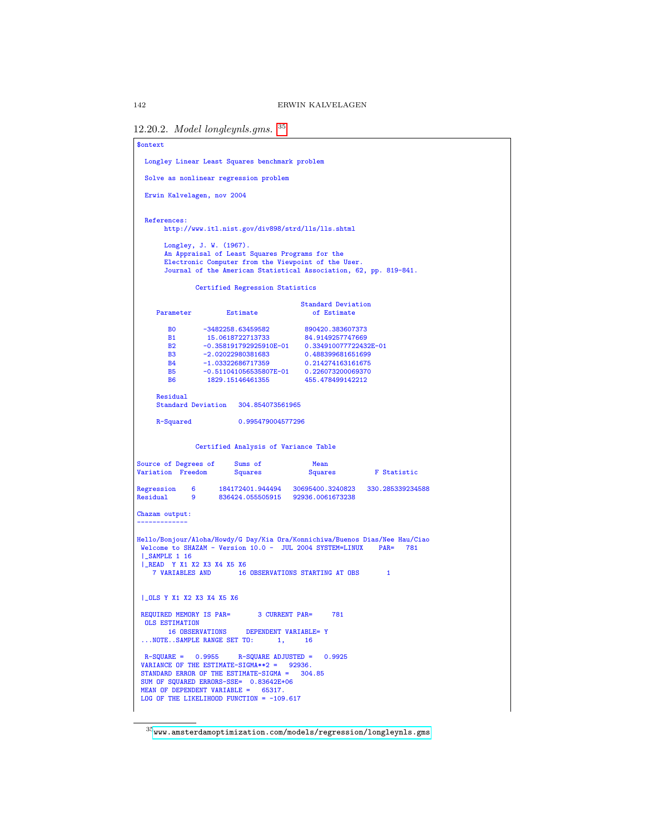```
12.20.2. Model longleynls.gms. 35
```

```
$ontext
 Longley Linear Least Squares benchmark problem
 Solve as nonlinear regression problem
 Erwin Kalvelagen, nov 2004
 References:
       http://www.itl.nist.gov/div898/strd/lls/lls.shtml
        Longley, J. W. (1967).
An Appraisal of Least Squares Programs for the
        Electronic Computer from the Viewpoint of the User.
Journal of the American Statistical Association, 62, pp. 819-841.
                 Certified Regression Statistics
                                                Standard Deviation
     Parameter Estimate of Estimate
         B0 -3482258.63459582 890420.383607373
B1 15.0618722713733 84.9149257747669
B2 -0.358191792925910E-01 0.334910077722432E-01
        B3 -2.02022980381683 0.488399681651699<br>B4 -1.03322686717359 0.214274163161675
         B4 -1.03322686717359 0.214274163161675
B5 -0.511041056535807E-01 0.226073200069370
        B6 1829.15146461355 455.478499142212
     Residual
     Standard Deviation 304.854073561965
     R-Squared 0.995479004577296
                Certified Analysis of Variance Table
Source of Degrees of Sums of Mean<br>
Variation Freedom Squares Squares
Variation Freedom Squares Squares F Statistic
Regression 6 184172401.944494 30695400.3240823 330.285339234588<br>Residual 9 836424.055505915 92936.0061673238
                   Residual 9 836424.055505915 92936.0061673238
Chazam output:
-------------
Hello/Bonjour/Aloha/Howdy/G Day/Kia Ora/Konnichiwa/Buenos Dias/Nee Hau/Ciao<br>Welcome to SHAZAM - Version 10.0 - JUU. 2004 SYSTEM=I LWUX PAR= 781
Welcome to SHAZAM - Version 10.0 - JUL 2004 SYSTEM=LINUX PAR=
 |_SAMPLE 1 16
| READ Y X1 X2 X3 X4 X5 X6<br>7 VARIABLES AND 16
                        16 OBSERVATIONS STARTING AT OBS 1
|_OLS Y X1 X2 X3 X4 X5 X6
REQUIRED MEMORY IS PAR= 3 CURRENT PAR= 781
 OLS ESTIMATION<br>16 OBSERVATIONS
                             DEPENDENT VARIABLE= Y<br>T T0: 1, 16
 ...NOTE..SAMPLE RANGE SET TO:
 R-SQUARE = 0.9955 R-SQUARE ADJUSTED = 0.9925VARIANCE OF THE ESTIMATE-SIGMA**2 = 92936.
STANDARD ERROR OF THE ESTIMATE-SIGMA = 304.85
SUM OF SQUARED ERRORS-SSE= 0.83642E+06
MEAN OF DEPENDENT VARIABLE = 65317.
LOG OF THE LIKELIHOOD FUNCTION = -109.617
```
<span id="page-141-0"></span> $^{35}\!\!$ <www.amsterdamoptimization.com/models/regression/longleynls.gms>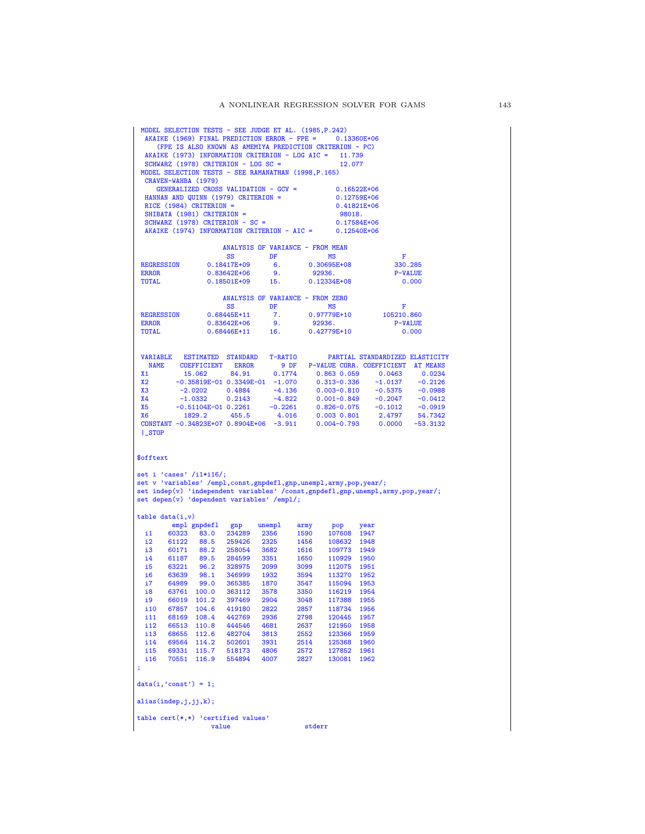| MODEL SELECTION TESTS - SEE JUDGE ET AL. (1985, P.242) |                         | CRAVEN-WAHBA (1979)                                   | SCHWARZ (1978) CRITERION - LOG SC =<br>HANNAN AND QUINN (1979) CRITERION = | (FPE IS ALSO KNOWN AS AMEMIYA PREDICTION CRITERION - PC)<br>AKAIKE (1973) INFORMATION CRITERION - LOG AIC = 11.739<br>MODEL SELECTION TESTS - SEE RAMANATHAN (1998, P.165)<br>GENERALIZED CROSS VALIDATION - GCV = |              | AKAIKE (1969) FINAL PREDICTION ERROR - FPE = 0.13360E+06<br>12.077 | $0.16522E+06$<br>0.12759E+06                                                         |                         |
|--------------------------------------------------------|-------------------------|-------------------------------------------------------|----------------------------------------------------------------------------|--------------------------------------------------------------------------------------------------------------------------------------------------------------------------------------------------------------------|--------------|--------------------------------------------------------------------|--------------------------------------------------------------------------------------|-------------------------|
|                                                        |                         | RICE (1984) CRITERION =<br>SHIBATA (1981) CRITERION = | SCHWARZ (1978) CRITERION - SC =                                            | AKAIKE (1974) INFORMATION CRITERION - AIC =                                                                                                                                                                        |              | 98018.                                                             | 0.41821E+06<br>0.17584E+06<br>0.12540E+06                                            |                         |
|                                                        |                         |                                                       |                                                                            | ANALYSIS OF VARIANCE - FROM MEAN                                                                                                                                                                                   |              |                                                                    |                                                                                      |                         |
|                                                        |                         |                                                       | SS                                                                         | DF                                                                                                                                                                                                                 |              | MS                                                                 | F                                                                                    |                         |
| <b>REGRESSION</b>                                      |                         |                                                       | 0.18417E+09                                                                | 6.                                                                                                                                                                                                                 |              | 0.30695E+08                                                        |                                                                                      | 330.285                 |
| <b>ERROR</b><br><b>TOTAL</b>                           |                         |                                                       | $0.83642E + 06$<br>$0.18501E+09$                                           | 9.<br>15.                                                                                                                                                                                                          |              | 92936.<br>$0.12334E+08$                                            |                                                                                      | <b>P-VALUE</b><br>0.000 |
|                                                        |                         |                                                       |                                                                            |                                                                                                                                                                                                                    |              |                                                                    |                                                                                      |                         |
|                                                        |                         |                                                       | $_{\rm SS}$                                                                | ANALYSIS OF VARIANCE - FROM ZERO<br>DF                                                                                                                                                                             |              | MS                                                                 | F                                                                                    |                         |
| <b>REGRESSION</b>                                      |                         |                                                       | $0.68445E+11$                                                              | 7.                                                                                                                                                                                                                 |              | 0.97779E+10                                                        | 105210.860                                                                           |                         |
| <b>ERROR</b>                                           |                         |                                                       | $0.83642E + 06$                                                            | 9.                                                                                                                                                                                                                 |              | 92936.                                                             |                                                                                      | <b>P-VALUE</b>          |
| TOTAL                                                  |                         |                                                       | $0.68446E+11$                                                              | 16.                                                                                                                                                                                                                |              | 0.42779E+10                                                        |                                                                                      | 0.000                   |
| <b>VARIABLE</b>                                        |                         | <b>ESTIMATED</b>                                      |                                                                            | T-RATIO                                                                                                                                                                                                            |              |                                                                    | PARTIAL STANDARDIZED ELASTICITY                                                      |                         |
|                                                        |                         | NAME COEFFICIENT                                      | <b>STANDARD</b><br><b>ERROR</b>                                            |                                                                                                                                                                                                                    | 9 DF         |                                                                    | P-VALUE CORR. COEFFICIENT AT MEANS                                                   |                         |
| X1                                                     |                         | 15.062                                                | 84.91                                                                      | 0.1774                                                                                                                                                                                                             |              | $0.863$ $0.059$                                                    | 0.0463                                                                               | 0.0234                  |
| X <sub>2</sub>                                         |                         |                                                       |                                                                            | $-0.35819E-01$ 0.3349E-01 $-1.070$                                                                                                                                                                                 |              | $0.313 - 0.336$                                                    | $-1.0137$                                                                            | $-0.2126$               |
| xз                                                     |                         | $-2.0202$                                             | 0.4884                                                                     | $-4.136$                                                                                                                                                                                                           |              | $0.003 - 0.810$                                                    | $-0.5375$                                                                            | $-0.0988$               |
| <b>X4</b><br>X <sub>5</sub>                            |                         | $-1.0332$                                             | 0.2143                                                                     | $-4.822$<br>$-0.2261$                                                                                                                                                                                              |              | $0.001 - 0.849$                                                    | $-0.2047$                                                                            | $-0.0412$               |
| <b>X6</b>                                              |                         | $-0.51104E-01$ 0.2261<br>1829.2                       | 455.5                                                                      | 4.016                                                                                                                                                                                                              |              | $0.826 - 0.075$<br>$0.003$ $0.801$                                 | $-0.1012$<br>2.4797                                                                  | $-0.0919$<br>54.7342    |
|                                                        |                         |                                                       |                                                                            | CONSTANT -0.34823E+07 0.8904E+06 -3.911                                                                                                                                                                            |              | $0.004 - 0.793$                                                    | 0.0000                                                                               | $-53.3132$              |
| $\mathsf{I}$ _STOP                                     |                         |                                                       |                                                                            |                                                                                                                                                                                                                    |              |                                                                    |                                                                                      |                         |
| \$offtext                                              |                         | set i 'cases' /i1*i16/;                               |                                                                            | set v 'variables' /empl, const, gnpdefl, gnp, unempl, army, pop, year/;<br>set depen(v) 'dependent variables' /empl/;                                                                                              |              |                                                                    | set indep(v) 'independent variables' /const, gnpdefl, gnp, unempl, army, pop, year/; |                         |
|                                                        | table data(i, v)        |                                                       |                                                                            |                                                                                                                                                                                                                    |              |                                                                    |                                                                                      |                         |
| i1                                                     |                         |                                                       |                                                                            |                                                                                                                                                                                                                    |              |                                                                    |                                                                                      |                         |
|                                                        |                         | empl gnpdefl                                          | gp                                                                         | unempl                                                                                                                                                                                                             | army         | $\mathbf{pop}$                                                     | year                                                                                 |                         |
| i2                                                     | 60323<br>61122          | 83.0<br>88.5                                          | 234289<br>259426                                                           | 2356<br>2325                                                                                                                                                                                                       | 1590<br>1456 | 107608<br>108632 1948                                              | 1947                                                                                 |                         |
| i3                                                     | 60171                   | 88.2                                                  | 258054                                                                     | 3682                                                                                                                                                                                                               | 1616         | 109773 1949                                                        |                                                                                      |                         |
| i4                                                     |                         | 61187 89.5                                            | 284599                                                                     | 3351                                                                                                                                                                                                               | 1650         | 110929                                                             | 1950                                                                                 |                         |
| i5                                                     |                         | 63221 96.2                                            | 328975                                                                     | 2099                                                                                                                                                                                                               | 3099         | 112075                                                             | 1951                                                                                 |                         |
| i6                                                     |                         | 63639 98.1                                            | 346999                                                                     | 1932                                                                                                                                                                                                               | 3594         | 113270                                                             | 1952                                                                                 |                         |
| i7                                                     |                         | 64989 99.0                                            | 365385                                                                     | 1870                                                                                                                                                                                                               | 3547         | 115094                                                             | 1953                                                                                 |                         |
| i8                                                     | 63761                   | 100.0                                                 | 363112                                                                     | 3578                                                                                                                                                                                                               | 3350         | 116219                                                             | 1954                                                                                 |                         |
| i9<br>i10                                              |                         | 66019 101.2<br>67857 104.6                            | 397469<br>419180                                                           | 2904<br>2822                                                                                                                                                                                                       | 3048<br>2857 | 117388 1955<br>118734                                              | 1956                                                                                 |                         |
| i11                                                    |                         | 68169 108.4 442769                                    |                                                                            | 2936                                                                                                                                                                                                               | 2798         | 120445                                                             | 1957                                                                                 |                         |
| i12                                                    |                         | 66513 110.8                                           | 444546                                                                     | 4681                                                                                                                                                                                                               | 2637         | 121950                                                             | 1958                                                                                 |                         |
| i13                                                    | 68655                   |                                                       | 112.6 482704                                                               | 3813                                                                                                                                                                                                               | 2552         | 123366                                                             | 1959                                                                                 |                         |
| i14                                                    |                         | 69564 114.2                                           | 502601                                                                     | 3931                                                                                                                                                                                                               | 2514         | 125368                                                             | 1960                                                                                 |                         |
| i15                                                    |                         | 69331 115.7                                           | 518173                                                                     | 4806                                                                                                                                                                                                               | 2572         | 127852                                                             | 1961                                                                                 |                         |
| i16<br>÷                                               | 70551                   | 116.9                                                 | 554894                                                                     | 4007                                                                                                                                                                                                               | 2827         | 130081                                                             | 1962                                                                                 |                         |
|                                                        | $data(i,'const') = 1;$  |                                                       |                                                                            |                                                                                                                                                                                                                    |              |                                                                    |                                                                                      |                         |
|                                                        | alias(indep, j, jj, k); |                                                       |                                                                            |                                                                                                                                                                                                                    |              |                                                                    |                                                                                      |                         |
|                                                        |                         |                                                       | table $cert(*,*)$ 'certified values'                                       |                                                                                                                                                                                                                    |              |                                                                    |                                                                                      |                         |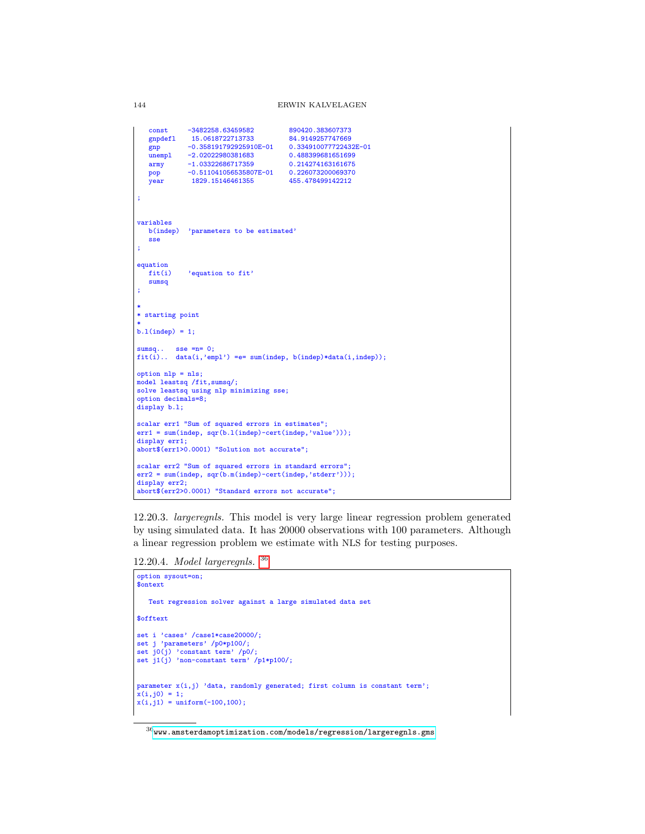```
const -3482258.63459582 890420.383607373
                15.0618722713733 84.9149257747669<br>-0.358191792925910E-01 0.334910077722432E-01
   gnp -0.358191792925910E-01 0.3349100777224321<br>unempl -2.02022980381683 0.488399681651699
   unempl -2.02022980381683<br>army -1.03322686717359
   army -1.03322686717359 0.214274163161675<br>pop -0.511041056535807E-01 0.226073200069370
              pop -0.511041056535807E-01 0.226073200069370
   year 1829.15146461355
;
variables<br>b(indep)
              'parameters to be estimated
   sse
;
equation<br>fit(i)'equation to fit'
   sumsq
;
*
* starting point
*
b.l(indep) = 1;
sumsq.. sse =n= 0;
fit(i).. data(i, 'empl') =e= sum(indep, b(indep)*data(i,indep));
option nlp = nls;
model leastsq /fit,sumsq/;
solve leastsq using nlp minimizing sse;
option decimals=8;
display b.l;
scalar err1 "Sum of squared errors in estimates";
err1 = sum(indep, sqr(b.l(indep)-cert(indep,'value')));
display err1;
abort$(err1>0.0001) "Solution not accurate";
scalar err2 "Sum of squared errors in standard errors";
err2 = sum(indep, sqr(b.m(indep)-cert(indep,'stderr')));
display err2;
abort$(err2>0.0001) "Standard errors not accurate";
```
12.20.3. largeregnls. This model is very large linear regression problem generated by using simulated data. It has 20000 observations with 100 parameters. Although a linear regression problem we estimate with NLS for testing purposes.

12.20.4. Model largeregnls. [36](#page-143-0)

```
option sysout=on;
$ontext
   Test regression solver against a large simulated data set
$offtext
set i 'cases' /case1*case20000/;
set j 'parameters' /p0*p100/;
set j0(j) 'constant term' /p0/;
set j1(j) 'non-constant term' /p1*p100/;
parameter x(i,j) 'data, randomly generated; first column is constant term';
x(i,j0) = 1;
x(i,j1) = uniform(-100,100);
```
<span id="page-143-0"></span> $36$ <www.amsterdamoptimization.com/models/regression/largeregnls.gms>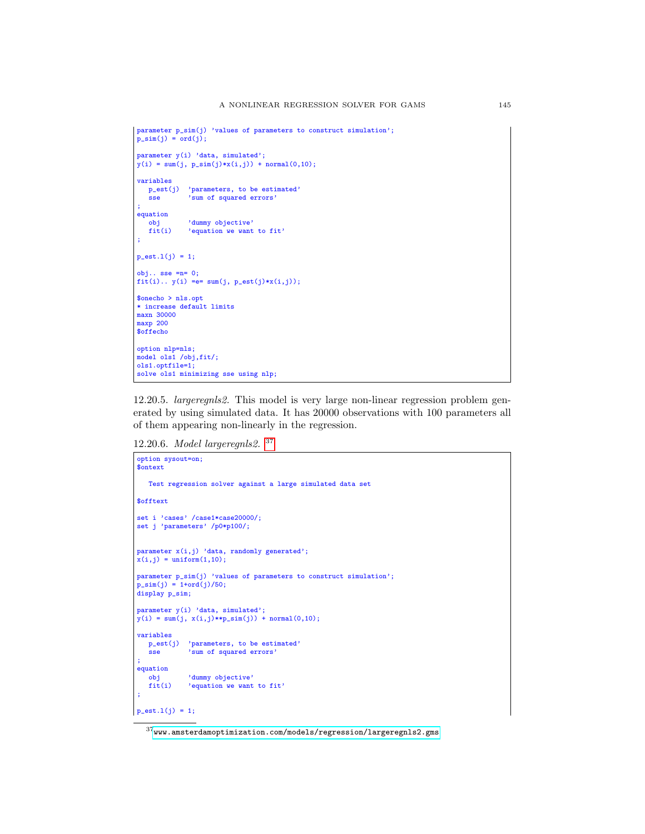```
parameter p_sim(j) 'values of parameters to construct simulation';
p\_sim(j) = ord(j);parameter y(i) 'data, simulated';
y(i) = sum(j, p_sim(j)*x(i,j)) + normal(0,10);variables
   p_est(j) 'parameters, to be estimated'<br>sse 'sum of squared errors'
              'sum of squared errors'
;
equation
  obj 'dummy objective'
            'equation we want to fit'
;
p\_est.1(j) = 1;obj.. sse =n= 0;
fit(i).. y(i) =e= sum(j, p_est(j)*x(i,j));
$onecho > nls.opt
* increase default limits
maxn 30000
maxp 200
$offecho
option nlp=nls;
model ols1 /obj,fit/;
ols1.optfile=1;
solve ols1 minimizing sse using nlp;
```
12.20.5. largeregnls2. This model is very large non-linear regression problem generated by using simulated data. It has 20000 observations with 100 parameters all of them appearing non-linearly in the regression.

12.20.6. Model largeregnls2. [37](#page-144-0)

```
option sysout=on;
 $ontext
    Test regression solver against a large simulated data set
 $offtext
 set i 'cases' /case1*case20000/;
set j 'parameters' /p0*p100/;
parameter x(i,j) 'data, randomly generated';
x(i,j) = uniform(1,10);parameter p_sim(j) 'values of parameters to construct simulation';
p_ssim(j) = 1+ord(j)/50;
display p_sim;
parameter y(i) 'data, simulated';
y(i) = sum(j, x(i,j) * *p\_sim(j)) + normal(0,10);variables
   p\_est(j) 'parameters, to be estimated'<br>sse \frac{1}{2} 'sum of squared errors'
               ssum of squared errors'
 ;
 equation
    obj 'dummy objective'<br>fit(i) 'equation we want
             'equation we want to fit'
 ;
p_{est.1(j)} = 1;
```
<span id="page-144-0"></span> $37$ <www.amsterdamoptimization.com/models/regression/largeregnls2.gms>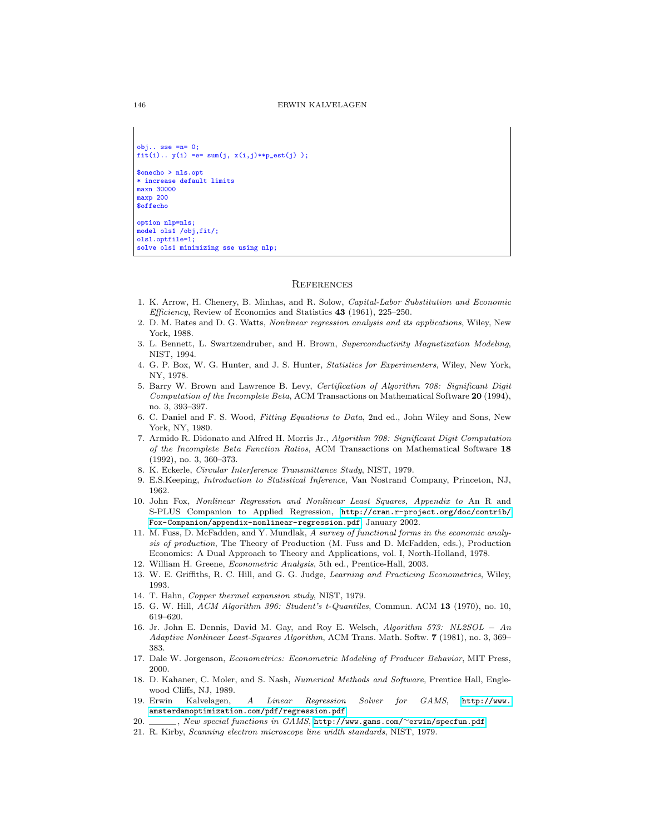```
obj.. sse =n= 0;fit(i).. y(i) =e= sum(j, x(i,j)**p_est(j));
$onecho > nls.opt
* increase default limits
maxn 30000
maxp 200
$offecho
option nlp=nls;
model ols1 /obj,fit/;
```
ols1.optfile=1; solve ols1 minimizing sse using nlp;

## **REFERENCES**

- 1. K. Arrow, H. Chenery, B. Minhas, and R. Solow, Capital-Labor Substitution and Economic Efficiency, Review of Economics and Statistics 43 (1961), 225–250.
- 2. D. M. Bates and D. G. Watts, Nonlinear regression analysis and its applications, Wiley, New York, 1988.
- 3. L. Bennett, L. Swartzendruber, and H. Brown, Superconductivity Magnetization Modeling, NIST, 1994.
- 4. G. P. Box, W. G. Hunter, and J. S. Hunter, Statistics for Experimenters, Wiley, New York, NY, 1978.
- 5. Barry W. Brown and Lawrence B. Levy, Certification of Algorithm 708: Significant Digit Computation of the Incomplete Beta, ACM Transactions on Mathematical Software 20 (1994), no. 3, 393–397.
- 6. C. Daniel and F. S. Wood, Fitting Equations to Data, 2nd ed., John Wiley and Sons, New York, NY, 1980.
- 7. Armido R. Didonato and Alfred H. Morris Jr., Algorithm 708: Significant Digit Computation of the Incomplete Beta Function Ratios, ACM Transactions on Mathematical Software 18 (1992), no. 3, 360–373.
- 8. K. Eckerle, Circular Interference Transmittance Study, NIST, 1979.
- 9. E.S.Keeping, Introduction to Statistical Inference, Van Nostrand Company, Princeton, NJ, 1962.
- 10. John Fox, Nonlinear Regression and Nonlinear Least Squares, Appendix to An R and S-PLUS Companion to Applied Regression, [http://cran.r-project.org/doc/contrib/](http://cran.r-project.org/doc/contrib/Fox-Companion/appendix-nonlinear-regression.pdf) [Fox-Companion/appendix-nonlinear-regression.pdf](http://cran.r-project.org/doc/contrib/Fox-Companion/appendix-nonlinear-regression.pdf), January 2002.
- 11. M. Fuss, D. McFadden, and Y. Mundlak, A survey of functional forms in the economic analysis of production, The Theory of Production (M. Fuss and D. McFadden, eds.), Production Economics: A Dual Approach to Theory and Applications, vol. I, North-Holland, 1978.
- 12. William H. Greene, Econometric Analysis, 5th ed., Prentice-Hall, 2003.
- 13. W. E. Griffiths, R. C. Hill, and G. G. Judge, Learning and Practicing Econometrics, Wiley, 1993.
- 14. T. Hahn, Copper thermal expansion study, NIST, 1979.
- 15. G. W. Hill, ACM Algorithm 396: Student's t-Quantiles, Commun. ACM 13 (1970), no. 10, 619–620.
- 16. Jr. John E. Dennis, David M. Gay, and Roy E. Welsch, Algorithm 573: NL2SOL − An Adaptive Nonlinear Least-Squares Algorithm, ACM Trans. Math. Softw. 7 (1981), no. 3, 369– 383.
- 17. Dale W. Jorgenson, Econometrics: Econometric Modeling of Producer Behavior, MIT Press, 2000.
- 18. D. Kahaner, C. Moler, and S. Nash, Numerical Methods and Software, Prentice Hall, Englewood Cliffs, NJ, 1989.
- 19. Erwin Kalvelagen, A Linear Regression Solver for GAMS, [http://www.](http://www.amsterdamoptimization.com/pdf/regression.pdf) [amsterdamoptimization.com/pdf/regression.pdf](http://www.amsterdamoptimization.com/pdf/regression.pdf).
- 20. , New special functions in GAMS, [http://www.gams.com/](http://www.gams.com/~erwin/specfun.pdf)~erwin/specfun.pdf.
- 21. R. Kirby, Scanning electron microscope line width standards, NIST, 1979.